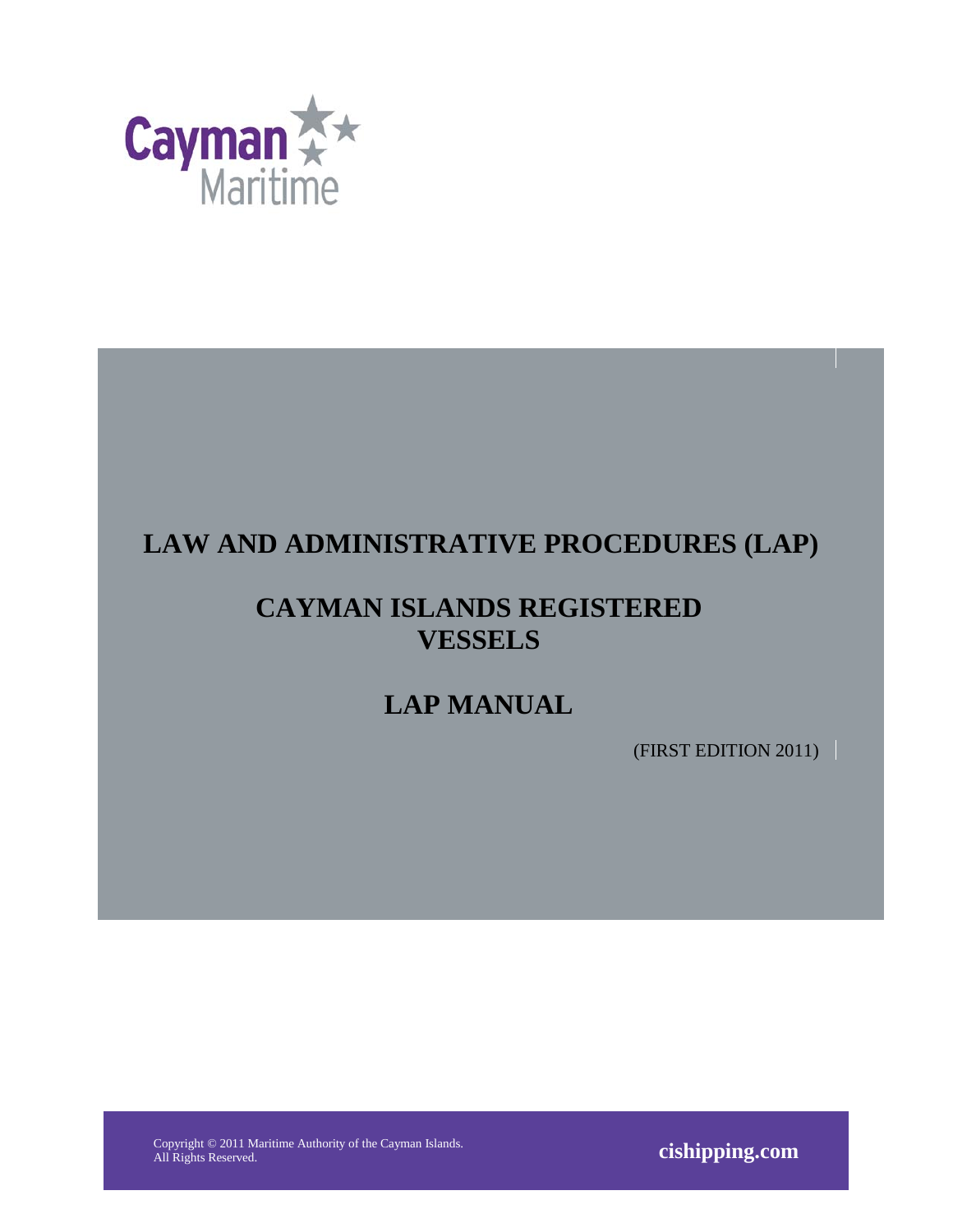

# **LAW AND ADMINISTRATIVE PROCEDURES (LAP)**

# **CAYMAN ISLANDS REGISTERED VESSELS**

# **LAP MANUAL**

(FIRST EDITION 2011)

Copyright © 2011 Maritime Authority of the Cayman Islands.

All Rights Reserved. **cishipping.com**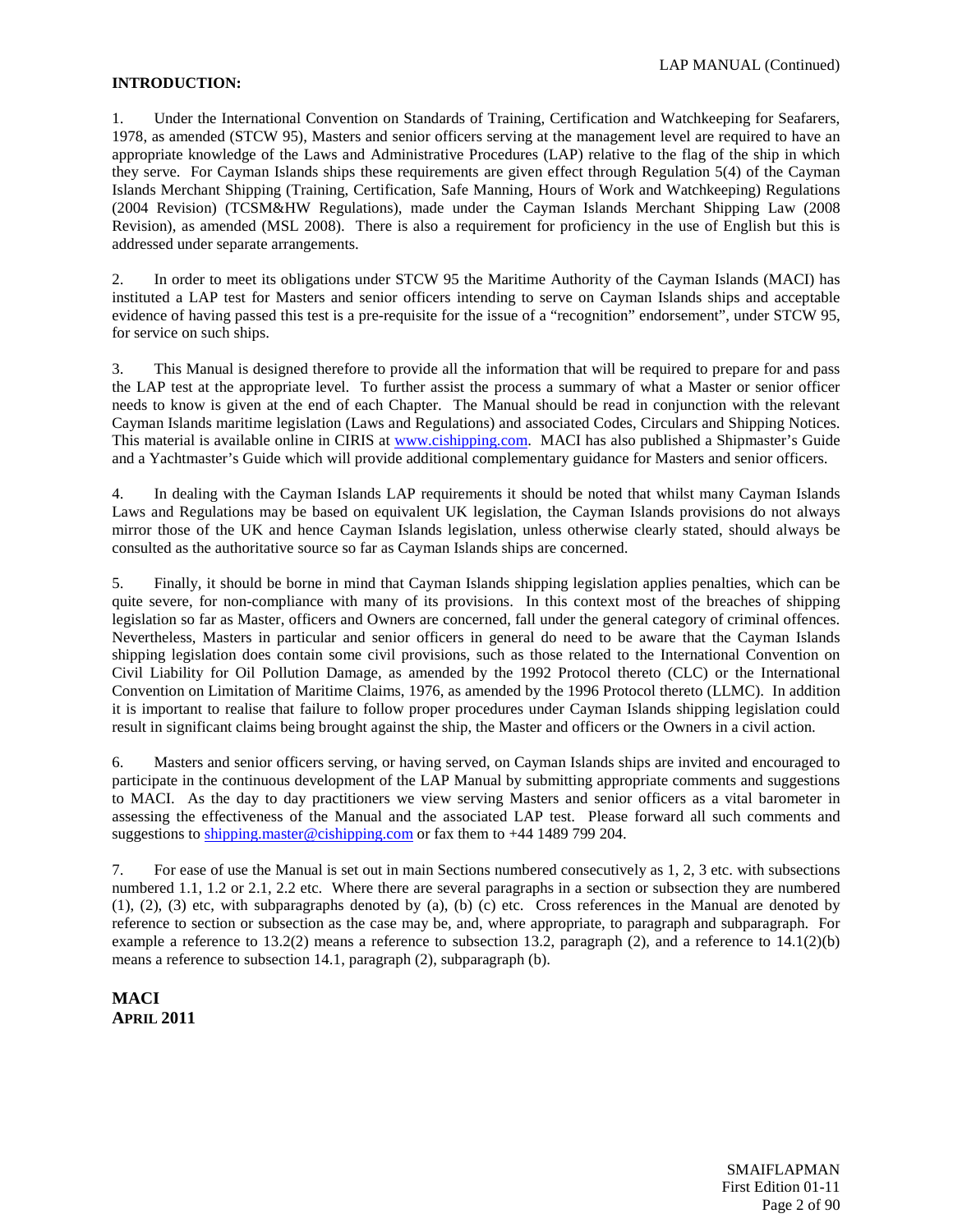#### <span id="page-1-0"></span>**INTRODUCTION:**

1. Under the International Convention on Standards of Training, Certification and Watchkeeping for Seafarers, 1978, as amended (STCW 95), Masters and senior officers serving at the management level are required to have an appropriate knowledge of the Laws and Administrative Procedures (LAP) relative to the flag of the ship in which they serve. For Cayman Islands ships these requirements are given effect through Regulation 5(4) of the Cayman Islands Merchant Shipping (Training, Certification, Safe Manning, Hours of Work and Watchkeeping) Regulations (2004 Revision) (TCSM&HW Regulations), made under the Cayman Islands Merchant Shipping Law (2008 Revision), as amended (MSL 2008). There is also a requirement for proficiency in the use of English but this is addressed under separate arrangements.

2. In order to meet its obligations under STCW 95 the Maritime Authority of the Cayman Islands (MACI) has instituted a LAP test for Masters and senior officers intending to serve on Cayman Islands ships and acceptable evidence of having passed this test is a pre-requisite for the issue of a "recognition" endorsement", under STCW 95, for service on such ships.

3. This Manual is designed therefore to provide all the information that will be required to prepare for and pass the LAP test at the appropriate level. To further assist the process a summary of what a Master or senior officer needs to know is given at the end of each Chapter. The Manual should be read in conjunction with the relevant Cayman Islands maritime legislation (Laws and Regulations) and associated Codes, Circulars and Shipping Notices. This material is available online in CIRIS at [www.cishipping.com.](http://www.cishipping.com/) MACI has also published a Shipmaster's Guide and a Yachtmaster's Guide which will provide additional complementary guidance for Masters and senior officers.

4. In dealing with the Cayman Islands LAP requirements it should be noted that whilst many Cayman Islands Laws and Regulations may be based on equivalent UK legislation, the Cayman Islands provisions do not always mirror those of the UK and hence Cayman Islands legislation, unless otherwise clearly stated, should always be consulted as the authoritative source so far as Cayman Islands ships are concerned.

5. Finally, it should be borne in mind that Cayman Islands shipping legislation applies penalties, which can be quite severe, for non-compliance with many of its provisions. In this context most of the breaches of shipping legislation so far as Master, officers and Owners are concerned, fall under the general category of criminal offences. Nevertheless, Masters in particular and senior officers in general do need to be aware that the Cayman Islands shipping legislation does contain some civil provisions, such as those related to the International Convention on Civil Liability for Oil Pollution Damage, as amended by the 1992 Protocol thereto (CLC) or the International Convention on Limitation of Maritime Claims, 1976, as amended by the 1996 Protocol thereto (LLMC). In addition it is important to realise that failure to follow proper procedures under Cayman Islands shipping legislation could result in significant claims being brought against the ship, the Master and officers or the Owners in a civil action.

6. Masters and senior officers serving, or having served, on Cayman Islands ships are invited and encouraged to participate in the continuous development of the LAP Manual by submitting appropriate comments and suggestions to MACI. As the day to day practitioners we view serving Masters and senior officers as a vital barometer in assessing the effectiveness of the Manual and the associated LAP test. Please forward all such comments and suggestions to [shipping.master@cishipping.com](mailto:shipping.master@cishipping.com) or fax them to +44 1489 799 204.

7. For ease of use the Manual is set out in main Sections numbered consecutively as 1, 2, 3 etc. with subsections numbered 1.1, 1.2 or 2.1, 2.2 etc. Where there are several paragraphs in a section or subsection they are numbered (1), (2), (3) etc, with subparagraphs denoted by (a), (b) (c) etc. Cross references in the Manual are denoted by reference to section or subsection as the case may be, and, where appropriate, to paragraph and subparagraph. For example a reference to 13.2(2) means a reference to subsection 13.2, paragraph (2), and a reference to 14.1(2)(b) means a reference to subsection 14.1, paragraph (2), subparagraph (b).

**MACI APRIL 2011**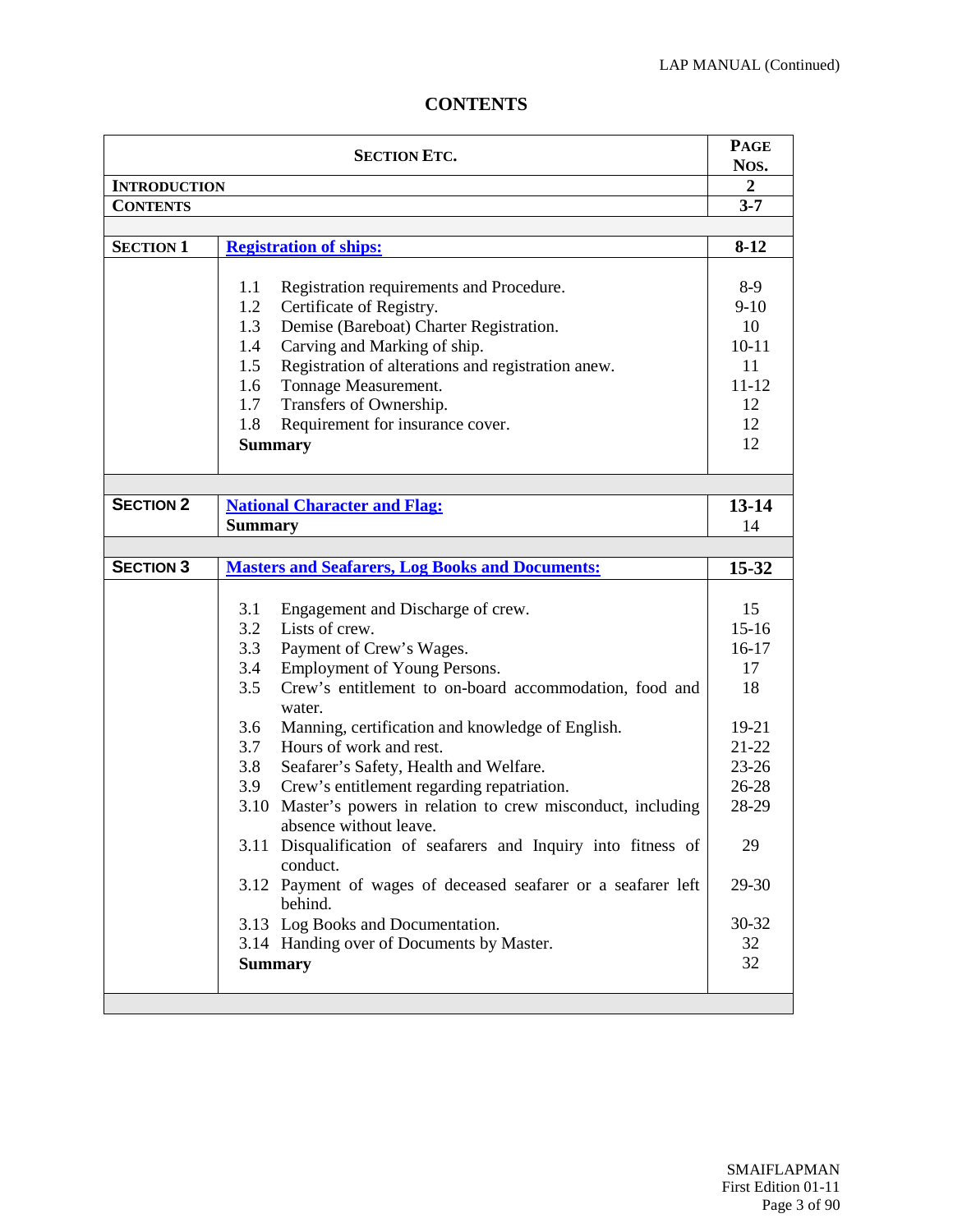# **CONTENTS**

|                     | <b>SECTION ETC.</b>                                                                      | <b>PAGE</b>    |
|---------------------|------------------------------------------------------------------------------------------|----------------|
|                     |                                                                                          | Nos.           |
| <b>INTRODUCTION</b> |                                                                                          | $\overline{2}$ |
| <b>CONTENTS</b>     |                                                                                          | $3 - 7$        |
| <b>SECTION 1</b>    |                                                                                          | $8-12$         |
|                     | <b>Registration of ships:</b>                                                            |                |
|                     | Registration requirements and Procedure.<br>1.1                                          | 8-9            |
|                     | Certificate of Registry.<br>1.2                                                          | $9-10$         |
|                     | 1.3<br>Demise (Bareboat) Charter Registration.                                           | 10             |
|                     | Carving and Marking of ship.<br>1.4                                                      | $10 - 11$      |
|                     | Registration of alterations and registration anew.<br>1.5                                | 11             |
|                     | Tonnage Measurement.<br>1.6                                                              | $11 - 12$      |
|                     | Transfers of Ownership.<br>1.7                                                           | 12             |
|                     | 1.8<br>Requirement for insurance cover.                                                  | 12             |
|                     | <b>Summary</b>                                                                           | 12             |
|                     |                                                                                          |                |
| <b>SECTION 2</b>    |                                                                                          |                |
|                     | <b>National Character and Flag:</b>                                                      | $13 - 14$      |
|                     | <b>Summary</b>                                                                           | 14             |
| <b>SECTION 3</b>    | <b>Masters and Seafarers, Log Books and Documents:</b>                                   | 15-32          |
|                     |                                                                                          |                |
|                     | 3.1<br>Engagement and Discharge of crew.                                                 | 15             |
|                     | Lists of crew.<br>3.2                                                                    | $15 - 16$      |
|                     | Payment of Crew's Wages.<br>3.3                                                          | $16-17$        |
|                     | Employment of Young Persons.<br>3.4                                                      | 17             |
|                     | 3.5<br>Crew's entitlement to on-board accommodation, food and                            | 18             |
|                     | water.                                                                                   |                |
|                     | Manning, certification and knowledge of English.<br>3.6                                  | 19-21          |
|                     | 3.7<br>Hours of work and rest.                                                           | $21 - 22$      |
|                     | 3.8<br>Seafarer's Safety, Health and Welfare.                                            | $23 - 26$      |
|                     | Crew's entitlement regarding repatriation.<br>3.9                                        | 26-28          |
|                     | 3.10 Master's powers in relation to crew misconduct, including<br>absence without leave. | 28-29          |
|                     | 3.11 Disqualification of seafarers and Inquiry into fitness of                           | 29             |
|                     | conduct.                                                                                 |                |
|                     | 3.12 Payment of wages of deceased seafarer or a seafarer left                            | 29-30          |
|                     | behind.                                                                                  |                |
|                     | 3.13 Log Books and Documentation.                                                        | 30-32          |
|                     | 3.14 Handing over of Documents by Master.                                                | 32             |
|                     | <b>Summary</b>                                                                           | 32             |
|                     |                                                                                          |                |
|                     |                                                                                          |                |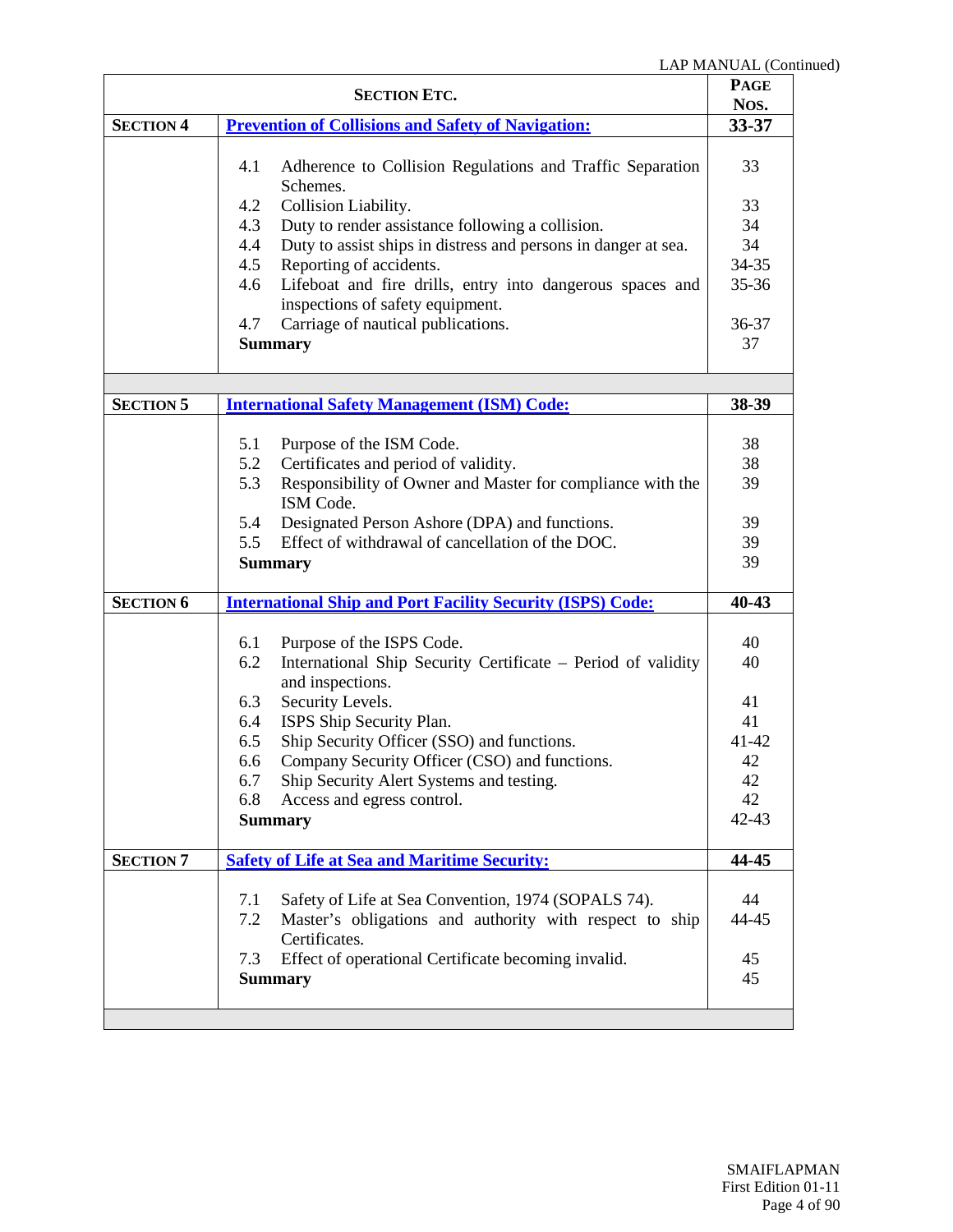| <b>SECTION ETC.</b> |                                                                                                         | <b>PAGE</b><br>Nos. |
|---------------------|---------------------------------------------------------------------------------------------------------|---------------------|
| <b>SECTION 4</b>    | <b>Prevention of Collisions and Safety of Navigation:</b>                                               | $33 - 37$           |
|                     |                                                                                                         |                     |
|                     | Adherence to Collision Regulations and Traffic Separation<br>4.1<br>Schemes.                            | 33                  |
|                     | Collision Liability.<br>4.2                                                                             | 33                  |
|                     | Duty to render assistance following a collision.<br>4.3                                                 | 34                  |
|                     | 4.4<br>Duty to assist ships in distress and persons in danger at sea.                                   | 34                  |
|                     | 4.5<br>Reporting of accidents.                                                                          | $34 - 35$           |
|                     | Lifeboat and fire drills, entry into dangerous spaces and<br>4.6<br>inspections of safety equipment.    | $35 - 36$           |
|                     | Carriage of nautical publications.<br>4.7                                                               | 36-37               |
|                     | <b>Summary</b>                                                                                          | 37                  |
|                     |                                                                                                         |                     |
| <b>SECTION 5</b>    | <b>International Safety Management (ISM) Code:</b>                                                      | 38-39               |
|                     | Purpose of the ISM Code.<br>5.1                                                                         | 38                  |
|                     | Certificates and period of validity.<br>5.2                                                             | 38                  |
|                     | Responsibility of Owner and Master for compliance with the<br>5.3                                       | 39                  |
|                     | ISM Code.                                                                                               |                     |
|                     | 5.4<br>Designated Person Ashore (DPA) and functions.                                                    | 39                  |
|                     | Effect of withdrawal of cancellation of the DOC.<br>5.5                                                 | 39                  |
|                     | <b>Summary</b>                                                                                          | 39                  |
| <b>SECTION 6</b>    | <b>International Ship and Port Facility Security (ISPS) Code:</b>                                       | 40-43               |
|                     |                                                                                                         |                     |
|                     | Purpose of the ISPS Code.<br>6.1<br>International Ship Security Certificate – Period of validity<br>6.2 | 40<br>40            |
|                     | and inspections.                                                                                        |                     |
|                     | Security Levels.<br>6.3                                                                                 | 41                  |
|                     | ISPS Ship Security Plan.<br>6.4                                                                         | 41                  |
|                     | Ship Security Officer (SSO) and functions.<br>6.5                                                       | $41 - 42$           |
|                     | Company Security Officer (CSO) and functions.<br>6.6                                                    | 42                  |
|                     | Ship Security Alert Systems and testing.<br>6.7                                                         | 42                  |
|                     | 6.8<br>Access and egress control.                                                                       | 42                  |
|                     | <b>Summary</b>                                                                                          | $42 - 43$           |
| <b>SECTION 7</b>    | <b>Safety of Life at Sea and Maritime Security:</b>                                                     | 44-45               |
|                     |                                                                                                         |                     |
|                     | Safety of Life at Sea Convention, 1974 (SOPALS 74).<br>7.1                                              | 44                  |
|                     | Master's obligations and authority with respect to ship<br>7.2<br>Certificates.                         | 44-45               |
|                     | Effect of operational Certificate becoming invalid.<br>7.3                                              | 45                  |
|                     | <b>Summary</b>                                                                                          | 45                  |
|                     |                                                                                                         |                     |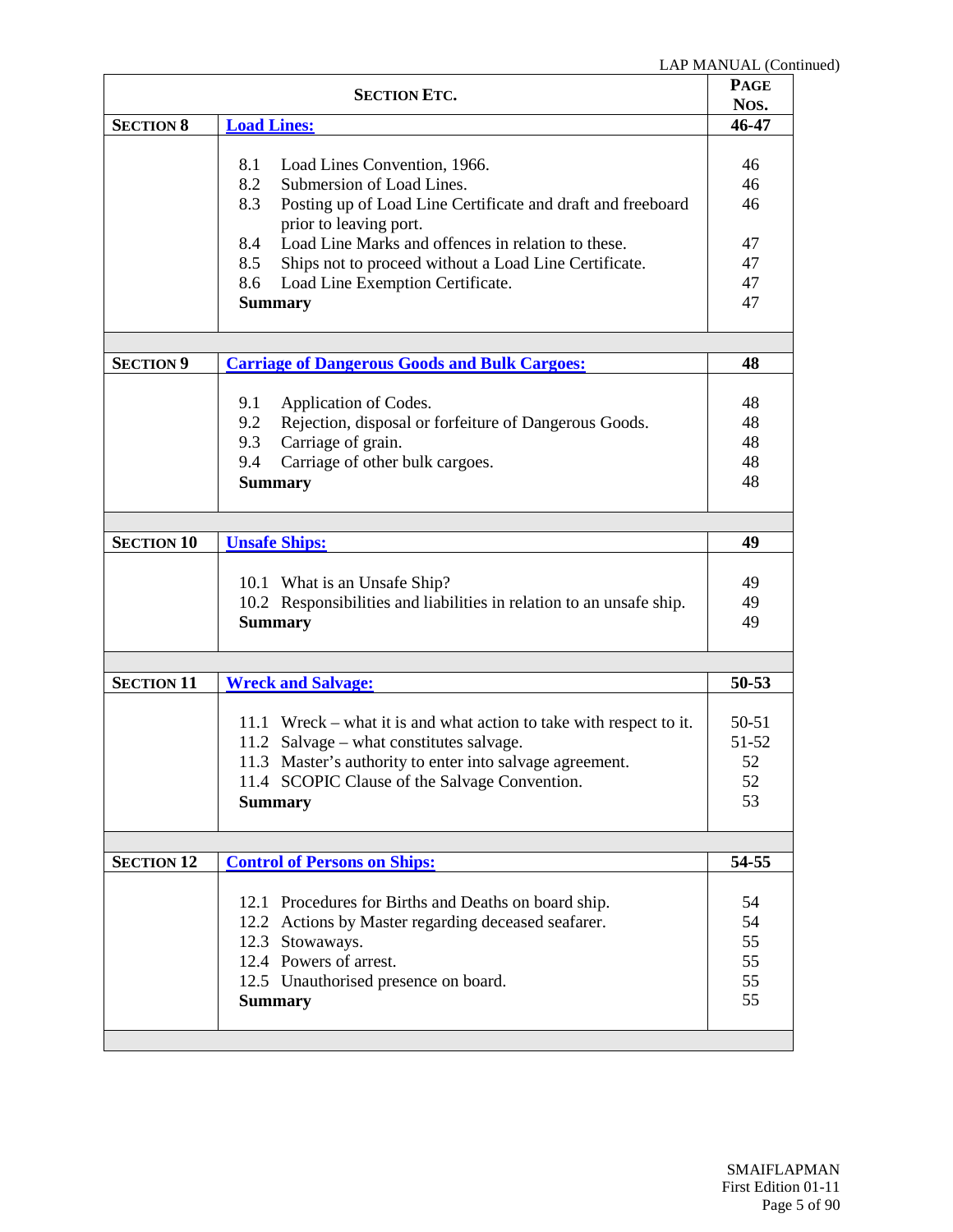| <b>SECTION ETC.</b> |                                                                                                                                                                                                                                                | <b>PAGE</b><br>Nos.                  |
|---------------------|------------------------------------------------------------------------------------------------------------------------------------------------------------------------------------------------------------------------------------------------|--------------------------------------|
| <b>SECTION 8</b>    | <b>Load Lines:</b>                                                                                                                                                                                                                             | 46-47                                |
|                     | 8.1<br>Load Lines Convention, 1966.<br>8.2<br>Submersion of Load Lines.<br>8.3<br>Posting up of Load Line Certificate and draft and freeboard<br>prior to leaving port.<br>Load Line Marks and offences in relation to these.<br>8.4           | 46<br>46<br>46<br>47                 |
|                     | Ships not to proceed without a Load Line Certificate.<br>8.5<br>Load Line Exemption Certificate.<br>8.6<br><b>Summary</b>                                                                                                                      | 47<br>47<br>47                       |
| <b>SECTION 9</b>    | <b>Carriage of Dangerous Goods and Bulk Cargoes:</b>                                                                                                                                                                                           | 48                                   |
|                     | 9.1<br>Application of Codes.<br>9.2<br>Rejection, disposal or forfeiture of Dangerous Goods.<br>9.3<br>Carriage of grain.<br>Carriage of other bulk cargoes.<br>9.4<br><b>Summary</b>                                                          | 48<br>48<br>48<br>48<br>48           |
|                     |                                                                                                                                                                                                                                                |                                      |
| <b>SECTION 10</b>   | <b>Unsafe Ships:</b>                                                                                                                                                                                                                           | 49                                   |
|                     | 10.1 What is an Unsafe Ship?<br>10.2 Responsibilities and liabilities in relation to an unsafe ship.<br><b>Summary</b>                                                                                                                         | 49<br>49<br>49                       |
|                     |                                                                                                                                                                                                                                                |                                      |
| <b>SECTION 11</b>   | <b>Wreck and Salvage:</b>                                                                                                                                                                                                                      | $50 - 53$                            |
|                     | 11.1 Wreck – what it is and what action to take with respect to it.<br>11.2 Salvage – what constitutes salvage.<br>11.3 Master's authority to enter into salvage agreement.<br>11.4 SCOPIC Clause of the Salvage Convention.<br><b>Summary</b> | $50 - 51$<br>51-52<br>52<br>52<br>53 |
|                     |                                                                                                                                                                                                                                                |                                      |
| <b>SECTION 12</b>   | <b>Control of Persons on Ships:</b>                                                                                                                                                                                                            | 54-55                                |
|                     | 12.1 Procedures for Births and Deaths on board ship.<br>12.2 Actions by Master regarding deceased seafarer.<br>12.3 Stowaways.<br>12.4 Powers of arrest.<br>12.5 Unauthorised presence on board.<br><b>Summary</b>                             | 54<br>54<br>55<br>55<br>55<br>55     |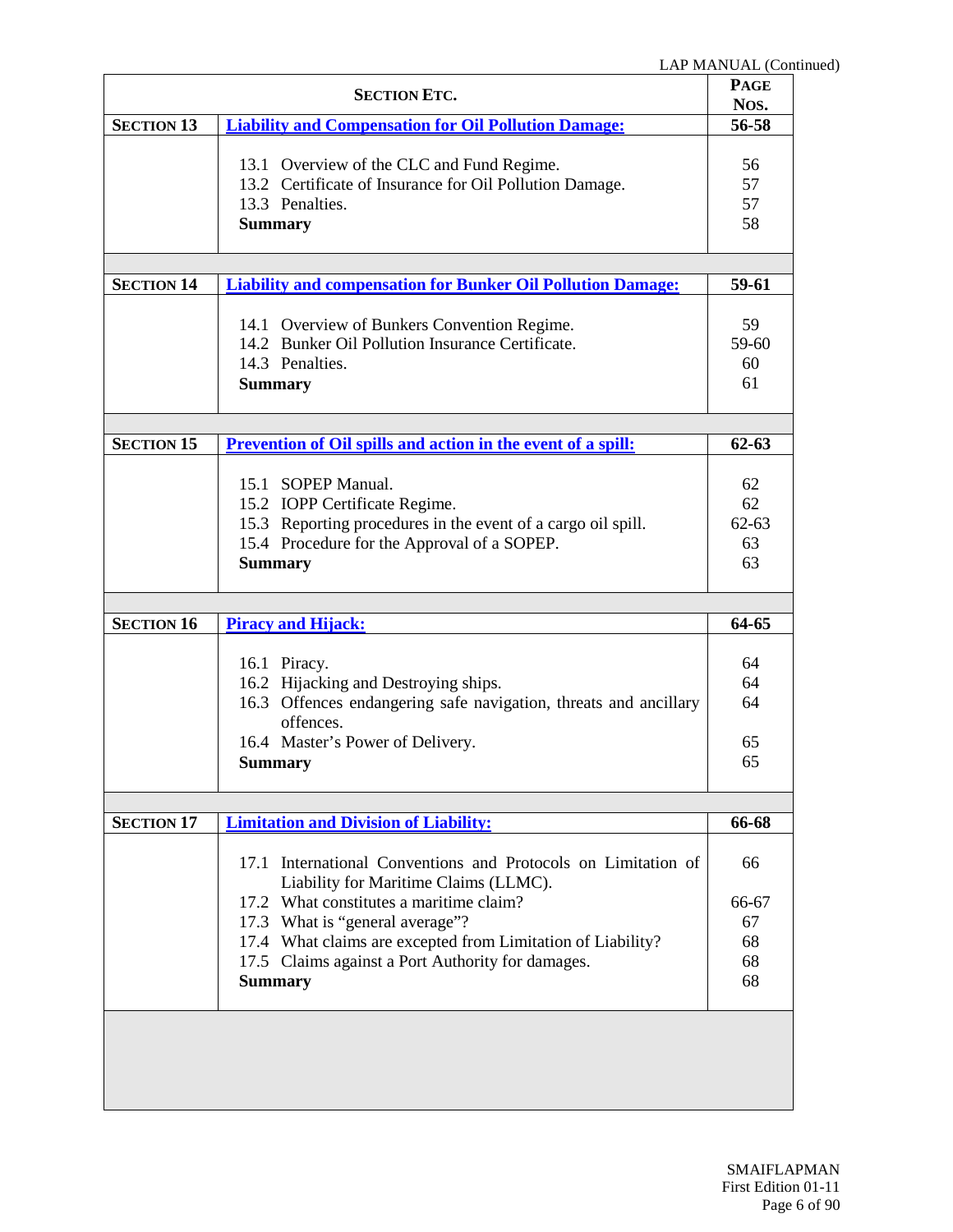|                   | <b>SECTION ETC.</b>                                                                                                                                                                  | <b>PAGE</b><br>Nos.               |
|-------------------|--------------------------------------------------------------------------------------------------------------------------------------------------------------------------------------|-----------------------------------|
| <b>SECTION 13</b> | <b>Liability and Compensation for Oil Pollution Damage:</b>                                                                                                                          | 56-58                             |
|                   | 13.1 Overview of the CLC and Fund Regime.<br>13.2 Certificate of Insurance for Oil Pollution Damage.<br>13.3 Penalties.<br><b>Summary</b>                                            | 56<br>57<br>57<br>58              |
| <b>SECTION 14</b> | <b>Liability and compensation for Bunker Oil Pollution Damage:</b>                                                                                                                   | 59-61                             |
|                   |                                                                                                                                                                                      |                                   |
|                   | 14.1 Overview of Bunkers Convention Regime.<br>14.2 Bunker Oil Pollution Insurance Certificate.<br>14.3 Penalties.<br><b>Summary</b>                                                 | 59<br>59-60<br>60<br>61           |
|                   |                                                                                                                                                                                      |                                   |
| <b>SECTION 15</b> | <b>Prevention of Oil spills and action in the event of a spill:</b>                                                                                                                  | $62 - 63$                         |
|                   | 15.1 SOPEP Manual.<br>15.2 IOPP Certificate Regime.<br>15.3 Reporting procedures in the event of a cargo oil spill.<br>15.4 Procedure for the Approval of a SOPEP.<br><b>Summary</b> | 62<br>62<br>$62 - 63$<br>63<br>63 |
|                   |                                                                                                                                                                                      |                                   |
| <b>SECTION 16</b> | <b>Piracy and Hijack:</b>                                                                                                                                                            | 64-65                             |
|                   | 16.1 Piracy.<br>16.2 Hijacking and Destroying ships.<br>16.3 Offences endangering safe navigation, threats and ancillary<br>offences.<br>16.4 Master's Power of Delivery.<br>Summary | 64<br>64<br>64<br>65<br>65        |
|                   |                                                                                                                                                                                      |                                   |
| <b>SECTION 17</b> | <b>Limitation and Division of Liability:</b>                                                                                                                                         | 66-68                             |
|                   | 17.1 International Conventions and Protocols on Limitation of<br>Liability for Maritime Claims (LLMC).                                                                               | 66                                |
|                   | 17.2 What constitutes a maritime claim?                                                                                                                                              | 66-67                             |
|                   | 17.3 What is "general average"?<br>17.4 What claims are excepted from Limitation of Liability?                                                                                       | 67<br>68                          |
|                   | 17.5 Claims against a Port Authority for damages.                                                                                                                                    | 68                                |
|                   | <b>Summary</b>                                                                                                                                                                       | 68                                |
|                   |                                                                                                                                                                                      |                                   |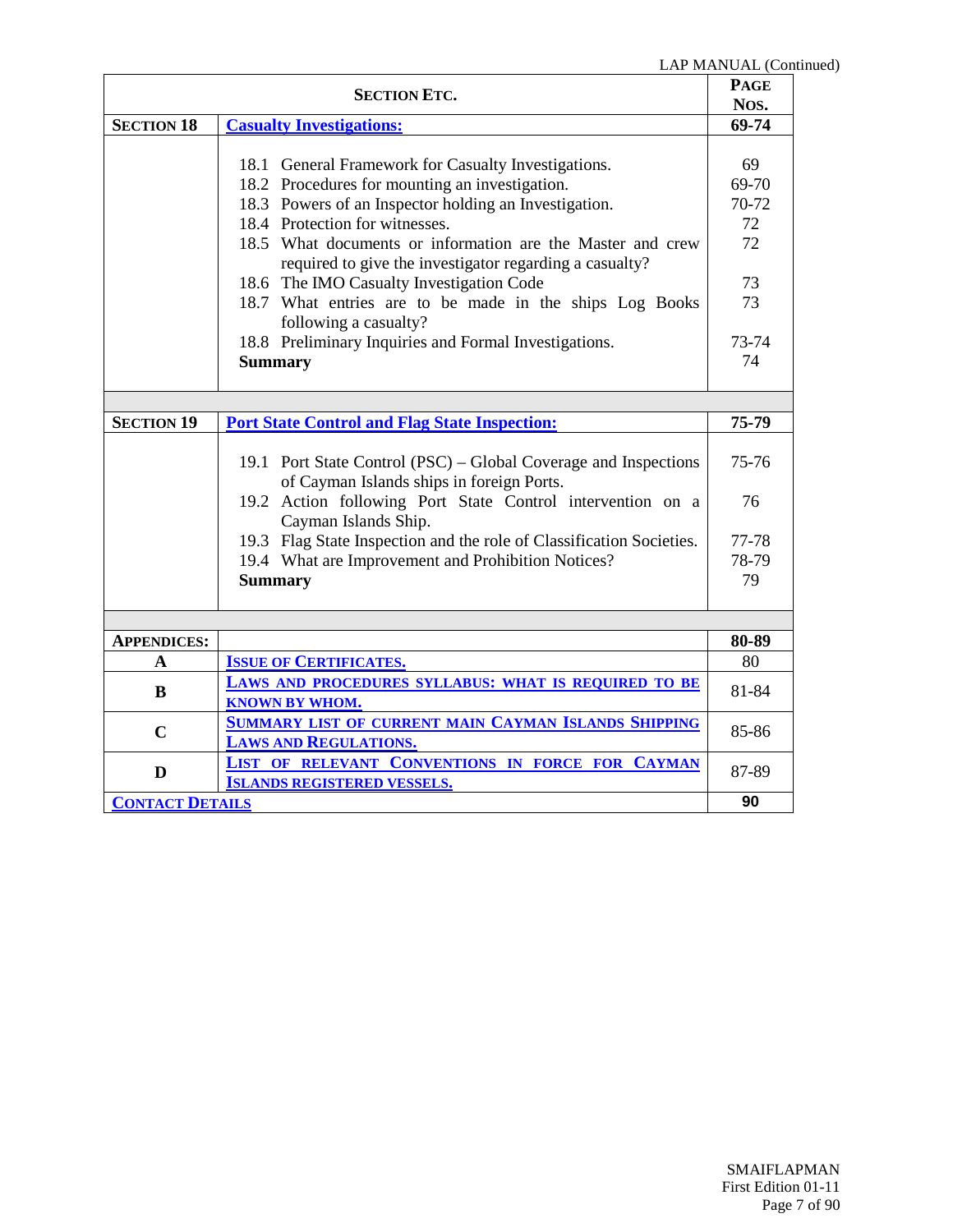| <b>SECTION ETC.</b>    |                                                                      | LAF MANUAL (COL<br><b>PAGE</b><br>Nos. |
|------------------------|----------------------------------------------------------------------|----------------------------------------|
|                        |                                                                      |                                        |
| <b>SECTION 18</b>      | <b>Casualty Investigations:</b>                                      | 69-74                                  |
|                        |                                                                      |                                        |
|                        | 18.1 General Framework for Casualty Investigations.                  | 69                                     |
|                        | 18.2 Procedures for mounting an investigation.                       | 69-70                                  |
|                        | 18.3 Powers of an Inspector holding an Investigation.                | 70-72                                  |
|                        | 18.4 Protection for witnesses.                                       | 72                                     |
|                        | 18.5 What documents or information are the Master and crew           | 72                                     |
|                        | required to give the investigator regarding a casualty?              |                                        |
|                        | 18.6 The IMO Casualty Investigation Code                             | 73                                     |
|                        | 18.7 What entries are to be made in the ships Log Books              | 73                                     |
|                        | following a casualty?                                                |                                        |
|                        | 18.8 Preliminary Inquiries and Formal Investigations.                | 73-74                                  |
|                        | <b>Summary</b>                                                       | 74                                     |
|                        |                                                                      |                                        |
|                        |                                                                      |                                        |
| <b>SECTION 19</b>      | <b>Port State Control and Flag State Inspection:</b>                 | 75-79                                  |
|                        |                                                                      |                                        |
|                        | 19.1 Port State Control (PSC) – Global Coverage and Inspections      | 75-76                                  |
|                        | of Cayman Islands ships in foreign Ports.                            |                                        |
|                        | 19.2 Action following Port State Control intervention on a           | 76                                     |
|                        | Cayman Islands Ship.                                                 |                                        |
|                        | 19.3 Flag State Inspection and the role of Classification Societies. | 77-78                                  |
|                        | 19.4 What are Improvement and Prohibition Notices?                   | 78-79                                  |
|                        | <b>Summary</b>                                                       | 79                                     |
|                        |                                                                      |                                        |
|                        |                                                                      |                                        |
| <b>APPENDICES:</b>     |                                                                      | 80-89                                  |
| A                      | <b>ISSUE OF CERTIFICATES.</b>                                        | 80                                     |
| B                      | LAWS AND PROCEDURES SYLLABUS: WHAT IS REQUIRED TO BE                 | 81-84                                  |
|                        | <b>KNOWN BY WHOM.</b>                                                |                                        |
| $\mathbf C$            | <b>SUMMARY LIST OF CURRENT MAIN CAYMAN ISLANDS SHIPPING</b>          | 85-86                                  |
|                        | <b>LAWS AND REGULATIONS.</b>                                         |                                        |
| D                      | LIST OF RELEVANT CONVENTIONS IN FORCE FOR CAYMAN                     | 87-89                                  |
|                        | <b>ISLANDS REGISTERED VESSELS.</b>                                   |                                        |
| <b>CONTACT DETAILS</b> |                                                                      | 90                                     |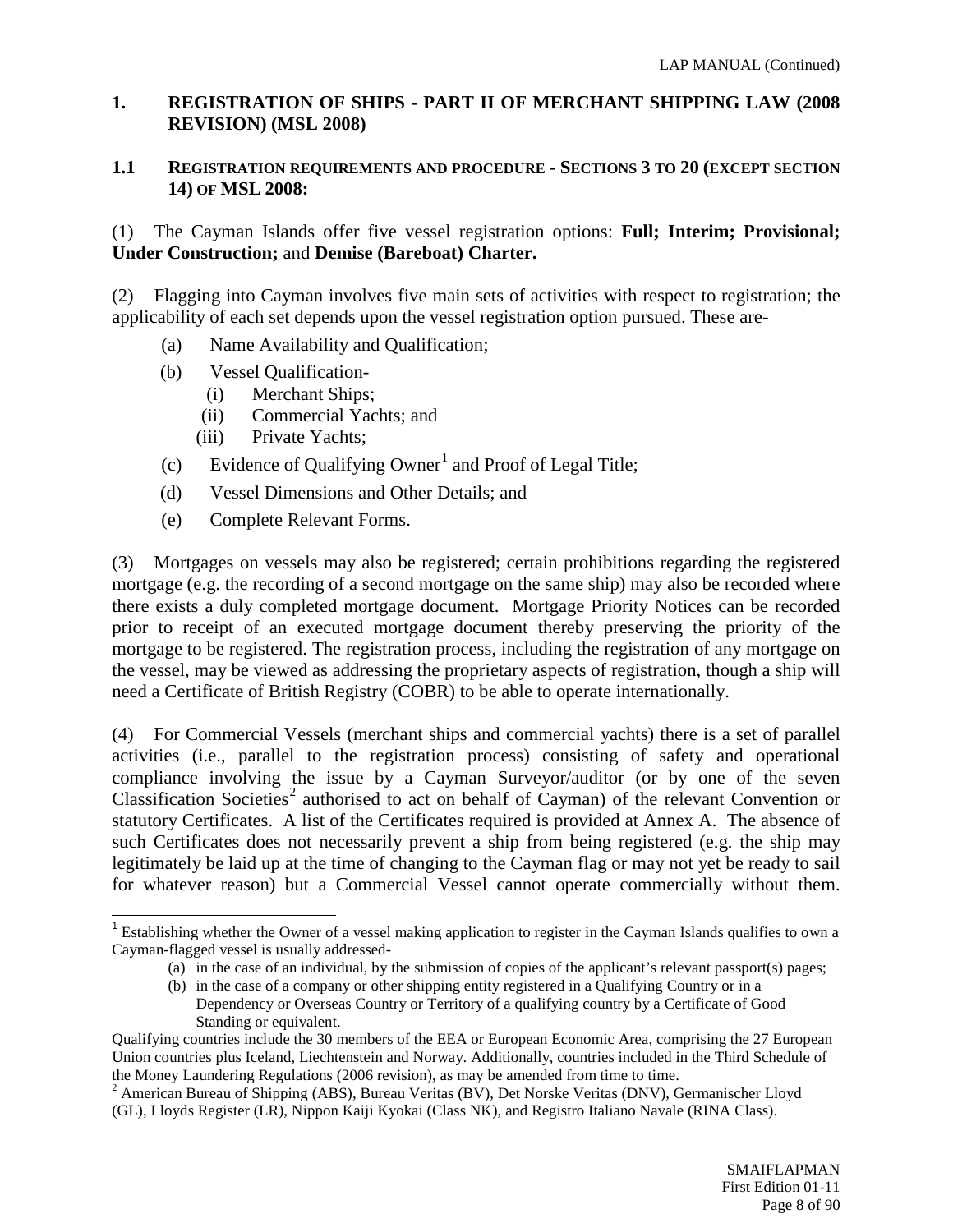# <span id="page-7-0"></span>**1. REGISTRATION OF SHIPS - PART II OF MERCHANT SHIPPING LAW (2008 REVISION) (MSL 2008)**

#### **1.1 REGISTRATION REQUIREMENTS AND PROCEDURE - SECTIONS 3 TO 20 (EXCEPT SECTION 14) OF MSL 2008:**

(1) The Cayman Islands offer five vessel registration options: **Full; Interim; Provisional; Under Construction;** and **Demise (Bareboat) Charter.**

(2) Flagging into Cayman involves five main sets of activities with respect to registration; the applicability of each set depends upon the vessel registration option pursued. These are-

- (a) Name Availability and Qualification;
- (b) Vessel Qualification-
	- (i) Merchant Ships;
	- (ii) Commercial Yachts; and
	- (iii) Private Yachts;
- (c) Evidence of Qualifying Owner<sup>[1](#page-7-1)</sup> and Proof of Legal Title;
- (d) Vessel Dimensions and Other Details; and
- (e) Complete Relevant Forms.

(3) Mortgages on vessels may also be registered; certain prohibitions regarding the registered mortgage (e.g. the recording of a second mortgage on the same ship) may also be recorded where there exists a duly completed mortgage document. Mortgage Priority Notices can be recorded prior to receipt of an executed mortgage document thereby preserving the priority of the mortgage to be registered. The registration process, including the registration of any mortgage on the vessel, may be viewed as addressing the proprietary aspects of registration, though a ship will need a Certificate of British Registry (COBR) to be able to operate internationally.

(4) For Commercial Vessels (merchant ships and commercial yachts) there is a set of parallel activities (i.e., parallel to the registration process) consisting of safety and operational compliance involving the issue by a Cayman Surveyor/auditor (or by one of the seven Classification Societies<sup>[2](#page-7-2)</sup> authorised to act on behalf of Cayman) of the relevant Convention or statutory Certificates. A list of the Certificates required is provided at Annex A. The absence of such Certificates does not necessarily prevent a ship from being registered (e.g. the ship may legitimately be laid up at the time of changing to the Cayman flag or may not yet be ready to sail for whatever reason) but a Commercial Vessel cannot operate commercially without them.

<span id="page-7-1"></span><sup>&</sup>lt;sup>1</sup> Establishing whether the Owner of a vessel making application to register in the Cayman Islands qualifies to own a Cayman-flagged vessel is usually addressed-

<sup>(</sup>a) in the case of an individual, by the submission of copies of the applicant's relevant passport(s) pages;

<sup>(</sup>b) in the case of a company or other shipping entity registered in a Qualifying Country or in a Dependency or Overseas Country or Territory of a qualifying country by a Certificate of Good Standing or equivalent.

Qualifying countries include the 30 members of the EEA or European Economic Area, comprising the 27 European Union countries plus Iceland, Liechtenstein and Norway. Additionally, countries included in the Third Schedule of the Money Laundering Regulations (2006 revision), as may be amended from time to time.

<span id="page-7-2"></span><sup>&</sup>lt;sup>2</sup> American Bureau of Shipping (ABS), Bureau Veritas (BV), Det Norske Veritas (DNV), Germanischer Lloyd (GL), Lloyds Register (LR), Nippon Kaiji Kyokai (Class NK), and Registro Italiano Navale (RINA Class).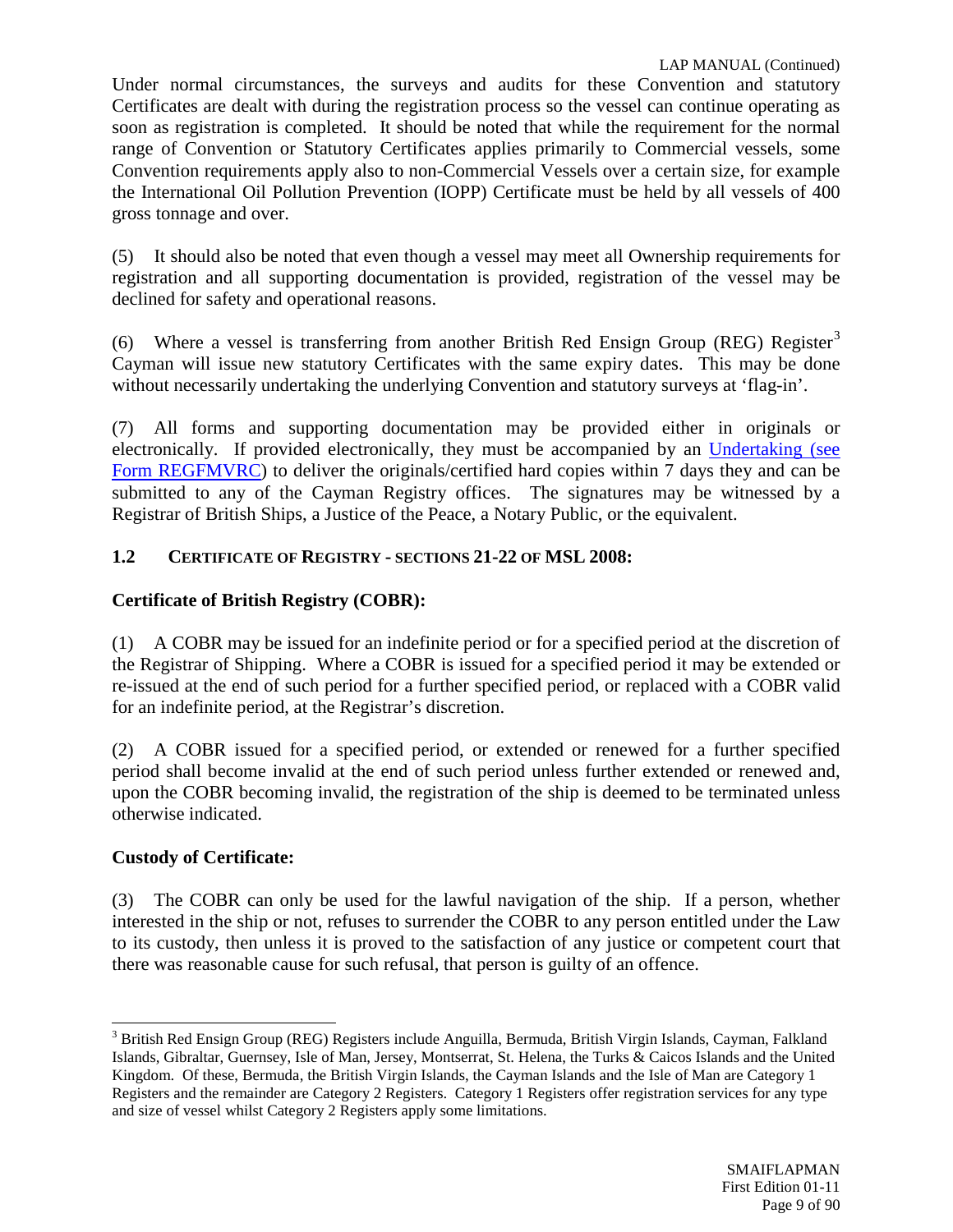Under normal circumstances, the surveys and audits for these Convention and statutory Certificates are dealt with during the registration process so the vessel can continue operating as soon as registration is completed. It should be noted that while the requirement for the normal range of Convention or Statutory Certificates applies primarily to Commercial vessels, some Convention requirements apply also to non-Commercial Vessels over a certain size, for example the International Oil Pollution Prevention (IOPP) Certificate must be held by all vessels of 400 gross tonnage and over.

(5) It should also be noted that even though a vessel may meet all Ownership requirements for registration and all supporting documentation is provided, registration of the vessel may be declined for safety and operational reasons.

(6) Where a vessel is transferring from another British Red Ensign Group (REG) Register<sup>[3](#page-8-0)</sup> Cayman will issue new statutory Certificates with the same expiry dates. This may be done without necessarily undertaking the underlying Convention and statutory surveys at 'flag-in'.

(7) All forms and supporting documentation may be provided either in originals or electronically. If provided electronically, they must be accompanied by an [Undertaking \(see](http://www.cishipping.com/portal/page?_pageid=1307,1684276&_dad=portal&_schema=PORTAL)  [Form REGFMVRC\)](http://www.cishipping.com/portal/page?_pageid=1307,1684276&_dad=portal&_schema=PORTAL) to deliver the originals/certified hard copies within 7 days they and can be submitted to any of the Cayman Registry offices. The signatures may be witnessed by a Registrar of British Ships, a Justice of the Peace, a Notary Public, or the equivalent.

# **1.2 CERTIFICATE OF REGISTRY - SECTIONS 21-22 OF MSL 2008:**

# **Certificate of British Registry (COBR):**

(1) A COBR may be issued for an indefinite period or for a specified period at the discretion of the Registrar of Shipping. Where a COBR is issued for a specified period it may be extended or re-issued at the end of such period for a further specified period, or replaced with a COBR valid for an indefinite period, at the Registrar's discretion.

(2) A COBR issued for a specified period, or extended or renewed for a further specified period shall become invalid at the end of such period unless further extended or renewed and, upon the COBR becoming invalid, the registration of the ship is deemed to be terminated unless otherwise indicated.

# **Custody of Certificate:**

(3) The COBR can only be used for the lawful navigation of the ship. If a person, whether interested in the ship or not, refuses to surrender the COBR to any person entitled under the Law to its custody, then unless it is proved to the satisfaction of any justice or competent court that there was reasonable cause for such refusal, that person is guilty of an offence.

<span id="page-8-0"></span><sup>3</sup> British Red Ensign Group (REG) Registers include Anguilla, Bermuda, British Virgin Islands, Cayman, Falkland Islands, Gibraltar, Guernsey, Isle of Man, Jersey, Montserrat, St. Helena, the Turks & Caicos Islands and the United Kingdom. Of these, Bermuda, the British Virgin Islands, the Cayman Islands and the Isle of Man are Category 1 Registers and the remainder are Category 2 Registers. Category 1 Registers offer registration services for any type and size of vessel whilst Category 2 Registers apply some limitations.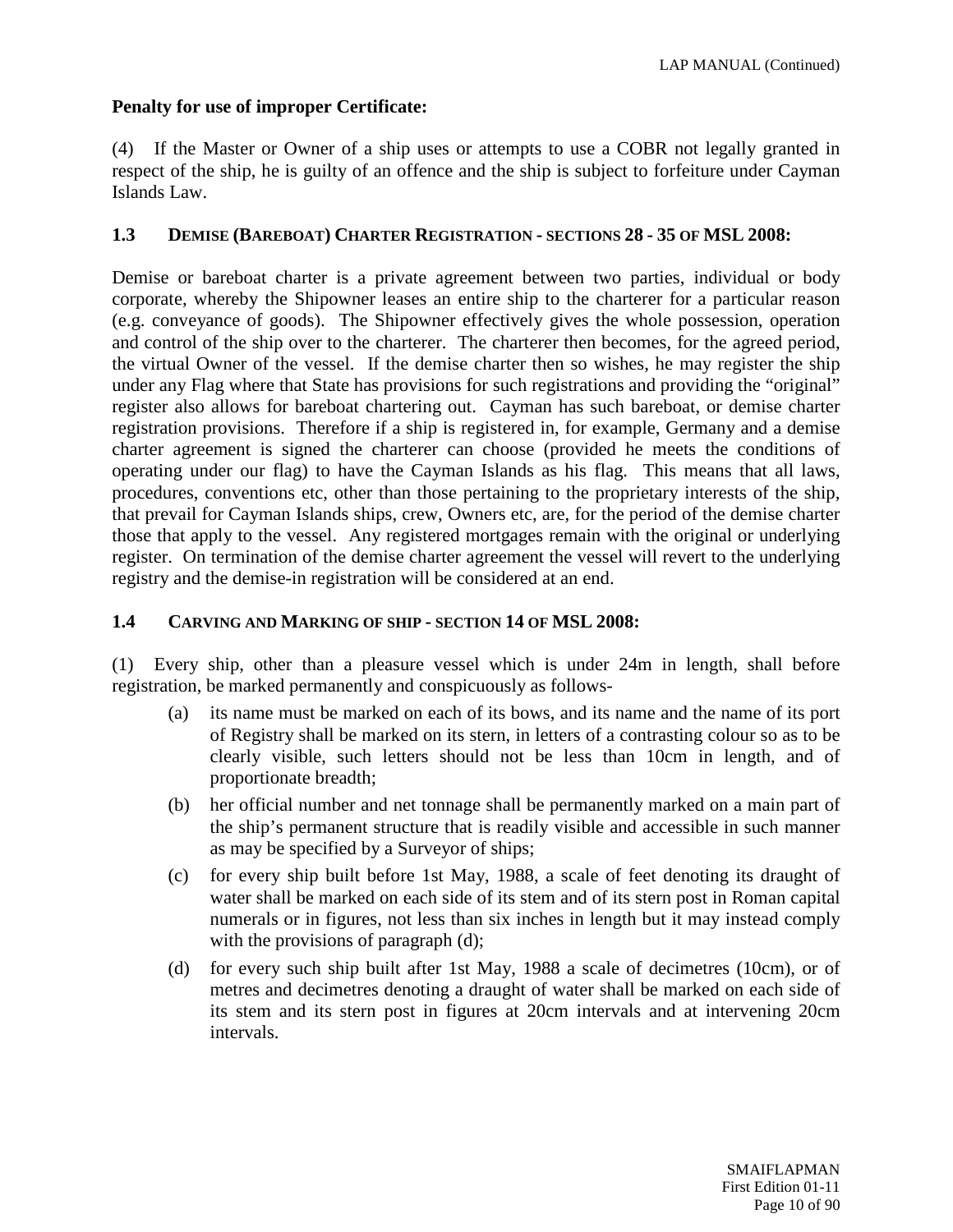# **Penalty for use of improper Certificate:**

(4) If the Master or Owner of a ship uses or attempts to use a COBR not legally granted in respect of the ship, he is guilty of an offence and the ship is subject to forfeiture under Cayman Islands Law.

### **1.3 DEMISE (BAREBOAT) CHARTER REGISTRATION - SECTIONS 28 - 35 OF MSL 2008:**

Demise or bareboat charter is a private agreement between two parties, individual or body corporate, whereby the Shipowner leases an entire ship to the charterer for a particular reason (e.g. conveyance of goods). The Shipowner effectively gives the whole possession, operation and control of the ship over to the charterer. The charterer then becomes, for the agreed period, the virtual Owner of the vessel. If the demise charter then so wishes, he may register the ship under any Flag where that State has provisions for such registrations and providing the "original" register also allows for bareboat chartering out. Cayman has such bareboat, or demise charter registration provisions. Therefore if a ship is registered in, for example, Germany and a demise charter agreement is signed the charterer can choose (provided he meets the conditions of operating under our flag) to have the Cayman Islands as his flag. This means that all laws, procedures, conventions etc, other than those pertaining to the proprietary interests of the ship, that prevail for Cayman Islands ships, crew, Owners etc, are, for the period of the demise charter those that apply to the vessel. Any registered mortgages remain with the original or underlying register. On termination of the demise charter agreement the vessel will revert to the underlying registry and the demise-in registration will be considered at an end.

#### **1.4 CARVING AND MARKING OF SHIP - SECTION 14 OF MSL 2008:**

(1) Every ship, other than a pleasure vessel which is under 24m in length, shall before registration, be marked permanently and conspicuously as follows-

- (a) its name must be marked on each of its bows, and its name and the name of its port of Registry shall be marked on its stern, in letters of a contrasting colour so as to be clearly visible, such letters should not be less than 10cm in length, and of proportionate breadth;
- (b) her official number and net tonnage shall be permanently marked on a main part of the ship's permanent structure that is readily visible and accessible in such manner as may be specified by a Surveyor of ships;
- (c) for every ship built before 1st May, 1988, a scale of feet denoting its draught of water shall be marked on each side of its stem and of its stern post in Roman capital numerals or in figures, not less than six inches in length but it may instead comply with the provisions of paragraph (d);
- (d) for every such ship built after 1st May, 1988 a scale of decimetres (10cm), or of metres and decimetres denoting a draught of water shall be marked on each side of its stem and its stern post in figures at 20cm intervals and at intervening 20cm intervals.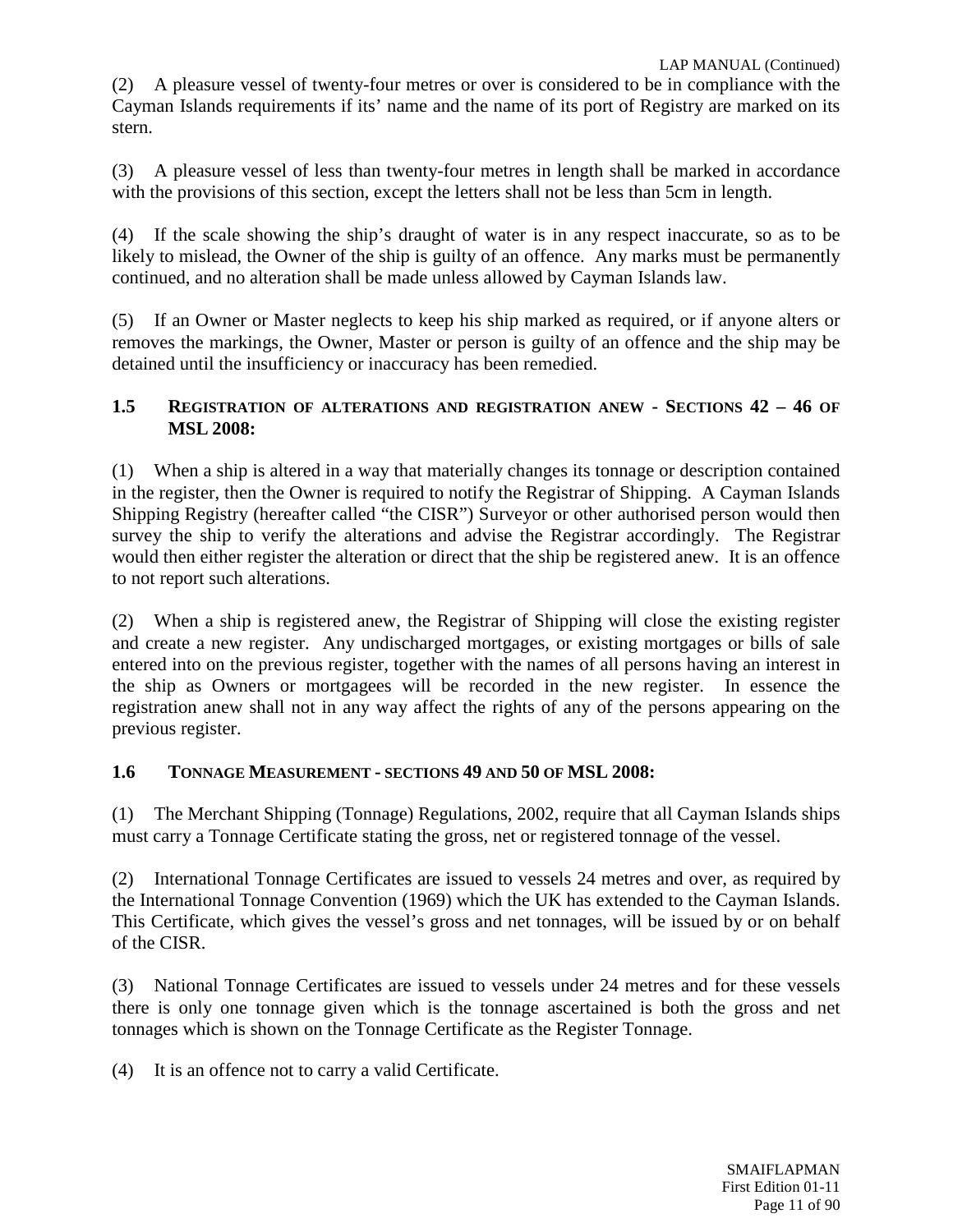(2) A pleasure vessel of twenty-four metres or over is considered to be in compliance with the Cayman Islands requirements if its' name and the name of its port of Registry are marked on its stern.

(3) A pleasure vessel of less than twenty-four metres in length shall be marked in accordance with the provisions of this section, except the letters shall not be less than 5cm in length.

(4) If the scale showing the ship's draught of water is in any respect inaccurate, so as to be likely to mislead, the Owner of the ship is guilty of an offence. Any marks must be permanently continued, and no alteration shall be made unless allowed by Cayman Islands law.

(5) If an Owner or Master neglects to keep his ship marked as required, or if anyone alters or removes the markings, the Owner, Master or person is guilty of an offence and the ship may be detained until the insufficiency or inaccuracy has been remedied.

# **1.5 REGISTRATION OF ALTERATIONS AND REGISTRATION ANEW - SECTIONS 42 – 46 OF MSL 2008:**

(1) When a ship is altered in a way that materially changes its tonnage or description contained in the register, then the Owner is required to notify the Registrar of Shipping. A Cayman Islands Shipping Registry (hereafter called "the CISR") Surveyor or other authorised person would then survey the ship to verify the alterations and advise the Registrar accordingly. The Registrar would then either register the alteration or direct that the ship be registered anew. It is an offence to not report such alterations.

(2) When a ship is registered anew, the Registrar of Shipping will close the existing register and create a new register. Any undischarged mortgages, or existing mortgages or bills of sale entered into on the previous register, together with the names of all persons having an interest in the ship as Owners or mortgagees will be recorded in the new register. In essence the registration anew shall not in any way affect the rights of any of the persons appearing on the previous register.

# **1.6 TONNAGE MEASUREMENT - SECTIONS 49 AND 50 OF MSL 2008:**

(1) The Merchant Shipping (Tonnage) Regulations, 2002, require that all Cayman Islands ships must carry a Tonnage Certificate stating the gross, net or registered tonnage of the vessel.

(2) International Tonnage Certificates are issued to vessels 24 metres and over, as required by the International Tonnage Convention (1969) which the UK has extended to the Cayman Islands. This Certificate, which gives the vessel's gross and net tonnages, will be issued by or on behalf of the CISR.

(3) National Tonnage Certificates are issued to vessels under 24 metres and for these vessels there is only one tonnage given which is the tonnage ascertained is both the gross and net tonnages which is shown on the Tonnage Certificate as the Register Tonnage.

(4) It is an offence not to carry a valid Certificate.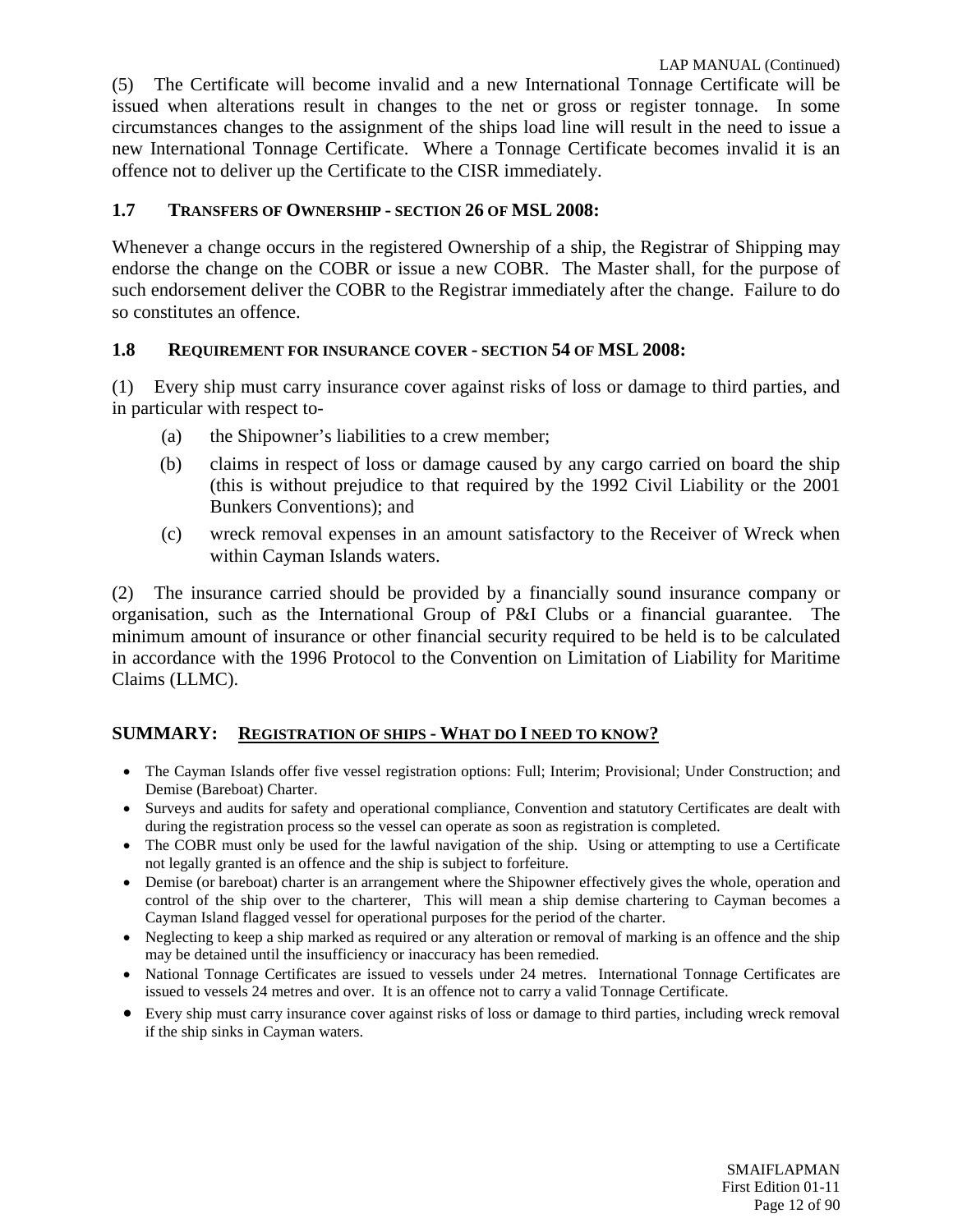(5) The Certificate will become invalid and a new International Tonnage Certificate will be issued when alterations result in changes to the net or gross or register tonnage. In some circumstances changes to the assignment of the ships load line will result in the need to issue a new International Tonnage Certificate. Where a Tonnage Certificate becomes invalid it is an offence not to deliver up the Certificate to the CISR immediately.

### **1.7 TRANSFERS OF OWNERSHIP - SECTION 26 OF MSL 2008:**

Whenever a change occurs in the registered Ownership of a ship, the Registrar of Shipping may endorse the change on the COBR or issue a new COBR. The Master shall, for the purpose of such endorsement deliver the COBR to the Registrar immediately after the change. Failure to do so constitutes an offence.

#### **1.8 REQUIREMENT FOR INSURANCE COVER - SECTION 54 OF MSL 2008:**

(1) Every ship must carry insurance cover against risks of loss or damage to third parties, and in particular with respect to-

- (a) the Shipowner's liabilities to a crew member;
- (b) claims in respect of loss or damage caused by any cargo carried on board the ship (this is without prejudice to that required by the 1992 Civil Liability or the 2001 Bunkers Conventions); and
- (c) wreck removal expenses in an amount satisfactory to the Receiver of Wreck when within Cayman Islands waters.

(2) The insurance carried should be provided by a financially sound insurance company or organisation, such as the International Group of P&I Clubs or a financial guarantee. The minimum amount of insurance or other financial security required to be held is to be calculated in accordance with the 1996 Protocol to the Convention on Limitation of Liability for Maritime Claims (LLMC).

#### **SUMMARY: REGISTRATION OF SHIPS - WHAT DO I NEED TO KNOW?**

- The Cayman Islands offer five vessel registration options: Full; Interim; Provisional; Under Construction; and Demise (Bareboat) Charter.
- Surveys and audits for safety and operational compliance, Convention and statutory Certificates are dealt with during the registration process so the vessel can operate as soon as registration is completed.
- The COBR must only be used for the lawful navigation of the ship. Using or attempting to use a Certificate not legally granted is an offence and the ship is subject to forfeiture.
- Demise (or bareboat) charter is an arrangement where the Shipowner effectively gives the whole, operation and control of the ship over to the charterer, This will mean a ship demise chartering to Cayman becomes a Cayman Island flagged vessel for operational purposes for the period of the charter.
- Neglecting to keep a ship marked as required or any alteration or removal of marking is an offence and the ship may be detained until the insufficiency or inaccuracy has been remedied.
- National Tonnage Certificates are issued to vessels under 24 metres. International Tonnage Certificates are issued to vessels 24 metres and over. It is an offence not to carry a valid Tonnage Certificate.
- Every ship must carry insurance cover against risks of loss or damage to third parties, including wreck removal if the ship sinks in Cayman waters.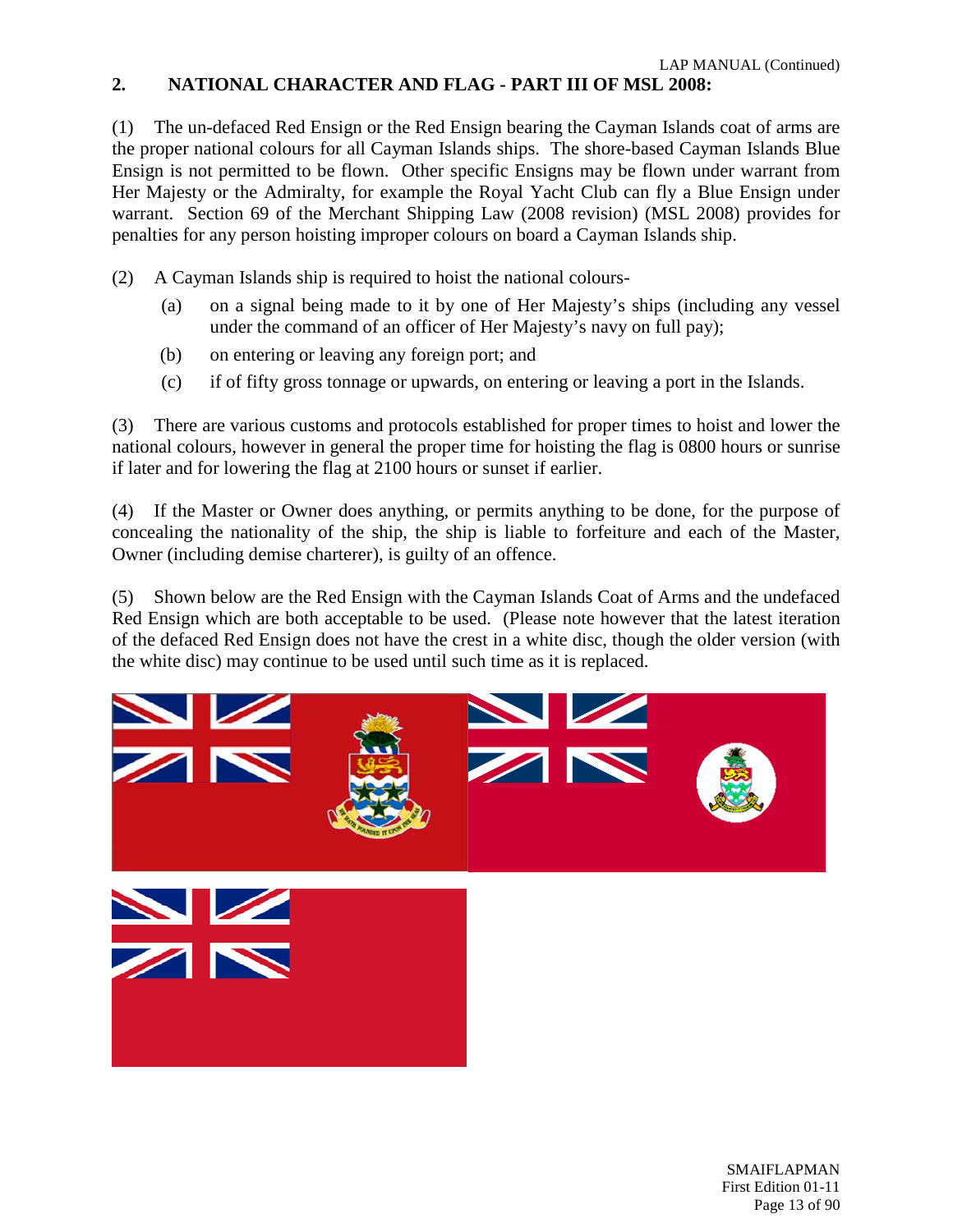# <span id="page-12-0"></span>**2. NATIONAL CHARACTER AND FLAG - PART III OF MSL 2008:**

(1) The un-defaced Red Ensign or the Red Ensign bearing the Cayman Islands coat of arms are the proper national colours for all Cayman Islands ships. The shore-based Cayman Islands Blue Ensign is not permitted to be flown. Other specific Ensigns may be flown under warrant from Her Majesty or the Admiralty, for example the Royal Yacht Club can fly a Blue Ensign under warrant. Section 69 of the Merchant Shipping Law (2008 revision) (MSL 2008) provides for penalties for any person hoisting improper colours on board a Cayman Islands ship.

- (2) A Cayman Islands ship is required to hoist the national colours-
	- (a) on a signal being made to it by one of Her Majesty's ships (including any vessel under the command of an officer of Her Majesty's navy on full pay);
	- (b) on entering or leaving any foreign port; and
	- (c) if of fifty gross tonnage or upwards, on entering or leaving a port in the Islands.

(3) There are various customs and protocols established for proper times to hoist and lower the national colours, however in general the proper time for hoisting the flag is 0800 hours or sunrise if later and for lowering the flag at 2100 hours or sunset if earlier.

(4) If the Master or Owner does anything, or permits anything to be done, for the purpose of concealing the nationality of the ship, the ship is liable to forfeiture and each of the Master, Owner (including demise charterer), is guilty of an offence.

(5) Shown below are the Red Ensign with the Cayman Islands Coat of Arms and the undefaced Red Ensign which are both acceptable to be used. (Please note however that the latest iteration of the defaced Red Ensign does not have the crest in a white disc, though the older version (with the white disc) may continue to be used until such time as it is replaced.

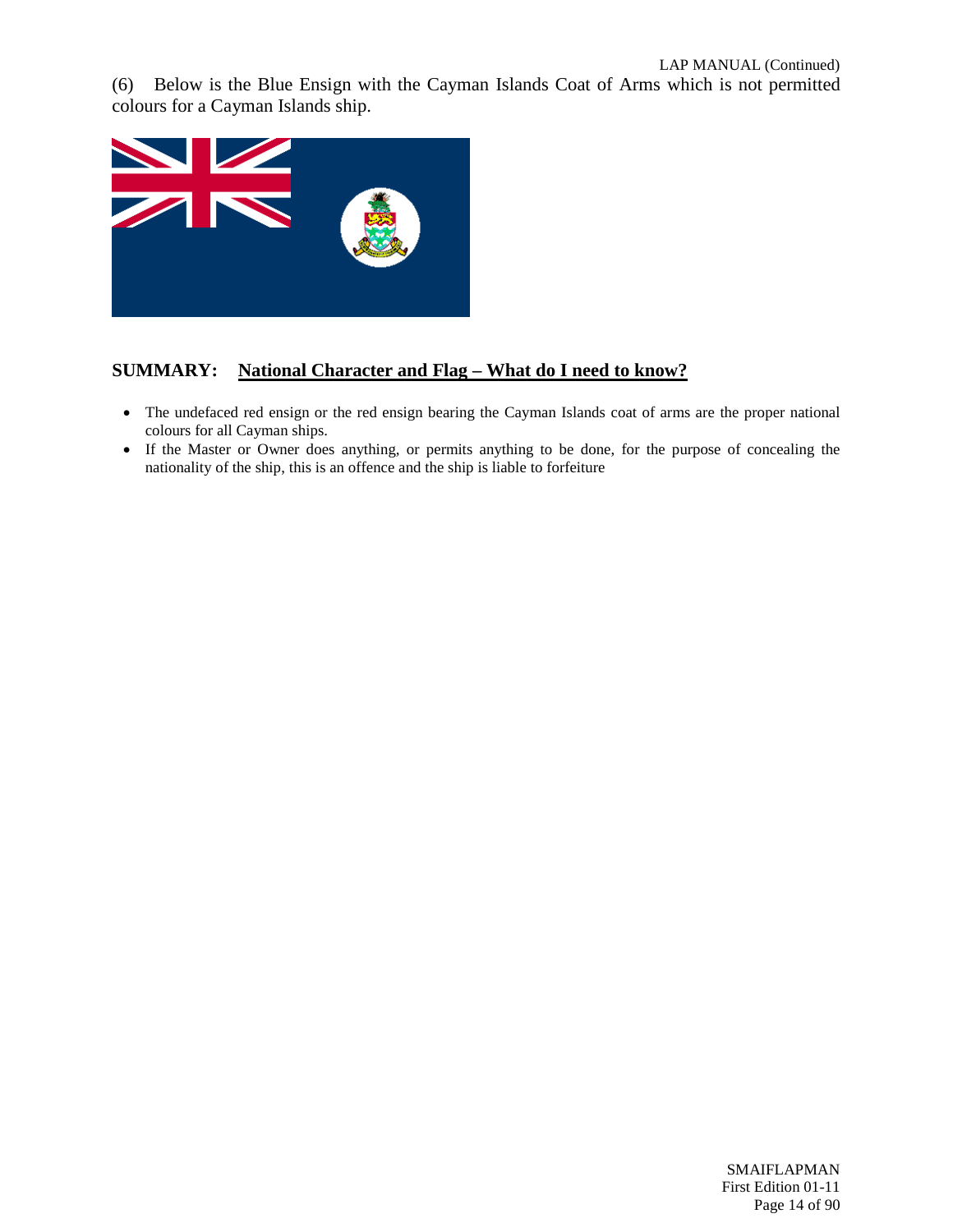(6) Below is the Blue Ensign with the Cayman Islands Coat of Arms which is not permitted colours for a Cayman Islands ship.



#### **SUMMARY: National Character and Flag – What do I need to know?**

- The undefaced red ensign or the red ensign bearing the Cayman Islands coat of arms are the proper national colours for all Cayman ships.
- If the Master or Owner does anything, or permits anything to be done, for the purpose of concealing the nationality of the ship, this is an offence and the ship is liable to forfeiture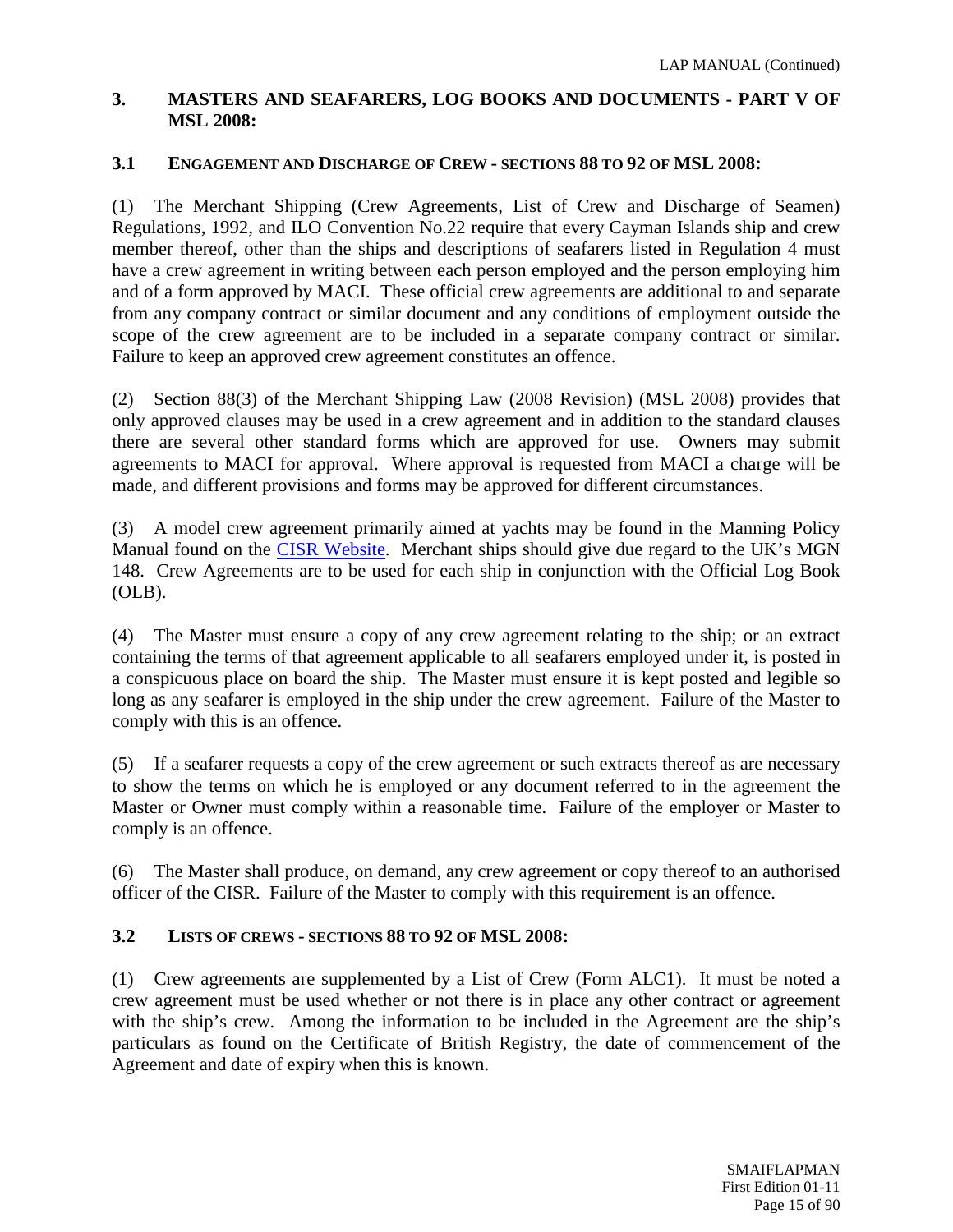# <span id="page-14-0"></span>**3. MASTERS AND SEAFARERS, LOG BOOKS AND DOCUMENTS - PART V OF MSL 2008:**

# **3.1 ENGAGEMENT AND DISCHARGE OF CREW - SECTIONS 88 TO 92 OF MSL 2008:**

(1) The Merchant Shipping (Crew Agreements, List of Crew and Discharge of Seamen) Regulations, 1992, and ILO Convention No.22 require that every Cayman Islands ship and crew member thereof, other than the ships and descriptions of seafarers listed in Regulation 4 must have a crew agreement in writing between each person employed and the person employing him and of a form approved by MACI. These official crew agreements are additional to and separate from any company contract or similar document and any conditions of employment outside the scope of the crew agreement are to be included in a separate company contract or similar. Failure to keep an approved crew agreement constitutes an offence.

(2) Section 88(3) of the Merchant Shipping Law (2008 Revision) (MSL 2008) provides that only approved clauses may be used in a crew agreement and in addition to the standard clauses there are several other standard forms which are approved for use. Owners may submit agreements to MACI for approval. Where approval is requested from MACI a charge will be made, and different provisions and forms may be approved for different circumstances.

(3) A model crew agreement primarily aimed at yachts may be found in the Manning Policy Manual found on the [CISR Website.](http://www.cishipping.com/portal/page?_pageid=1307,1684619&_dad=portal&_schema=PORTAL) Merchant ships should give due regard to the UK's MGN 148. Crew Agreements are to be used for each ship in conjunction with the Official Log Book (OLB).

(4) The Master must ensure a copy of any crew agreement relating to the ship; or an extract containing the terms of that agreement applicable to all seafarers employed under it, is posted in a conspicuous place on board the ship. The Master must ensure it is kept posted and legible so long as any seafarer is employed in the ship under the crew agreement. Failure of the Master to comply with this is an offence.

(5) If a seafarer requests a copy of the crew agreement or such extracts thereof as are necessary to show the terms on which he is employed or any document referred to in the agreement the Master or Owner must comply within a reasonable time. Failure of the employer or Master to comply is an offence.

(6) The Master shall produce, on demand, any crew agreement or copy thereof to an authorised officer of the CISR. Failure of the Master to comply with this requirement is an offence.

# **3.2 LISTS OF CREWS - SECTIONS 88 TO 92 OF MSL 2008:**

(1) Crew agreements are supplemented by a List of Crew (Form ALC1). It must be noted a crew agreement must be used whether or not there is in place any other contract or agreement with the ship's crew. Among the information to be included in the Agreement are the ship's particulars as found on the Certificate of British Registry, the date of commencement of the Agreement and date of expiry when this is known.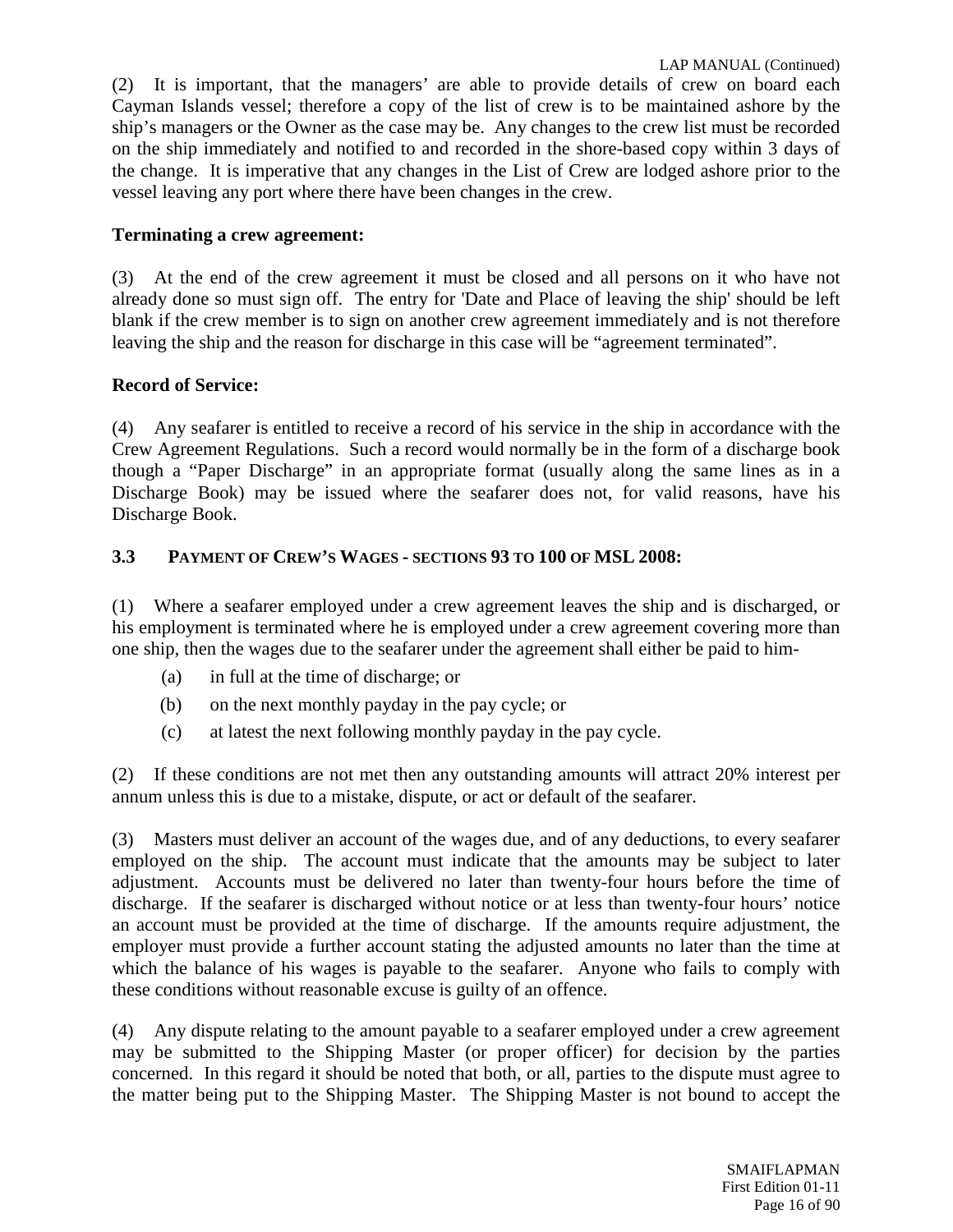(2) It is important, that the managers' are able to provide details of crew on board each Cayman Islands vessel; therefore a copy of the list of crew is to be maintained ashore by the ship's managers or the Owner as the case may be. Any changes to the crew list must be recorded on the ship immediately and notified to and recorded in the shore-based copy within 3 days of the change. It is imperative that any changes in the List of Crew are lodged ashore prior to the vessel leaving any port where there have been changes in the crew.

# **Terminating a crew agreement:**

(3) At the end of the crew agreement it must be closed and all persons on it who have not already done so must sign off. The entry for 'Date and Place of leaving the ship' should be left blank if the crew member is to sign on another crew agreement immediately and is not therefore leaving the ship and the reason for discharge in this case will be "agreement terminated".

# **Record of Service:**

(4) Any seafarer is entitled to receive a record of his service in the ship in accordance with the Crew Agreement Regulations. Such a record would normally be in the form of a discharge book though a "Paper Discharge" in an appropriate format (usually along the same lines as in a Discharge Book) may be issued where the seafarer does not, for valid reasons, have his Discharge Book.

# **3.3 PAYMENT OF CREW'S WAGES - SECTIONS 93 TO 100 OF MSL 2008:**

(1) Where a seafarer employed under a crew agreement leaves the ship and is discharged, or his employment is terminated where he is employed under a crew agreement covering more than one ship, then the wages due to the seafarer under the agreement shall either be paid to him-

- (a) in full at the time of discharge; or
- (b) on the next monthly payday in the pay cycle; or
- (c) at latest the next following monthly payday in the pay cycle.

(2) If these conditions are not met then any outstanding amounts will attract 20% interest per annum unless this is due to a mistake, dispute, or act or default of the seafarer.

(3) Masters must deliver an account of the wages due, and of any deductions, to every seafarer employed on the ship. The account must indicate that the amounts may be subject to later adjustment. Accounts must be delivered no later than twenty-four hours before the time of discharge. If the seafarer is discharged without notice or at less than twenty-four hours' notice an account must be provided at the time of discharge. If the amounts require adjustment, the employer must provide a further account stating the adjusted amounts no later than the time at which the balance of his wages is payable to the seafarer. Anyone who fails to comply with these conditions without reasonable excuse is guilty of an offence.

(4) Any dispute relating to the amount payable to a seafarer employed under a crew agreement may be submitted to the Shipping Master (or proper officer) for decision by the parties concerned. In this regard it should be noted that both, or all, parties to the dispute must agree to the matter being put to the Shipping Master. The Shipping Master is not bound to accept the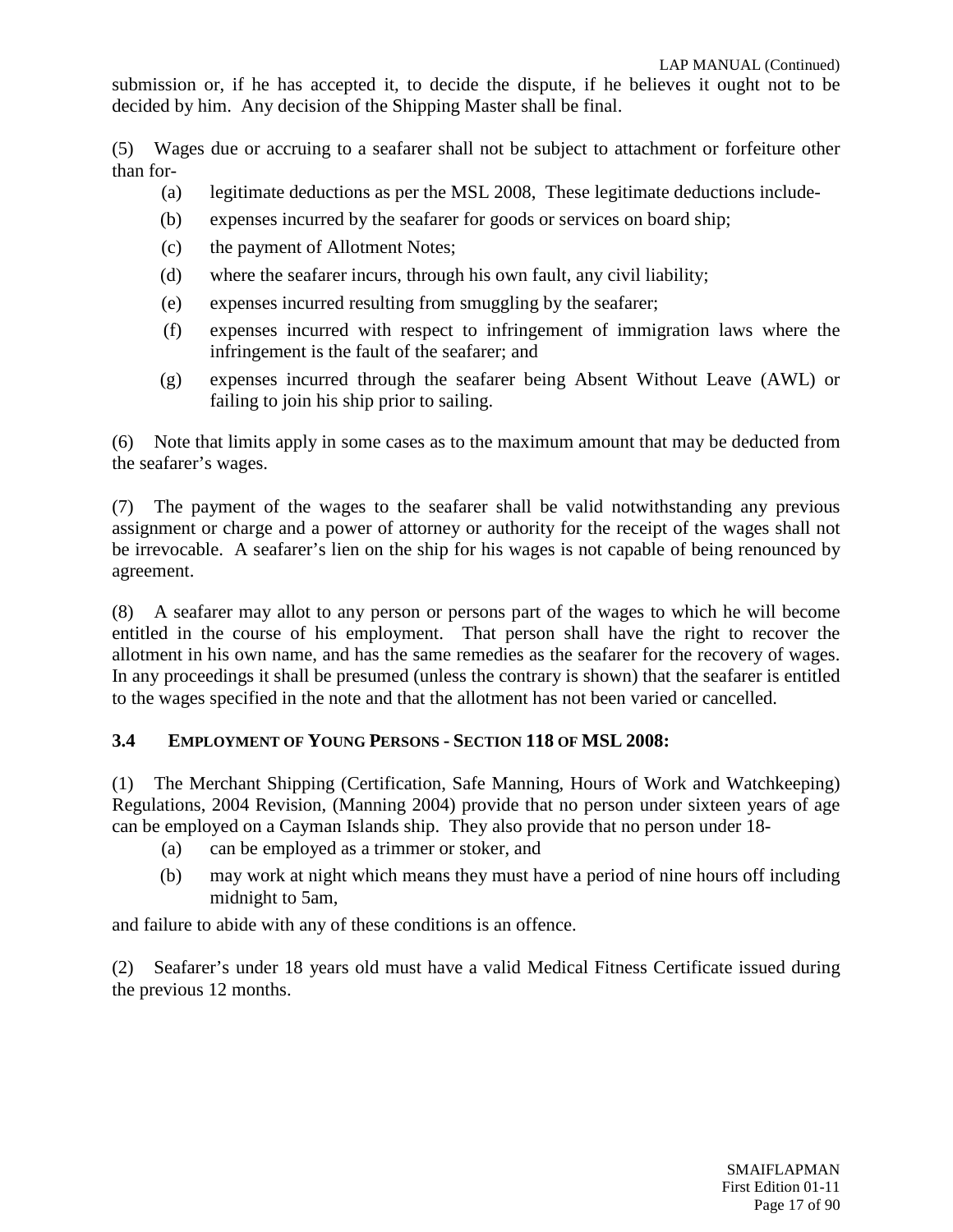submission or, if he has accepted it, to decide the dispute, if he believes it ought not to be decided by him. Any decision of the Shipping Master shall be final.

(5) Wages due or accruing to a seafarer shall not be subject to attachment or forfeiture other than for-

- (a) legitimate deductions as per the MSL 2008, These legitimate deductions include-
- (b) expenses incurred by the seafarer for goods or services on board ship;
- (c) the payment of Allotment Notes;
- (d) where the seafarer incurs, through his own fault, any civil liability;
- (e) expenses incurred resulting from smuggling by the seafarer;
- (f) expenses incurred with respect to infringement of immigration laws where the infringement is the fault of the seafarer; and
- (g) expenses incurred through the seafarer being Absent Without Leave (AWL) or failing to join his ship prior to sailing.

(6) Note that limits apply in some cases as to the maximum amount that may be deducted from the seafarer's wages.

(7) The payment of the wages to the seafarer shall be valid notwithstanding any previous assignment or charge and a power of attorney or authority for the receipt of the wages shall not be irrevocable. A seafarer's lien on the ship for his wages is not capable of being renounced by agreement.

(8) A seafarer may allot to any person or persons part of the wages to which he will become entitled in the course of his employment. That person shall have the right to recover the allotment in his own name, and has the same remedies as the seafarer for the recovery of wages. In any proceedings it shall be presumed (unless the contrary is shown) that the seafarer is entitled to the wages specified in the note and that the allotment has not been varied or cancelled.

#### **3.4 EMPLOYMENT OF YOUNG PERSONS - SECTION 118 OF MSL 2008:**

(1) The Merchant Shipping (Certification, Safe Manning, Hours of Work and Watchkeeping) Regulations, 2004 Revision, (Manning 2004) provide that no person under sixteen years of age can be employed on a Cayman Islands ship. They also provide that no person under 18-

- (a) can be employed as a trimmer or stoker, and
- (b) may work at night which means they must have a period of nine hours off including midnight to 5am,

and failure to abide with any of these conditions is an offence.

(2) Seafarer's under 18 years old must have a valid Medical Fitness Certificate issued during the previous 12 months.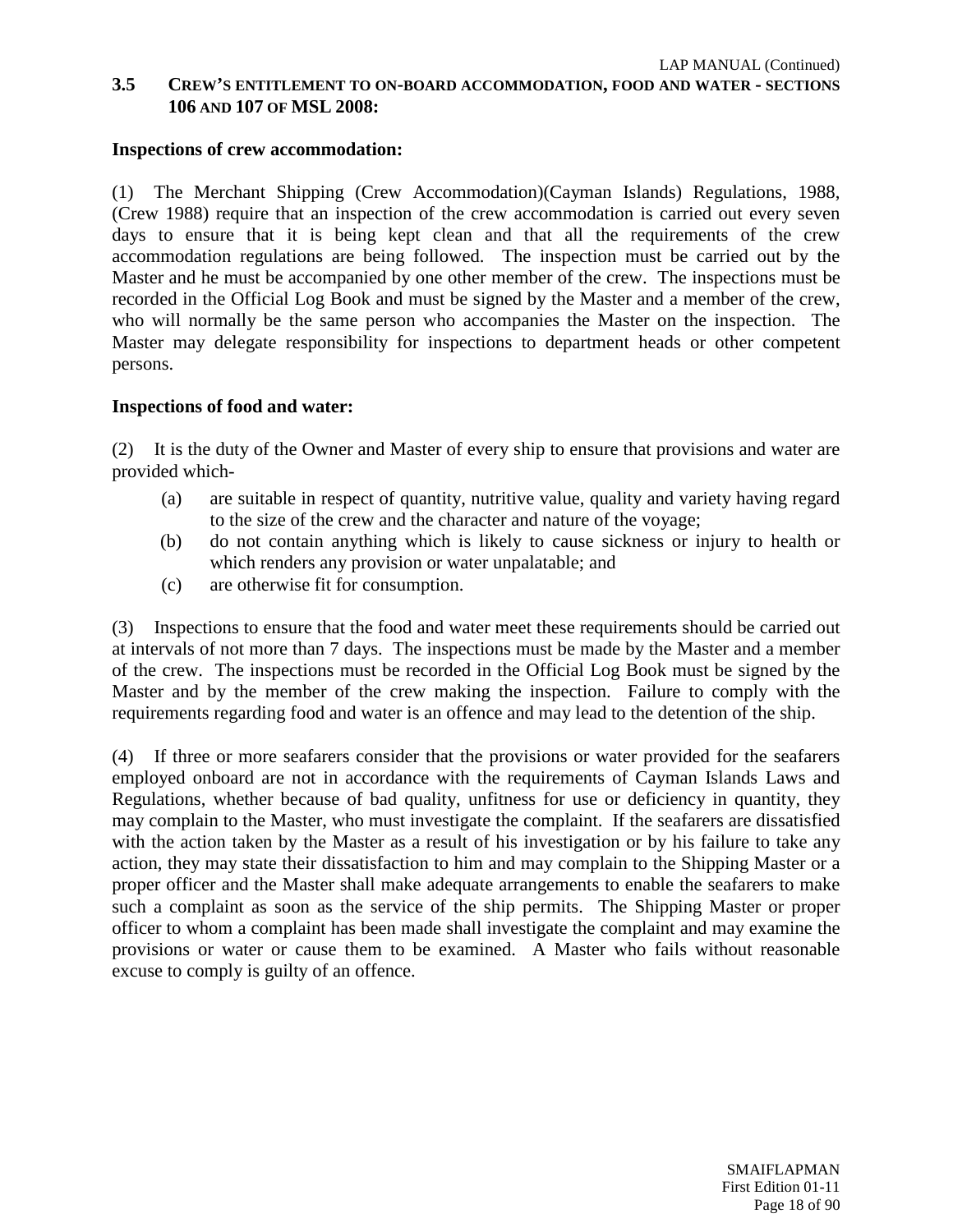## **3.5 CREW'S ENTITLEMENT TO ON-BOARD ACCOMMODATION, FOOD AND WATER - SECTIONS 106 AND 107 OF MSL 2008:**

#### **Inspections of crew accommodation:**

(1) The Merchant Shipping (Crew Accommodation)(Cayman Islands) Regulations, 1988, (Crew 1988) require that an inspection of the crew accommodation is carried out every seven days to ensure that it is being kept clean and that all the requirements of the crew accommodation regulations are being followed. The inspection must be carried out by the Master and he must be accompanied by one other member of the crew. The inspections must be recorded in the Official Log Book and must be signed by the Master and a member of the crew, who will normally be the same person who accompanies the Master on the inspection. The Master may delegate responsibility for inspections to department heads or other competent persons.

#### **Inspections of food and water:**

(2) It is the duty of the Owner and Master of every ship to ensure that provisions and water are provided which-

- (a) are suitable in respect of quantity, nutritive value, quality and variety having regard to the size of the crew and the character and nature of the voyage;
- (b) do not contain anything which is likely to cause sickness or injury to health or which renders any provision or water unpalatable; and
- (c) are otherwise fit for consumption.

(3) Inspections to ensure that the food and water meet these requirements should be carried out at intervals of not more than 7 days. The inspections must be made by the Master and a member of the crew. The inspections must be recorded in the Official Log Book must be signed by the Master and by the member of the crew making the inspection. Failure to comply with the requirements regarding food and water is an offence and may lead to the detention of the ship.

(4) If three or more seafarers consider that the provisions or water provided for the seafarers employed onboard are not in accordance with the requirements of Cayman Islands Laws and Regulations, whether because of bad quality, unfitness for use or deficiency in quantity, they may complain to the Master, who must investigate the complaint. If the seafarers are dissatisfied with the action taken by the Master as a result of his investigation or by his failure to take any action, they may state their dissatisfaction to him and may complain to the Shipping Master or a proper officer and the Master shall make adequate arrangements to enable the seafarers to make such a complaint as soon as the service of the ship permits. The Shipping Master or proper officer to whom a complaint has been made shall investigate the complaint and may examine the provisions or water or cause them to be examined. A Master who fails without reasonable excuse to comply is guilty of an offence.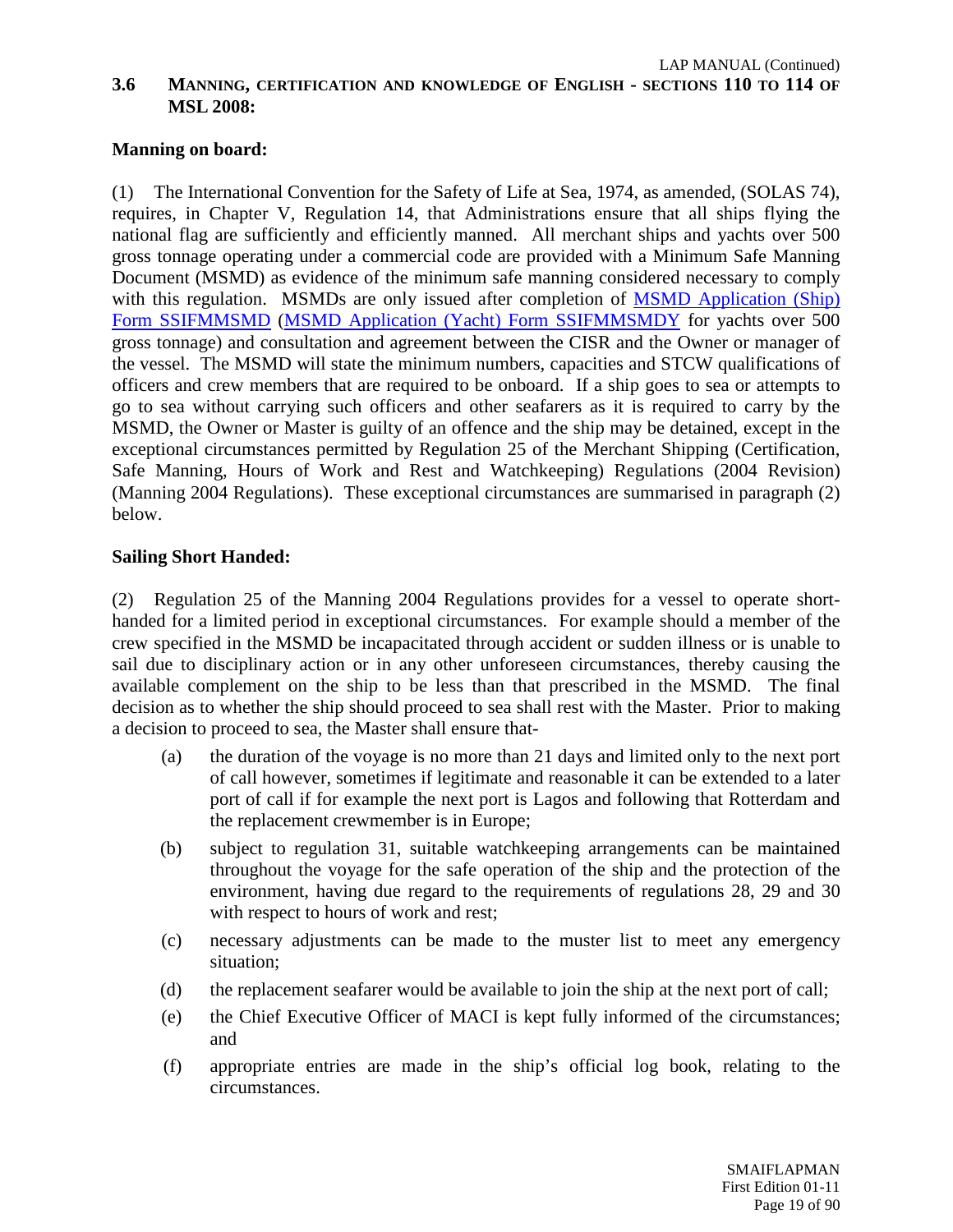# **Manning on board:**

(1) The International Convention for the Safety of Life at Sea, 1974, as amended, (SOLAS 74), requires, in Chapter V, Regulation 14, that Administrations ensure that all ships flying the national flag are sufficiently and efficiently manned. All merchant ships and yachts over 500 gross tonnage operating under a commercial code are provided with a Minimum Safe Manning Document (MSMD) as evidence of the minimum safe manning considered necessary to comply with this regulation. MSMDs are only issued after completion of [MSMD Application \(Ship\)](http://www.cishipping.com/portal/page?_pageid=1307,1684260&_dad=portal&_schema=PORTAL)  [Form SSIFMMSMD](http://www.cishipping.com/portal/page?_pageid=1307,1684260&_dad=portal&_schema=PORTAL) [\(MSMD Application \(Yacht\) Form SSIFMMSMDY](http://www.cishipping.com/portal/page?_pageid=1307,1684263&_dad=portal&_schema=PORTAL) for yachts over 500 gross tonnage) and consultation and agreement between the CISR and the Owner or manager of the vessel. The MSMD will state the minimum numbers, capacities and STCW qualifications of officers and crew members that are required to be onboard. If a ship goes to sea or attempts to go to sea without carrying such officers and other seafarers as it is required to carry by the MSMD, the Owner or Master is guilty of an offence and the ship may be detained, except in the exceptional circumstances permitted by Regulation 25 of the Merchant Shipping (Certification, Safe Manning, Hours of Work and Rest and Watchkeeping) Regulations (2004 Revision) (Manning 2004 Regulations). These exceptional circumstances are summarised in paragraph (2) below.

#### **Sailing Short Handed:**

(2) Regulation 25 of the Manning 2004 Regulations provides for a vessel to operate shorthanded for a limited period in exceptional circumstances. For example should a member of the crew specified in the MSMD be incapacitated through accident or sudden illness or is unable to sail due to disciplinary action or in any other unforeseen circumstances, thereby causing the available complement on the ship to be less than that prescribed in the MSMD. The final decision as to whether the ship should proceed to sea shall rest with the Master. Prior to making a decision to proceed to sea, the Master shall ensure that-

- (a) the duration of the voyage is no more than 21 days and limited only to the next port of call however, sometimes if legitimate and reasonable it can be extended to a later port of call if for example the next port is Lagos and following that Rotterdam and the replacement crewmember is in Europe;
- (b) subject to regulation 31, suitable watchkeeping arrangements can be maintained throughout the voyage for the safe operation of the ship and the protection of the environment, having due regard to the requirements of regulations 28, 29 and 30 with respect to hours of work and rest;
- (c) necessary adjustments can be made to the muster list to meet any emergency situation;
- (d) the replacement seafarer would be available to join the ship at the next port of call;
- (e) the Chief Executive Officer of MACI is kept fully informed of the circumstances; and
- (f) appropriate entries are made in the ship's official log book, relating to the circumstances.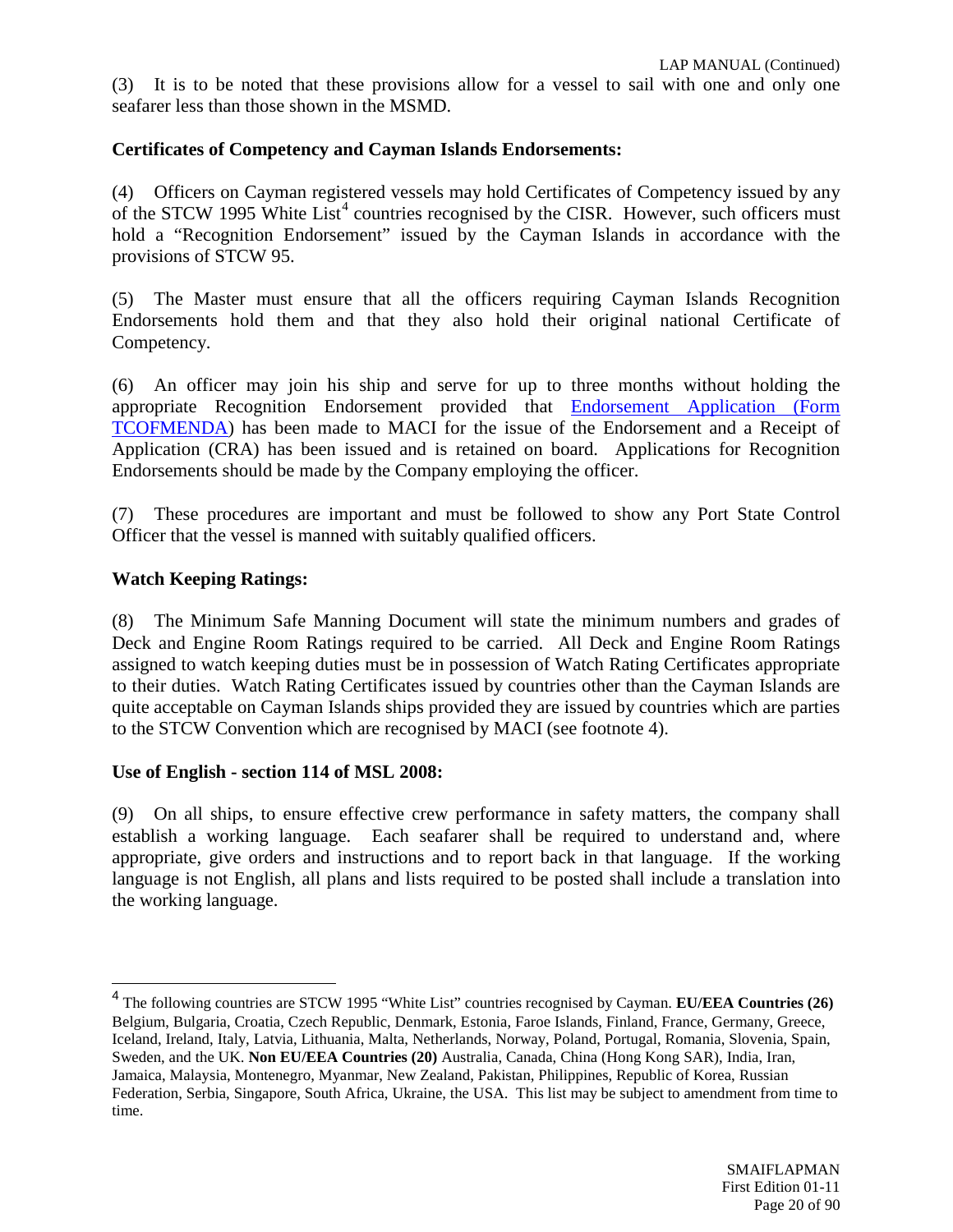(3) It is to be noted that these provisions allow for a vessel to sail with one and only one seafarer less than those shown in the MSMD.

# **Certificates of Competency and Cayman Islands Endorsements:**

(4) Officers on Cayman registered vessels may hold Certificates of Competency issued by any of the STCW 1995 White  $List^4$  $List^4$  countries recognised by the CISR. However, such officers must hold a "Recognition Endorsement" issued by the Cayman Islands in accordance with the provisions of STCW 95.

(5) The Master must ensure that all the officers requiring Cayman Islands Recognition Endorsements hold them and that they also hold their original national Certificate of Competency.

(6) An officer may join his ship and serve for up to three months without holding the appropriate Recognition Endorsement provided that [Endorsement Application \(Form](http://www.cishipping.com/portal/page?_pageid=1307,1684246&_dad=portal&_schema=PORTAL)  [TCOFMENDA\)](http://www.cishipping.com/portal/page?_pageid=1307,1684246&_dad=portal&_schema=PORTAL) has been made to MACI for the issue of the Endorsement and a Receipt of Application (CRA) has been issued and is retained on board. Applications for Recognition Endorsements should be made by the Company employing the officer.

(7) These procedures are important and must be followed to show any Port State Control Officer that the vessel is manned with suitably qualified officers.

# **Watch Keeping Ratings:**

(8) The Minimum Safe Manning Document will state the minimum numbers and grades of Deck and Engine Room Ratings required to be carried. All Deck and Engine Room Ratings assigned to watch keeping duties must be in possession of Watch Rating Certificates appropriate to their duties. Watch Rating Certificates issued by countries other than the Cayman Islands are quite acceptable on Cayman Islands ships provided they are issued by countries which are parties to the STCW Convention which are recognised by MACI (see footnote 4).

#### **Use of English - section 114 of MSL 2008:**

(9) On all ships, to ensure effective crew performance in safety matters, the company shall establish a working language. Each seafarer shall be required to understand and, where appropriate, give orders and instructions and to report back in that language. If the working language is not English, all plans and lists required to be posted shall include a translation into the working language.

<span id="page-19-0"></span> <sup>4</sup> The following countries are STCW 1995 "White List" countries recognised by Cayman. **EU/EEA Countries (26)** Belgium, Bulgaria, Croatia, Czech Republic, Denmark, Estonia, Faroe Islands, Finland, France, Germany, Greece, Iceland, Ireland, Italy, Latvia, Lithuania, Malta, Netherlands, Norway, Poland, Portugal, Romania, Slovenia, Spain, Sweden, and the UK. **Non EU/EEA Countries (20)** Australia, Canada, China (Hong Kong SAR), India, Iran, Jamaica, Malaysia, Montenegro, Myanmar, New Zealand, Pakistan, Philippines, Republic of Korea, Russian Federation, Serbia, Singapore, South Africa, Ukraine, the USA. This list may be subject to amendment from time to time.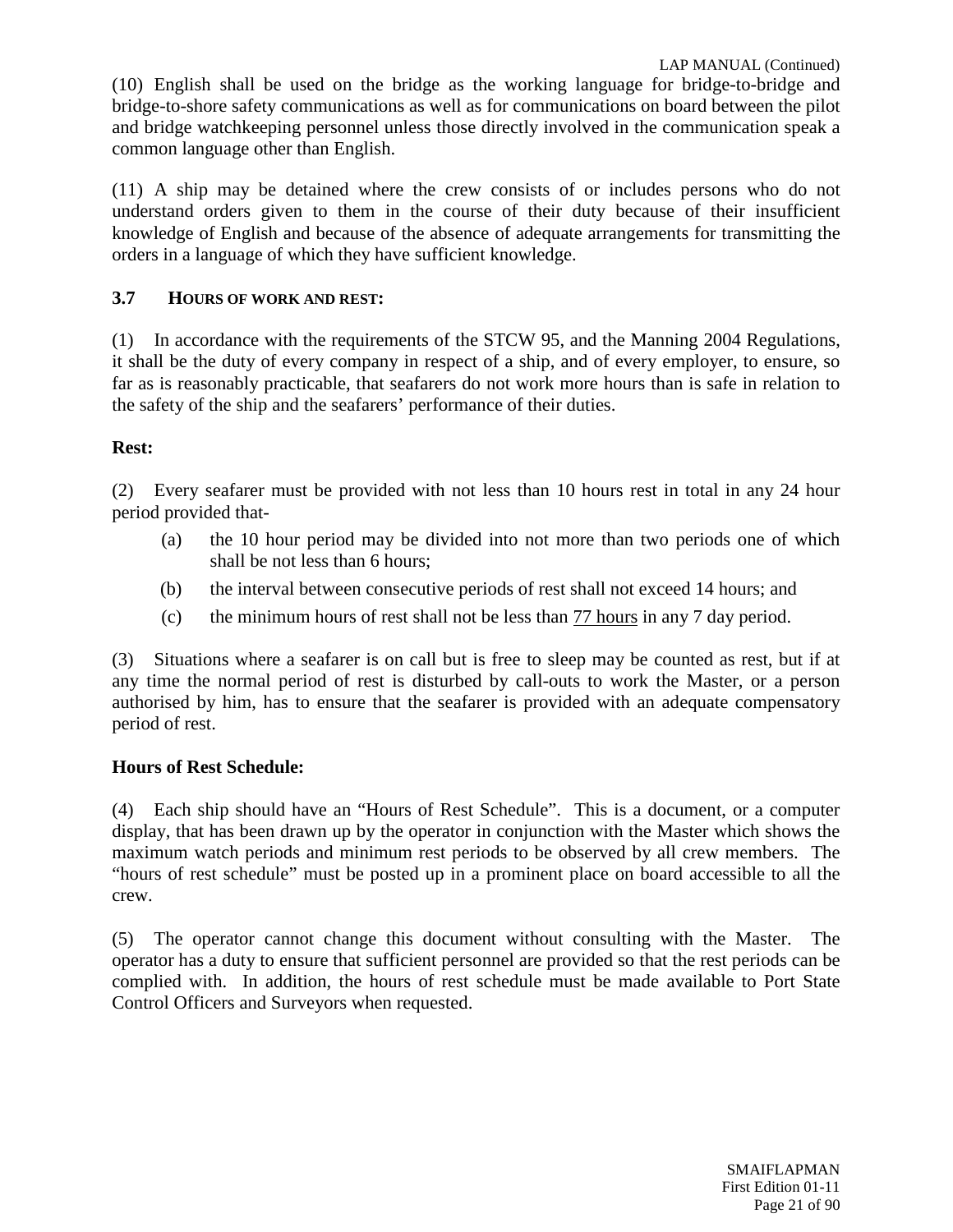LAP MANUAL (Continued) (10) English shall be used on the bridge as the working language for bridge-to-bridge and bridge-to-shore safety communications as well as for communications on board between the pilot and bridge watchkeeping personnel unless those directly involved in the communication speak a common language other than English.

(11) A ship may be detained where the crew consists of or includes persons who do not understand orders given to them in the course of their duty because of their insufficient knowledge of English and because of the absence of adequate arrangements for transmitting the orders in a language of which they have sufficient knowledge.

# **3.7 HOURS OF WORK AND REST:**

(1) In accordance with the requirements of the STCW 95, and the Manning 2004 Regulations, it shall be the duty of every company in respect of a ship, and of every employer, to ensure, so far as is reasonably practicable, that seafarers do not work more hours than is safe in relation to the safety of the ship and the seafarers' performance of their duties.

#### **Rest:**

(2) Every seafarer must be provided with not less than 10 hours rest in total in any 24 hour period provided that-

- (a) the 10 hour period may be divided into not more than two periods one of which shall be not less than 6 hours;
- (b) the interval between consecutive periods of rest shall not exceed 14 hours; and
- (c) the minimum hours of rest shall not be less than 77 hours in any 7 day period.

(3) Situations where a seafarer is on call but is free to sleep may be counted as rest, but if at any time the normal period of rest is disturbed by call-outs to work the Master, or a person authorised by him, has to ensure that the seafarer is provided with an adequate compensatory period of rest.

#### **Hours of Rest Schedule:**

(4) Each ship should have an "Hours of Rest Schedule". This is a document, or a computer display, that has been drawn up by the operator in conjunction with the Master which shows the maximum watch periods and minimum rest periods to be observed by all crew members. The "hours of rest schedule" must be posted up in a prominent place on board accessible to all the crew.

(5) The operator cannot change this document without consulting with the Master. The operator has a duty to ensure that sufficient personnel are provided so that the rest periods can be complied with. In addition, the hours of rest schedule must be made available to Port State Control Officers and Surveyors when requested.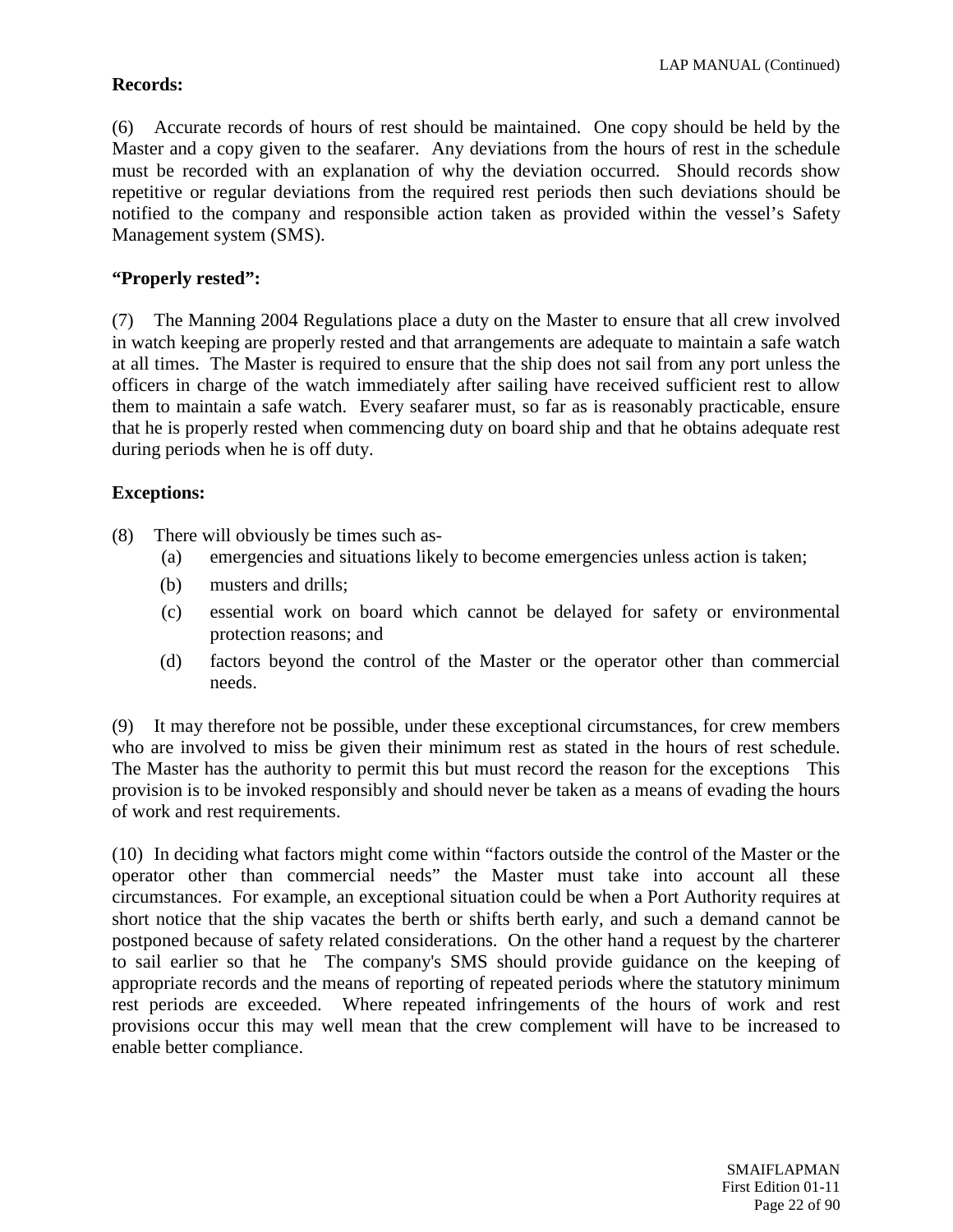# **Records:**

(6) Accurate records of hours of rest should be maintained. One copy should be held by the Master and a copy given to the seafarer. Any deviations from the hours of rest in the schedule must be recorded with an explanation of why the deviation occurred. Should records show repetitive or regular deviations from the required rest periods then such deviations should be notified to the company and responsible action taken as provided within the vessel's Safety Management system (SMS).

# **"Properly rested":**

(7) The Manning 2004 Regulations place a duty on the Master to ensure that all crew involved in watch keeping are properly rested and that arrangements are adequate to maintain a safe watch at all times. The Master is required to ensure that the ship does not sail from any port unless the officers in charge of the watch immediately after sailing have received sufficient rest to allow them to maintain a safe watch. Every seafarer must, so far as is reasonably practicable, ensure that he is properly rested when commencing duty on board ship and that he obtains adequate rest during periods when he is off duty.

# **Exceptions:**

- (8) There will obviously be times such as-
	- (a) emergencies and situations likely to become emergencies unless action is taken;
	- (b) musters and drills;
	- (c) essential work on board which cannot be delayed for safety or environmental protection reasons; and
	- (d) factors beyond the control of the Master or the operator other than commercial needs.

(9) It may therefore not be possible, under these exceptional circumstances, for crew members who are involved to miss be given their minimum rest as stated in the hours of rest schedule. The Master has the authority to permit this but must record the reason for the exceptions This provision is to be invoked responsibly and should never be taken as a means of evading the hours of work and rest requirements.

(10) In deciding what factors might come within "factors outside the control of the Master or the operator other than commercial needs" the Master must take into account all these circumstances. For example, an exceptional situation could be when a Port Authority requires at short notice that the ship vacates the berth or shifts berth early, and such a demand cannot be postponed because of safety related considerations. On the other hand a request by the charterer to sail earlier so that he The company's SMS should provide guidance on the keeping of appropriate records and the means of reporting of repeated periods where the statutory minimum rest periods are exceeded. Where repeated infringements of the hours of work and rest provisions occur this may well mean that the crew complement will have to be increased to enable better compliance.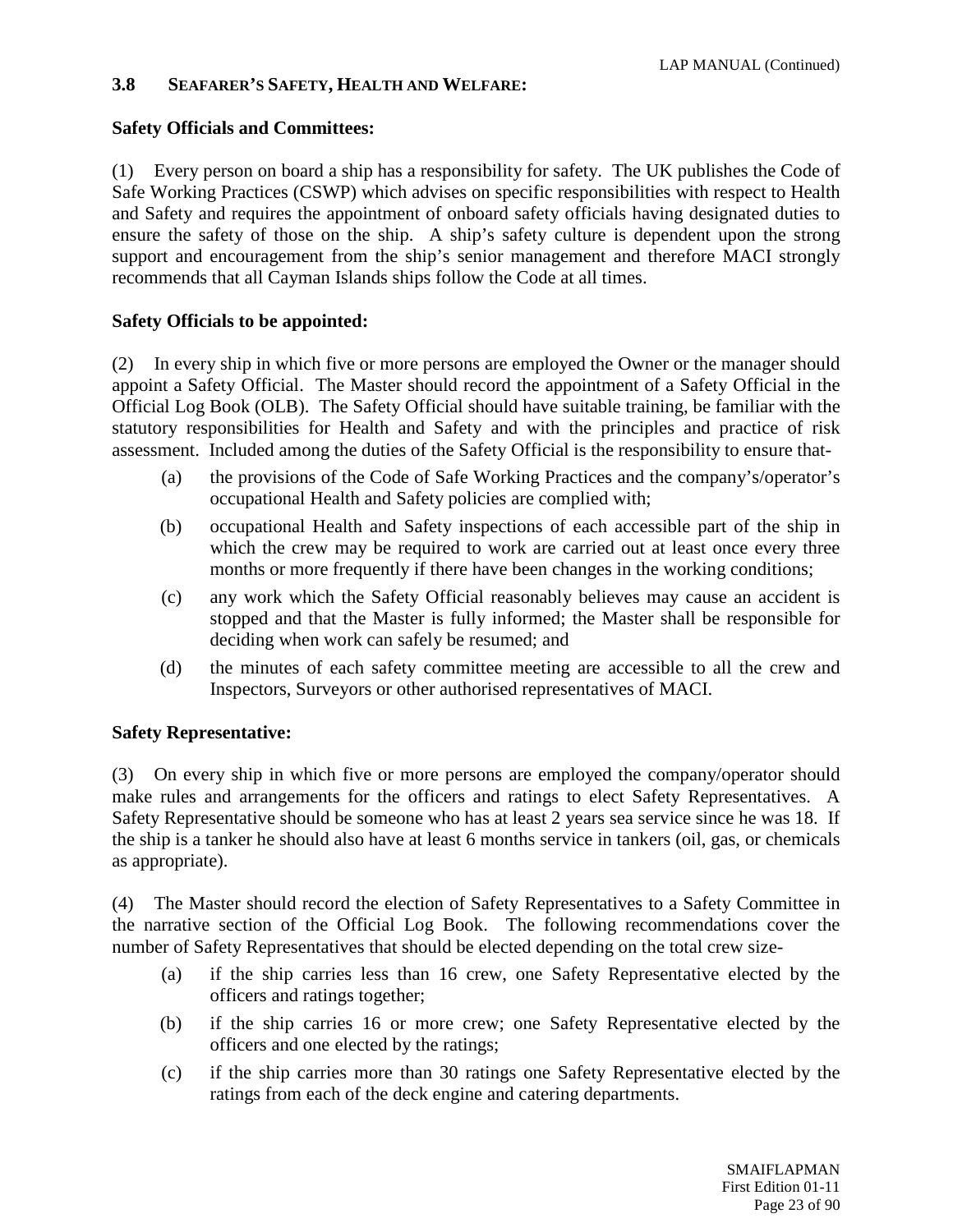# **3.8 SEAFARER'S SAFETY, HEALTH AND WELFARE:**

# **Safety Officials and Committees:**

(1) Every person on board a ship has a responsibility for safety. The UK publishes the Code of Safe Working Practices (CSWP) which advises on specific responsibilities with respect to Health and Safety and requires the appointment of onboard safety officials having designated duties to ensure the safety of those on the ship. A ship's safety culture is dependent upon the strong support and encouragement from the ship's senior management and therefore MACI strongly recommends that all Cayman Islands ships follow the Code at all times.

# **Safety Officials to be appointed:**

(2) In every ship in which five or more persons are employed the Owner or the manager should appoint a Safety Official. The Master should record the appointment of a Safety Official in the Official Log Book (OLB). The Safety Official should have suitable training, be familiar with the statutory responsibilities for Health and Safety and with the principles and practice of risk assessment. Included among the duties of the Safety Official is the responsibility to ensure that-

- (a) the provisions of the Code of Safe Working Practices and the company's/operator's occupational Health and Safety policies are complied with;
- (b) occupational Health and Safety inspections of each accessible part of the ship in which the crew may be required to work are carried out at least once every three months or more frequently if there have been changes in the working conditions;
- (c) any work which the Safety Official reasonably believes may cause an accident is stopped and that the Master is fully informed; the Master shall be responsible for deciding when work can safely be resumed; and
- (d) the minutes of each safety committee meeting are accessible to all the crew and Inspectors, Surveyors or other authorised representatives of MACI.

# **Safety Representative:**

(3) On every ship in which five or more persons are employed the company/operator should make rules and arrangements for the officers and ratings to elect Safety Representatives. A Safety Representative should be someone who has at least 2 years sea service since he was 18. If the ship is a tanker he should also have at least 6 months service in tankers (oil, gas, or chemicals as appropriate).

(4) The Master should record the election of Safety Representatives to a Safety Committee in the narrative section of the Official Log Book. The following recommendations cover the number of Safety Representatives that should be elected depending on the total crew size-

- (a) if the ship carries less than 16 crew, one Safety Representative elected by the officers and ratings together;
- (b) if the ship carries 16 or more crew; one Safety Representative elected by the officers and one elected by the ratings;
- (c) if the ship carries more than 30 ratings one Safety Representative elected by the ratings from each of the deck engine and catering departments.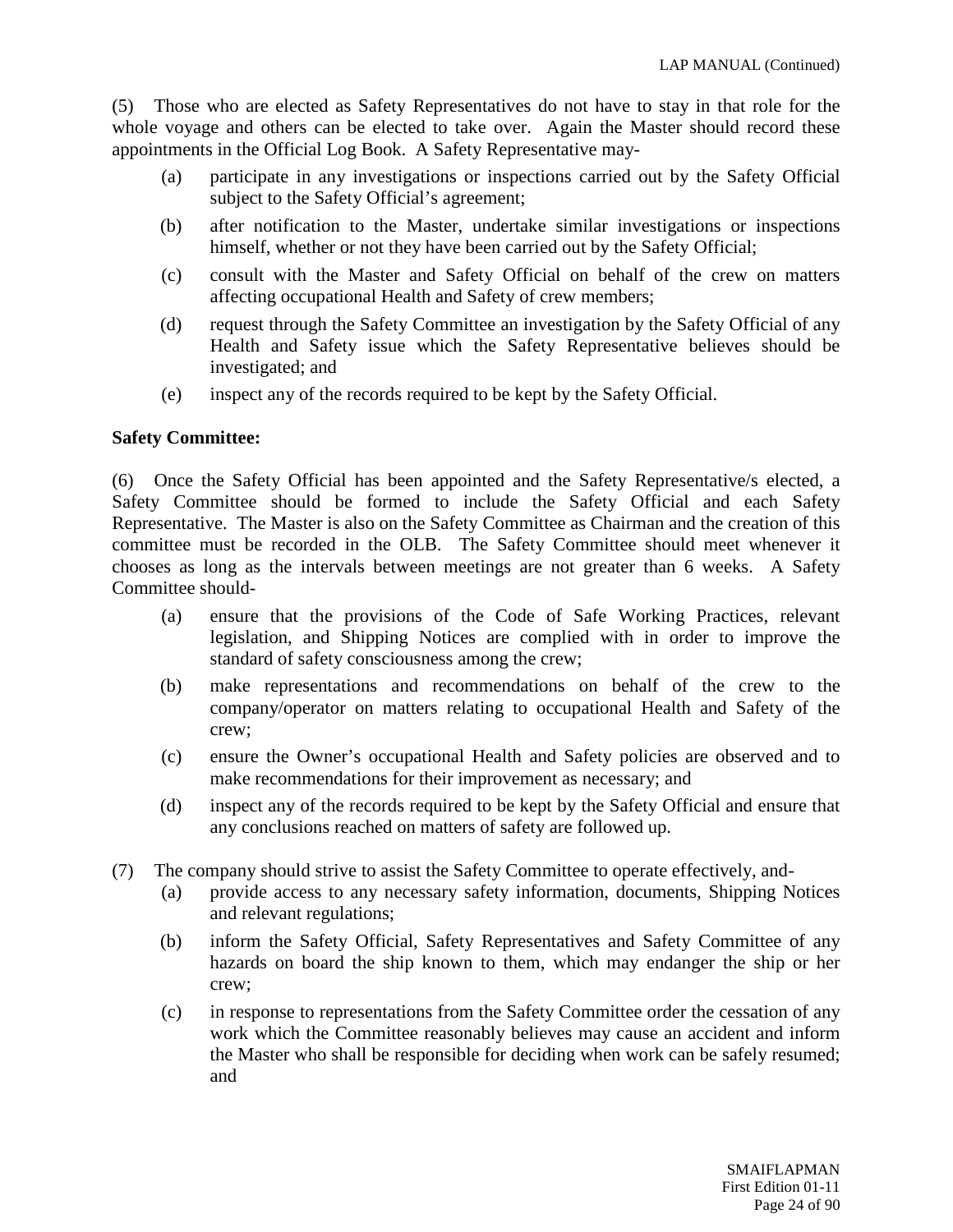(5) Those who are elected as Safety Representatives do not have to stay in that role for the whole voyage and others can be elected to take over. Again the Master should record these appointments in the Official Log Book. A Safety Representative may-

- (a) participate in any investigations or inspections carried out by the Safety Official subject to the Safety Official's agreement;
- (b) after notification to the Master, undertake similar investigations or inspections himself, whether or not they have been carried out by the Safety Official;
- (c) consult with the Master and Safety Official on behalf of the crew on matters affecting occupational Health and Safety of crew members;
- (d) request through the Safety Committee an investigation by the Safety Official of any Health and Safety issue which the Safety Representative believes should be investigated; and
- (e) inspect any of the records required to be kept by the Safety Official.

#### **Safety Committee:**

(6) Once the Safety Official has been appointed and the Safety Representative/s elected, a Safety Committee should be formed to include the Safety Official and each Safety Representative. The Master is also on the Safety Committee as Chairman and the creation of this committee must be recorded in the OLB. The Safety Committee should meet whenever it chooses as long as the intervals between meetings are not greater than 6 weeks. A Safety Committee should-

- (a) ensure that the provisions of the Code of Safe Working Practices, relevant legislation, and Shipping Notices are complied with in order to improve the standard of safety consciousness among the crew;
- (b) make representations and recommendations on behalf of the crew to the company/operator on matters relating to occupational Health and Safety of the crew;
- (c) ensure the Owner's occupational Health and Safety policies are observed and to make recommendations for their improvement as necessary; and
- (d) inspect any of the records required to be kept by the Safety Official and ensure that any conclusions reached on matters of safety are followed up.
- (7) The company should strive to assist the Safety Committee to operate effectively, and-
	- (a) provide access to any necessary safety information, documents, Shipping Notices and relevant regulations;
	- (b) inform the Safety Official, Safety Representatives and Safety Committee of any hazards on board the ship known to them, which may endanger the ship or her crew;
	- (c) in response to representations from the Safety Committee order the cessation of any work which the Committee reasonably believes may cause an accident and inform the Master who shall be responsible for deciding when work can be safely resumed; and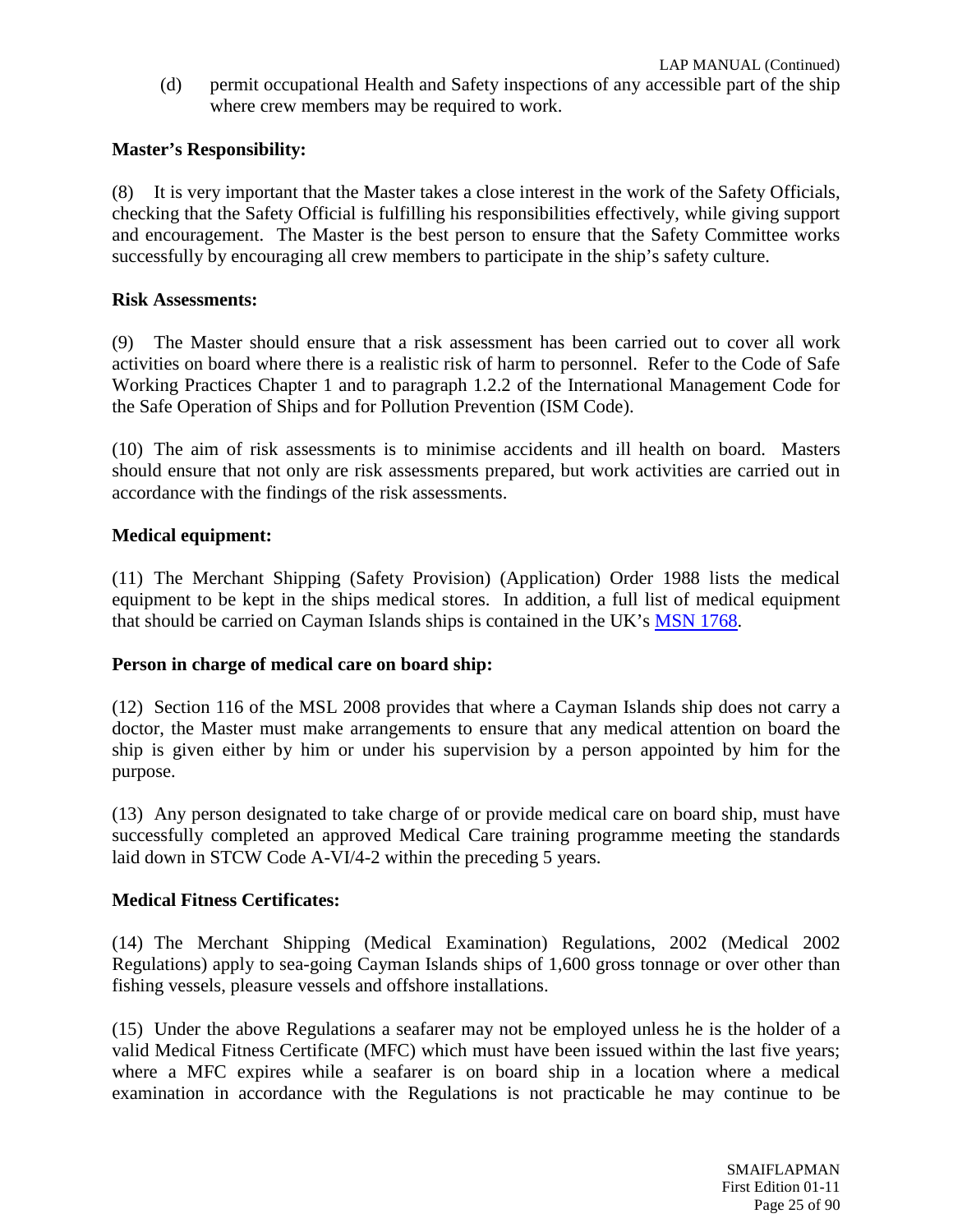(d) permit occupational Health and Safety inspections of any accessible part of the ship where crew members may be required to work.

# **Master's Responsibility:**

(8) It is very important that the Master takes a close interest in the work of the Safety Officials, checking that the Safety Official is fulfilling his responsibilities effectively, while giving support and encouragement. The Master is the best person to ensure that the Safety Committee works successfully by encouraging all crew members to participate in the ship's safety culture.

#### **Risk Assessments:**

(9) The Master should ensure that a risk assessment has been carried out to cover all work activities on board where there is a realistic risk of harm to personnel. Refer to the Code of Safe Working Practices Chapter 1 and to paragraph 1.2.2 of the International Management Code for the Safe Operation of Ships and for Pollution Prevention (ISM Code).

(10) The aim of risk assessments is to minimise accidents and ill health on board. Masters should ensure that not only are risk assessments prepared, but work activities are carried out in accordance with the findings of the risk assessments.

#### **Medical equipment:**

(11) The Merchant Shipping (Safety Provision) (Application) Order 1988 lists the medical equipment to be kept in the ships medical stores. In addition, a full list of medical equipment that should be carried on Cayman Islands ships is contained in the UK's [MSN 1768.](http://www.dft.gov.uk/mca/mcga-mnotice.htm?textobjid=DD357D0D6FD2872D)

#### **Person in charge of medical care on board ship:**

(12) Section 116 of the MSL 2008 provides that where a Cayman Islands ship does not carry a doctor, the Master must make arrangements to ensure that any medical attention on board the ship is given either by him or under his supervision by a person appointed by him for the purpose.

(13) Any person designated to take charge of or provide medical care on board ship, must have successfully completed an approved Medical Care training programme meeting the standards laid down in STCW Code A-VI/4-2 within the preceding 5 years.

#### **Medical Fitness Certificates:**

(14) The Merchant Shipping (Medical Examination) Regulations, 2002 (Medical 2002 Regulations) apply to sea-going Cayman Islands ships of 1,600 gross tonnage or over other than fishing vessels, pleasure vessels and offshore installations.

(15) Under the above Regulations a seafarer may not be employed unless he is the holder of a valid Medical Fitness Certificate (MFC) which must have been issued within the last five years; where a MFC expires while a seafarer is on board ship in a location where a medical examination in accordance with the Regulations is not practicable he may continue to be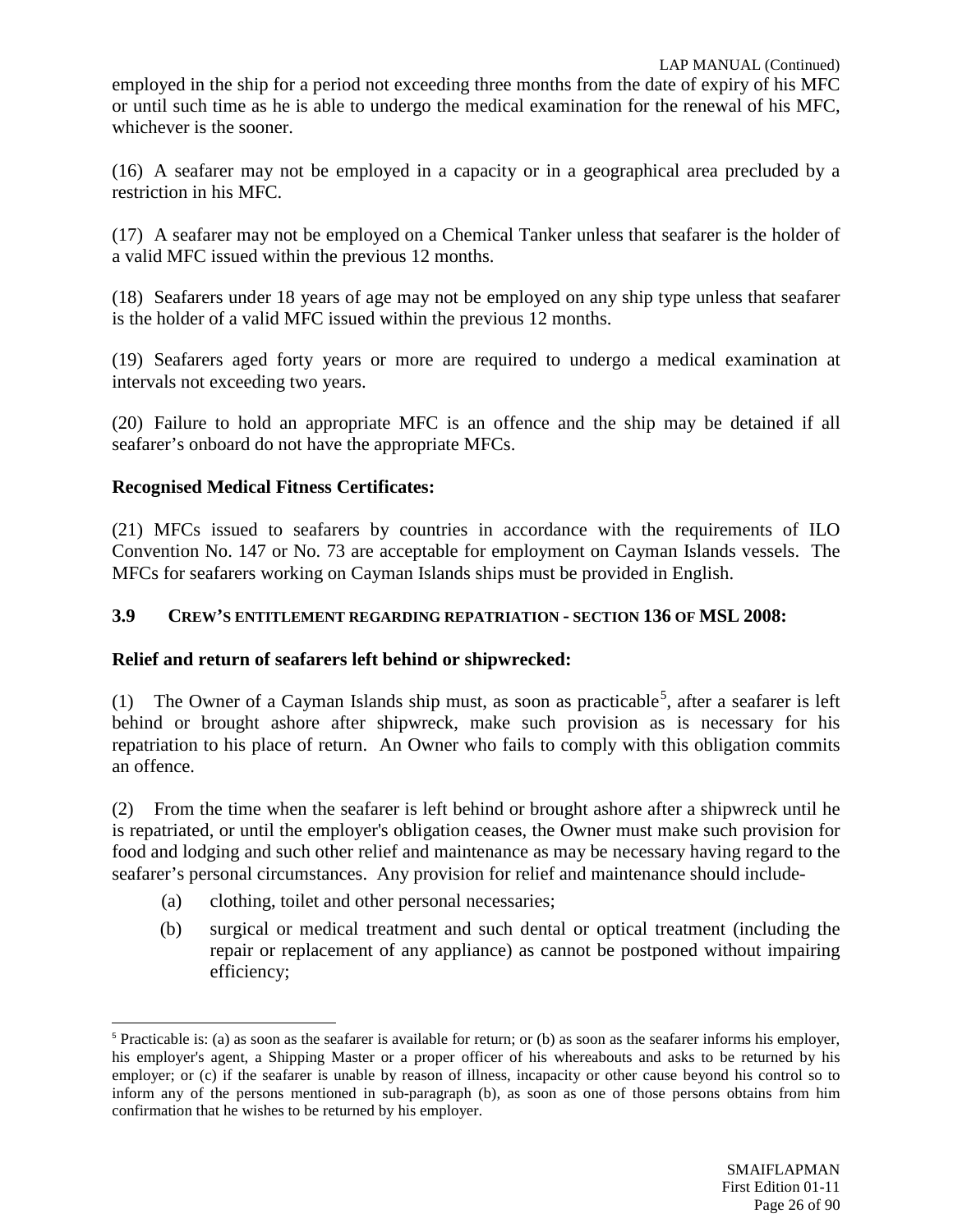employed in the ship for a period not exceeding three months from the date of expiry of his MFC or until such time as he is able to undergo the medical examination for the renewal of his MFC, whichever is the sooner.

(16) A seafarer may not be employed in a capacity or in a geographical area precluded by a restriction in his MFC.

(17) A seafarer may not be employed on a Chemical Tanker unless that seafarer is the holder of a valid MFC issued within the previous 12 months.

(18) Seafarers under 18 years of age may not be employed on any ship type unless that seafarer is the holder of a valid MFC issued within the previous 12 months.

(19) Seafarers aged forty years or more are required to undergo a medical examination at intervals not exceeding two years.

(20) Failure to hold an appropriate MFC is an offence and the ship may be detained if all seafarer's onboard do not have the appropriate MFCs.

# **Recognised Medical Fitness Certificates:**

(21) MFCs issued to seafarers by countries in accordance with the requirements of ILO Convention No. 147 or No. 73 are acceptable for employment on Cayman Islands vessels. The MFCs for seafarers working on Cayman Islands ships must be provided in English.

# **3.9 CREW'S ENTITLEMENT REGARDING REPATRIATION - SECTION 136 OF MSL 2008:**

# **Relief and return of seafarers left behind or shipwrecked:**

(1) The Owner of a Cayman Islands ship must, as soon as practicable<sup>[5](#page-25-0)</sup>, after a seafarer is left behind or brought ashore after shipwreck, make such provision as is necessary for his repatriation to his place of return. An Owner who fails to comply with this obligation commits an offence.

(2) From the time when the seafarer is left behind or brought ashore after a shipwreck until he is repatriated, or until the employer's obligation ceases, the Owner must make such provision for food and lodging and such other relief and maintenance as may be necessary having regard to the seafarer's personal circumstances. Any provision for relief and maintenance should include-

- (a) clothing, toilet and other personal necessaries;
- (b) surgical or medical treatment and such dental or optical treatment (including the repair or replacement of any appliance) as cannot be postponed without impairing efficiency;

<span id="page-25-0"></span> $5$  Practicable is: (a) as soon as the seafarer is available for return; or (b) as soon as the seafarer informs his employer, his employer's agent, a Shipping Master or a proper officer of his whereabouts and asks to be returned by his employer; or (c) if the seafarer is unable by reason of illness, incapacity or other cause beyond his control so to inform any of the persons mentioned in sub-paragraph (b), as soon as one of those persons obtains from him confirmation that he wishes to be returned by his employer.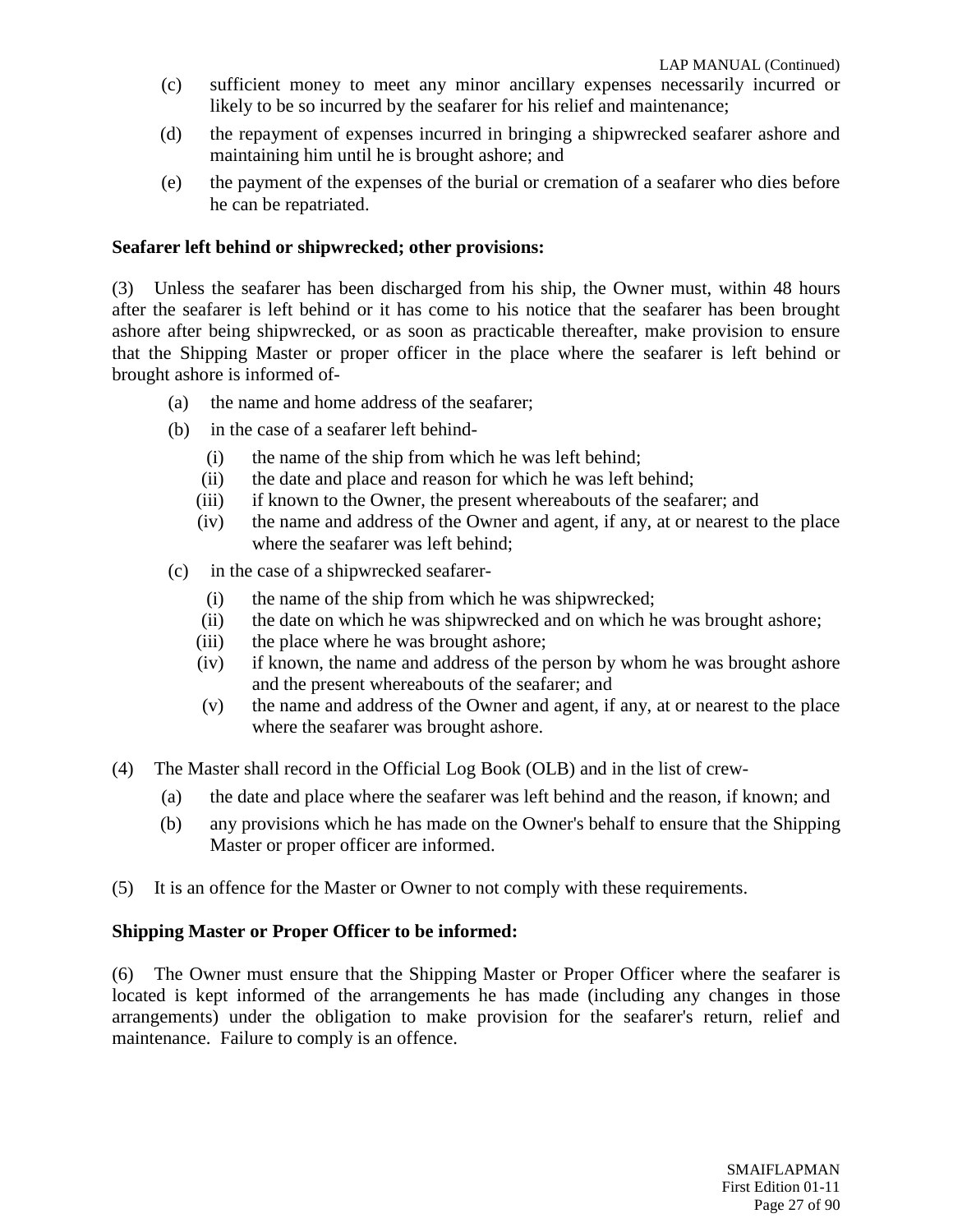- (c) sufficient money to meet any minor ancillary expenses necessarily incurred or likely to be so incurred by the seafarer for his relief and maintenance;
- (d) the repayment of expenses incurred in bringing a shipwrecked seafarer ashore and maintaining him until he is brought ashore; and
- (e) the payment of the expenses of the burial or cremation of a seafarer who dies before he can be repatriated.

#### **Seafarer left behind or shipwrecked; other provisions:**

(3) Unless the seafarer has been discharged from his ship, the Owner must, within 48 hours after the seafarer is left behind or it has come to his notice that the seafarer has been brought ashore after being shipwrecked, or as soon as practicable thereafter, make provision to ensure that the Shipping Master or proper officer in the place where the seafarer is left behind or brought ashore is informed of-

- (a) the name and home address of the seafarer;
- (b) in the case of a seafarer left behind-
	- (i) the name of the ship from which he was left behind;
	- (ii) the date and place and reason for which he was left behind;
	- (iii) if known to the Owner, the present whereabouts of the seafarer; and
	- (iv) the name and address of the Owner and agent, if any, at or nearest to the place where the seafarer was left behind;
- (c) in the case of a shipwrecked seafarer-
	- (i) the name of the ship from which he was shipwrecked;
	- (ii) the date on which he was shipwrecked and on which he was brought ashore;
	- (iii) the place where he was brought ashore;
	- (iv) if known, the name and address of the person by whom he was brought ashore and the present whereabouts of the seafarer; and
	- (v) the name and address of the Owner and agent, if any, at or nearest to the place where the seafarer was brought ashore.
- (4) The Master shall record in the Official Log Book (OLB) and in the list of crew-
	- (a) the date and place where the seafarer was left behind and the reason, if known; and
	- (b) any provisions which he has made on the Owner's behalf to ensure that the Shipping Master or proper officer are informed.
- (5) It is an offence for the Master or Owner to not comply with these requirements.

#### **Shipping Master or Proper Officer to be informed:**

(6) The Owner must ensure that the Shipping Master or Proper Officer where the seafarer is located is kept informed of the arrangements he has made (including any changes in those arrangements) under the obligation to make provision for the seafarer's return, relief and maintenance. Failure to comply is an offence.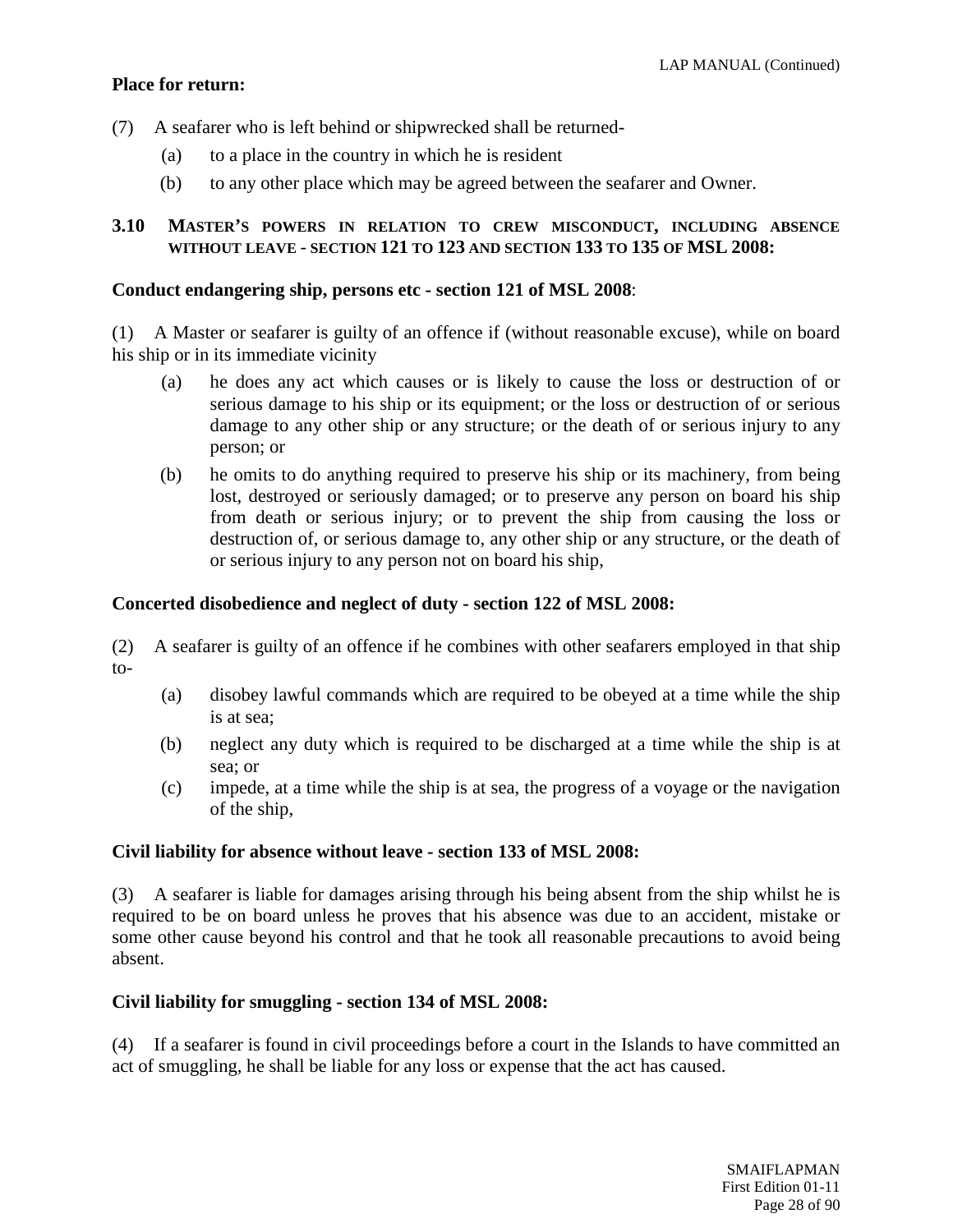# **Place for return:**

- (7) A seafarer who is left behind or shipwrecked shall be returned-
	- (a) to a place in the country in which he is resident
	- (b) to any other place which may be agreed between the seafarer and Owner.

# **3.10 MASTER'S POWERS IN RELATION TO CREW MISCONDUCT, INCLUDING ABSENCE WITHOUT LEAVE** - **SECTION 121 TO 123 AND SECTION 133 TO 135 OF MSL 2008:**

#### **Conduct endangering ship, persons etc - section 121 of MSL 2008**:

(1) A Master or seafarer is guilty of an offence if (without reasonable excuse), while on board his ship or in its immediate vicinity

- (a) he does any act which causes or is likely to cause the loss or destruction of or serious damage to his ship or its equipment; or the loss or destruction of or serious damage to any other ship or any structure; or the death of or serious injury to any person; or
- (b) he omits to do anything required to preserve his ship or its machinery, from being lost, destroyed or seriously damaged; or to preserve any person on board his ship from death or serious injury; or to prevent the ship from causing the loss or destruction of, or serious damage to, any other ship or any structure, or the death of or serious injury to any person not on board his ship,

#### **Concerted disobedience and neglect of duty - section 122 of MSL 2008:**

(2) A seafarer is guilty of an offence if he combines with other seafarers employed in that ship to-

- (a) disobey lawful commands which are required to be obeyed at a time while the ship is at sea;
- (b) neglect any duty which is required to be discharged at a time while the ship is at sea; or
- (c) impede, at a time while the ship is at sea, the progress of a voyage or the navigation of the ship,

#### **Civil liability for absence without leave - section 133 of MSL 2008:**

(3) A seafarer is liable for damages arising through his being absent from the ship whilst he is required to be on board unless he proves that his absence was due to an accident, mistake or some other cause beyond his control and that he took all reasonable precautions to avoid being absent.

#### **Civil liability for smuggling - section 134 of MSL 2008:**

(4) If a seafarer is found in civil proceedings before a court in the Islands to have committed an act of smuggling, he shall be liable for any loss or expense that the act has caused.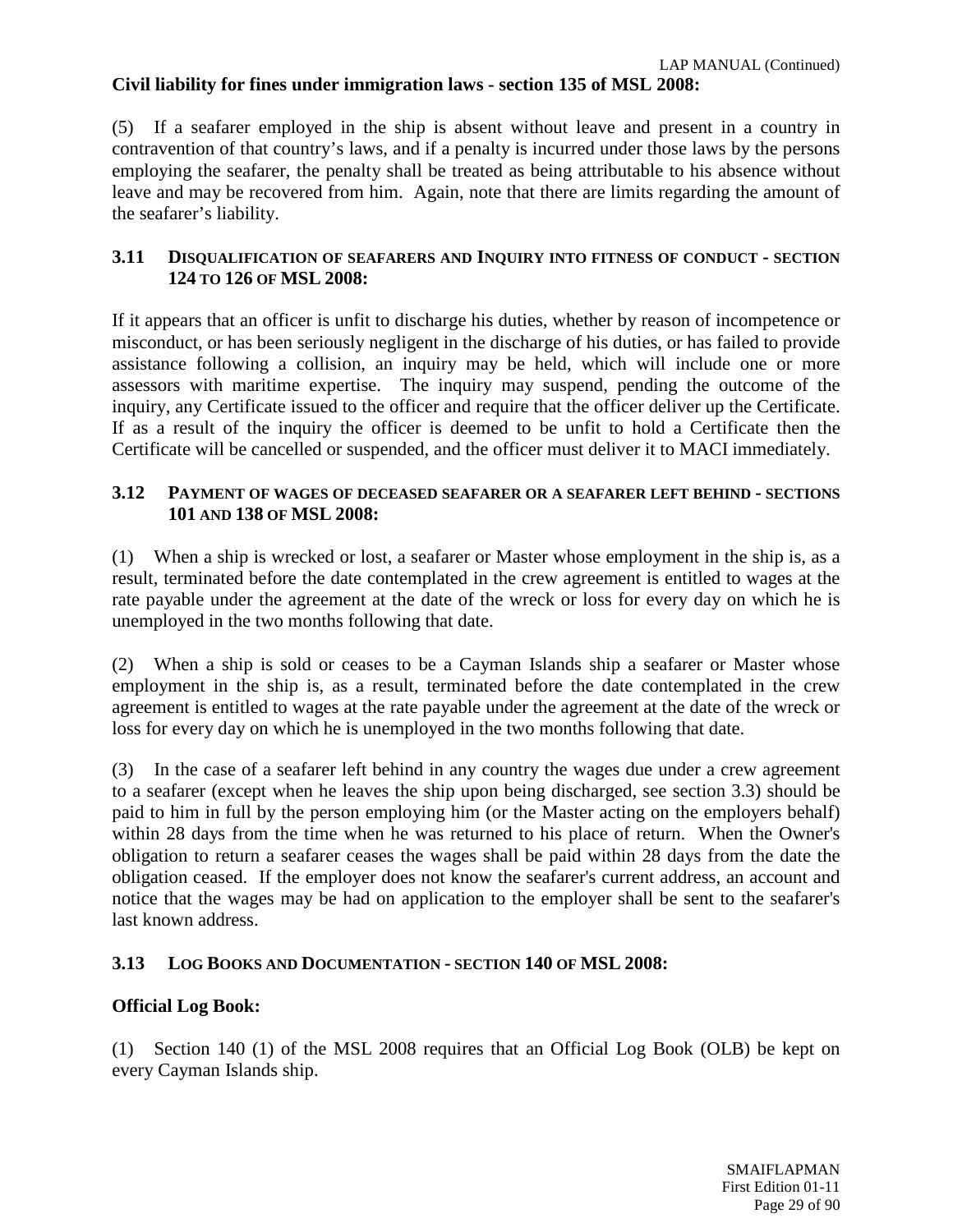# **Civil liability for fines under immigration laws - section 135 of MSL 2008:**

(5) If a seafarer employed in the ship is absent without leave and present in a country in contravention of that country's laws, and if a penalty is incurred under those laws by the persons employing the seafarer, the penalty shall be treated as being attributable to his absence without leave and may be recovered from him. Again, note that there are limits regarding the amount of the seafarer's liability.

# **3.11 DISQUALIFICATION OF SEAFARERS AND INQUIRY INTO FITNESS OF CONDUCT - SECTION 124 TO 126 OF MSL 2008:**

If it appears that an officer is unfit to discharge his duties, whether by reason of incompetence or misconduct, or has been seriously negligent in the discharge of his duties, or has failed to provide assistance following a collision, an inquiry may be held, which will include one or more assessors with maritime expertise. The inquiry may suspend, pending the outcome of the inquiry, any Certificate issued to the officer and require that the officer deliver up the Certificate. If as a result of the inquiry the officer is deemed to be unfit to hold a Certificate then the Certificate will be cancelled or suspended, and the officer must deliver it to MACI immediately.

### **3.12 PAYMENT OF WAGES OF DECEASED SEAFARER OR A SEAFARER LEFT BEHIND - SECTIONS 101 AND 138 OF MSL 2008:**

(1) When a ship is wrecked or lost, a seafarer or Master whose employment in the ship is, as a result, terminated before the date contemplated in the crew agreement is entitled to wages at the rate payable under the agreement at the date of the wreck or loss for every day on which he is unemployed in the two months following that date.

(2) When a ship is sold or ceases to be a Cayman Islands ship a seafarer or Master whose employment in the ship is, as a result, terminated before the date contemplated in the crew agreement is entitled to wages at the rate payable under the agreement at the date of the wreck or loss for every day on which he is unemployed in the two months following that date.

(3) In the case of a seafarer left behind in any country the wages due under a crew agreement to a seafarer (except when he leaves the ship upon being discharged, see section 3.3) should be paid to him in full by the person employing him (or the Master acting on the employers behalf) within 28 days from the time when he was returned to his place of return. When the Owner's obligation to return a seafarer ceases the wages shall be paid within 28 days from the date the obligation ceased. If the employer does not know the seafarer's current address, an account and notice that the wages may be had on application to the employer shall be sent to the seafarer's last known address.

# **3.13 LOG BOOKS AND DOCUMENTATION - SECTION 140 OF MSL 2008:**

# **Official Log Book:**

(1) Section 140 (1) of the MSL 2008 requires that an Official Log Book (OLB) be kept on every Cayman Islands ship.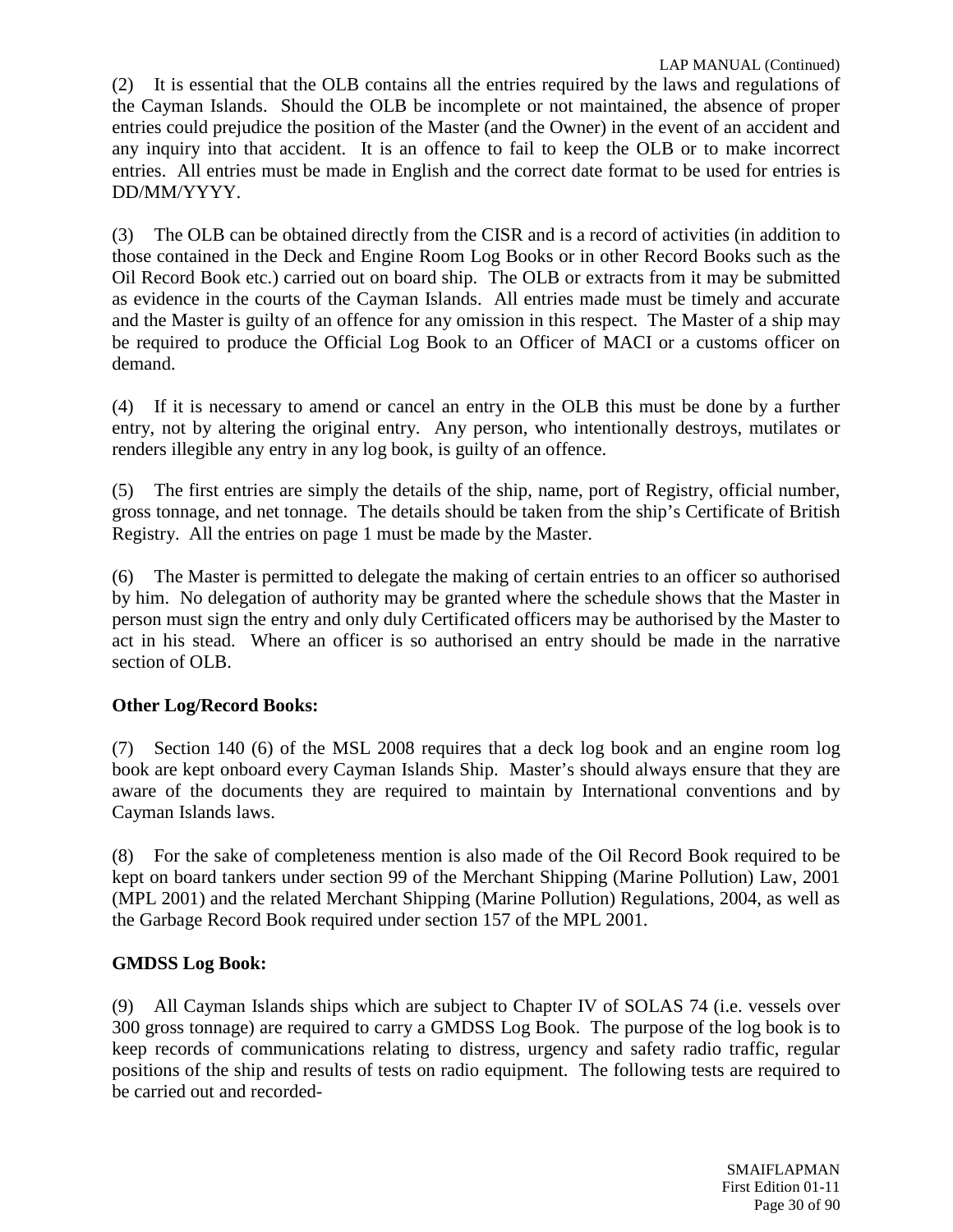(2) It is essential that the OLB contains all the entries required by the laws and regulations of the Cayman Islands. Should the OLB be incomplete or not maintained, the absence of proper entries could prejudice the position of the Master (and the Owner) in the event of an accident and any inquiry into that accident. It is an offence to fail to keep the OLB or to make incorrect entries. All entries must be made in English and the correct date format to be used for entries is DD/MM/YYYY.

(3) The OLB can be obtained directly from the CISR and is a record of activities (in addition to those contained in the Deck and Engine Room Log Books or in other Record Books such as the Oil Record Book etc.) carried out on board ship. The OLB or extracts from it may be submitted as evidence in the courts of the Cayman Islands. All entries made must be timely and accurate and the Master is guilty of an offence for any omission in this respect. The Master of a ship may be required to produce the Official Log Book to an Officer of MACI or a customs officer on demand.

(4) If it is necessary to amend or cancel an entry in the OLB this must be done by a further entry, not by altering the original entry. Any person, who intentionally destroys, mutilates or renders illegible any entry in any log book, is guilty of an offence.

(5) The first entries are simply the details of the ship, name, port of Registry, official number, gross tonnage, and net tonnage. The details should be taken from the ship's Certificate of British Registry. All the entries on page 1 must be made by the Master.

(6) The Master is permitted to delegate the making of certain entries to an officer so authorised by him. No delegation of authority may be granted where the schedule shows that the Master in person must sign the entry and only duly Certificated officers may be authorised by the Master to act in his stead. Where an officer is so authorised an entry should be made in the narrative section of OLB.

# **Other Log/Record Books:**

(7) Section 140 (6) of the MSL 2008 requires that a deck log book and an engine room log book are kept onboard every Cayman Islands Ship. Master's should always ensure that they are aware of the documents they are required to maintain by International conventions and by Cayman Islands laws.

(8) For the sake of completeness mention is also made of the Oil Record Book required to be kept on board tankers under section 99 of the Merchant Shipping (Marine Pollution) Law, 2001 (MPL 2001) and the related Merchant Shipping (Marine Pollution) Regulations, 2004, as well as the Garbage Record Book required under section 157 of the MPL 2001.

# **GMDSS Log Book:**

(9) All Cayman Islands ships which are subject to Chapter IV of SOLAS 74 (i.e. vessels over 300 gross tonnage) are required to carry a GMDSS Log Book. The purpose of the log book is to keep records of communications relating to distress, urgency and safety radio traffic, regular positions of the ship and results of tests on radio equipment. The following tests are required to be carried out and recorded-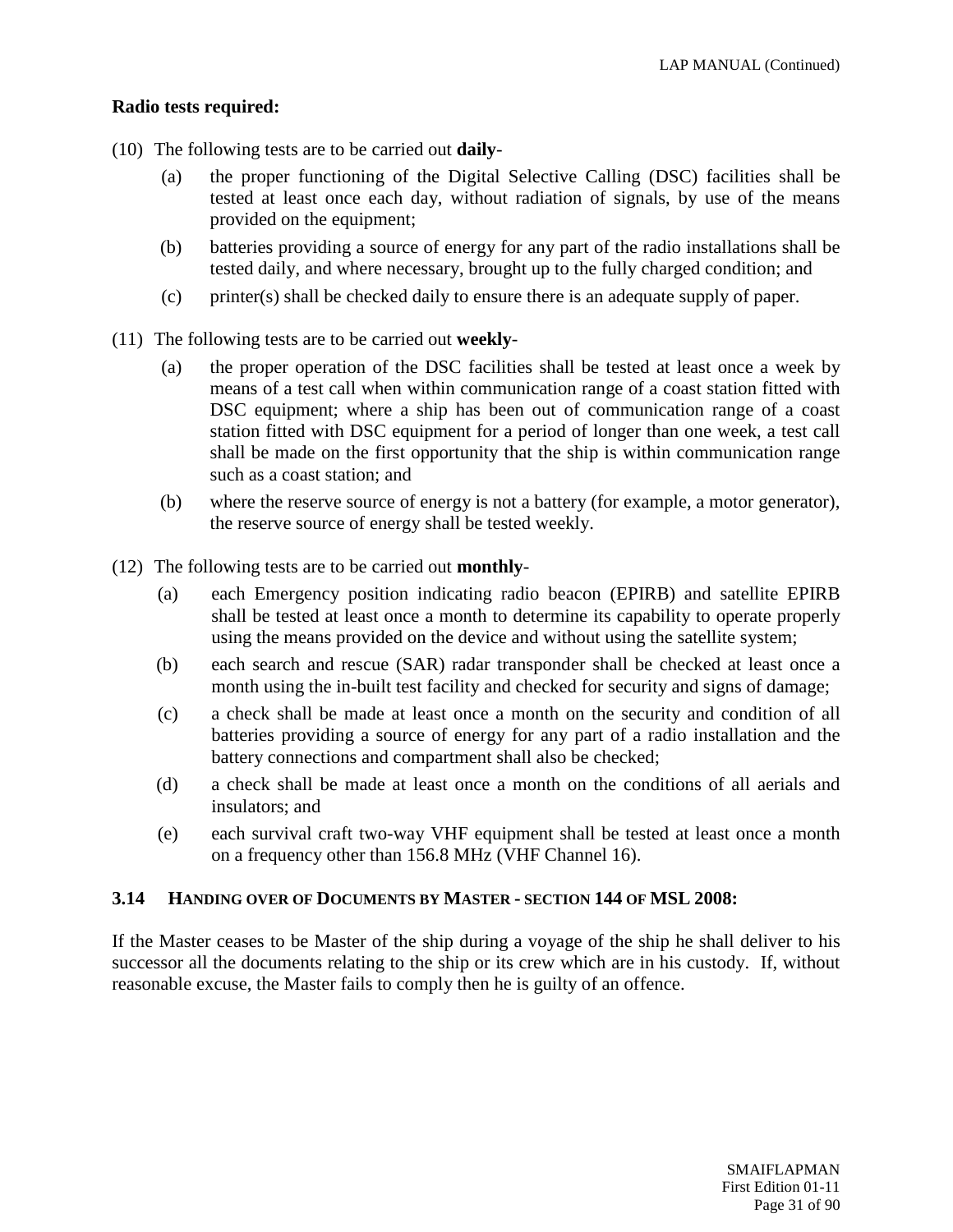# **Radio tests required:**

- (10) The following tests are to be carried out **daily**
	- (a) the proper functioning of the Digital Selective Calling (DSC) facilities shall be tested at least once each day, without radiation of signals, by use of the means provided on the equipment;
	- (b) batteries providing a source of energy for any part of the radio installations shall be tested daily, and where necessary, brought up to the fully charged condition; and
	- (c) printer(s) shall be checked daily to ensure there is an adequate supply of paper.
- (11) The following tests are to be carried out **weekly**
	- (a) the proper operation of the DSC facilities shall be tested at least once a week by means of a test call when within communication range of a coast station fitted with DSC equipment; where a ship has been out of communication range of a coast station fitted with DSC equipment for a period of longer than one week, a test call shall be made on the first opportunity that the ship is within communication range such as a coast station; and
	- (b) where the reserve source of energy is not a battery (for example, a motor generator), the reserve source of energy shall be tested weekly.
- (12) The following tests are to be carried out **monthly**
	- (a) each Emergency position indicating radio beacon (EPIRB) and satellite EPIRB shall be tested at least once a month to determine its capability to operate properly using the means provided on the device and without using the satellite system;
	- (b) each search and rescue (SAR) radar transponder shall be checked at least once a month using the in-built test facility and checked for security and signs of damage;
	- (c) a check shall be made at least once a month on the security and condition of all batteries providing a source of energy for any part of a radio installation and the battery connections and compartment shall also be checked;
	- (d) a check shall be made at least once a month on the conditions of all aerials and insulators; and
	- (e) each survival craft two-way VHF equipment shall be tested at least once a month on a frequency other than 156.8 MHz (VHF Channel 16).

#### **3.14 HANDING OVER OF DOCUMENTS BY MASTER - SECTION 144 OF MSL 2008:**

If the Master ceases to be Master of the ship during a voyage of the ship he shall deliver to his successor all the documents relating to the ship or its crew which are in his custody. If, without reasonable excuse, the Master fails to comply then he is guilty of an offence.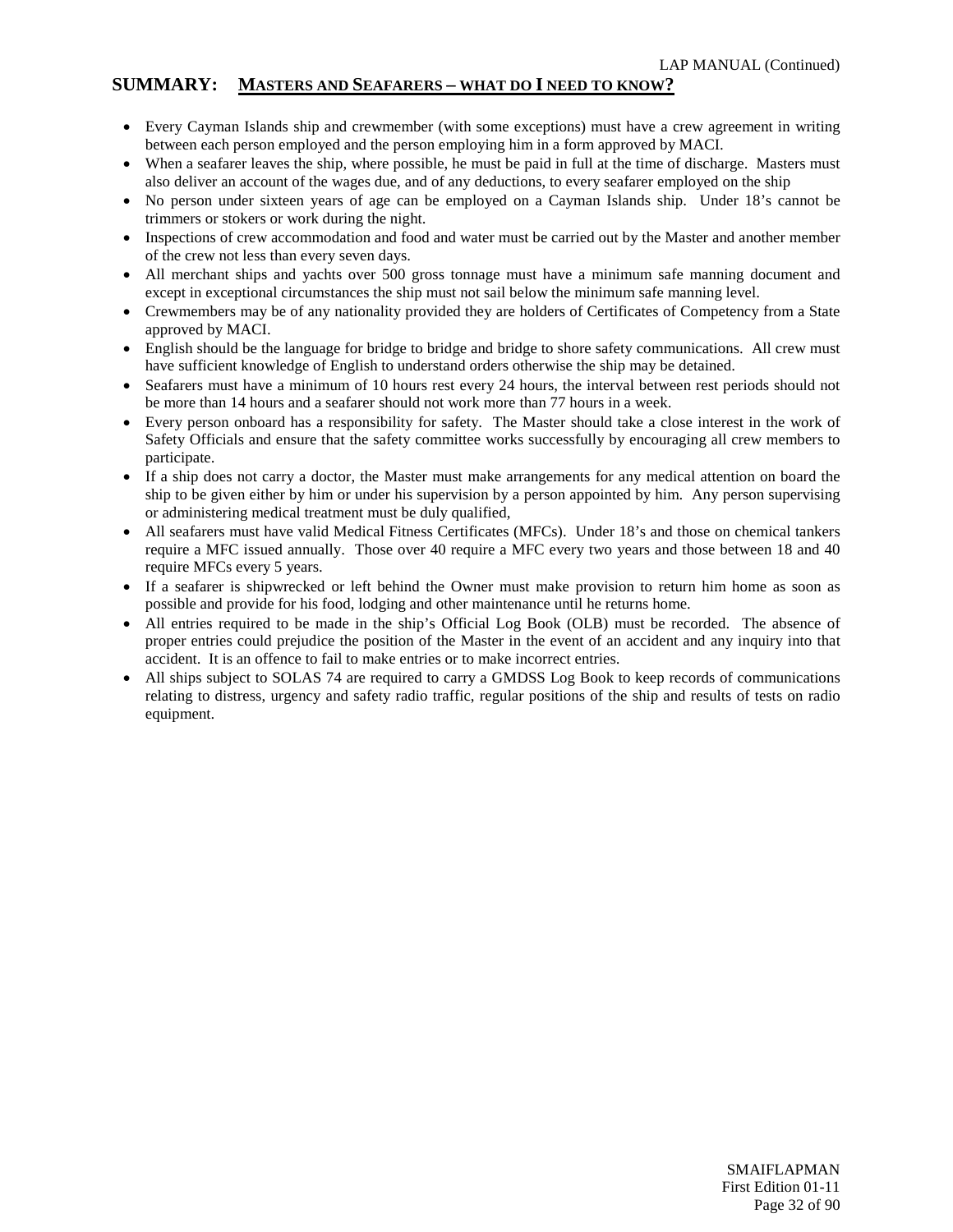#### **SUMMARY: MASTERS AND SEAFARERS – WHAT DO I NEED TO KNOW?**

- Every Cayman Islands ship and crewmember (with some exceptions) must have a crew agreement in writing between each person employed and the person employing him in a form approved by MACI.
- When a seafarer leaves the ship, where possible, he must be paid in full at the time of discharge. Masters must also deliver an account of the wages due, and of any deductions, to every seafarer employed on the ship
- No person under sixteen years of age can be employed on a Cayman Islands ship. Under 18's cannot be trimmers or stokers or work during the night.
- Inspections of crew accommodation and food and water must be carried out by the Master and another member of the crew not less than every seven days.
- All merchant ships and yachts over 500 gross tonnage must have a minimum safe manning document and except in exceptional circumstances the ship must not sail below the minimum safe manning level.
- Crewmembers may be of any nationality provided they are holders of Certificates of Competency from a State approved by MACI.
- English should be the language for bridge to bridge and bridge to shore safety communications. All crew must have sufficient knowledge of English to understand orders otherwise the ship may be detained.
- Seafarers must have a minimum of 10 hours rest every 24 hours, the interval between rest periods should not be more than 14 hours and a seafarer should not work more than 77 hours in a week.
- Every person onboard has a responsibility for safety. The Master should take a close interest in the work of Safety Officials and ensure that the safety committee works successfully by encouraging all crew members to participate.
- If a ship does not carry a doctor, the Master must make arrangements for any medical attention on board the ship to be given either by him or under his supervision by a person appointed by him. Any person supervising or administering medical treatment must be duly qualified,
- All seafarers must have valid Medical Fitness Certificates (MFCs). Under 18's and those on chemical tankers require a MFC issued annually. Those over 40 require a MFC every two years and those between 18 and 40 require MFCs every 5 years.
- If a seafarer is shipwrecked or left behind the Owner must make provision to return him home as soon as possible and provide for his food, lodging and other maintenance until he returns home.
- All entries required to be made in the ship's Official Log Book (OLB) must be recorded. The absence of proper entries could prejudice the position of the Master in the event of an accident and any inquiry into that accident. It is an offence to fail to make entries or to make incorrect entries.
- All ships subject to SOLAS 74 are required to carry a GMDSS Log Book to keep records of communications relating to distress, urgency and safety radio traffic, regular positions of the ship and results of tests on radio equipment.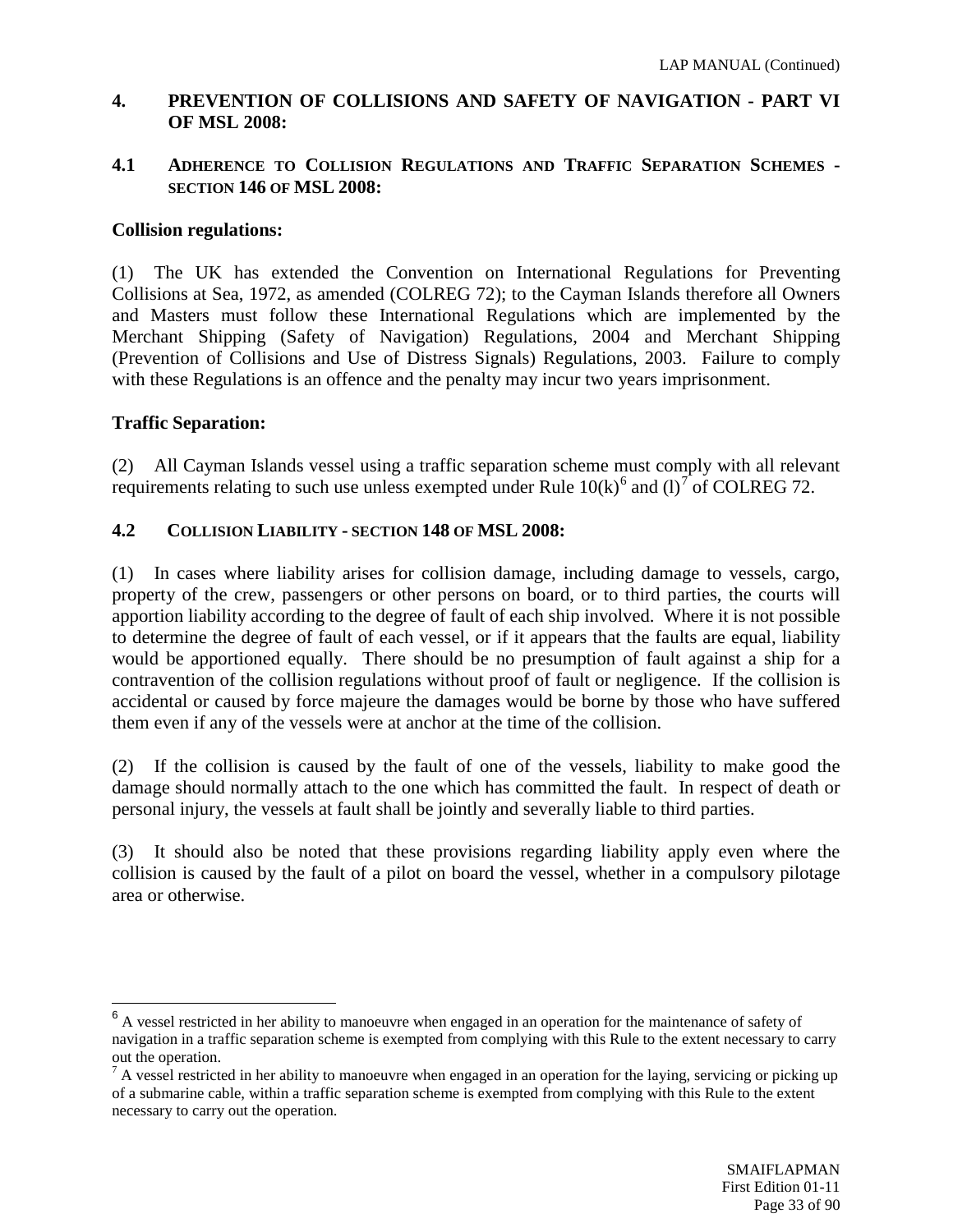### <span id="page-32-0"></span>**4. PREVENTION OF COLLISIONS AND SAFETY OF NAVIGATION - PART VI OF MSL 2008:**

#### **4.1 ADHERENCE TO COLLISION REGULATIONS AND TRAFFIC SEPARATION SCHEMES - SECTION 146 OF MSL 2008:**

#### **Collision regulations:**

(1) The UK has extended the Convention on International Regulations for Preventing Collisions at Sea, 1972, as amended (COLREG 72); to the Cayman Islands therefore all Owners and Masters must follow these International Regulations which are implemented by the Merchant Shipping (Safety of Navigation) Regulations, 2004 and Merchant Shipping (Prevention of Collisions and Use of Distress Signals) Regulations, 2003. Failure to comply with these Regulations is an offence and the penalty may incur two years imprisonment.

# **Traffic Separation:**

(2) All Cayman Islands vessel using a traffic separation scheme must comply with all relevant requirements relating to such use unless exempted under Rule  $10(k)$ <sup>[6](#page-32-1)</sup> and  $(l)^{7}$  $(l)^{7}$  $(l)^{7}$  of COLREG 72.

# **4.2 COLLISION LIABILITY - SECTION 148 OF MSL 2008:**

(1) In cases where liability arises for collision damage, including damage to vessels, cargo, property of the crew, passengers or other persons on board, or to third parties, the courts will apportion liability according to the degree of fault of each ship involved. Where it is not possible to determine the degree of fault of each vessel, or if it appears that the faults are equal, liability would be apportioned equally. There should be no presumption of fault against a ship for a contravention of the collision regulations without proof of fault or negligence. If the collision is accidental or caused by force majeure the damages would be borne by those who have suffered them even if any of the vessels were at anchor at the time of the collision.

(2) If the collision is caused by the fault of one of the vessels, liability to make good the damage should normally attach to the one which has committed the fault. In respect of death or personal injury, the vessels at fault shall be jointly and severally liable to third parties.

(3) It should also be noted that these provisions regarding liability apply even where the collision is caused by the fault of a pilot on board the vessel, whether in a compulsory pilotage area or otherwise.

<span id="page-32-1"></span><sup>&</sup>lt;sup>6</sup> A vessel restricted in her ability to manoeuvre when engaged in an operation for the maintenance of safety of navigation in a traffic separation scheme is exempted from complying with this Rule to the extent necessary to carry out the operation.

<span id="page-32-2"></span> $<sup>7</sup>$  A vessel restricted in her ability to manoeuvre when engaged in an operation for the laying, servicing or picking up</sup> of a submarine cable, within a traffic separation scheme is exempted from complying with this Rule to the extent necessary to carry out the operation.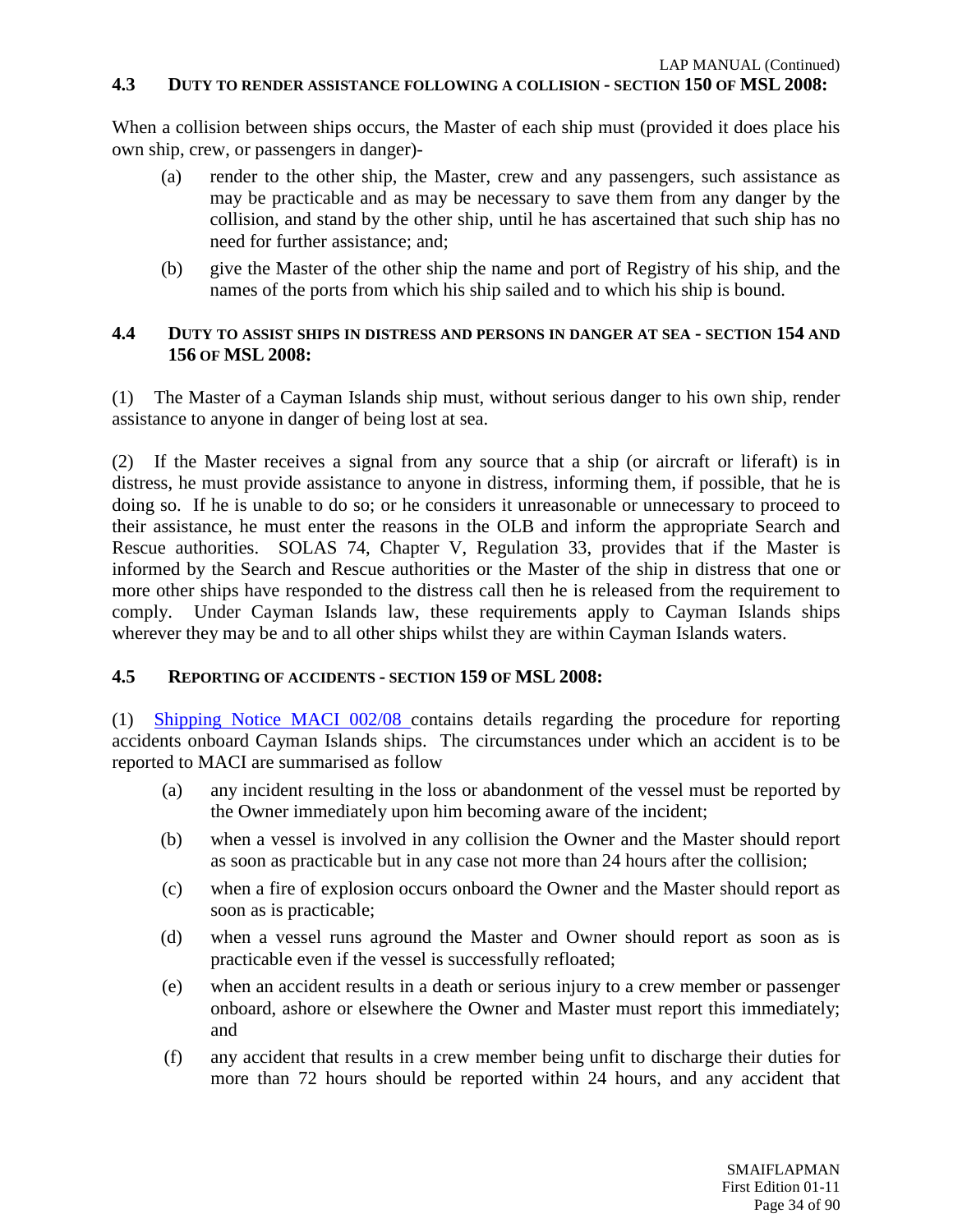### **4.3 DUTY TO RENDER ASSISTANCE FOLLOWING A COLLISION - SECTION 150 OF MSL 2008:**

When a collision between ships occurs, the Master of each ship must (provided it does place his own ship, crew, or passengers in danger)-

- (a) render to the other ship, the Master, crew and any passengers, such assistance as may be practicable and as may be necessary to save them from any danger by the collision, and stand by the other ship, until he has ascertained that such ship has no need for further assistance; and;
- (b) give the Master of the other ship the name and port of Registry of his ship, and the names of the ports from which his ship sailed and to which his ship is bound.

### **4.4 DUTY TO ASSIST SHIPS IN DISTRESS AND PERSONS IN DANGER AT SEA - SECTION 154 AND 156 OF MSL 2008:**

(1) The Master of a Cayman Islands ship must, without serious danger to his own ship, render assistance to anyone in danger of being lost at sea.

(2) If the Master receives a signal from any source that a ship (or aircraft or liferaft) is in distress, he must provide assistance to anyone in distress, informing them, if possible, that he is doing so. If he is unable to do so; or he considers it unreasonable or unnecessary to proceed to their assistance, he must enter the reasons in the OLB and inform the appropriate Search and Rescue authorities. SOLAS 74, Chapter V, Regulation 33, provides that if the Master is informed by the Search and Rescue authorities or the Master of the ship in distress that one or more other ships have responded to the distress call then he is released from the requirement to comply. Under Cayman Islands law, these requirements apply to Cayman Islands ships wherever they may be and to all other ships whilst they are within Cayman Islands waters.

# **4.5 REPORTING OF ACCIDENTS - SECTION 159 OF MSL 2008:**

(1) [Shipping Notice MACI 002/08 c](http://www.cishipping.com/portal/page?_pageid=1307,2724303&_dad=portal&_schema=PORTAL)ontains details regarding the procedure for reporting accidents onboard Cayman Islands ships. The circumstances under which an accident is to be reported to MACI are summarised as follow

- (a) any incident resulting in the loss or abandonment of the vessel must be reported by the Owner immediately upon him becoming aware of the incident;
- (b) when a vessel is involved in any collision the Owner and the Master should report as soon as practicable but in any case not more than 24 hours after the collision;
- (c) when a fire of explosion occurs onboard the Owner and the Master should report as soon as is practicable;
- (d) when a vessel runs aground the Master and Owner should report as soon as is practicable even if the vessel is successfully refloated;
- (e) when an accident results in a death or serious injury to a crew member or passenger onboard, ashore or elsewhere the Owner and Master must report this immediately; and
- (f) any accident that results in a crew member being unfit to discharge their duties for more than 72 hours should be reported within 24 hours, and any accident that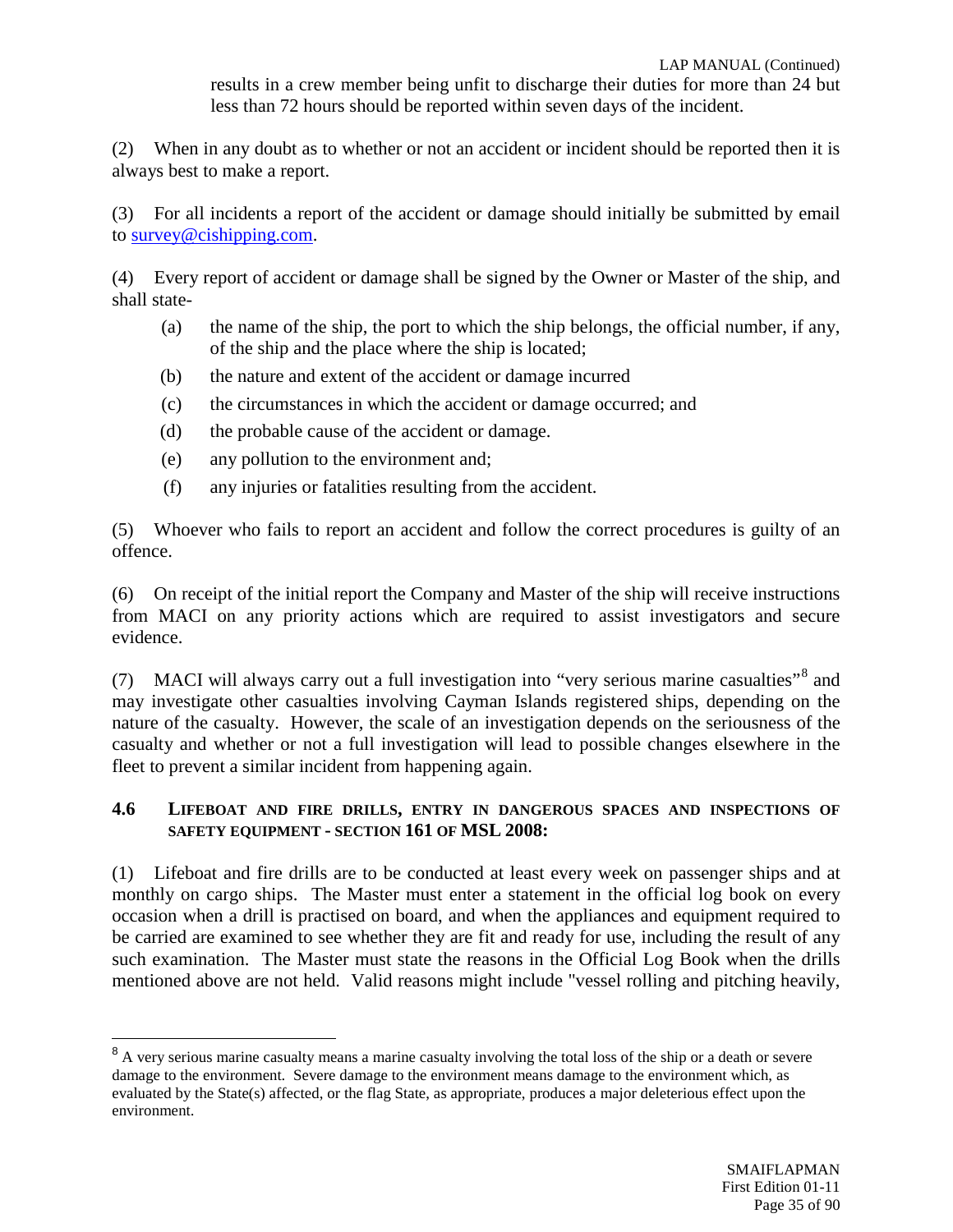results in a crew member being unfit to discharge their duties for more than 24 but less than 72 hours should be reported within seven days of the incident.

(2) When in any doubt as to whether or not an accident or incident should be reported then it is always best to make a report.

(3) For all incidents a report of the accident or damage should initially be submitted by email to [survey@cishipping.com.](mailto:survey@cishipping.com)

(4) Every report of accident or damage shall be signed by the Owner or Master of the ship, and shall state-

- (a) the name of the ship, the port to which the ship belongs, the official number, if any, of the ship and the place where the ship is located;
- (b) the nature and extent of the accident or damage incurred
- (c) the circumstances in which the accident or damage occurred; and
- (d) the probable cause of the accident or damage.
- (e) any pollution to the environment and;
- (f) any injuries or fatalities resulting from the accident.

(5) Whoever who fails to report an accident and follow the correct procedures is guilty of an offence.

(6) On receipt of the initial report the Company and Master of the ship will receive instructions from MACI on any priority actions which are required to assist investigators and secure evidence.

(7) MACI will always carry out a full investigation into "very serious marine casualties"<sup>[8](#page-34-0)</sup> and may investigate other casualties involving Cayman Islands registered ships, depending on the nature of the casualty. However, the scale of an investigation depends on the seriousness of the casualty and whether or not a full investigation will lead to possible changes elsewhere in the fleet to prevent a similar incident from happening again.

#### **4.6 LIFEBOAT AND FIRE DRILLS, ENTRY IN DANGEROUS SPACES AND INSPECTIONS OF SAFETY EQUIPMENT - SECTION 161 OF MSL 2008:**

(1) Lifeboat and fire drills are to be conducted at least every week on passenger ships and at monthly on cargo ships. The Master must enter a statement in the official log book on every occasion when a drill is practised on board, and when the appliances and equipment required to be carried are examined to see whether they are fit and ready for use, including the result of any such examination. The Master must state the reasons in the Official Log Book when the drills mentioned above are not held. Valid reasons might include "vessel rolling and pitching heavily,

<span id="page-34-0"></span><sup>&</sup>lt;sup>8</sup> A very serious marine casualty means a marine casualty involving the total loss of the ship or a death or severe damage to the environment. Severe damage to the environment means damage to the environment which, as evaluated by the State(s) affected, or the flag State, as appropriate, produces a major deleterious effect upon the environment.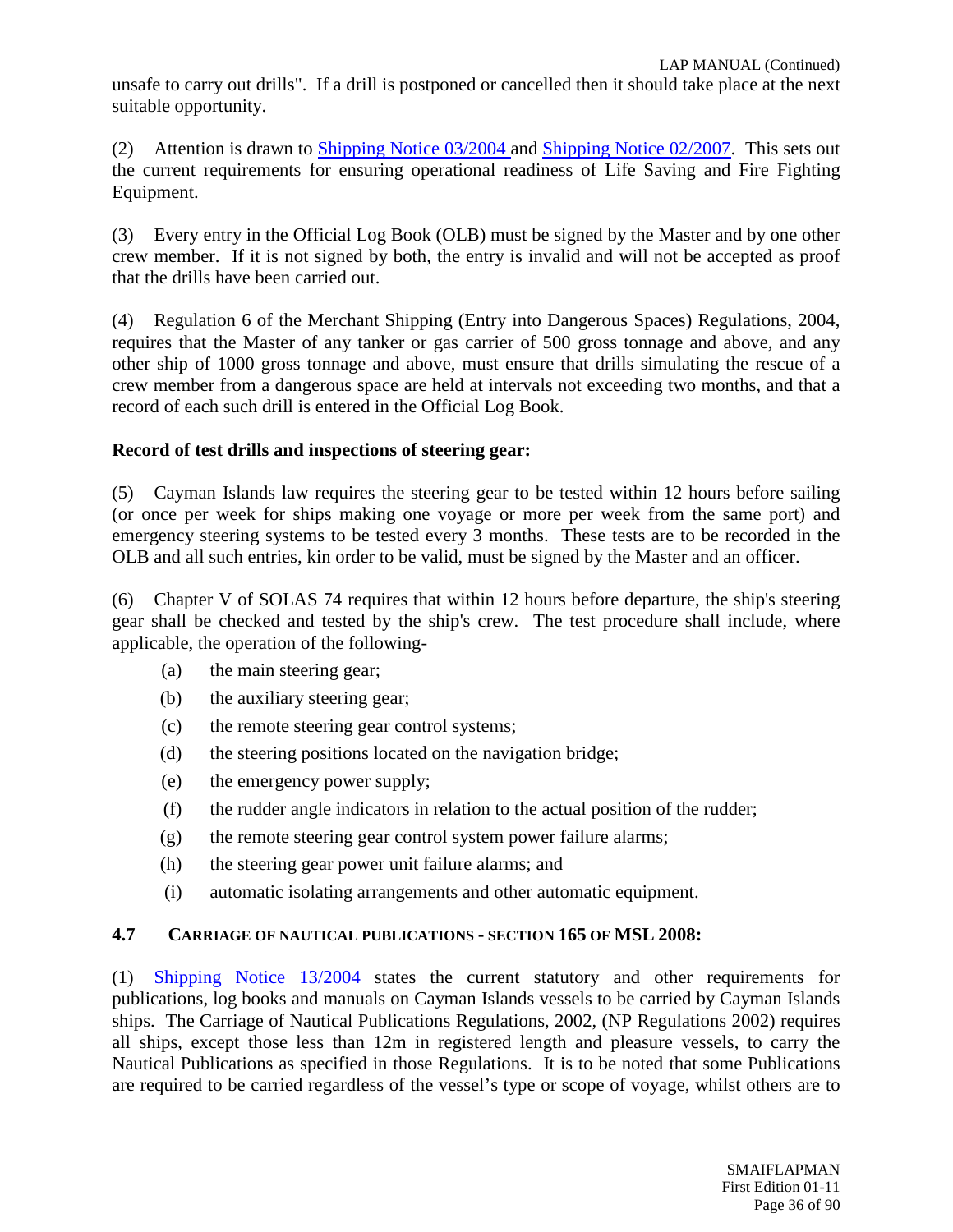unsafe to carry out drills". If a drill is postponed or cancelled then it should take place at the next suitable opportunity.

(2) Attention is drawn to [Shipping Notice 03/2004 a](http://www.cishipping.com/portal/page?_pageid=1307,1691395&_dad=portal&_schema=PORTAL)nd [Shipping Notice 02/2007.](http://www.cishipping.com/portal/page?_pageid=1307,2093788&_dad=portal&_schema=PORTAL) This sets out the current requirements for ensuring operational readiness of Life Saving and Fire Fighting Equipment.

(3) Every entry in the Official Log Book (OLB) must be signed by the Master and by one other crew member. If it is not signed by both, the entry is invalid and will not be accepted as proof that the drills have been carried out.

(4) Regulation 6 of the Merchant Shipping (Entry into Dangerous Spaces) Regulations, 2004, requires that the Master of any tanker or gas carrier of 500 gross tonnage and above, and any other ship of 1000 gross tonnage and above, must ensure that drills simulating the rescue of a crew member from a dangerous space are held at intervals not exceeding two months, and that a record of each such drill is entered in the Official Log Book.

# **Record of test drills and inspections of steering gear:**

(5) Cayman Islands law requires the steering gear to be tested within 12 hours before sailing (or once per week for ships making one voyage or more per week from the same port) and emergency steering systems to be tested every 3 months. These tests are to be recorded in the OLB and all such entries, kin order to be valid, must be signed by the Master and an officer.

(6) Chapter V of SOLAS 74 requires that within 12 hours before departure, the ship's steering gear shall be checked and tested by the ship's crew. The test procedure shall include, where applicable, the operation of the following-

- (a) the main steering gear;
- (b) the auxiliary steering gear;
- (c) the remote steering gear control systems;
- (d) the steering positions located on the navigation bridge;
- (e) the emergency power supply;
- (f) the rudder angle indicators in relation to the actual position of the rudder;
- (g) the remote steering gear control system power failure alarms;
- (h) the steering gear power unit failure alarms; and
- (i) automatic isolating arrangements and other automatic equipment.

#### **4.7 CARRIAGE OF NAUTICAL PUBLICATIONS - SECTION 165 OF MSL 2008:**

(1) [Shipping Notice 13/2004](http://www.cishipping.com/portal/page?_pageid=1307,1690702&_dad=portal&_schema=PORTAL) states the current statutory and other requirements for publications, log books and manuals on Cayman Islands vessels to be carried by Cayman Islands ships. The Carriage of Nautical Publications Regulations, 2002, (NP Regulations 2002) requires all ships, except those less than 12m in registered length and pleasure vessels, to carry the Nautical Publications as specified in those Regulations. It is to be noted that some Publications are required to be carried regardless of the vessel's type or scope of voyage, whilst others are to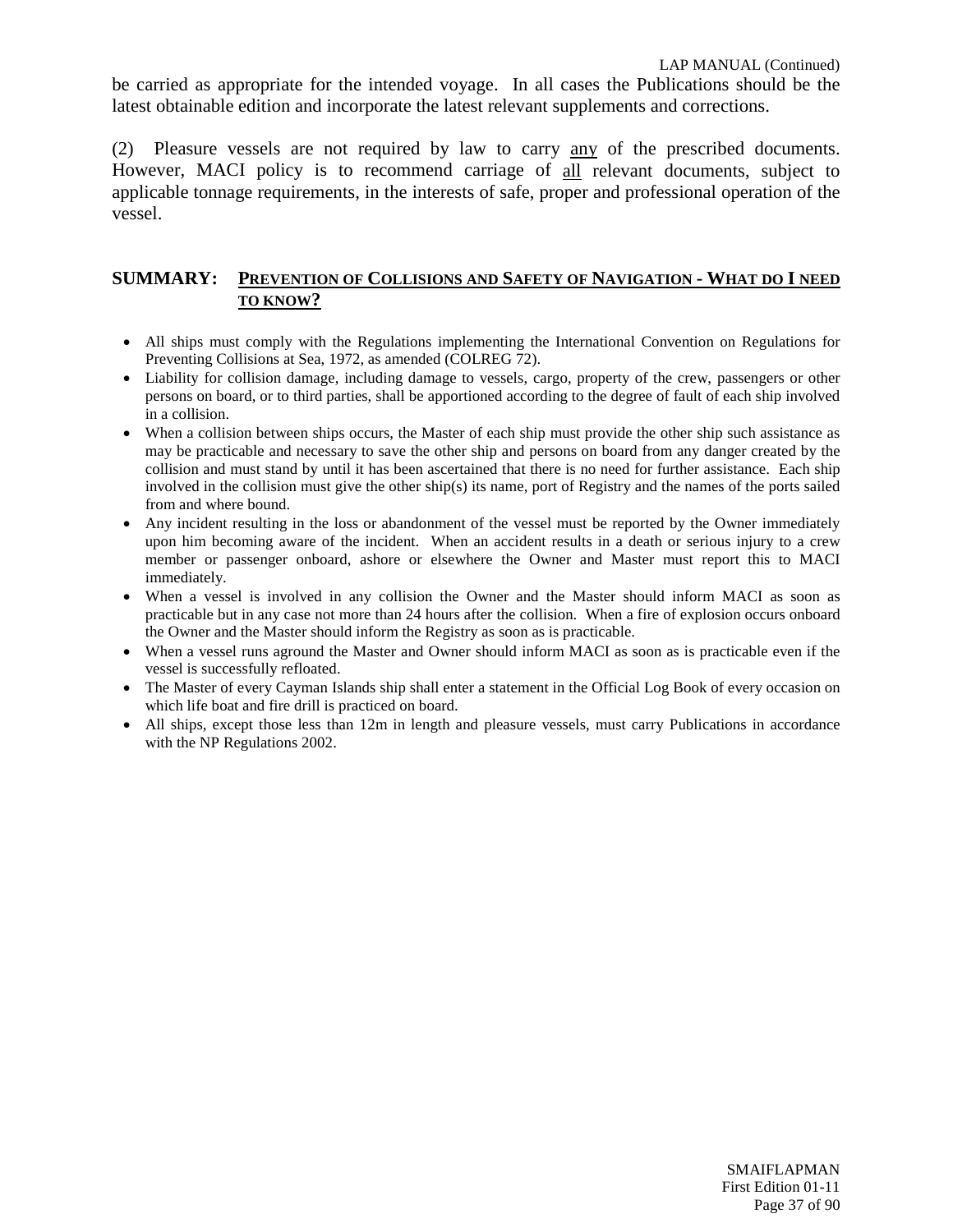be carried as appropriate for the intended voyage. In all cases the Publications should be the latest obtainable edition and incorporate the latest relevant supplements and corrections.

(2) Pleasure vessels are not required by law to carry any of the prescribed documents. However, MACI policy is to recommend carriage of all relevant documents, subject to applicable tonnage requirements, in the interests of safe, proper and professional operation of the vessel.

#### **SUMMARY: PREVENTION OF COLLISIONS AND SAFETY OF NAVIGATION - WHAT DO I NEED TO KNOW?**

- All ships must comply with the Regulations implementing the International Convention on Regulations for Preventing Collisions at Sea, 1972, as amended (COLREG 72).
- Liability for collision damage, including damage to vessels, cargo, property of the crew, passengers or other persons on board, or to third parties, shall be apportioned according to the degree of fault of each ship involved in a collision.
- When a collision between ships occurs, the Master of each ship must provide the other ship such assistance as may be practicable and necessary to save the other ship and persons on board from any danger created by the collision and must stand by until it has been ascertained that there is no need for further assistance. Each ship involved in the collision must give the other ship(s) its name, port of Registry and the names of the ports sailed from and where bound.
- Any incident resulting in the loss or abandonment of the vessel must be reported by the Owner immediately upon him becoming aware of the incident. When an accident results in a death or serious injury to a crew member or passenger onboard, ashore or elsewhere the Owner and Master must report this to MACI immediately.
- When a vessel is involved in any collision the Owner and the Master should inform MACI as soon as practicable but in any case not more than 24 hours after the collision. When a fire of explosion occurs onboard the Owner and the Master should inform the Registry as soon as is practicable.
- When a vessel runs aground the Master and Owner should inform MACI as soon as is practicable even if the vessel is successfully refloated.
- The Master of every Cayman Islands ship shall enter a statement in the Official Log Book of every occasion on which life boat and fire drill is practiced on board.
- All ships, except those less than 12m in length and pleasure vessels, must carry Publications in accordance with the NP Regulations 2002.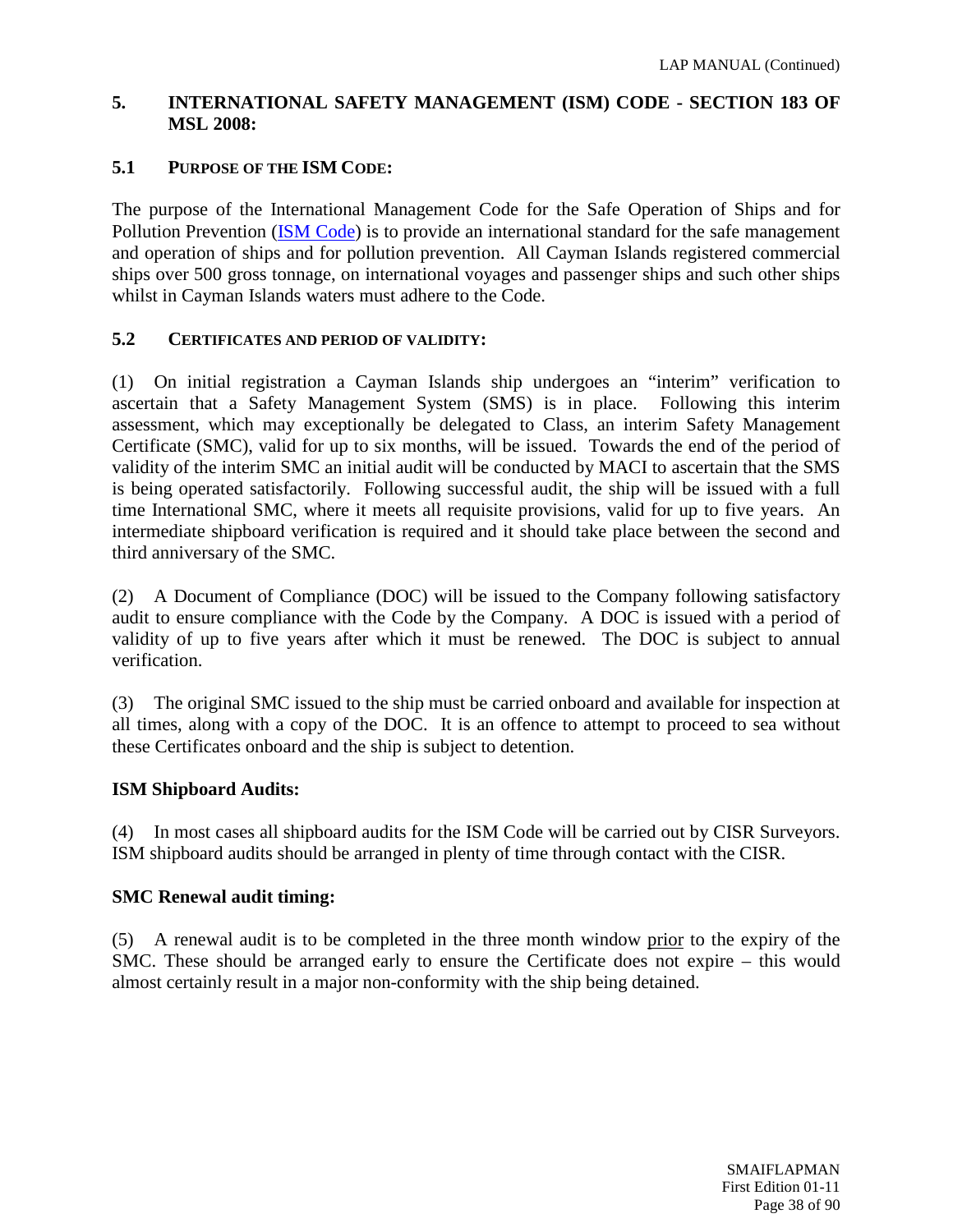## **5. INTERNATIONAL SAFETY MANAGEMENT (ISM) CODE - SECTION 183 OF MSL 2008:**

## **5.1 PURPOSE OF THE ISM CODE:**

The purpose of the International Management Code for the Safe Operation of Ships and for Pollution Prevention [\(ISM Code\)](http://www.imo.org/humanelement/mainframe.asp?topic_id=287) is to provide an international standard for the safe management and operation of ships and for pollution prevention. All Cayman Islands registered commercial ships over 500 gross tonnage, on international voyages and passenger ships and such other ships whilst in Cayman Islands waters must adhere to the Code.

#### **5.2 CERTIFICATES AND PERIOD OF VALIDITY:**

(1) On initial registration a Cayman Islands ship undergoes an "interim" verification to ascertain that a Safety Management System (SMS) is in place. Following this interim assessment, which may exceptionally be delegated to Class, an interim Safety Management Certificate (SMC), valid for up to six months, will be issued. Towards the end of the period of validity of the interim SMC an initial audit will be conducted by MACI to ascertain that the SMS is being operated satisfactorily. Following successful audit, the ship will be issued with a full time International SMC, where it meets all requisite provisions, valid for up to five years. An intermediate shipboard verification is required and it should take place between the second and third anniversary of the SMC.

(2) A Document of Compliance (DOC) will be issued to the Company following satisfactory audit to ensure compliance with the Code by the Company. A DOC is issued with a period of validity of up to five years after which it must be renewed. The DOC is subject to annual verification.

(3) The original SMC issued to the ship must be carried onboard and available for inspection at all times, along with a copy of the DOC. It is an offence to attempt to proceed to sea without these Certificates onboard and the ship is subject to detention.

## **ISM Shipboard Audits:**

(4) In most cases all shipboard audits for the ISM Code will be carried out by CISR Surveyors. ISM shipboard audits should be arranged in plenty of time through contact with the CISR.

## **SMC Renewal audit timing:**

(5) A renewal audit is to be completed in the three month window prior to the expiry of the SMC. These should be arranged early to ensure the Certificate does not expire – this would almost certainly result in a major non-conformity with the ship being detained.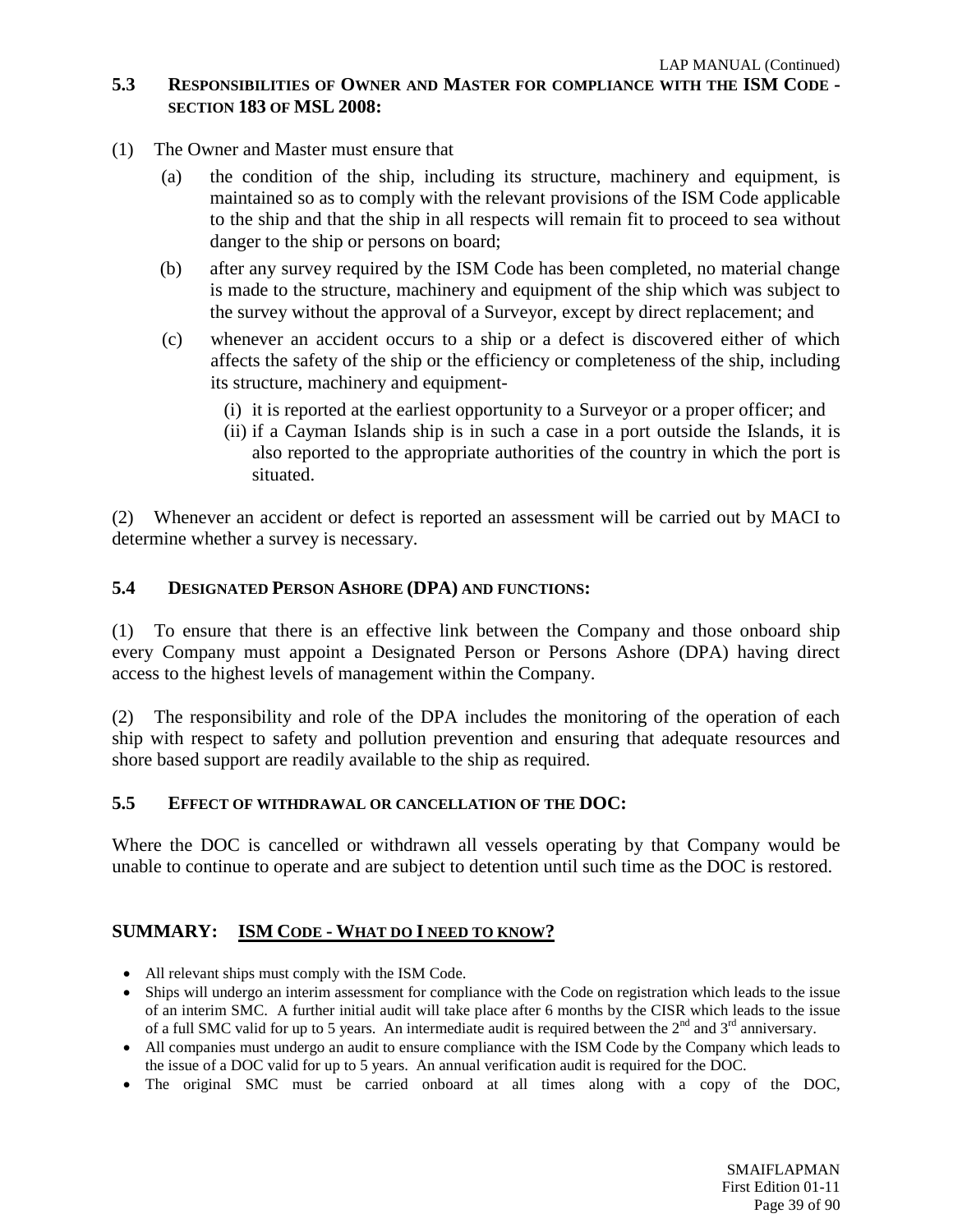#### **5.3 RESPONSIBILITIES OF OWNER AND MASTER FOR COMPLIANCE WITH THE ISM CODE - SECTION 183 OF MSL 2008:**

- (1) The Owner and Master must ensure that
	- (a) the condition of the ship, including its structure, machinery and equipment, is maintained so as to comply with the relevant provisions of the ISM Code applicable to the ship and that the ship in all respects will remain fit to proceed to sea without danger to the ship or persons on board;
	- (b) after any survey required by the ISM Code has been completed, no material change is made to the structure, machinery and equipment of the ship which was subject to the survey without the approval of a Surveyor, except by direct replacement; and
	- (c) whenever an accident occurs to a ship or a defect is discovered either of which affects the safety of the ship or the efficiency or completeness of the ship, including its structure, machinery and equipment-
		- (i) it is reported at the earliest opportunity to a Surveyor or a proper officer; and
		- (ii) if a Cayman Islands ship is in such a case in a port outside the Islands, it is also reported to the appropriate authorities of the country in which the port is situated.

(2) Whenever an accident or defect is reported an assessment will be carried out by MACI to determine whether a survey is necessary.

## **5.4 DESIGNATED PERSON ASHORE (DPA) AND FUNCTIONS:**

(1) To ensure that there is an effective link between the Company and those onboard ship every Company must appoint a Designated Person or Persons Ashore (DPA) having direct access to the highest levels of management within the Company.

(2) The responsibility and role of the DPA includes the monitoring of the operation of each ship with respect to safety and pollution prevention and ensuring that adequate resources and shore based support are readily available to the ship as required.

#### **5.5 EFFECT OF WITHDRAWAL OR CANCELLATION OF THE DOC:**

Where the DOC is cancelled or withdrawn all vessels operating by that Company would be unable to continue to operate and are subject to detention until such time as the DOC is restored.

#### **SUMMARY: ISM CODE - WHAT DO I NEED TO KNOW?**

- All relevant ships must comply with the ISM Code.
- Ships will undergo an interim assessment for compliance with the Code on registration which leads to the issue of an interim SMC. A further initial audit will take place after 6 months by the CISR which leads to the issue of a full SMC valid for up to 5 years. An intermediate audit is required between the  $2<sup>nd</sup>$  and  $3<sup>rd</sup>$  anniversary.
- All companies must undergo an audit to ensure compliance with the ISM Code by the Company which leads to the issue of a DOC valid for up to 5 years. An annual verification audit is required for the DOC.
- The original SMC must be carried onboard at all times along with a copy of the DOC,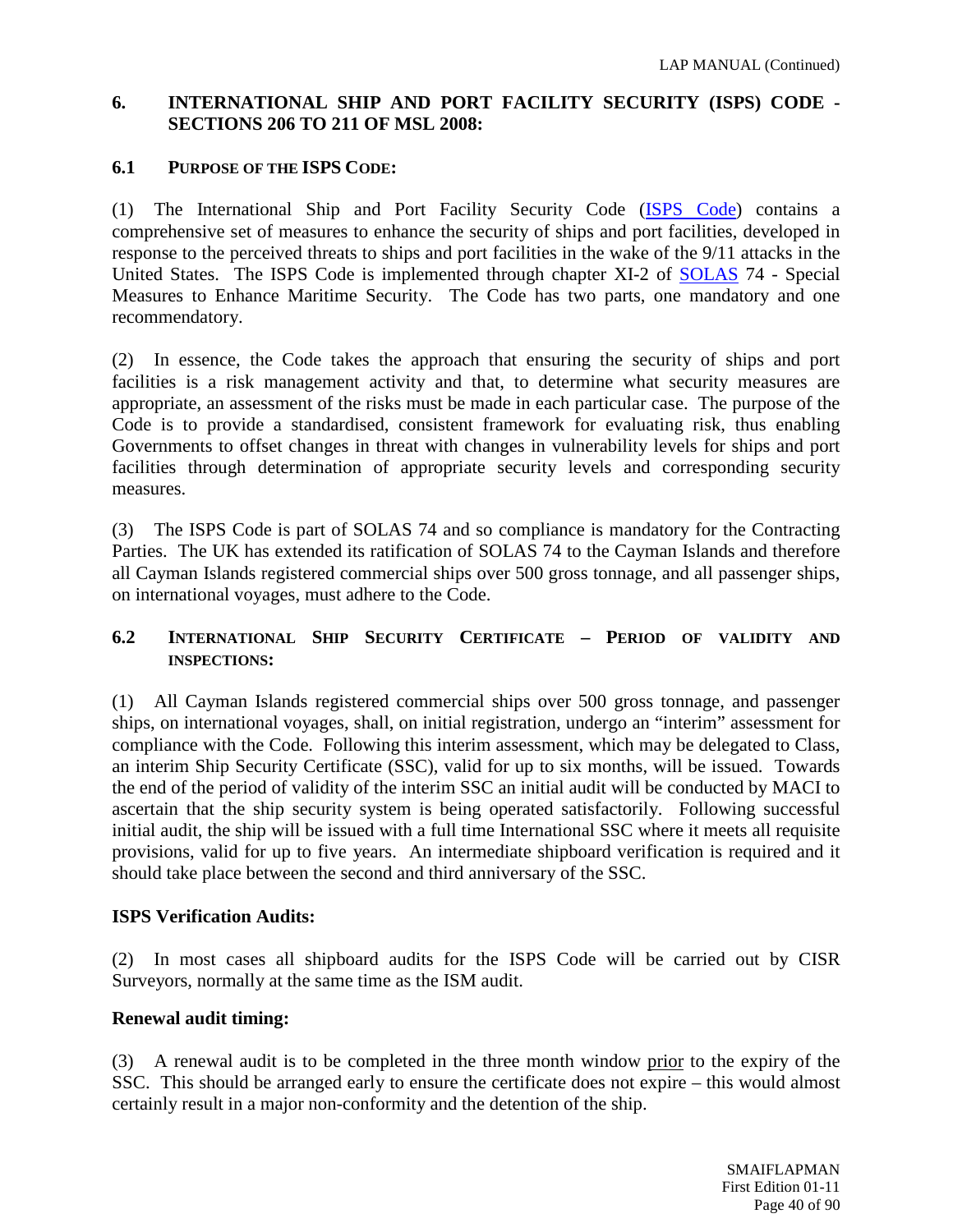# **6. INTERNATIONAL SHIP AND PORT FACILITY SECURITY (ISPS) CODE - SECTIONS 206 TO 211 OF MSL 2008:**

## **6.1 PURPOSE OF THE ISPS CODE:**

(1) The International Ship and Port Facility Security Code [\(ISPS Code\)](http://www.imo.org/Safety/mainframe.asp?topic_id=897#what) contains a comprehensive set of measures to enhance the security of ships and port facilities, developed in response to the perceived threats to ships and port facilities in the wake of the 9/11 attacks in the United States. The ISPS Code is implemented through chapter XI-2 of [SOLAS](http://www.imo.org/about/conventions/listofconventions/pages/international-convention-for-the-safety-of-life-at-sea-%28solas%29,-1974.aspx) 74 - Special Measures to Enhance Maritime Security. The Code has two parts, one mandatory and one recommendatory.

(2) In essence, the Code takes the approach that ensuring the security of ships and port facilities is a risk management activity and that, to determine what security measures are appropriate, an assessment of the risks must be made in each particular case. The purpose of the Code is to provide a standardised, consistent framework for evaluating risk, thus enabling Governments to offset changes in threat with changes in vulnerability levels for ships and port facilities through determination of appropriate security levels and corresponding security measures.

(3) The ISPS Code is part of SOLAS 74 and so compliance is mandatory for the Contracting Parties. The UK has extended its ratification of SOLAS 74 to the Cayman Islands and therefore all Cayman Islands registered commercial ships over 500 gross tonnage, and all passenger ships, on international voyages, must adhere to the Code.

## **6.2 INTERNATIONAL SHIP SECURITY CERTIFICATE – PERIOD OF VALIDITY AND INSPECTIONS:**

(1) All Cayman Islands registered commercial ships over 500 gross tonnage, and passenger ships, on international voyages, shall, on initial registration, undergo an "interim" assessment for compliance with the Code. Following this interim assessment, which may be delegated to Class, an interim Ship Security Certificate (SSC), valid for up to six months, will be issued. Towards the end of the period of validity of the interim SSC an initial audit will be conducted by MACI to ascertain that the ship security system is being operated satisfactorily. Following successful initial audit, the ship will be issued with a full time International SSC where it meets all requisite provisions, valid for up to five years. An intermediate shipboard verification is required and it should take place between the second and third anniversary of the SSC.

## **ISPS Verification Audits:**

(2) In most cases all shipboard audits for the ISPS Code will be carried out by CISR Surveyors, normally at the same time as the ISM audit.

## **Renewal audit timing:**

(3) A renewal audit is to be completed in the three month window prior to the expiry of the SSC. This should be arranged early to ensure the certificate does not expire – this would almost certainly result in a major non-conformity and the detention of the ship.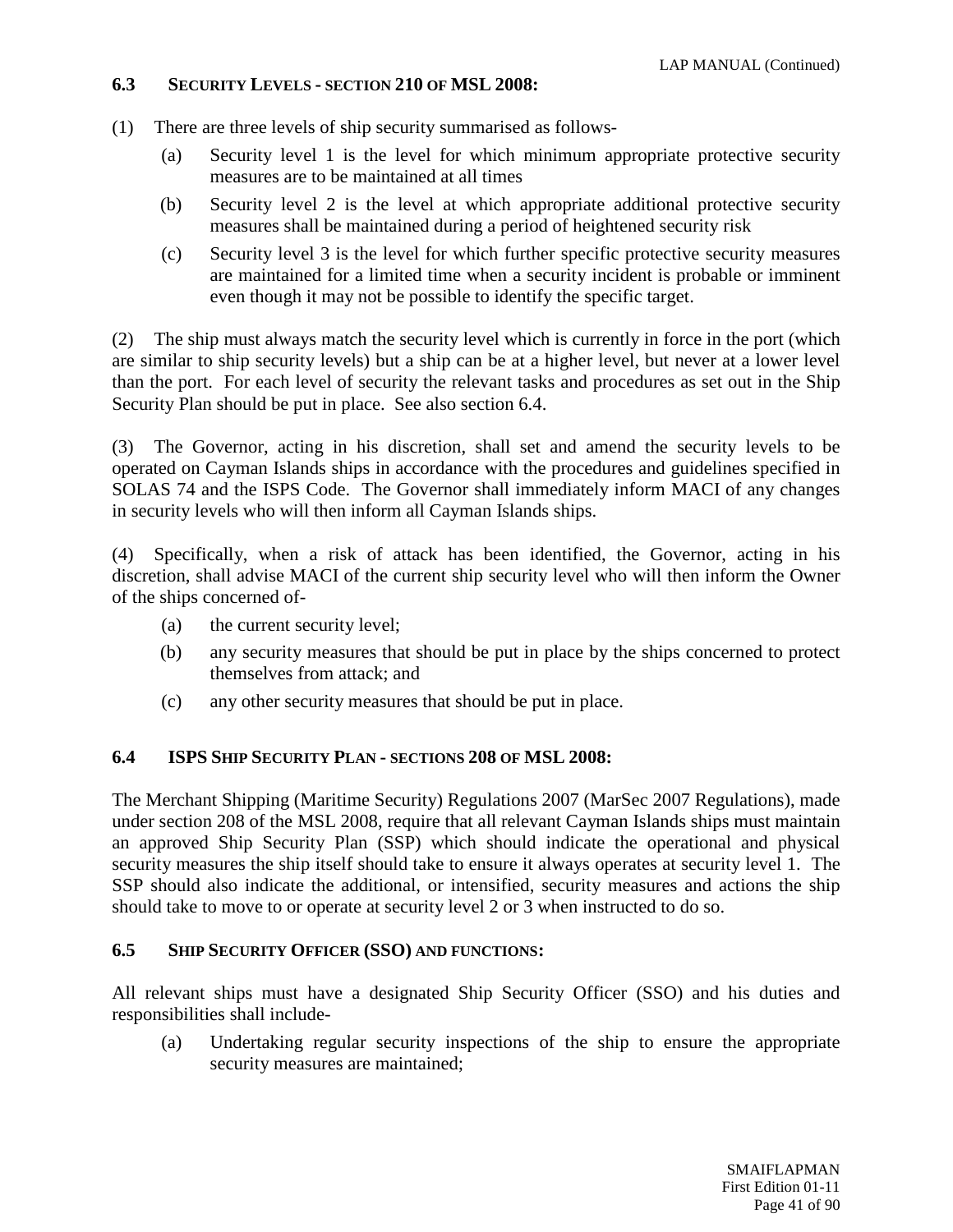## **6.3 SECURITY LEVELS - SECTION 210 OF MSL 2008:**

- (1) There are three levels of ship security summarised as follows-
	- (a) Security level 1 is the level for which minimum appropriate protective security measures are to be maintained at all times
	- (b) Security level 2 is the level at which appropriate additional protective security measures shall be maintained during a period of heightened security risk
	- (c) Security level 3 is the level for which further specific protective security measures are maintained for a limited time when a security incident is probable or imminent even though it may not be possible to identify the specific target.

(2) The ship must always match the security level which is currently in force in the port (which are similar to ship security levels) but a ship can be at a higher level, but never at a lower level than the port. For each level of security the relevant tasks and procedures as set out in the Ship Security Plan should be put in place. See also section 6.4.

(3) The Governor, acting in his discretion, shall set and amend the security levels to be operated on Cayman Islands ships in accordance with the procedures and guidelines specified in SOLAS 74 and the ISPS Code. The Governor shall immediately inform MACI of any changes in security levels who will then inform all Cayman Islands ships.

(4) Specifically, when a risk of attack has been identified, the Governor, acting in his discretion, shall advise MACI of the current ship security level who will then inform the Owner of the ships concerned of-

- (a) the current security level;
- (b) any security measures that should be put in place by the ships concerned to protect themselves from attack; and
- (c) any other security measures that should be put in place.

## **6.4 ISPS SHIP SECURITY PLAN - SECTIONS 208 OF MSL 2008:**

The Merchant Shipping (Maritime Security) Regulations 2007 (MarSec 2007 Regulations), made under section 208 of the MSL 2008, require that all relevant Cayman Islands ships must maintain an approved Ship Security Plan (SSP) which should indicate the operational and physical security measures the ship itself should take to ensure it always operates at security level 1. The SSP should also indicate the additional, or intensified, security measures and actions the ship should take to move to or operate at security level 2 or 3 when instructed to do so.

## **6.5 SHIP SECURITY OFFICER (SSO) AND FUNCTIONS:**

All relevant ships must have a designated Ship Security Officer (SSO) and his duties and responsibilities shall include-

(a) Undertaking regular security inspections of the ship to ensure the appropriate security measures are maintained;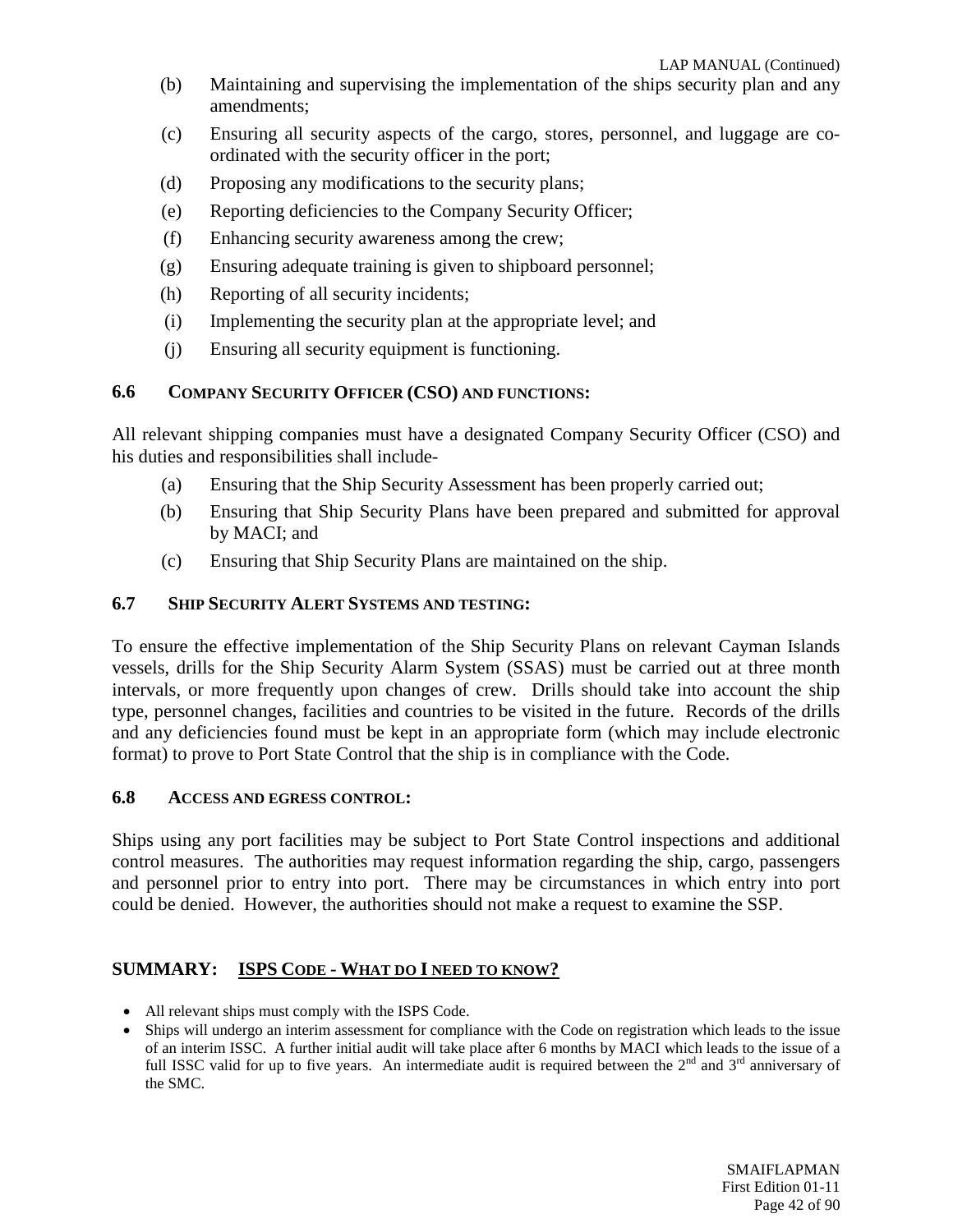- (b) Maintaining and supervising the implementation of the ships security plan and any amendments;
- (c) Ensuring all security aspects of the cargo, stores, personnel, and luggage are coordinated with the security officer in the port;
- (d) Proposing any modifications to the security plans;
- (e) Reporting deficiencies to the Company Security Officer;
- (f) Enhancing security awareness among the crew;
- (g) Ensuring adequate training is given to shipboard personnel;
- (h) Reporting of all security incidents;
- (i) Implementing the security plan at the appropriate level; and
- (j) Ensuring all security equipment is functioning.

## **6.6 COMPANY SECURITY OFFICER (CSO) AND FUNCTIONS:**

All relevant shipping companies must have a designated Company Security Officer (CSO) and his duties and responsibilities shall include-

- (a) Ensuring that the Ship Security Assessment has been properly carried out;
- (b) Ensuring that Ship Security Plans have been prepared and submitted for approval by MACI; and
- (c) Ensuring that Ship Security Plans are maintained on the ship.

## **6.7 SHIP SECURITY ALERT SYSTEMS AND TESTING:**

To ensure the effective implementation of the Ship Security Plans on relevant Cayman Islands vessels, drills for the Ship Security Alarm System (SSAS) must be carried out at three month intervals, or more frequently upon changes of crew. Drills should take into account the ship type, personnel changes, facilities and countries to be visited in the future. Records of the drills and any deficiencies found must be kept in an appropriate form (which may include electronic format) to prove to Port State Control that the ship is in compliance with the Code.

#### **6.8 ACCESS AND EGRESS CONTROL:**

Ships using any port facilities may be subject to Port State Control inspections and additional control measures. The authorities may request information regarding the ship, cargo, passengers and personnel prior to entry into port. There may be circumstances in which entry into port could be denied. However, the authorities should not make a request to examine the SSP.

## **SUMMARY: ISPS CODE - WHAT DO I NEED TO KNOW?**

- All relevant ships must comply with the ISPS Code.
- Ships will undergo an interim assessment for compliance with the Code on registration which leads to the issue of an interim ISSC. A further initial audit will take place after 6 months by MACI which leads to the issue of a full ISSC valid for up to five years. An intermediate audit is required between the  $2^{nd}$  and  $3^{rd}$  anniversary of the SMC.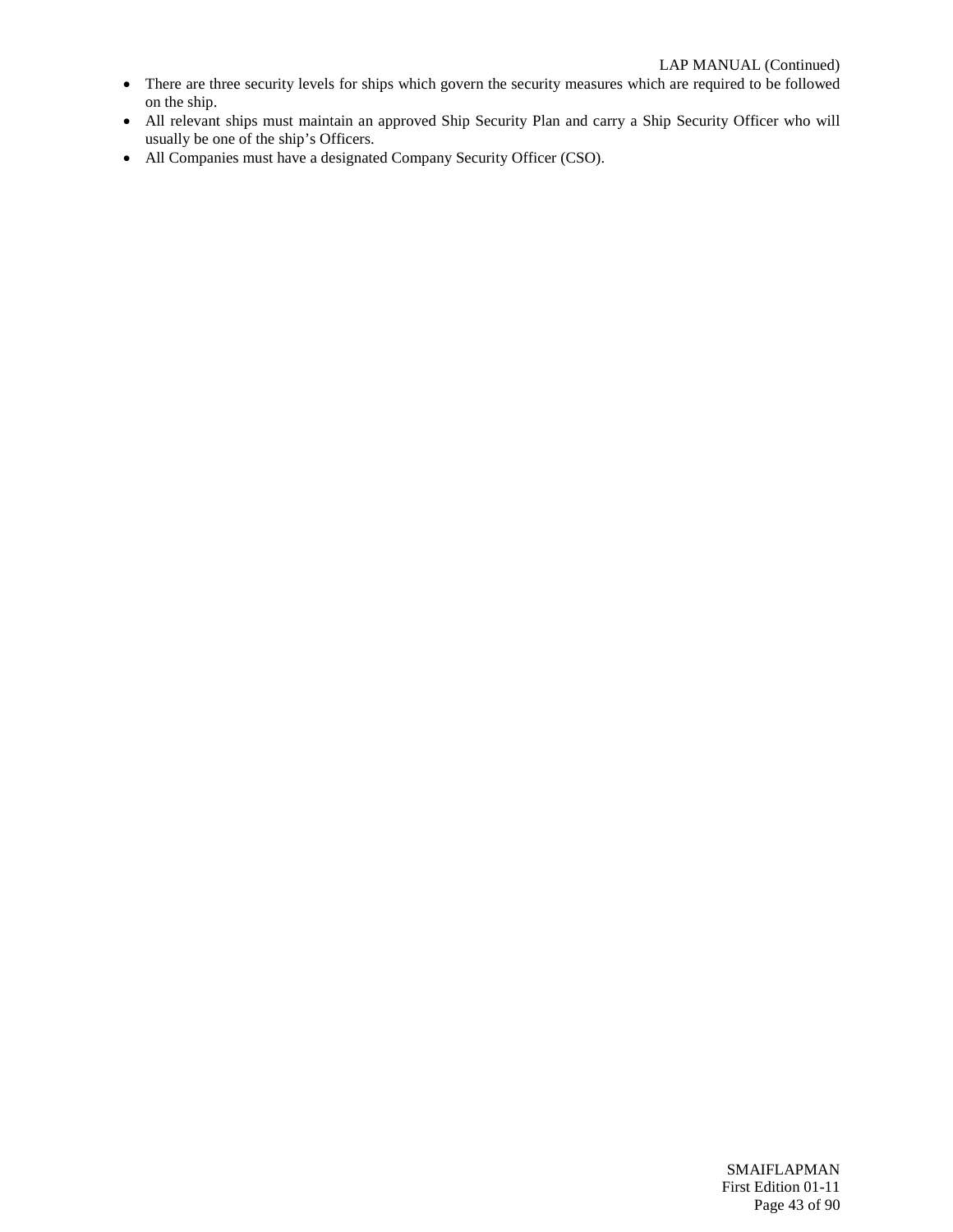- There are three security levels for ships which govern the security measures which are required to be followed on the ship.
- All relevant ships must maintain an approved Ship Security Plan and carry a Ship Security Officer who will usually be one of the ship's Officers.
- All Companies must have a designated Company Security Officer (CSO).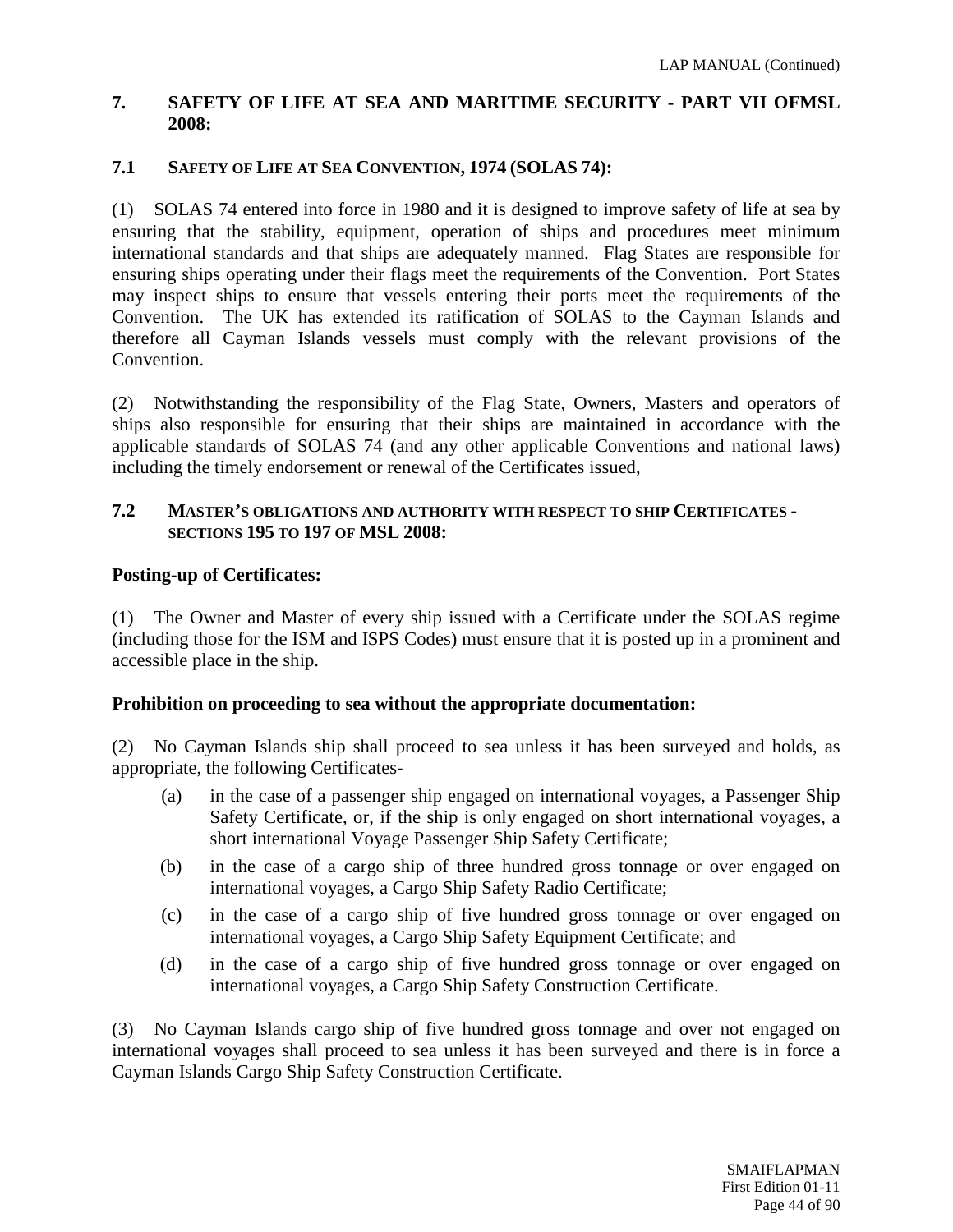## **7. SAFETY OF LIFE AT SEA AND MARITIME SECURITY - PART VII OFMSL 2008:**

## **7.1 SAFETY OF LIFE AT SEA CONVENTION, 1974 (SOLAS 74):**

(1) SOLAS 74 entered into force in 1980 and it is designed to improve safety of life at sea by ensuring that the stability, equipment, operation of ships and procedures meet minimum international standards and that ships are adequately manned. Flag States are responsible for ensuring ships operating under their flags meet the requirements of the Convention. Port States may inspect ships to ensure that vessels entering their ports meet the requirements of the Convention. The UK has extended its ratification of SOLAS to the Cayman Islands and therefore all Cayman Islands vessels must comply with the relevant provisions of the Convention.

(2) Notwithstanding the responsibility of the Flag State, Owners, Masters and operators of ships also responsible for ensuring that their ships are maintained in accordance with the applicable standards of SOLAS 74 (and any other applicable Conventions and national laws) including the timely endorsement or renewal of the Certificates issued,

#### **7.2 MASTER'S OBLIGATIONS AND AUTHORITY WITH RESPECT TO SHIP CERTIFICATES - SECTIONS 195 TO 197 OF MSL 2008:**

## **Posting-up of Certificates:**

(1) The Owner and Master of every ship issued with a Certificate under the SOLAS regime (including those for the ISM and ISPS Codes) must ensure that it is posted up in a prominent and accessible place in the ship.

## **Prohibition on proceeding to sea without the appropriate documentation:**

(2) No Cayman Islands ship shall proceed to sea unless it has been surveyed and holds, as appropriate, the following Certificates-

- (a) in the case of a passenger ship engaged on international voyages, a Passenger Ship Safety Certificate, or, if the ship is only engaged on short international voyages, a short international Voyage Passenger Ship Safety Certificate;
- (b) in the case of a cargo ship of three hundred gross tonnage or over engaged on international voyages, a Cargo Ship Safety Radio Certificate;
- (c) in the case of a cargo ship of five hundred gross tonnage or over engaged on international voyages, a Cargo Ship Safety Equipment Certificate; and
- (d) in the case of a cargo ship of five hundred gross tonnage or over engaged on international voyages, a Cargo Ship Safety Construction Certificate.

(3) No Cayman Islands cargo ship of five hundred gross tonnage and over not engaged on international voyages shall proceed to sea unless it has been surveyed and there is in force a Cayman Islands Cargo Ship Safety Construction Certificate.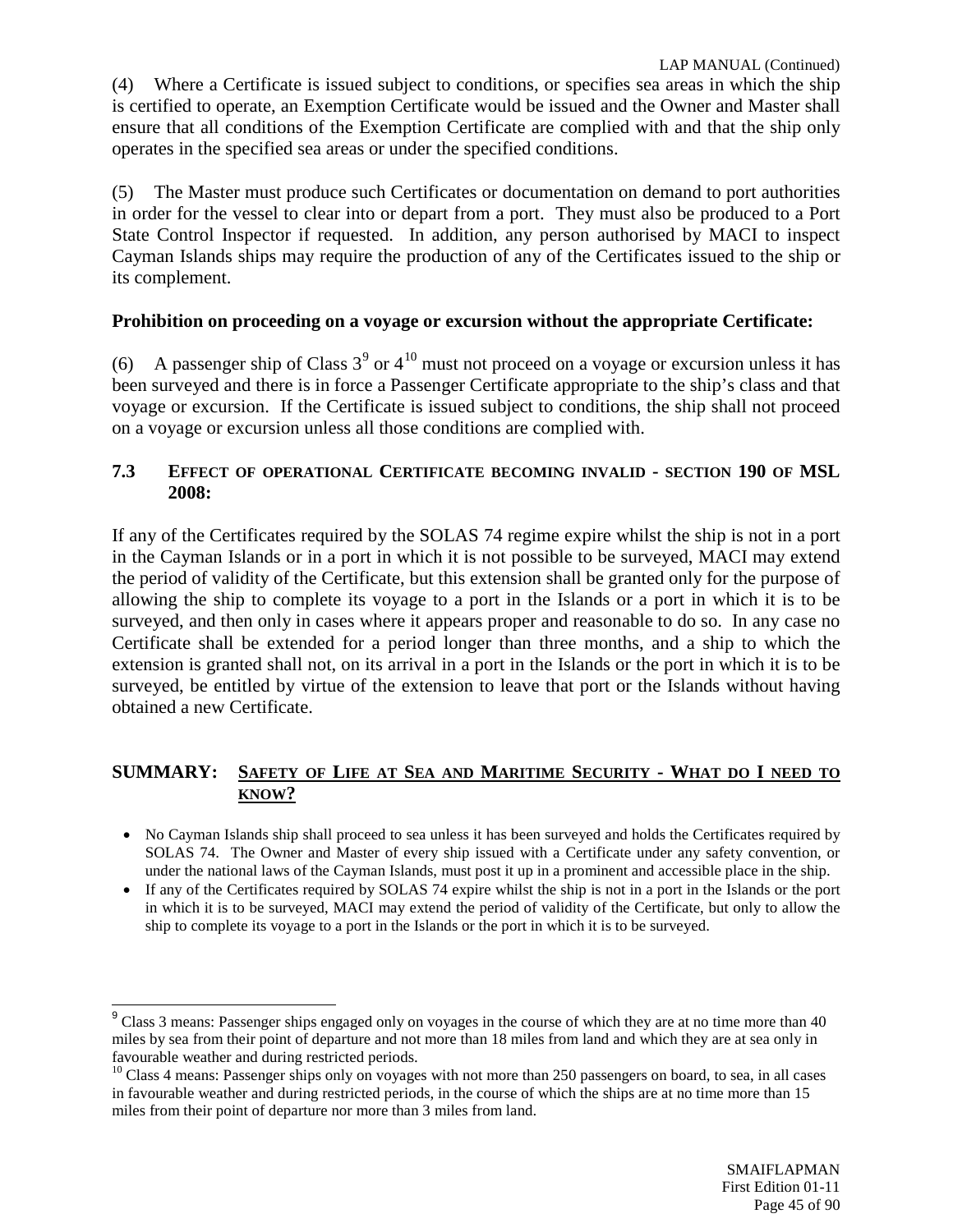(4) Where a Certificate is issued subject to conditions, or specifies sea areas in which the ship is certified to operate, an Exemption Certificate would be issued and the Owner and Master shall ensure that all conditions of the Exemption Certificate are complied with and that the ship only operates in the specified sea areas or under the specified conditions.

(5) The Master must produce such Certificates or documentation on demand to port authorities in order for the vessel to clear into or depart from a port. They must also be produced to a Port State Control Inspector if requested. In addition, any person authorised by MACI to inspect Cayman Islands ships may require the production of any of the Certificates issued to the ship or its complement.

## **Prohibition on proceeding on a voyage or excursion without the appropriate Certificate:**

(6) A passenger ship of Class  $3^9$  $3^9$  or  $4^{10}$  $4^{10}$  $4^{10}$  must not proceed on a voyage or excursion unless it has been surveyed and there is in force a Passenger Certificate appropriate to the ship's class and that voyage or excursion. If the Certificate is issued subject to conditions, the ship shall not proceed on a voyage or excursion unless all those conditions are complied with.

## **7.3 EFFECT OF OPERATIONAL CERTIFICATE BECOMING INVALID - SECTION 190 OF MSL 2008:**

If any of the Certificates required by the SOLAS 74 regime expire whilst the ship is not in a port in the Cayman Islands or in a port in which it is not possible to be surveyed, MACI may extend the period of validity of the Certificate, but this extension shall be granted only for the purpose of allowing the ship to complete its voyage to a port in the Islands or a port in which it is to be surveyed, and then only in cases where it appears proper and reasonable to do so. In any case no Certificate shall be extended for a period longer than three months, and a ship to which the extension is granted shall not, on its arrival in a port in the Islands or the port in which it is to be surveyed, be entitled by virtue of the extension to leave that port or the Islands without having obtained a new Certificate.

#### **SUMMARY: SAFETY OF LIFE AT SEA AND MARITIME SECURITY - WHAT DO I NEED TO KNOW?**

- No Cayman Islands ship shall proceed to sea unless it has been surveyed and holds the Certificates required by SOLAS 74. The Owner and Master of every ship issued with a Certificate under any safety convention, or under the national laws of the Cayman Islands, must post it up in a prominent and accessible place in the ship.
- If any of the Certificates required by SOLAS 74 expire whilst the ship is not in a port in the Islands or the port in which it is to be surveyed, MACI may extend the period of validity of the Certificate, but only to allow the ship to complete its voyage to a port in the Islands or the port in which it is to be surveyed.

<span id="page-44-0"></span><sup>&</sup>lt;sup>9</sup> Class 3 means: Passenger ships engaged only on voyages in the course of which they are at no time more than 40 miles by sea from their point of departure and not more than 18 miles from land and which they are at sea only in favourable weather and during restricted periods.

<span id="page-44-1"></span> $10$  Class 4 means: Passenger ships only on voyages with not more than 250 passengers on board, to sea, in all cases in favourable weather and during restricted periods, in the course of which the ships are at no time more than 15 miles from their point of departure nor more than 3 miles from land.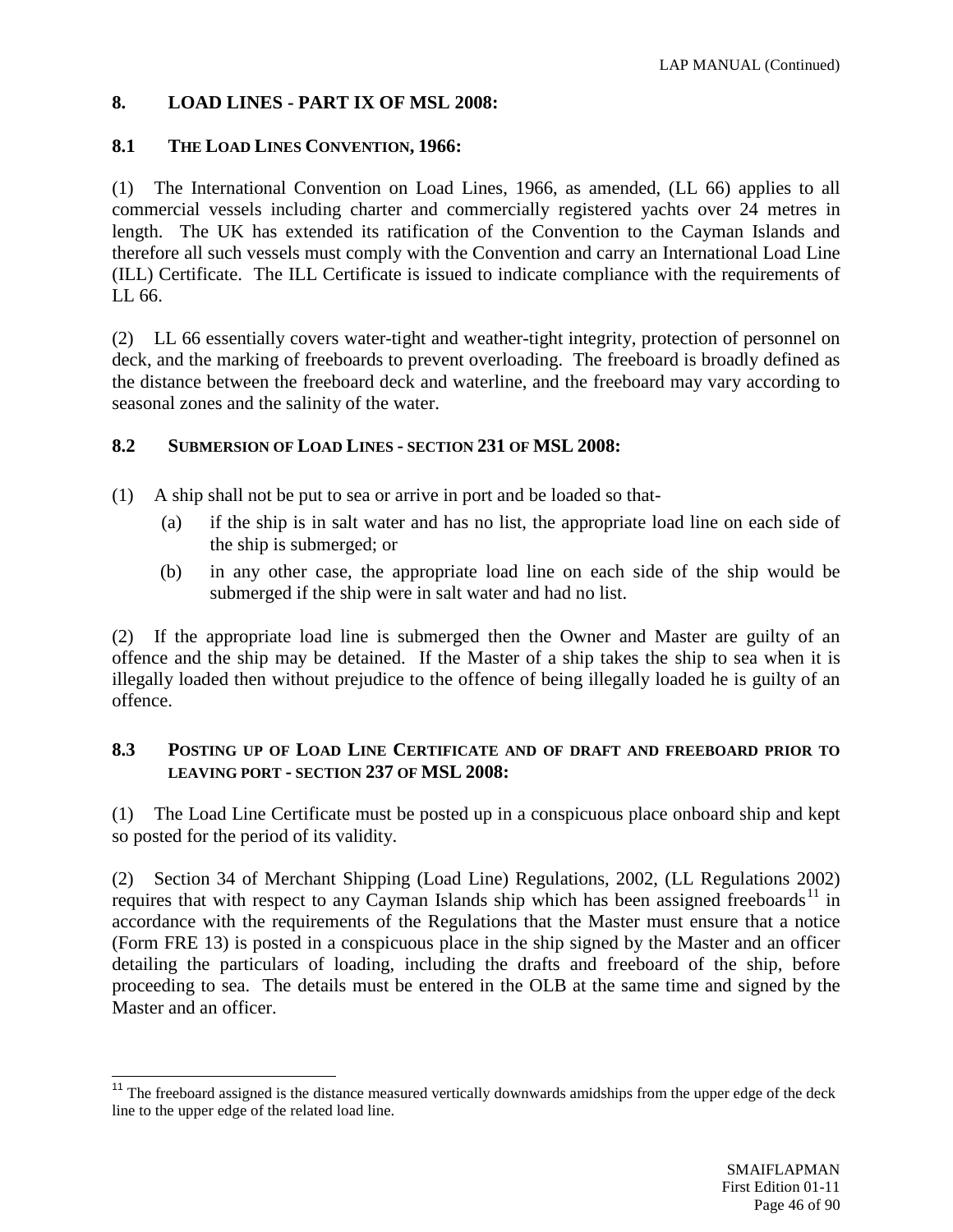# **8. LOAD LINES - PART IX OF MSL 2008:**

## **8.1 THE LOAD LINES CONVENTION, 1966:**

(1) The International Convention on Load Lines, 1966, as amended, (LL 66) applies to all commercial vessels including charter and commercially registered yachts over 24 metres in length. The UK has extended its ratification of the Convention to the Cayman Islands and therefore all such vessels must comply with the Convention and carry an International Load Line (ILL) Certificate. The ILL Certificate is issued to indicate compliance with the requirements of LL 66.

(2) LL 66 essentially covers water-tight and weather-tight integrity, protection of personnel on deck, and the marking of freeboards to prevent overloading. The freeboard is broadly defined as the distance between the freeboard deck and waterline, and the freeboard may vary according to seasonal zones and the salinity of the water.

## **8.2 SUBMERSION OF LOAD LINES - SECTION 231 OF MSL 2008:**

- (1) A ship shall not be put to sea or arrive in port and be loaded so that-
	- (a) if the ship is in salt water and has no list, the appropriate load line on each side of the ship is submerged; or
	- (b) in any other case, the appropriate load line on each side of the ship would be submerged if the ship were in salt water and had no list.

(2) If the appropriate load line is submerged then the Owner and Master are guilty of an offence and the ship may be detained. If the Master of a ship takes the ship to sea when it is illegally loaded then without prejudice to the offence of being illegally loaded he is guilty of an offence.

## **8.3 POSTING UP OF LOAD LINE CERTIFICATE AND OF DRAFT AND FREEBOARD PRIOR TO LEAVING PORT - SECTION 237 OF MSL 2008:**

(1) The Load Line Certificate must be posted up in a conspicuous place onboard ship and kept so posted for the period of its validity.

(2) Section 34 of Merchant Shipping (Load Line) Regulations, 2002, (LL Regulations 2002) requires that with respect to any Cayman Islands ship which has been assigned freeboards<sup>[11](#page-45-0)</sup> in accordance with the requirements of the Regulations that the Master must ensure that a notice (Form FRE 13) is posted in a conspicuous place in the ship signed by the Master and an officer detailing the particulars of loading, including the drafts and freeboard of the ship, before proceeding to sea. The details must be entered in the OLB at the same time and signed by the Master and an officer.

<span id="page-45-0"></span> $11$  The freeboard assigned is the distance measured vertically downwards amidships from the upper edge of the deck line to the upper edge of the related load line.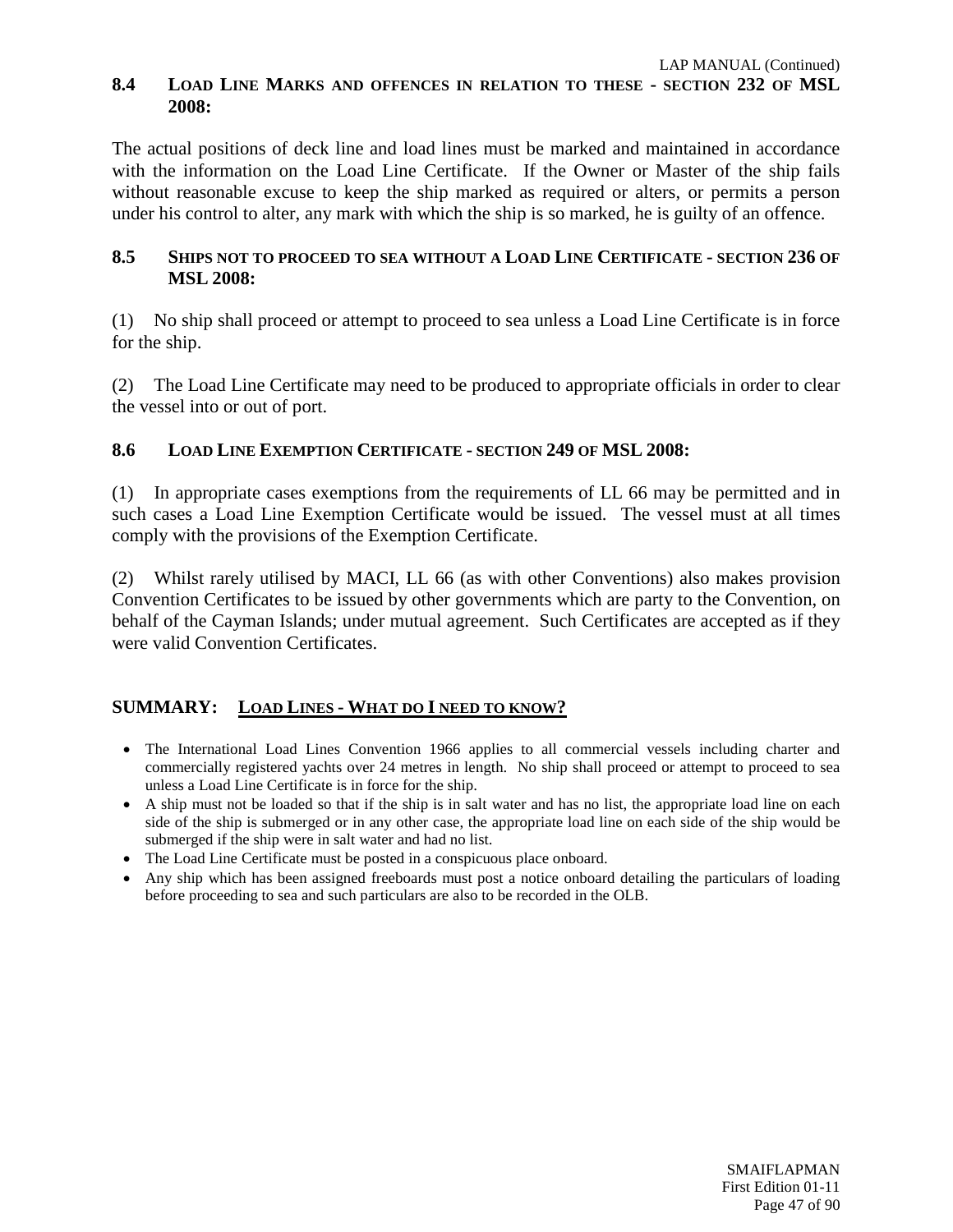## **8.4 LOAD LINE MARKS AND OFFENCES IN RELATION TO THESE - SECTION 232 OF MSL 2008:**

The actual positions of deck line and load lines must be marked and maintained in accordance with the information on the Load Line Certificate. If the Owner or Master of the ship fails without reasonable excuse to keep the ship marked as required or alters, or permits a person under his control to alter, any mark with which the ship is so marked, he is guilty of an offence.

## **8.5 SHIPS NOT TO PROCEED TO SEA WITHOUT A LOAD LINE CERTIFICATE - SECTION 236 OF MSL 2008:**

(1) No ship shall proceed or attempt to proceed to sea unless a Load Line Certificate is in force for the ship.

(2) The Load Line Certificate may need to be produced to appropriate officials in order to clear the vessel into or out of port.

## **8.6 LOAD LINE EXEMPTION CERTIFICATE - SECTION 249 OF MSL 2008:**

(1) In appropriate cases exemptions from the requirements of LL 66 may be permitted and in such cases a Load Line Exemption Certificate would be issued. The vessel must at all times comply with the provisions of the Exemption Certificate.

(2) Whilst rarely utilised by MACI, LL 66 (as with other Conventions) also makes provision Convention Certificates to be issued by other governments which are party to the Convention, on behalf of the Cayman Islands; under mutual agreement. Such Certificates are accepted as if they were valid Convention Certificates.

## **SUMMARY: LOAD LINES - WHAT DO I NEED TO KNOW?**

- The International Load Lines Convention 1966 applies to all commercial vessels including charter and commercially registered yachts over 24 metres in length. No ship shall proceed or attempt to proceed to sea unless a Load Line Certificate is in force for the ship.
- A ship must not be loaded so that if the ship is in salt water and has no list, the appropriate load line on each side of the ship is submerged or in any other case, the appropriate load line on each side of the ship would be submerged if the ship were in salt water and had no list.
- The Load Line Certificate must be posted in a conspicuous place onboard.
- Any ship which has been assigned freeboards must post a notice onboard detailing the particulars of loading before proceeding to sea and such particulars are also to be recorded in the OLB.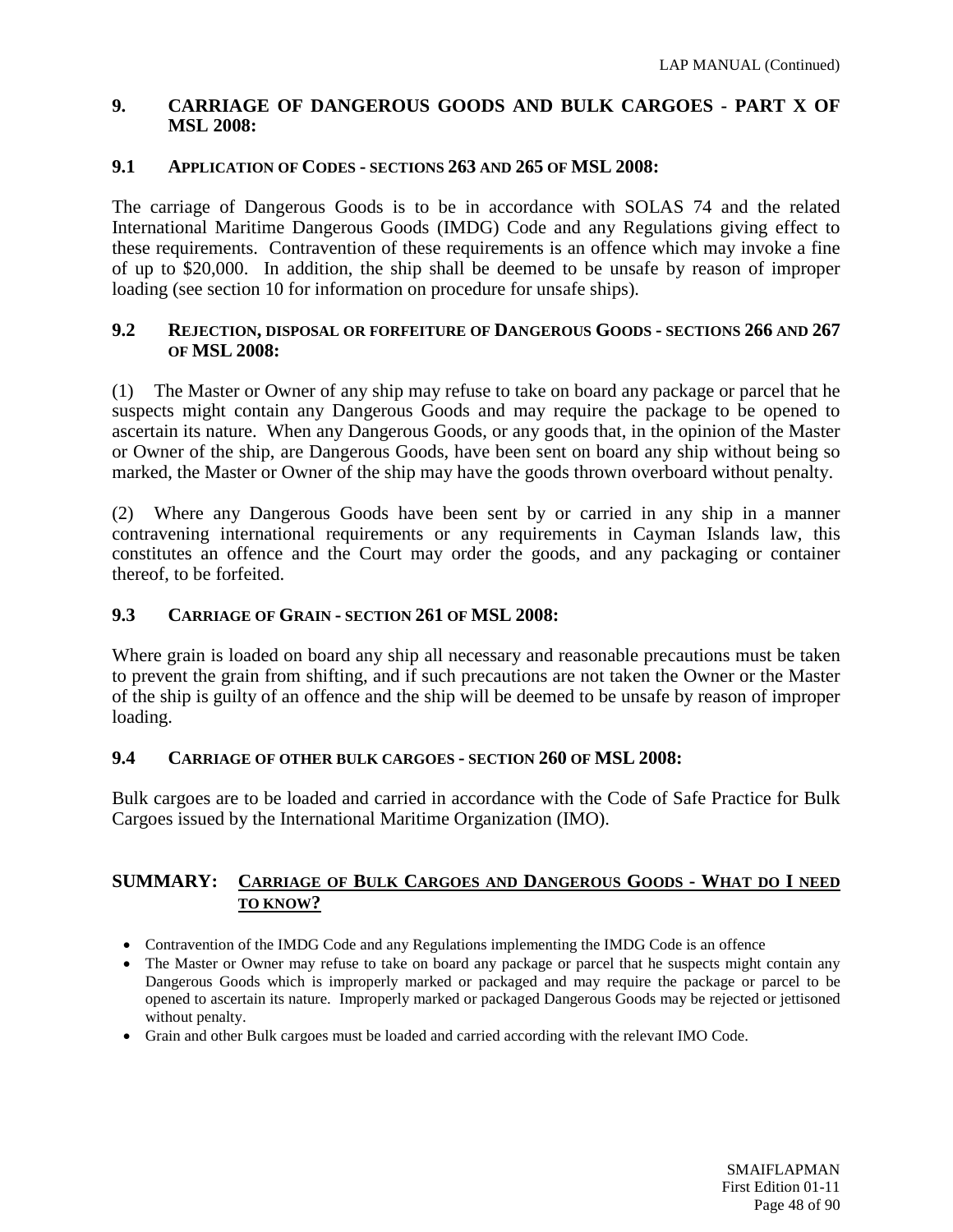### **9. CARRIAGE OF DANGEROUS GOODS AND BULK CARGOES - PART X OF MSL 2008:**

#### **9.1 APPLICATION OF CODES - SECTIONS 263 AND 265 OF MSL 2008:**

The carriage of Dangerous Goods is to be in accordance with SOLAS 74 and the related International Maritime Dangerous Goods (IMDG) Code and any Regulations giving effect to these requirements. Contravention of these requirements is an offence which may invoke a fine of up to \$20,000. In addition, the ship shall be deemed to be unsafe by reason of improper loading (see section 10 for information on procedure for unsafe ships).

#### **9.2 REJECTION, DISPOSAL OR FORFEITURE OF DANGEROUS GOODS - SECTIONS 266 AND 267 OF MSL 2008:**

(1) The Master or Owner of any ship may refuse to take on board any package or parcel that he suspects might contain any Dangerous Goods and may require the package to be opened to ascertain its nature. When any Dangerous Goods, or any goods that, in the opinion of the Master or Owner of the ship, are Dangerous Goods, have been sent on board any ship without being so marked, the Master or Owner of the ship may have the goods thrown overboard without penalty.

(2) Where any Dangerous Goods have been sent by or carried in any ship in a manner contravening international requirements or any requirements in Cayman Islands law, this constitutes an offence and the Court may order the goods, and any packaging or container thereof, to be forfeited.

#### **9.3 CARRIAGE OF GRAIN - SECTION 261 OF MSL 2008:**

Where grain is loaded on board any ship all necessary and reasonable precautions must be taken to prevent the grain from shifting, and if such precautions are not taken the Owner or the Master of the ship is guilty of an offence and the ship will be deemed to be unsafe by reason of improper loading.

#### **9.4 CARRIAGE OF OTHER BULK CARGOES - SECTION 260 OF MSL 2008:**

Bulk cargoes are to be loaded and carried in accordance with the Code of Safe Practice for Bulk Cargoes issued by the International Maritime Organization (IMO).

#### **SUMMARY: CARRIAGE OF BULK CARGOES AND DANGEROUS GOODS - WHAT DO I NEED TO KNOW?**

- Contravention of the IMDG Code and any Regulations implementing the IMDG Code is an offence
- The Master or Owner may refuse to take on board any package or parcel that he suspects might contain any Dangerous Goods which is improperly marked or packaged and may require the package or parcel to be opened to ascertain its nature. Improperly marked or packaged Dangerous Goods may be rejected or jettisoned without penalty.
- Grain and other Bulk cargoes must be loaded and carried according with the relevant IMO Code.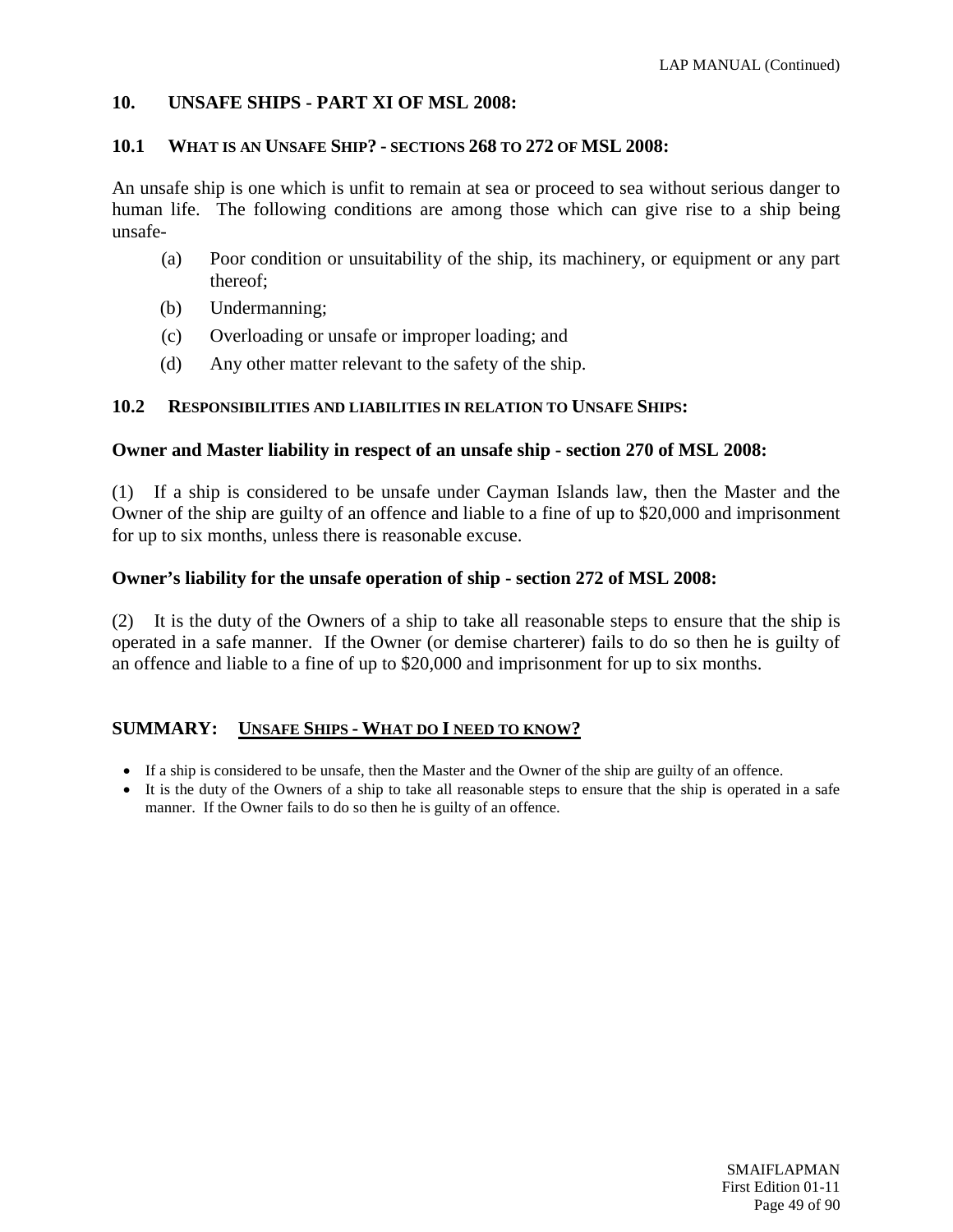## **10. UNSAFE SHIPS - PART XI OF MSL 2008:**

#### **10.1 WHAT IS AN UNSAFE SHIP? - SECTIONS 268 TO 272 OF MSL 2008:**

An unsafe ship is one which is unfit to remain at sea or proceed to sea without serious danger to human life. The following conditions are among those which can give rise to a ship being unsafe-

- (a) Poor condition or unsuitability of the ship, its machinery, or equipment or any part thereof;
- (b) Undermanning;
- (c) Overloading or unsafe or improper loading; and
- (d) Any other matter relevant to the safety of the ship.

## **10.2 RESPONSIBILITIES AND LIABILITIES IN RELATION TO UNSAFE SHIPS:**

#### **Owner and Master liability in respect of an unsafe ship - section 270 of MSL 2008:**

(1) If a ship is considered to be unsafe under Cayman Islands law, then the Master and the Owner of the ship are guilty of an offence and liable to a fine of up to \$20,000 and imprisonment for up to six months, unless there is reasonable excuse.

#### **Owner's liability for the unsafe operation of ship - section 272 of MSL 2008:**

(2) It is the duty of the Owners of a ship to take all reasonable steps to ensure that the ship is operated in a safe manner. If the Owner (or demise charterer) fails to do so then he is guilty of an offence and liable to a fine of up to \$20,000 and imprisonment for up to six months.

## **SUMMARY: UNSAFE SHIPS - WHAT DO I NEED TO KNOW?**

- If a ship is considered to be unsafe, then the Master and the Owner of the ship are guilty of an offence.
- It is the duty of the Owners of a ship to take all reasonable steps to ensure that the ship is operated in a safe manner. If the Owner fails to do so then he is guilty of an offence.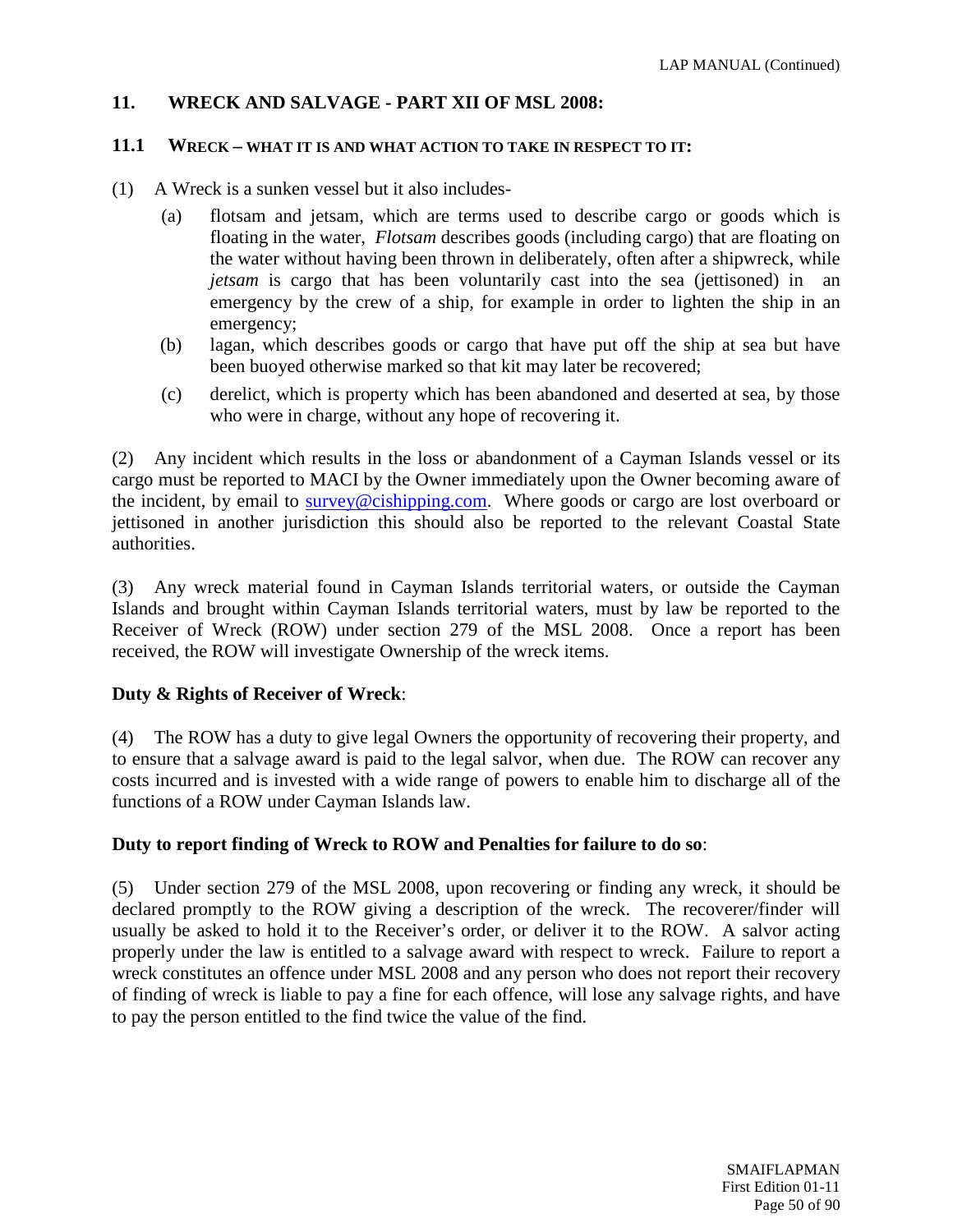## **11. WRECK AND SALVAGE - PART XII OF MSL 2008:**

## **11.1 WRECK – WHAT IT IS AND WHAT ACTION TO TAKE IN RESPECT TO IT:**

- (1) A Wreck is a sunken vessel but it also includes-
	- (a) flotsam and jetsam, which are terms used to describe cargo or goods which is floating in the water, *Flotsam* describes goods (including cargo) that are floating on the water without having been thrown in deliberately, often after a shipwreck, while *jetsam* is cargo that has been voluntarily cast into the sea (jettisoned) in an emergency by the crew of a ship, for example in order to lighten the ship in an emergency;
	- (b) lagan, which describes goods or cargo that have put off the ship at sea but have been buoyed otherwise marked so that kit may later be recovered;
	- (c) derelict, which is property which has been abandoned and deserted at sea, by those who were in charge, without any hope of recovering it.

(2) Any incident which results in the loss or abandonment of a Cayman Islands vessel or its cargo must be reported to MACI by the Owner immediately upon the Owner becoming aware of the incident, by email to [survey@cishipping.com.](mailto:survey@cishipping.com) Where goods or cargo are lost overboard or jettisoned in another jurisdiction this should also be reported to the relevant Coastal State authorities.

(3) Any wreck material found in Cayman Islands territorial waters, or outside the Cayman Islands and brought within Cayman Islands territorial waters, must by law be reported to the Receiver of Wreck (ROW) under section 279 of the MSL 2008. Once a report has been received, the ROW will investigate Ownership of the wreck items.

## **Duty & Rights of Receiver of Wreck**:

(4) The ROW has a duty to give legal Owners the opportunity of recovering their property, and to ensure that a salvage award is paid to the legal salvor, when due. The ROW can recover any costs incurred and is invested with a wide range of powers to enable him to discharge all of the functions of a ROW under Cayman Islands law.

## **Duty to report finding of Wreck to ROW and Penalties for failure to do so**:

(5) Under section 279 of the MSL 2008, upon recovering or finding any wreck, it should be declared promptly to the ROW giving a description of the wreck. The recoverer/finder will usually be asked to hold it to the Receiver's order, or deliver it to the ROW. A salvor acting properly under the law is entitled to a salvage award with respect to wreck. Failure to report a wreck constitutes an offence under MSL 2008 and any person who does not report their recovery of finding of wreck is liable to pay a fine for each offence, will lose any salvage rights, and have to pay the person entitled to the find twice the value of the find.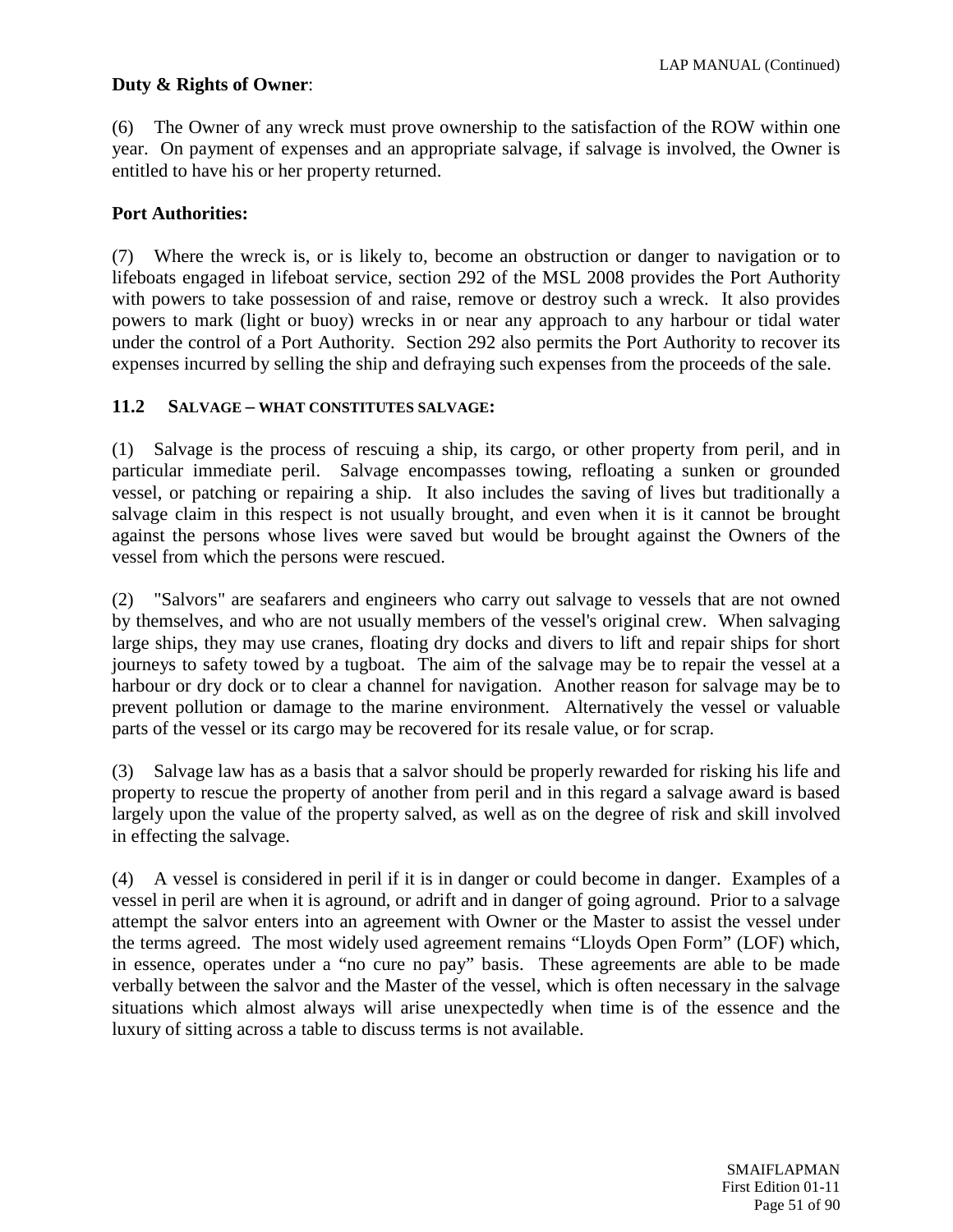## **Duty & Rights of Owner**:

(6) The Owner of any wreck must prove ownership to the satisfaction of the ROW within one year. On payment of expenses and an appropriate salvage, if salvage is involved, the Owner is entitled to have his or her property returned.

## **Port Authorities:**

(7) Where the wreck is, or is likely to, become an obstruction or danger to navigation or to lifeboats engaged in lifeboat service, section 292 of the MSL 2008 provides the Port Authority with powers to take possession of and raise, remove or destroy such a wreck. It also provides powers to mark (light or buoy) wrecks in or near any approach to any harbour or tidal water under the control of a Port Authority. Section 292 also permits the Port Authority to recover its expenses incurred by selling the ship and defraying such expenses from the proceeds of the sale.

## **11.2 SALVAGE – WHAT CONSTITUTES SALVAGE:**

(1) Salvage is the process of rescuing a ship, its cargo, or other property from peril, and in particular immediate peril. Salvage encompasses towing, refloating a sunken or grounded vessel, or patching or repairing a ship. It also includes the saving of lives but traditionally a salvage claim in this respect is not usually brought, and even when it is it cannot be brought against the persons whose lives were saved but would be brought against the Owners of the vessel from which the persons were rescued.

(2) "Salvors" are seafarers and engineers who carry out salvage to vessels that are not owned by themselves, and who are not usually members of the vessel's original crew. When salvaging large ships, they may use cranes, floating dry docks and divers to lift and repair ships for short journeys to safety towed by a tugboat. The aim of the salvage may be to repair the vessel at a harbour or dry dock or to clear a channel for navigation. Another reason for salvage may be to prevent pollution or damage to the marine environment. Alternatively the vessel or valuable parts of the vessel or its cargo may be recovered for its resale value, or for scrap.

(3) Salvage law has as a basis that a salvor should be properly rewarded for risking his life and property to rescue the property of another from peril and in this regard a salvage award is based largely upon the value of the property salved, as well as on the degree of risk and skill involved in effecting the salvage.

(4) A vessel is considered in peril if it is in danger or could become in danger. Examples of a vessel in peril are when it is aground, or adrift and in danger of going aground. Prior to a salvage attempt the salvor enters into an agreement with Owner or the Master to assist the vessel under the terms agreed. The most widely used agreement remains "Lloyds Open Form" (LOF) which, in essence, operates under a "no cure no pay" basis. These agreements are able to be made verbally between the salvor and the Master of the vessel, which is often necessary in the salvage situations which almost always will arise unexpectedly when time is of the essence and the luxury of sitting across a table to discuss terms is not available.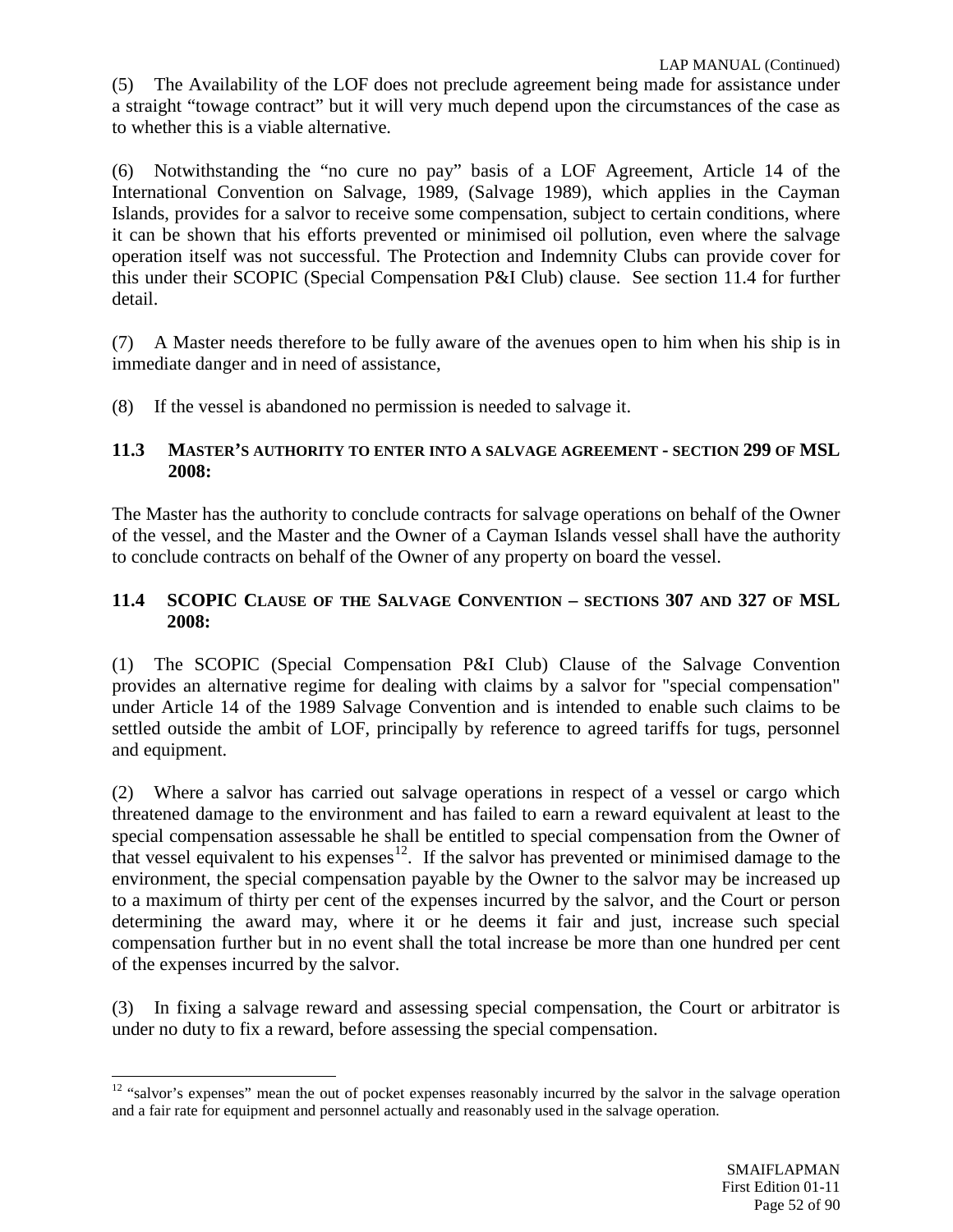(5) The Availability of the LOF does not preclude agreement being made for assistance under a straight "towage contract" but it will very much depend upon the circumstances of the case as to whether this is a viable alternative.

(6) Notwithstanding the "no cure no pay" basis of a LOF Agreement, Article 14 of the International Convention on Salvage, 1989, (Salvage 1989), which applies in the Cayman Islands, provides for a salvor to receive some compensation, subject to certain conditions, where it can be shown that his efforts prevented or minimised oil pollution, even where the salvage operation itself was not successful. The Protection and Indemnity Clubs can provide cover for this under their SCOPIC (Special Compensation P&I Club) clause. See section 11.4 for further detail.

(7) A Master needs therefore to be fully aware of the avenues open to him when his ship is in immediate danger and in need of assistance,

(8) If the vessel is abandoned no permission is needed to salvage it.

## **11.3 MASTER'S AUTHORITY TO ENTER INTO A SALVAGE AGREEMENT - SECTION 299 OF MSL 2008:**

The Master has the authority to conclude contracts for salvage operations on behalf of the Owner of the vessel, and the Master and the Owner of a Cayman Islands vessel shall have the authority to conclude contracts on behalf of the Owner of any property on board the vessel.

## **11.4 SCOPIC CLAUSE OF THE SALVAGE CONVENTION – SECTIONS 307 AND 327 OF MSL 2008:**

(1) The SCOPIC (Special Compensation P&I Club) Clause of the Salvage Convention provides an alternative regime for dealing with claims by a salvor for "special compensation" under Article 14 of the 1989 Salvage Convention and is intended to enable such claims to be settled outside the ambit of LOF, principally by reference to agreed tariffs for tugs, personnel and equipment.

(2) Where a salvor has carried out salvage operations in respect of a vessel or cargo which threatened damage to the environment and has failed to earn a reward equivalent at least to the special compensation assessable he shall be entitled to special compensation from the Owner of that vessel equivalent to his expenses<sup>12</sup>. If the salvor has prevented or minimised damage to the environment, the special compensation payable by the Owner to the salvor may be increased up to a maximum of thirty per cent of the expenses incurred by the salvor, and the Court or person determining the award may, where it or he deems it fair and just, increase such special compensation further but in no event shall the total increase be more than one hundred per cent of the expenses incurred by the salvor.

(3) In fixing a salvage reward and assessing special compensation, the Court or arbitrator is under no duty to fix a reward, before assessing the special compensation.

<span id="page-51-0"></span><sup>&</sup>lt;sup>12</sup> "salvor's expenses" mean the out of pocket expenses reasonably incurred by the salvor in the salvage operation and a fair rate for equipment and personnel actually and reasonably used in the salvage operation.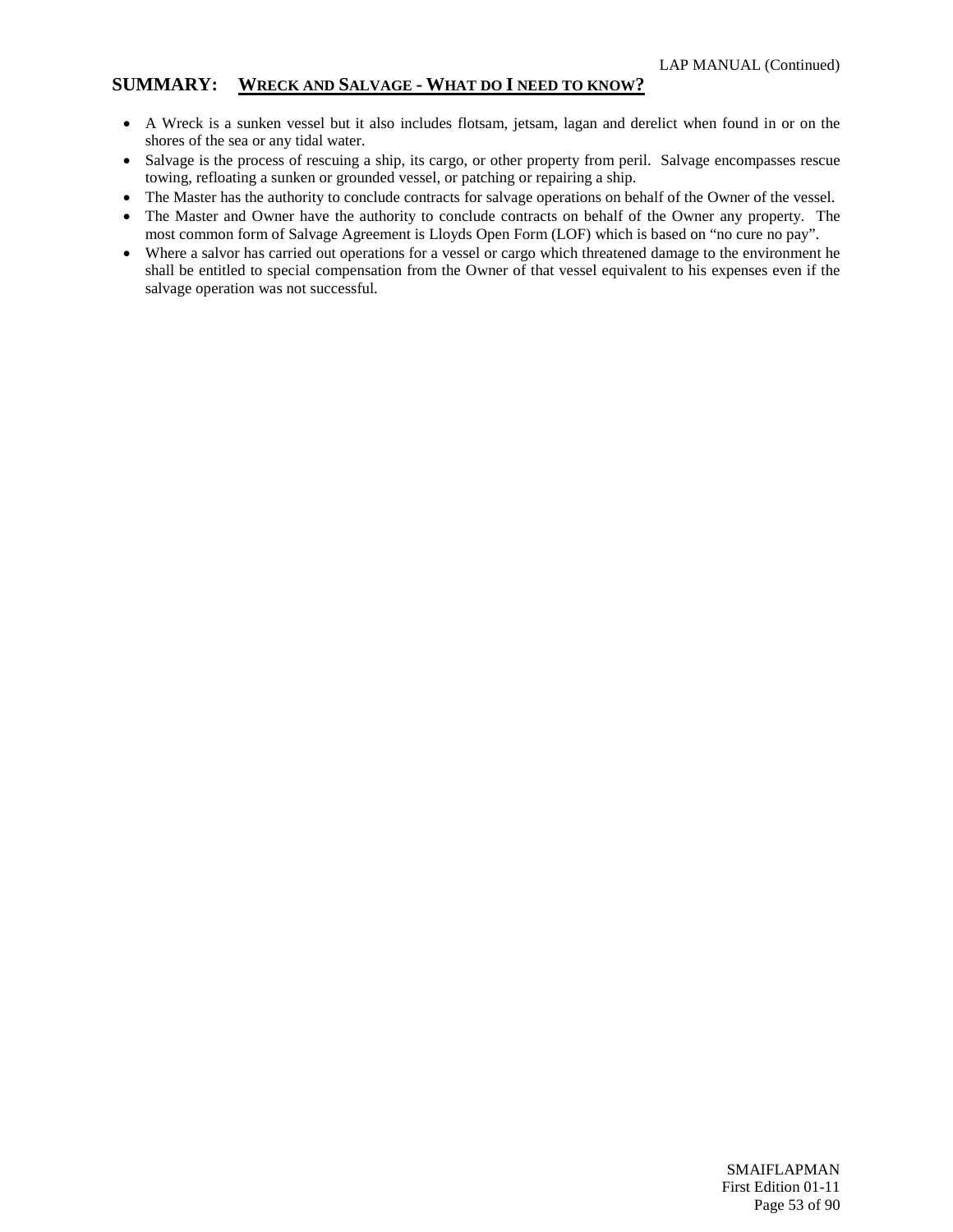#### **SUMMARY: WRECK AND SALVAGE - WHAT DO I NEED TO KNOW?**

- A Wreck is a sunken vessel but it also includes flotsam, jetsam, lagan and derelict when found in or on the shores of the sea or any tidal water.
- Salvage is the process of rescuing a ship, its cargo, or other property from peril. Salvage encompasses rescue towing, refloating a sunken or grounded vessel, or patching or repairing a ship.
- The Master has the authority to conclude contracts for salvage operations on behalf of the Owner of the vessel.
- The Master and Owner have the authority to conclude contracts on behalf of the Owner any property. The most common form of Salvage Agreement is Lloyds Open Form (LOF) which is based on "no cure no pay".
- Where a salvor has carried out operations for a vessel or cargo which threatened damage to the environment he shall be entitled to special compensation from the Owner of that vessel equivalent to his expenses even if the salvage operation was not successful.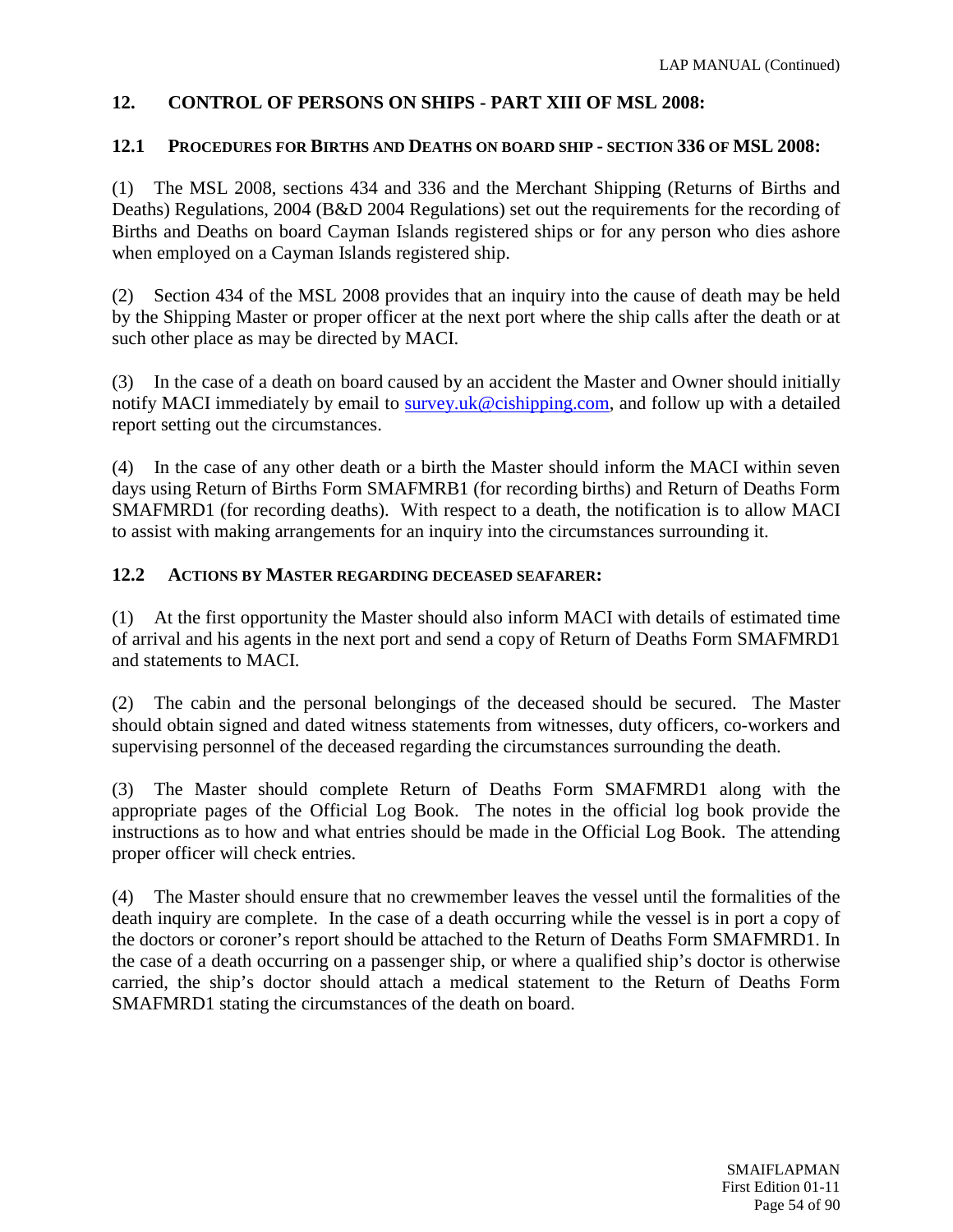# **12. CONTROL OF PERSONS ON SHIPS - PART XIII OF MSL 2008:**

## **12.1 PROCEDURES FOR BIRTHS AND DEATHS ON BOARD SHIP - SECTION 336 OF MSL 2008:**

(1) The MSL 2008, sections 434 and 336 and the Merchant Shipping (Returns of Births and Deaths) Regulations, 2004 (B&D 2004 Regulations) set out the requirements for the recording of Births and Deaths on board Cayman Islands registered ships or for any person who dies ashore when employed on a Cayman Islands registered ship.

(2) Section 434 of the MSL 2008 provides that an inquiry into the cause of death may be held by the Shipping Master or proper officer at the next port where the ship calls after the death or at such other place as may be directed by MACI.

(3) In the case of a death on board caused by an accident the Master and Owner should initially notify MACI immediately by email to [survey.uk@cishipping.com,](mailto:survey.uk@cishipping.com) and follow up with a detailed report setting out the circumstances.

(4) In the case of any other death or a birth the Master should inform the MACI within seven days using Return of Births Form SMAFMRB1 (for recording births) and Return of Deaths Form SMAFMRD1 (for recording deaths). With respect to a death, the notification is to allow MACI to assist with making arrangements for an inquiry into the circumstances surrounding it.

## **12.2 ACTIONS BY MASTER REGARDING DECEASED SEAFARER:**

(1) At the first opportunity the Master should also inform MACI with details of estimated time of arrival and his agents in the next port and send a copy of Return of Deaths Form SMAFMRD1 and statements to MACI.

(2) The cabin and the personal belongings of the deceased should be secured. The Master should obtain signed and dated witness statements from witnesses, duty officers, co-workers and supervising personnel of the deceased regarding the circumstances surrounding the death.

(3) The Master should complete Return of Deaths Form SMAFMRD1 along with the appropriate pages of the Official Log Book. The notes in the official log book provide the instructions as to how and what entries should be made in the Official Log Book. The attending proper officer will check entries.

(4) The Master should ensure that no crewmember leaves the vessel until the formalities of the death inquiry are complete. In the case of a death occurring while the vessel is in port a copy of the doctors or coroner's report should be attached to the Return of Deaths Form SMAFMRD1. In the case of a death occurring on a passenger ship, or where a qualified ship's doctor is otherwise carried, the ship's doctor should attach a medical statement to the Return of Deaths Form SMAFMRD1 stating the circumstances of the death on board.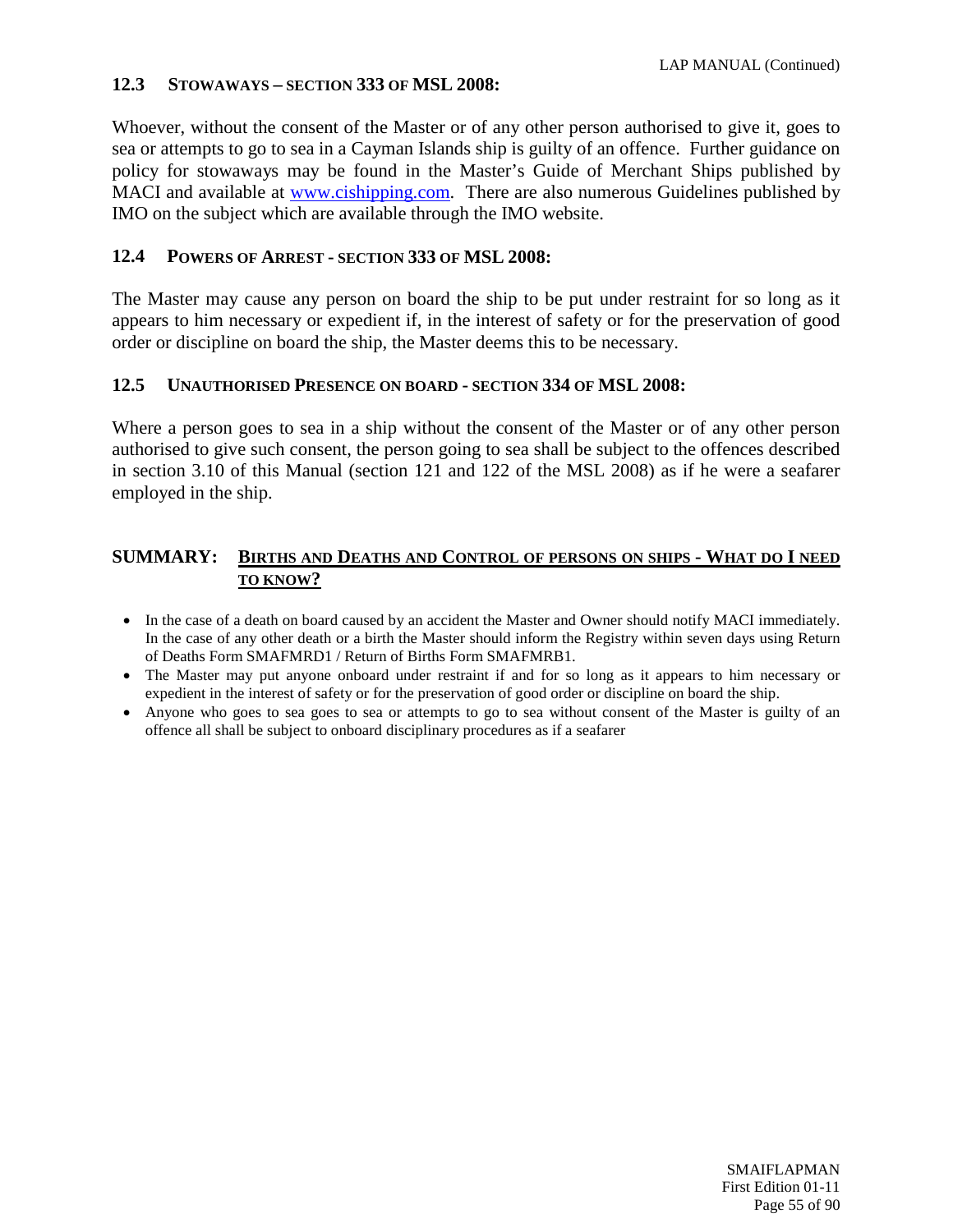## **12.3 STOWAWAYS – SECTION 333 OF MSL 2008:**

Whoever, without the consent of the Master or of any other person authorised to give it, goes to sea or attempts to go to sea in a Cayman Islands ship is guilty of an offence. Further guidance on policy for stowaways may be found in the Master's Guide of Merchant Ships published by MACI and available at [www.cishipping.com.](http://www.cishipping.com/) There are also numerous Guidelines published by IMO on the subject which are available through the IMO website.

## **12.4 POWERS OF ARREST - SECTION 333 OF MSL 2008:**

The Master may cause any person on board the ship to be put under restraint for so long as it appears to him necessary or expedient if, in the interest of safety or for the preservation of good order or discipline on board the ship, the Master deems this to be necessary.

## **12.5 UNAUTHORISED PRESENCE ON BOARD - SECTION 334 OF MSL 2008:**

Where a person goes to sea in a ship without the consent of the Master or of any other person authorised to give such consent, the person going to sea shall be subject to the offences described in section 3.10 of this Manual (section 121 and 122 of the MSL 2008) as if he were a seafarer employed in the ship.

#### **SUMMARY: BIRTHS AND DEATHS AND CONTROL OF PERSONS ON SHIPS - WHAT DO I NEED TO KNOW?**

- In the case of a death on board caused by an accident the Master and Owner should notify MACI immediately. In the case of any other death or a birth the Master should inform the Registry within seven days using Return of Deaths Form SMAFMRD1 / Return of Births Form SMAFMRB1.
- The Master may put anyone onboard under restraint if and for so long as it appears to him necessary or expedient in the interest of safety or for the preservation of good order or discipline on board the ship.
- Anyone who goes to sea goes to sea or attempts to go to sea without consent of the Master is guilty of an offence all shall be subject to onboard disciplinary procedures as if a seafarer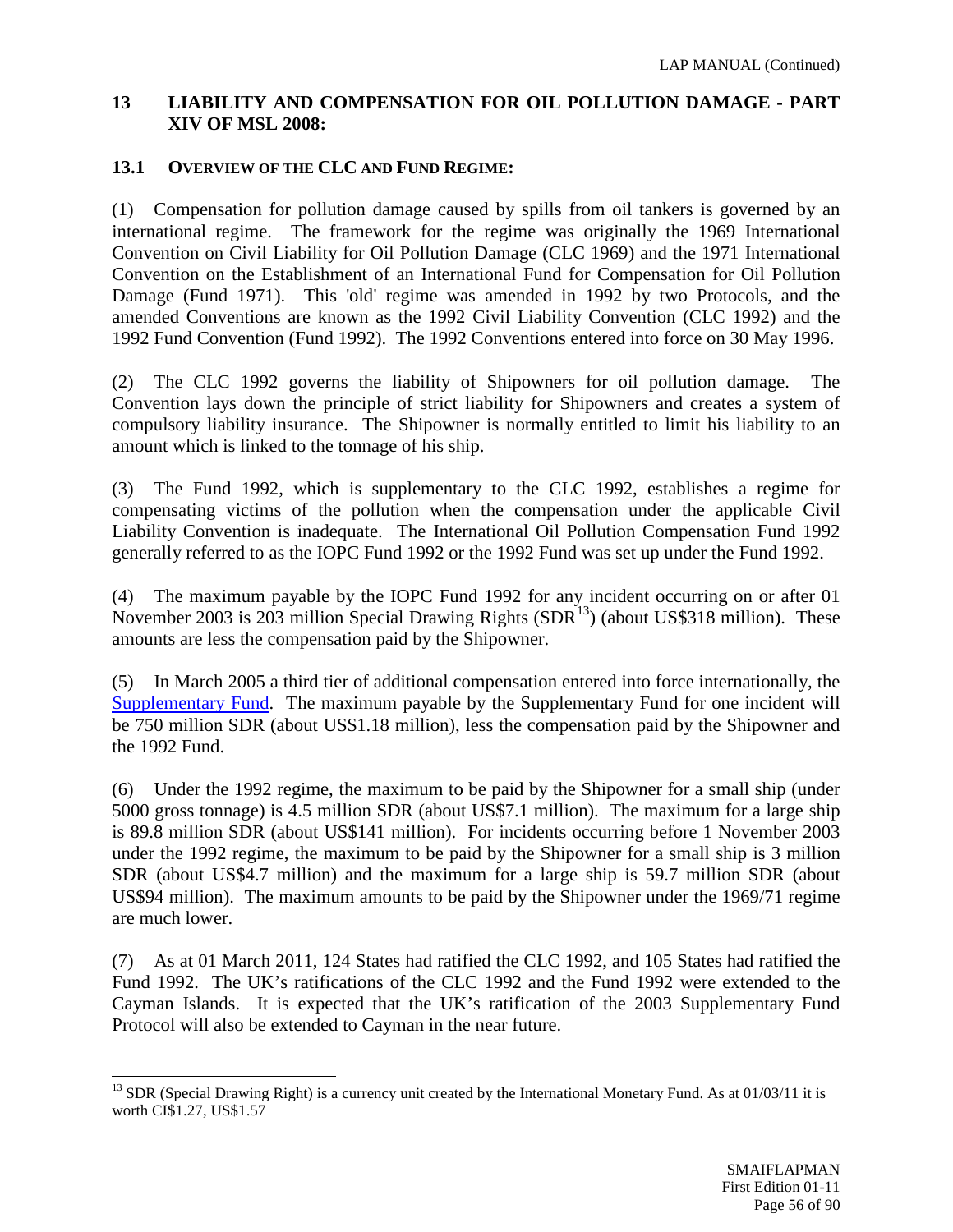## **13 LIABILITY AND COMPENSATION FOR OIL POLLUTION DAMAGE - PART XIV OF MSL 2008:**

## **13.1 OVERVIEW OF THE CLC AND FUND REGIME:**

(1) Compensation for pollution damage caused by spills from oil tankers is governed by an international regime. The framework for the regime was originally the 1969 International Convention on Civil Liability for Oil Pollution Damage (CLC 1969) and the 1971 International Convention on the Establishment of an International Fund for Compensation for Oil Pollution Damage (Fund 1971). This 'old' regime was amended in 1992 by two Protocols, and the amended Conventions are known as the 1992 Civil Liability Convention (CLC 1992) and the 1992 Fund Convention (Fund 1992). The 1992 Conventions entered into force on 30 May 1996.

(2) The CLC 1992 governs the liability of Shipowners for oil pollution damage. The Convention lays down the principle of strict liability for Shipowners and creates a system of compulsory liability insurance. The Shipowner is normally entitled to limit his liability to an amount which is linked to the tonnage of his ship.

(3) The Fund 1992, which is supplementary to the CLC 1992, establishes a regime for compensating victims of the pollution when the compensation under the applicable Civil Liability Convention is inadequate. The International Oil Pollution Compensation Fund 1992 generally referred to as the IOPC Fund 1992 or the 1992 Fund was set up under the Fund 1992.

(4) The maximum payable by the IOPC Fund 1992 for any incident occurring on or after 01 November 2003 is 203 million Special Drawing Rights  $(SDR<sup>13</sup>)$  (about US\$318 million). These amounts are less the compensation paid by the Shipowner.

(5) In March 2005 a third tier of additional compensation entered into force internationally, the [Supplementary Fund.](http://en.iopcfund.org/archive.htm#suppfund) The maximum payable by the Supplementary Fund for one incident will be 750 million SDR (about US\$1.18 million), less the compensation paid by the Shipowner and the 1992 Fund.

(6) Under the 1992 regime, the maximum to be paid by the Shipowner for a small ship (under 5000 gross tonnage) is 4.5 million SDR (about US\$7.1 million). The maximum for a large ship is 89.8 million SDR (about US\$141 million). For incidents occurring before 1 November 2003 under the 1992 regime, the maximum to be paid by the Shipowner for a small ship is 3 million SDR (about US\$4.7 million) and the maximum for a large ship is 59.7 million SDR (about US\$94 million). The maximum amounts to be paid by the Shipowner under the 1969/71 regime are much lower.

(7) As at 01 March 2011, 124 States had ratified the CLC 1992, and 105 States had ratified the Fund 1992. The UK's ratifications of the CLC 1992 and the Fund 1992 were extended to the Cayman Islands. It is expected that the UK's ratification of the 2003 Supplementary Fund Protocol will also be extended to Cayman in the near future.

<span id="page-55-0"></span><sup>&</sup>lt;sup>13</sup> SDR (Special Drawing Right) is a currency unit created by the International Monetary Fund. As at  $01/03/11$  it is worth CI\$1.27, US\$1.57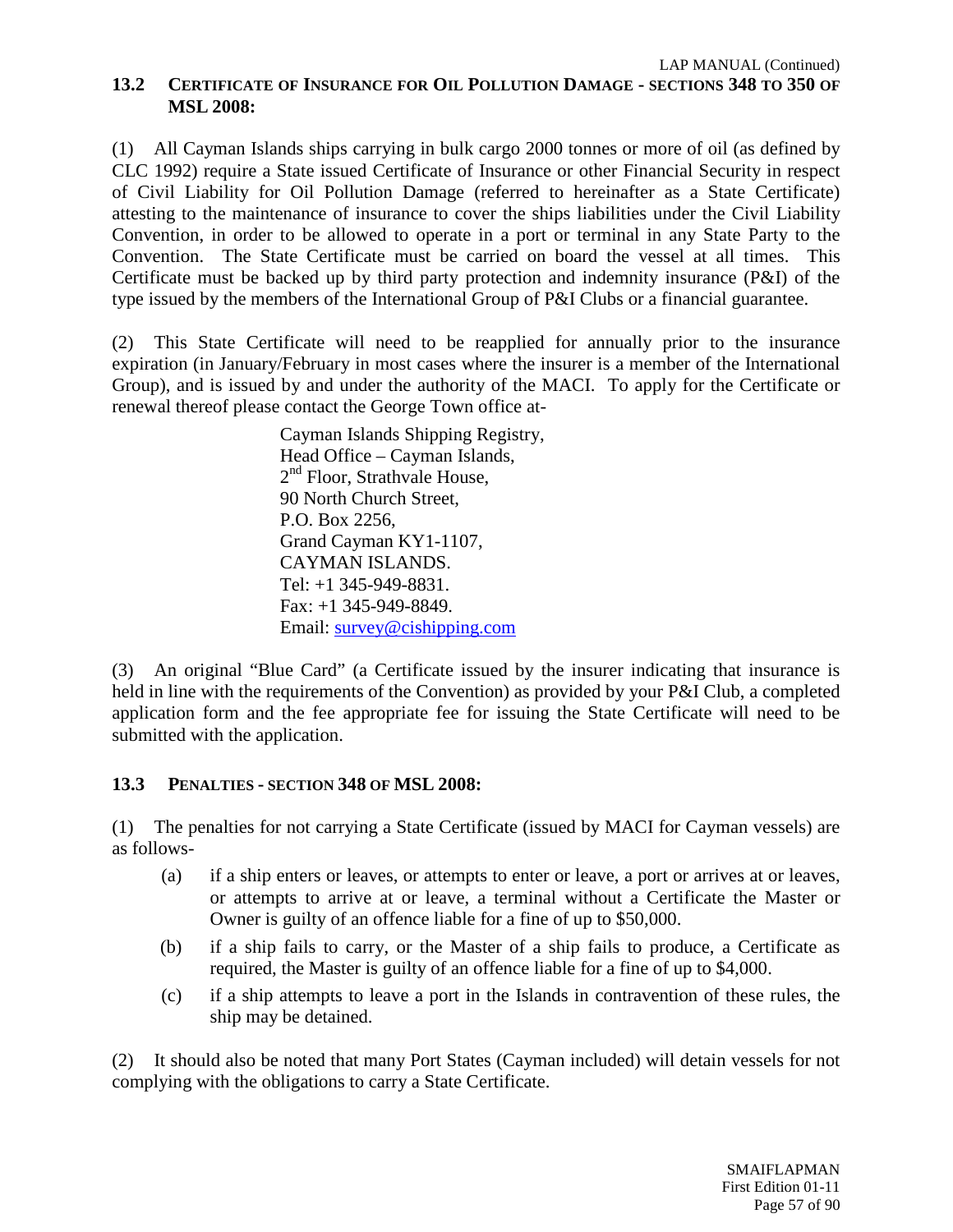(1) All Cayman Islands ships carrying in bulk cargo 2000 tonnes or more of oil (as defined by CLC 1992) require a State issued Certificate of Insurance or other Financial Security in respect of Civil Liability for Oil Pollution Damage (referred to hereinafter as a State Certificate) attesting to the maintenance of insurance to cover the ships liabilities under the Civil Liability Convention, in order to be allowed to operate in a port or terminal in any State Party to the Convention. The State Certificate must be carried on board the vessel at all times. This Certificate must be backed up by third party protection and indemnity insurance (P&I) of the type issued by the members of the International Group of P&I Clubs or a financial guarantee.

(2) This State Certificate will need to be reapplied for annually prior to the insurance expiration (in January/February in most cases where the insurer is a member of the International Group), and is issued by and under the authority of the MACI. To apply for the Certificate or renewal thereof please contact the George Town office at-

> Cayman Islands Shipping Registry, Head Office – Cayman Islands, 2<sup>nd</sup> Floor, Strathvale House, 90 North Church Street, P.O. Box 2256, Grand Cayman KY1-1107, CAYMAN ISLANDS. Tel: +1 345-949-8831. Fax: +1 345-949-8849. Email: [survey@cishipping.com](mailto:cisrky@cishipping.com)

(3) An original "Blue Card" (a Certificate issued by the insurer indicating that insurance is held in line with the requirements of the Convention) as provided by your P&I Club, a completed application form and the fee appropriate fee for issuing the State Certificate will need to be submitted with the application.

## **13.3 PENALTIES - SECTION 348 OF MSL 2008:**

(1) The penalties for not carrying a State Certificate (issued by MACI for Cayman vessels) are as follows-

- (a) if a ship enters or leaves, or attempts to enter or leave, a port or arrives at or leaves, or attempts to arrive at or leave, a terminal without a Certificate the Master or Owner is guilty of an offence liable for a fine of up to \$50,000.
- (b) if a ship fails to carry, or the Master of a ship fails to produce, a Certificate as required, the Master is guilty of an offence liable for a fine of up to \$4,000.
- (c) if a ship attempts to leave a port in the Islands in contravention of these rules, the ship may be detained.

(2) It should also be noted that many Port States (Cayman included) will detain vessels for not complying with the obligations to carry a State Certificate.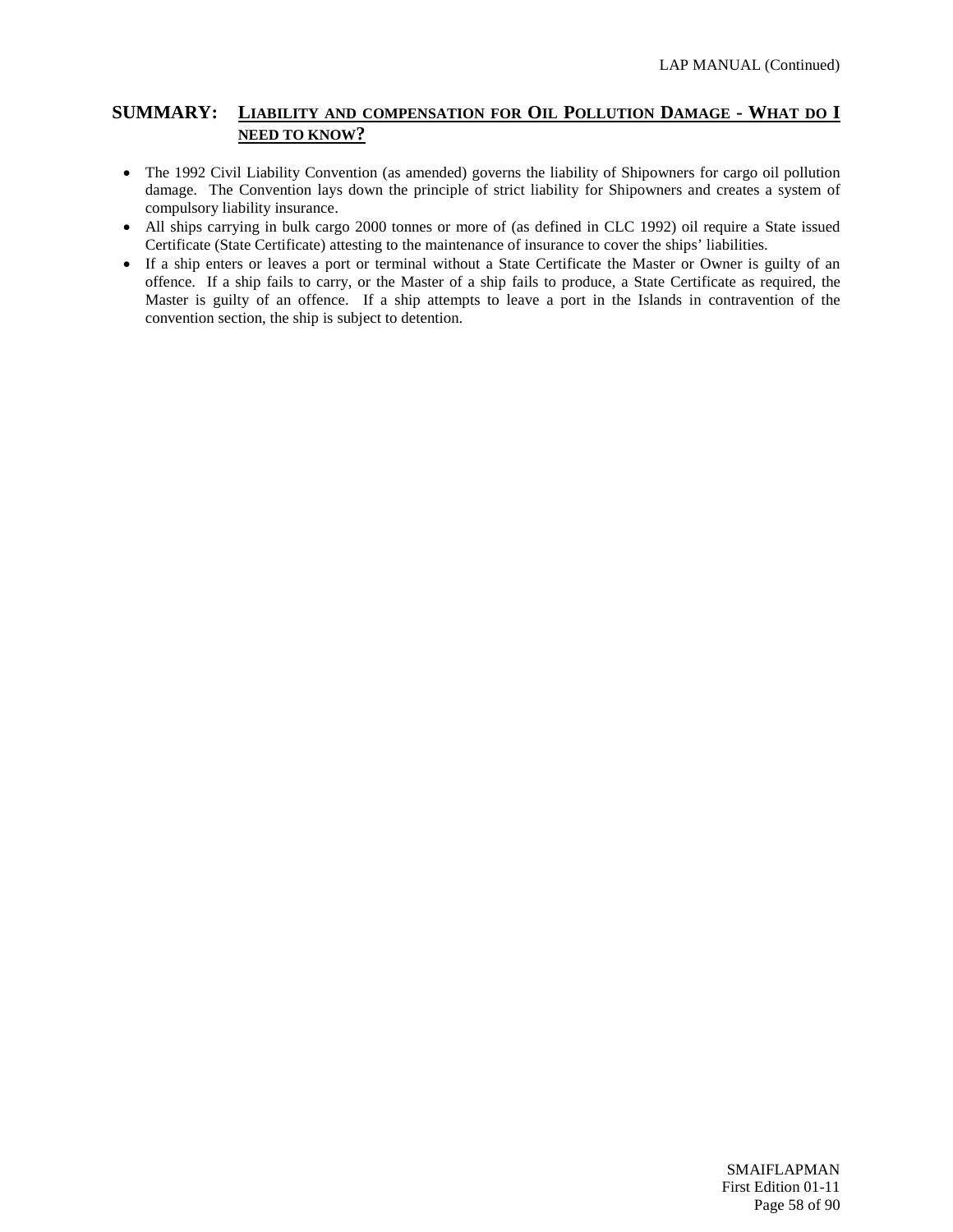#### **SUMMARY: LIABILITY AND COMPENSATION FOR OIL POLLUTION DAMAGE - WHAT DO I NEED TO KNOW?**

- The 1992 Civil Liability Convention (as amended) governs the liability of Shipowners for cargo oil pollution damage. The Convention lays down the principle of strict liability for Shipowners and creates a system of compulsory liability insurance.
- All ships carrying in bulk cargo 2000 tonnes or more of (as defined in CLC 1992) oil require a State issued Certificate (State Certificate) attesting to the maintenance of insurance to cover the ships' liabilities.
- If a ship enters or leaves a port or terminal without a State Certificate the Master or Owner is guilty of an offence. If a ship fails to carry, or the Master of a ship fails to produce, a State Certificate as required, the Master is guilty of an offence. If a ship attempts to leave a port in the Islands in contravention of the convention section, the ship is subject to detention.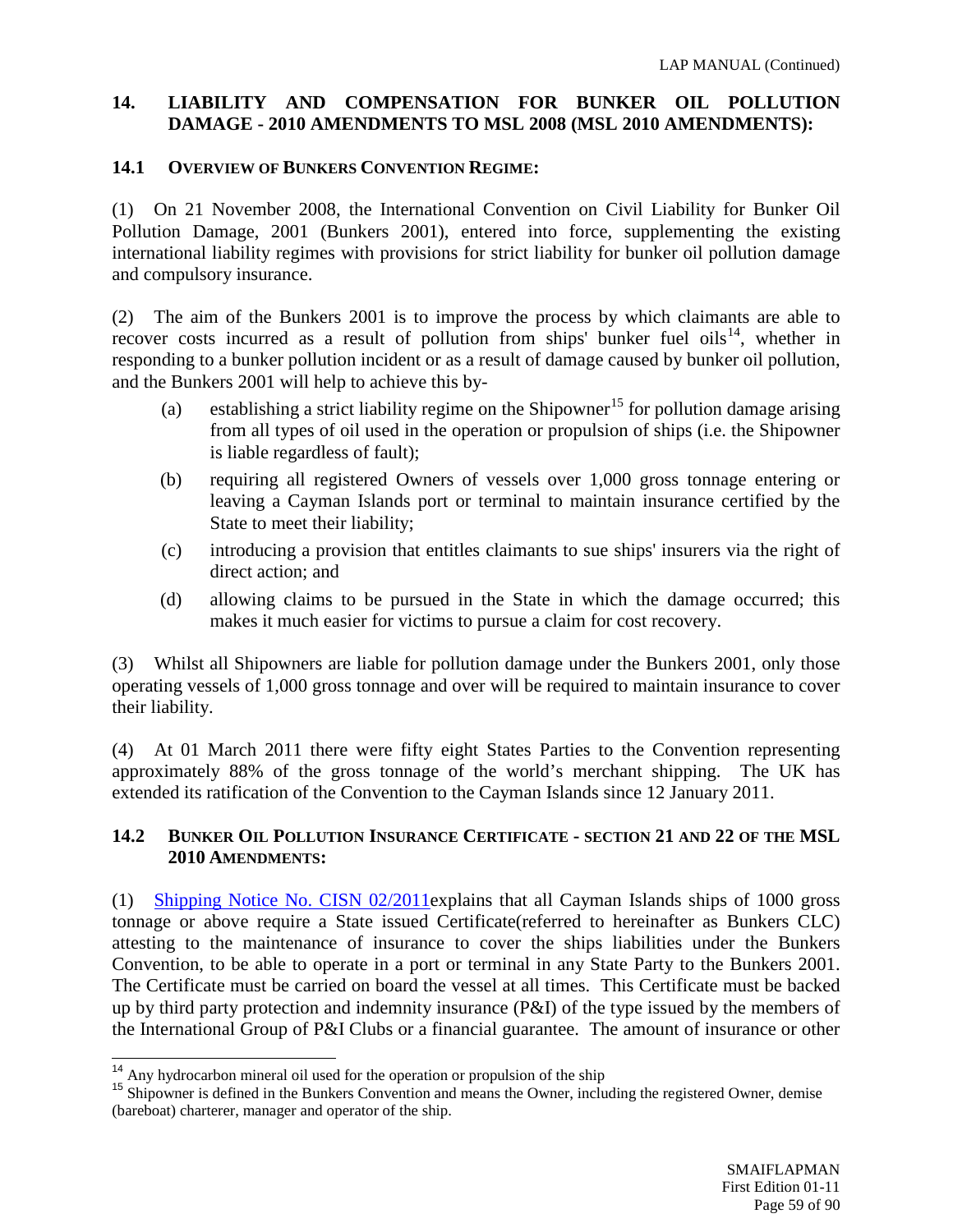## **14. LIABILITY AND COMPENSATION FOR BUNKER OIL POLLUTION DAMAGE - 2010 AMENDMENTS TO MSL 2008 (MSL 2010 AMENDMENTS):**

## **14.1 OVERVIEW OF BUNKERS CONVENTION REGIME:**

(1) On 21 November 2008, the International Convention on Civil Liability for Bunker Oil Pollution Damage, 2001 (Bunkers 2001), entered into force, supplementing the existing international liability regimes with provisions for strict liability for bunker oil pollution damage and compulsory insurance.

(2) The aim of the Bunkers 2001 is to improve the process by which claimants are able to recover costs incurred as a result of pollution from ships' bunker fuel oils<sup>[14](#page-58-0)</sup>, whether in responding to a bunker pollution incident or as a result of damage caused by bunker oil pollution, and the Bunkers 2001 will help to achieve this by-

- (a) establishing a strict liability regime on the Shipowner<sup>[15](#page-58-1)</sup> for pollution damage arising from all types of oil used in the operation or propulsion of ships (i.e. the Shipowner is liable regardless of fault);
- (b) requiring all registered Owners of vessels over 1,000 gross tonnage entering or leaving a Cayman Islands port or terminal to maintain insurance certified by the State to meet their liability;
- (c) introducing a provision that entitles claimants to sue ships' insurers via the right of direct action; and
- (d) allowing claims to be pursued in the State in which the damage occurred; this makes it much easier for victims to pursue a claim for cost recovery.

(3) Whilst all Shipowners are liable for pollution damage under the Bunkers 2001, only those operating vessels of 1,000 gross tonnage and over will be required to maintain insurance to cover their liability.

(4) At 01 March 2011 there were fifty eight States Parties to the Convention representing approximately 88% of the gross tonnage of the world's merchant shipping. The UK has extended its ratification of the Convention to the Cayman Islands since 12 January 2011.

## **14.2 BUNKER OIL POLLUTION INSURANCE CERTIFICATE - SECTION 21 AND 22 OF THE MSL 2010 AMENDMENTS:**

(1) [Shipping Notice No. CISN 02/2011e](http://www.cishipping.com/portal/page?_pageid=1307,5243905&_dad=portal&_schema=PORTAL)xplains that all Cayman Islands ships of 1000 gross tonnage or above require a State issued Certificate(referred to hereinafter as Bunkers CLC) attesting to the maintenance of insurance to cover the ships liabilities under the Bunkers Convention, to be able to operate in a port or terminal in any State Party to the Bunkers 2001. The Certificate must be carried on board the vessel at all times. This Certificate must be backed up by third party protection and indemnity insurance (P&I) of the type issued by the members of the International Group of P&I Clubs or a financial guarantee. The amount of insurance or other

<span id="page-58-1"></span><span id="page-58-0"></span><sup>&</sup>lt;sup>14</sup> Any hydrocarbon mineral oil used for the operation or propulsion of the ship  $15$  Shipowner is defined in the Bunkers Convention and means the Owner, including the registered Owner, demise (bareboat) charterer, manager and operator of the ship.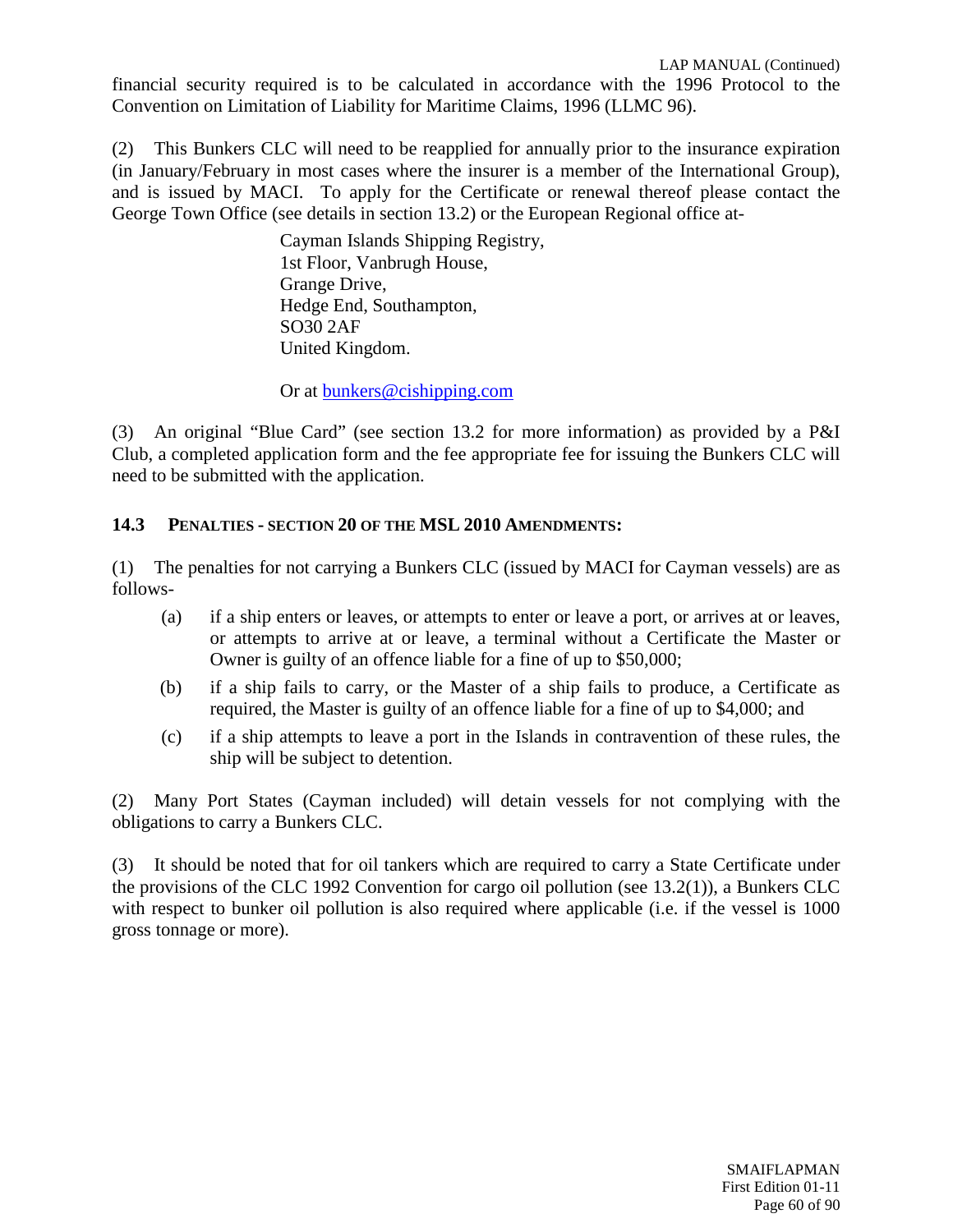financial security required is to be calculated in accordance with the 1996 Protocol to the Convention on Limitation of Liability for Maritime Claims, 1996 (LLMC 96).

(2) This Bunkers CLC will need to be reapplied for annually prior to the insurance expiration (in January/February in most cases where the insurer is a member of the International Group), and is issued by MACI. To apply for the Certificate or renewal thereof please contact the George Town Office (see details in section 13.2) or the European Regional office at-

> Cayman Islands Shipping Registry, 1st Floor, Vanbrugh House, Grange Drive, Hedge End, Southampton, SO30 2AF United Kingdom.

Or at [bunkers@cishipping.com](mailto:bunkers@cishipping.com)

(3) An original "Blue Card" (see section 13.2 for more information) as provided by a P&I Club, a completed application form and the fee appropriate fee for issuing the Bunkers CLC will need to be submitted with the application.

### **14.3 PENALTIES - SECTION 20 OF THE MSL 2010 AMENDMENTS:**

(1) The penalties for not carrying a Bunkers CLC (issued by MACI for Cayman vessels) are as follows-

- (a) if a ship enters or leaves, or attempts to enter or leave a port, or arrives at or leaves, or attempts to arrive at or leave, a terminal without a Certificate the Master or Owner is guilty of an offence liable for a fine of up to \$50,000;
- (b) if a ship fails to carry, or the Master of a ship fails to produce, a Certificate as required, the Master is guilty of an offence liable for a fine of up to \$4,000; and
- (c) if a ship attempts to leave a port in the Islands in contravention of these rules, the ship will be subject to detention.

(2) Many Port States (Cayman included) will detain vessels for not complying with the obligations to carry a Bunkers CLC.

(3) It should be noted that for oil tankers which are required to carry a State Certificate under the provisions of the CLC 1992 Convention for cargo oil pollution (see 13.2(1)), a Bunkers CLC with respect to bunker oil pollution is also required where applicable (i.e. if the vessel is 1000 gross tonnage or more).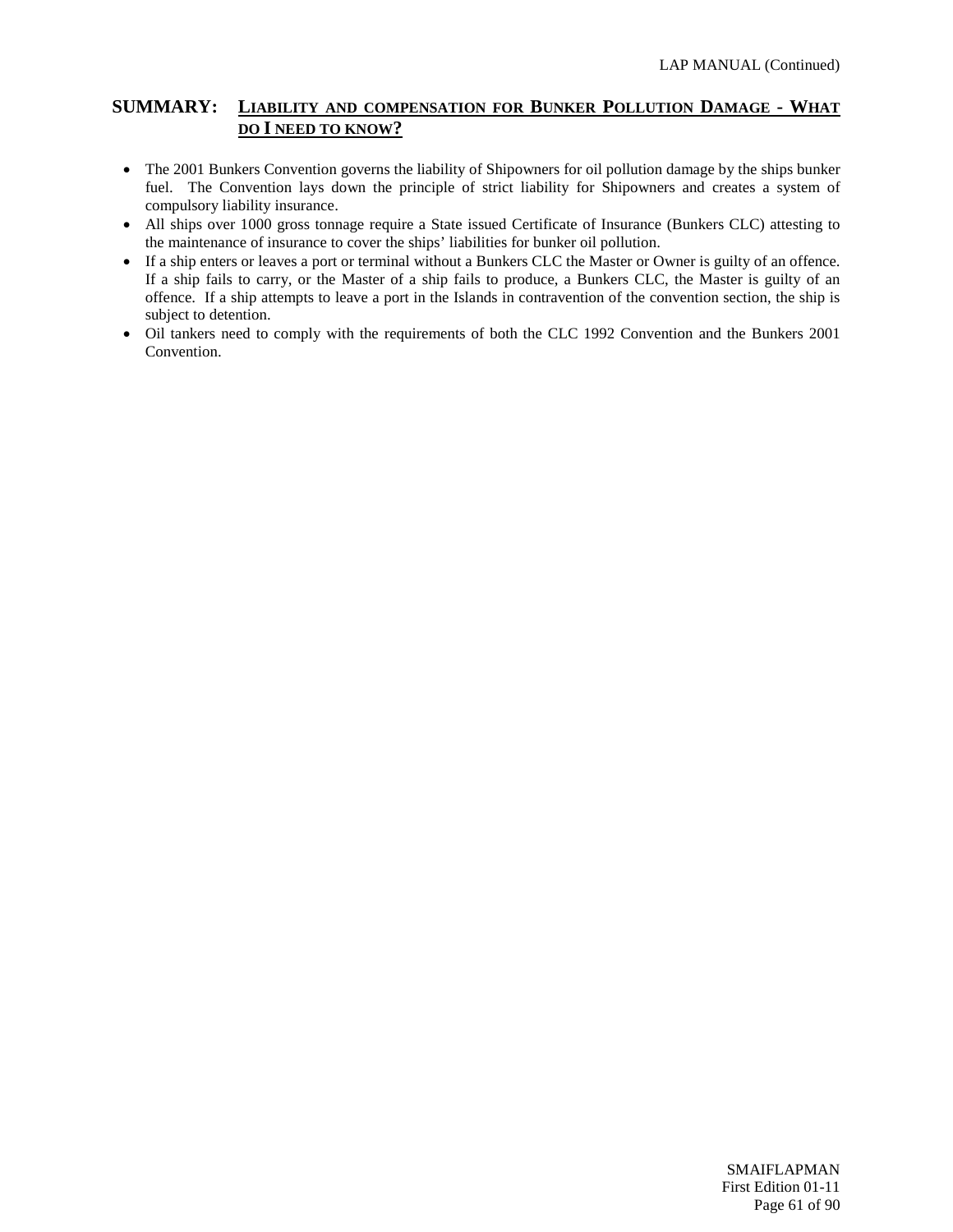#### **SUMMARY: LIABILITY AND COMPENSATION FOR BUNKER POLLUTION DAMAGE - WHAT DO I NEED TO KNOW?**

- The 2001 Bunkers Convention governs the liability of Shipowners for oil pollution damage by the ships bunker fuel. The Convention lays down the principle of strict liability for Shipowners and creates a system of compulsory liability insurance.
- All ships over 1000 gross tonnage require a State issued Certificate of Insurance (Bunkers CLC) attesting to the maintenance of insurance to cover the ships' liabilities for bunker oil pollution.
- If a ship enters or leaves a port or terminal without a Bunkers CLC the Master or Owner is guilty of an offence. If a ship fails to carry, or the Master of a ship fails to produce, a Bunkers CLC, the Master is guilty of an offence. If a ship attempts to leave a port in the Islands in contravention of the convention section, the ship is subject to detention.
- Oil tankers need to comply with the requirements of both the CLC 1992 Convention and the Bunkers 2001 Convention.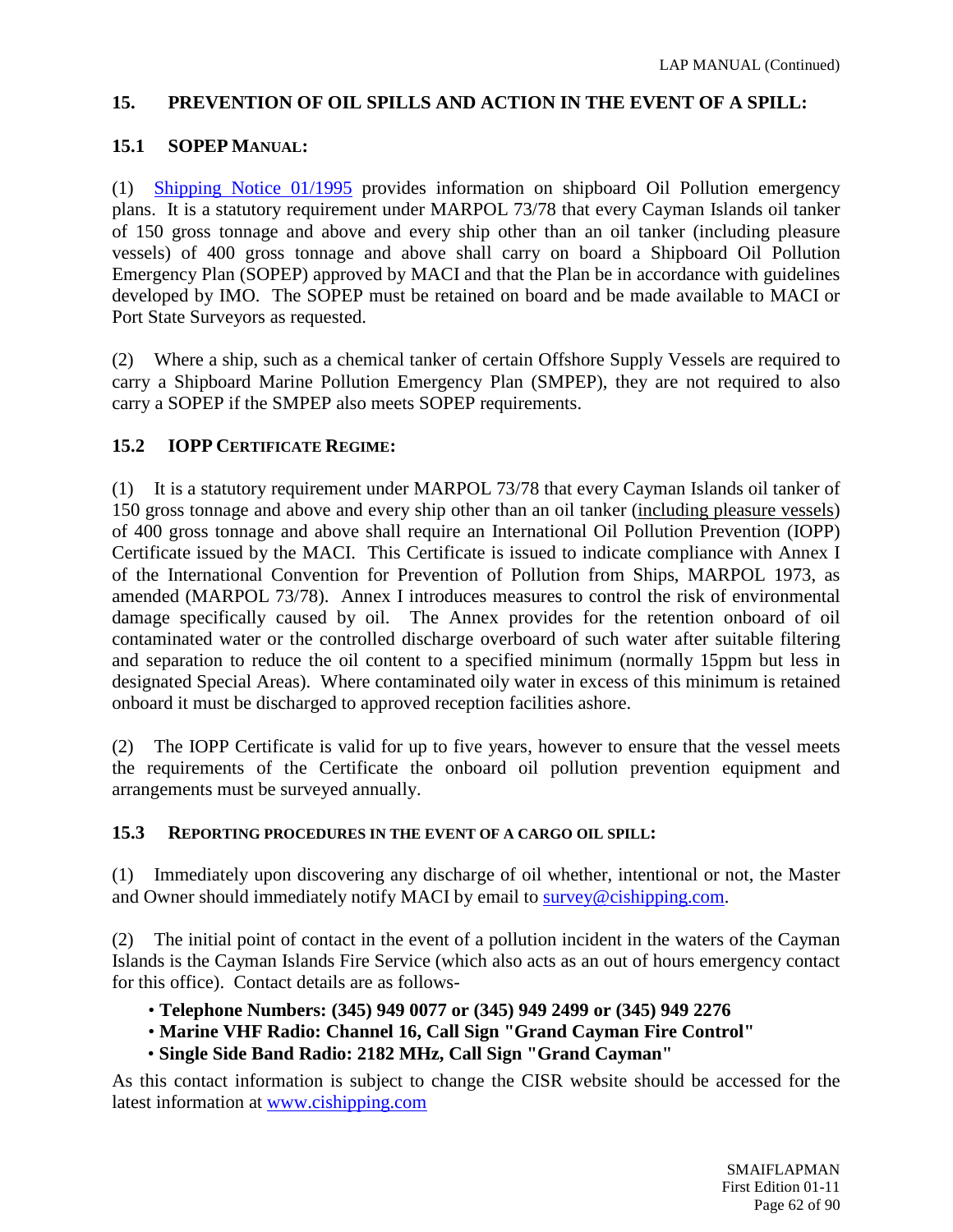## **15. PREVENTION OF OIL SPILLS AND ACTION IN THE EVENT OF A SPILL:**

## **15.1 SOPEP MANUAL:**

(1) [Shipping Notice 01/1995](http://www.cishipping.com/portal/page?_pageid=1307,1691767&_dad=portal&_schema=PORTAL) provides information on shipboard Oil Pollution emergency plans. It is a statutory requirement under MARPOL 73/78 that every Cayman Islands oil tanker of 150 gross tonnage and above and every ship other than an oil tanker (including pleasure vessels) of 400 gross tonnage and above shall carry on board a Shipboard Oil Pollution Emergency Plan (SOPEP) approved by MACI and that the Plan be in accordance with guidelines developed by IMO. The SOPEP must be retained on board and be made available to MACI or Port State Surveyors as requested.

(2) Where a ship, such as a chemical tanker of certain Offshore Supply Vessels are required to carry a Shipboard Marine Pollution Emergency Plan (SMPEP), they are not required to also carry a SOPEP if the SMPEP also meets SOPEP requirements.

## **15.2 IOPP CERTIFICATE REGIME:**

(1) It is a statutory requirement under MARPOL 73/78 that every Cayman Islands oil tanker of 150 gross tonnage and above and every ship other than an oil tanker (including pleasure vessels) of 400 gross tonnage and above shall require an International Oil Pollution Prevention (IOPP) Certificate issued by the MACI. This Certificate is issued to indicate compliance with Annex I of the International Convention for Prevention of Pollution from Ships, MARPOL 1973, as amended (MARPOL 73/78). Annex I introduces measures to control the risk of environmental damage specifically caused by oil. The Annex provides for the retention onboard of oil contaminated water or the controlled discharge overboard of such water after suitable filtering and separation to reduce the oil content to a specified minimum (normally 15ppm but less in designated Special Areas). Where contaminated oily water in excess of this minimum is retained onboard it must be discharged to approved reception facilities ashore.

(2) The IOPP Certificate is valid for up to five years, however to ensure that the vessel meets the requirements of the Certificate the onboard oil pollution prevention equipment and arrangements must be surveyed annually.

## **15.3 REPORTING PROCEDURES IN THE EVENT OF A CARGO OIL SPILL:**

(1) Immediately upon discovering any discharge of oil whether, intentional or not, the Master and Owner should immediately notify MACI by email to [survey@cishipping.com.](mailto:survey@cishipping.com)

(2) The initial point of contact in the event of a pollution incident in the waters of the Cayman Islands is the Cayman Islands Fire Service (which also acts as an out of hours emergency contact for this office). Contact details are as follows-

- **Telephone Numbers: (345) 949 0077 or (345) 949 2499 or (345) 949 2276**
- **Marine VHF Radio: Channel 16, Call Sign "Grand Cayman Fire Control"**
- **Single Side Band Radio: 2182 MHz, Call Sign "Grand Cayman"**

As this contact information is subject to change the CISR website should be accessed for the latest information at [www.cishipping.com](http://www.cishipping.com/)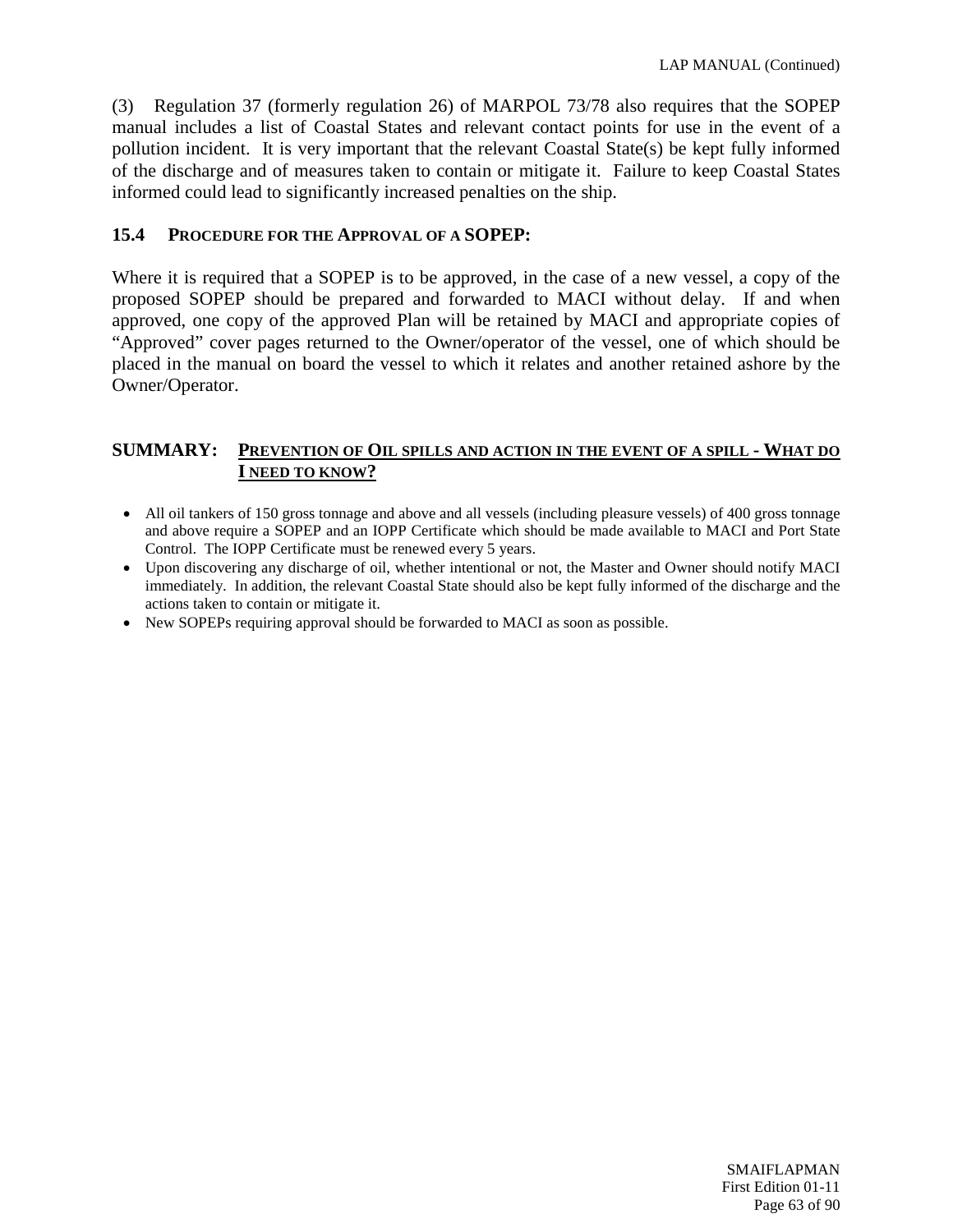(3) Regulation 37 (formerly regulation 26) of MARPOL 73/78 also requires that the SOPEP manual includes a list of Coastal States and relevant contact points for use in the event of a pollution incident. It is very important that the relevant Coastal State(s) be kept fully informed of the discharge and of measures taken to contain or mitigate it. Failure to keep Coastal States informed could lead to significantly increased penalties on the ship.

## **15.4 PROCEDURE FOR THE APPROVAL OF A SOPEP:**

Where it is required that a SOPEP is to be approved, in the case of a new vessel, a copy of the proposed SOPEP should be prepared and forwarded to MACI without delay. If and when approved, one copy of the approved Plan will be retained by MACI and appropriate copies of "Approved" cover pages returned to the Owner/operator of the vessel, one of which should be placed in the manual on board the vessel to which it relates and another retained ashore by the Owner/Operator.

#### **SUMMARY: PREVENTION OF OIL SPILLS AND ACTION IN THE EVENT OF A SPILL - WHAT DO I NEED TO KNOW?**

- All oil tankers of 150 gross tonnage and above and all vessels (including pleasure vessels) of 400 gross tonnage and above require a SOPEP and an IOPP Certificate which should be made available to MACI and Port State Control. The IOPP Certificate must be renewed every 5 years.
- Upon discovering any discharge of oil, whether intentional or not, the Master and Owner should notify MACI immediately. In addition, the relevant Coastal State should also be kept fully informed of the discharge and the actions taken to contain or mitigate it.
- New SOPEPs requiring approval should be forwarded to MACI as soon as possible.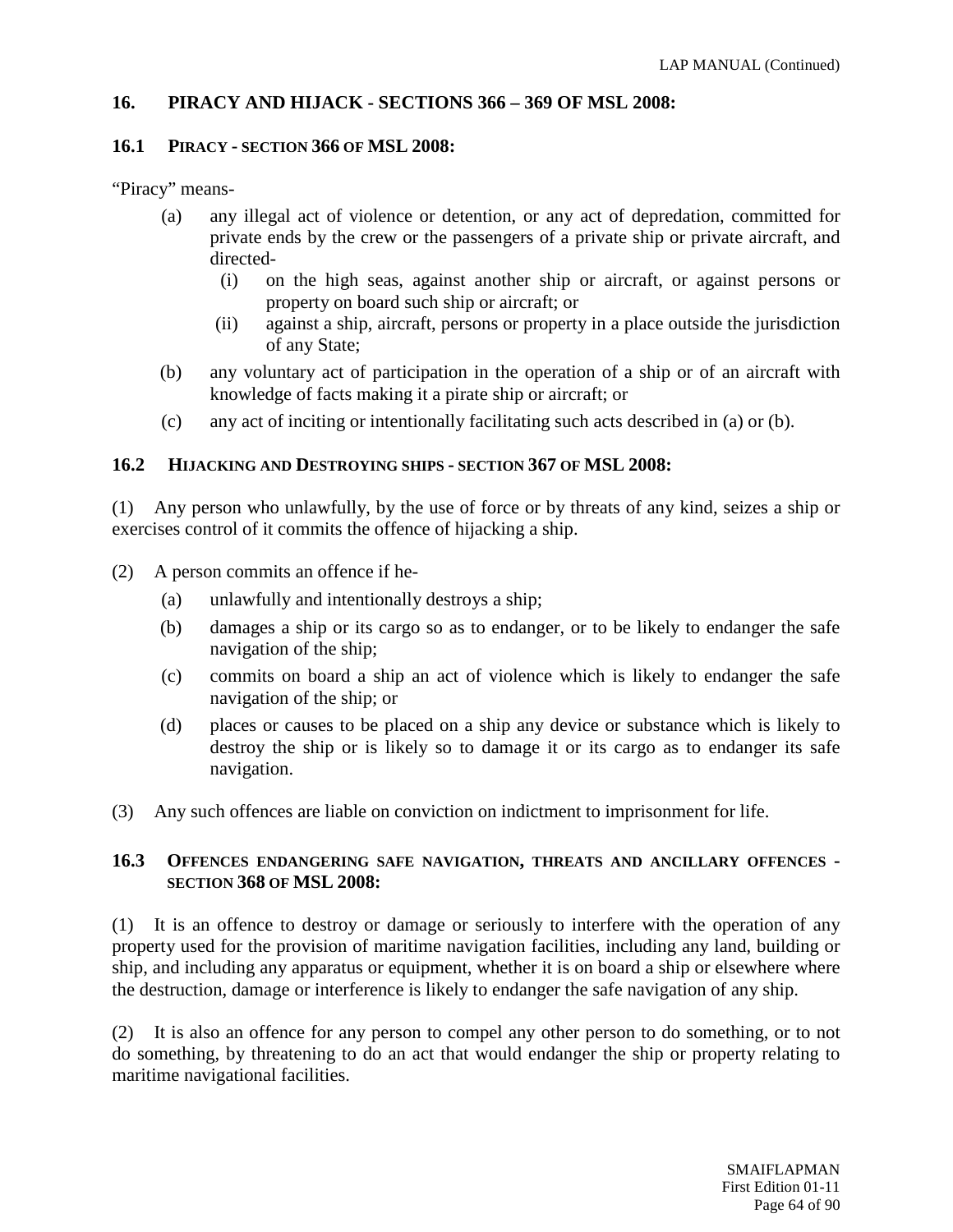## **16. PIRACY AND HIJACK - SECTIONS 366 – 369 OF MSL 2008:**

#### **16.1 PIRACY - SECTION 366 OF MSL 2008:**

"Piracy" means-

- (a) any illegal act of violence or detention, or any act of depredation, committed for private ends by the crew or the passengers of a private ship or private aircraft, and directed-
	- (i) on the high seas, against another ship or aircraft, or against persons or property on board such ship or aircraft; or
	- (ii) against a ship, aircraft, persons or property in a place outside the jurisdiction of any State;
- (b) any voluntary act of participation in the operation of a ship or of an aircraft with knowledge of facts making it a pirate ship or aircraft; or
- (c) any act of inciting or intentionally facilitating such acts described in (a) or (b).

#### **16.2 HIJACKING AND DESTROYING SHIPS - SECTION 367 OF MSL 2008:**

(1) Any person who unlawfully, by the use of force or by threats of any kind, seizes a ship or exercises control of it commits the offence of hijacking a ship.

- (2) A person commits an offence if he-
	- (a) unlawfully and intentionally destroys a ship;
	- (b) damages a ship or its cargo so as to endanger, or to be likely to endanger the safe navigation of the ship;
	- (c) commits on board a ship an act of violence which is likely to endanger the safe navigation of the ship; or
	- (d) places or causes to be placed on a ship any device or substance which is likely to destroy the ship or is likely so to damage it or its cargo as to endanger its safe navigation.
- (3) Any such offences are liable on conviction on indictment to imprisonment for life.

## **16.3 OFFENCES ENDANGERING SAFE NAVIGATION, THREATS AND ANCILLARY OFFENCES - SECTION 368 OF MSL 2008:**

(1) It is an offence to destroy or damage or seriously to interfere with the operation of any property used for the provision of maritime navigation facilities, including any land, building or ship, and including any apparatus or equipment, whether it is on board a ship or elsewhere where the destruction, damage or interference is likely to endanger the safe navigation of any ship.

(2) It is also an offence for any person to compel any other person to do something, or to not do something, by threatening to do an act that would endanger the ship or property relating to maritime navigational facilities.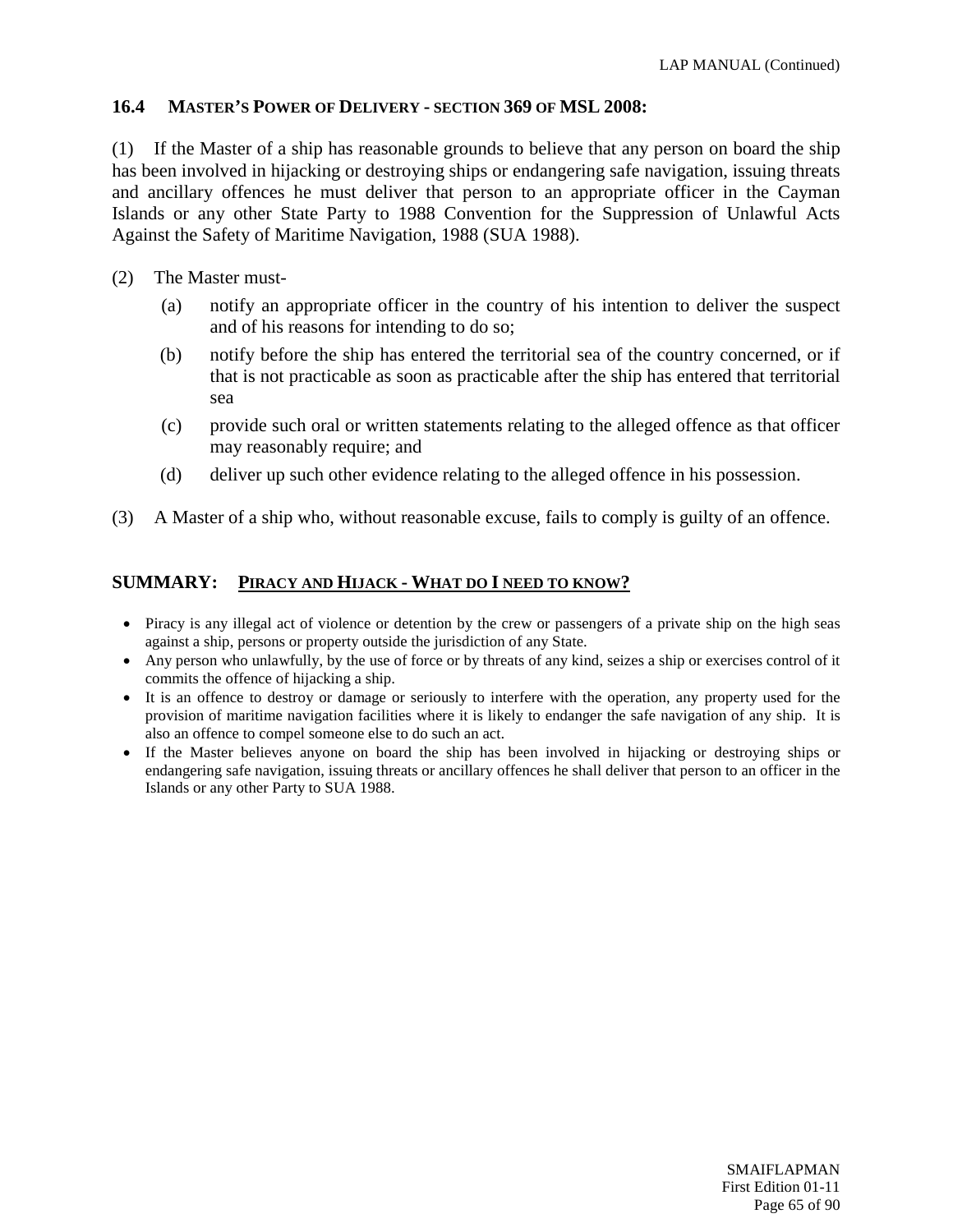## **16.4 MASTER'S POWER OF DELIVERY - SECTION 369 OF MSL 2008:**

(1) If the Master of a ship has reasonable grounds to believe that any person on board the ship has been involved in hijacking or destroying ships or endangering safe navigation, issuing threats and ancillary offences he must deliver that person to an appropriate officer in the Cayman Islands or any other State Party to 1988 Convention for the Suppression of Unlawful Acts Against the Safety of Maritime Navigation, 1988 (SUA 1988).

- (2) The Master must-
	- (a) notify an appropriate officer in the country of his intention to deliver the suspect and of his reasons for intending to do so;
	- (b) notify before the ship has entered the territorial sea of the country concerned, or if that is not practicable as soon as practicable after the ship has entered that territorial sea
	- (c) provide such oral or written statements relating to the alleged offence as that officer may reasonably require; and
	- (d) deliver up such other evidence relating to the alleged offence in his possession.
- (3) A Master of a ship who, without reasonable excuse, fails to comply is guilty of an offence.

#### **SUMMARY: PIRACY AND HIJACK - WHAT DO I NEED TO KNOW?**

- Piracy is any illegal act of violence or detention by the crew or passengers of a private ship on the high seas against a ship, persons or property outside the jurisdiction of any State.
- Any person who unlawfully, by the use of force or by threats of any kind, seizes a ship or exercises control of it commits the offence of hijacking a ship.
- It is an offence to destroy or damage or seriously to interfere with the operation, any property used for the provision of maritime navigation facilities where it is likely to endanger the safe navigation of any ship. It is also an offence to compel someone else to do such an act.
- If the Master believes anyone on board the ship has been involved in hijacking or destroying ships or endangering safe navigation, issuing threats or ancillary offences he shall deliver that person to an officer in the Islands or any other Party to SUA 1988.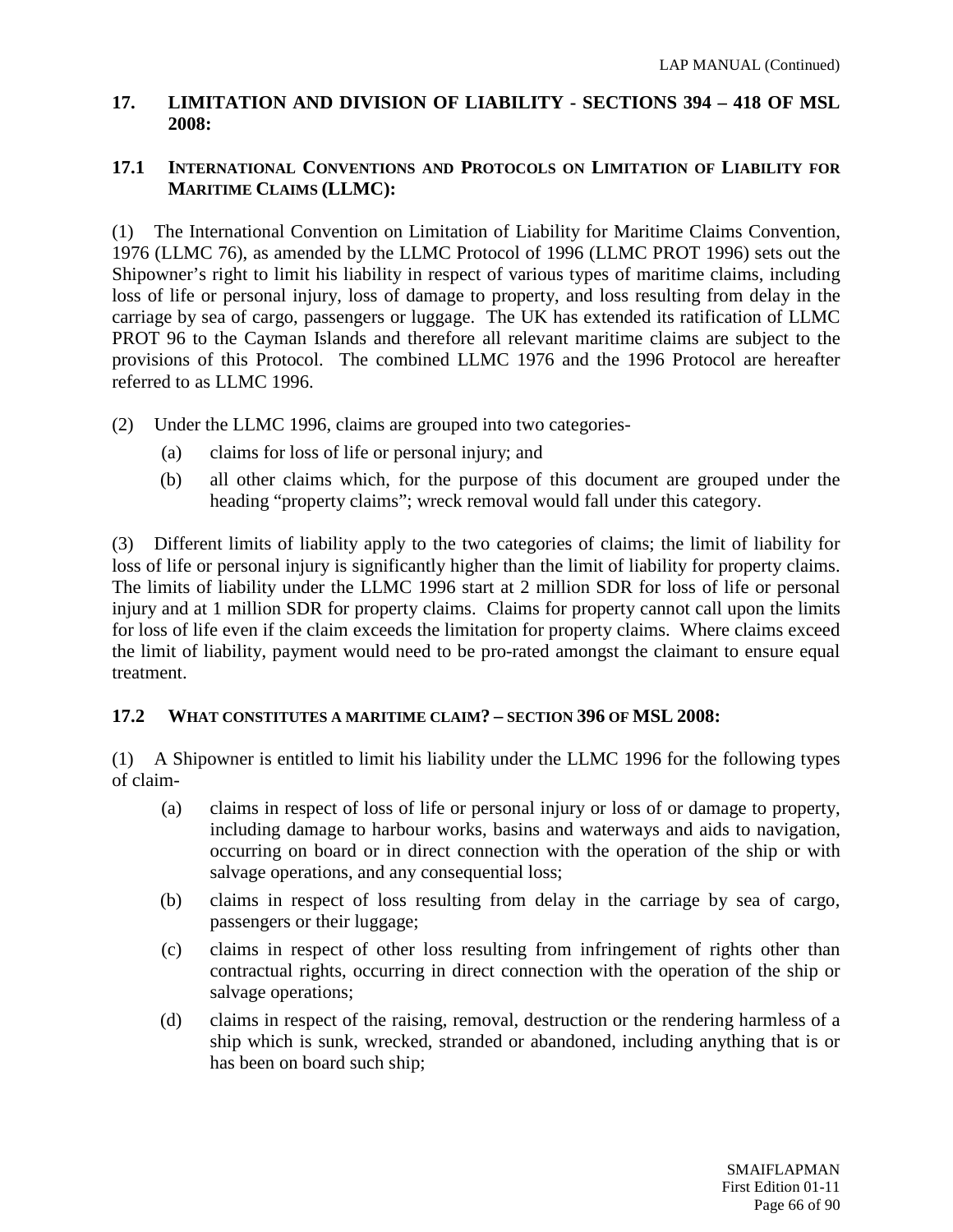## **17. LIMITATION AND DIVISION OF LIABILITY - SECTIONS 394 – 418 OF MSL 2008:**

## **17.1 INTERNATIONAL CONVENTIONS AND PROTOCOLS ON LIMITATION OF LIABILITY FOR MARITIME CLAIMS (LLMC):**

(1) The International Convention on Limitation of Liability for Maritime Claims Convention, 1976 (LLMC 76), as amended by the LLMC Protocol of 1996 (LLMC PROT 1996) sets out the Shipowner's right to limit his liability in respect of various types of maritime claims, including loss of life or personal injury, loss of damage to property, and loss resulting from delay in the carriage by sea of cargo, passengers or luggage. The UK has extended its ratification of LLMC PROT 96 to the Cayman Islands and therefore all relevant maritime claims are subject to the provisions of this Protocol. The combined LLMC 1976 and the 1996 Protocol are hereafter referred to as LLMC 1996.

- (2) Under the LLMC 1996, claims are grouped into two categories-
	- (a) claims for loss of life or personal injury; and
	- (b) all other claims which, for the purpose of this document are grouped under the heading "property claims"; wreck removal would fall under this category.

(3) Different limits of liability apply to the two categories of claims; the limit of liability for loss of life or personal injury is significantly higher than the limit of liability for property claims. The limits of liability under the LLMC 1996 start at 2 million SDR for loss of life or personal injury and at 1 million SDR for property claims. Claims for property cannot call upon the limits for loss of life even if the claim exceeds the limitation for property claims. Where claims exceed the limit of liability, payment would need to be pro-rated amongst the claimant to ensure equal treatment.

## **17.2 WHAT CONSTITUTES A MARITIME CLAIM? – SECTION 396 OF MSL 2008:**

(1) A Shipowner is entitled to limit his liability under the LLMC 1996 for the following types of claim-

- (a) claims in respect of loss of life or personal injury or loss of or damage to property, including damage to harbour works, basins and waterways and aids to navigation, occurring on board or in direct connection with the operation of the ship or with salvage operations, and any consequential loss;
- (b) claims in respect of loss resulting from delay in the carriage by sea of cargo, passengers or their luggage;
- (c) claims in respect of other loss resulting from infringement of rights other than contractual rights, occurring in direct connection with the operation of the ship or salvage operations;
- (d) claims in respect of the raising, removal, destruction or the rendering harmless of a ship which is sunk, wrecked, stranded or abandoned, including anything that is or has been on board such ship;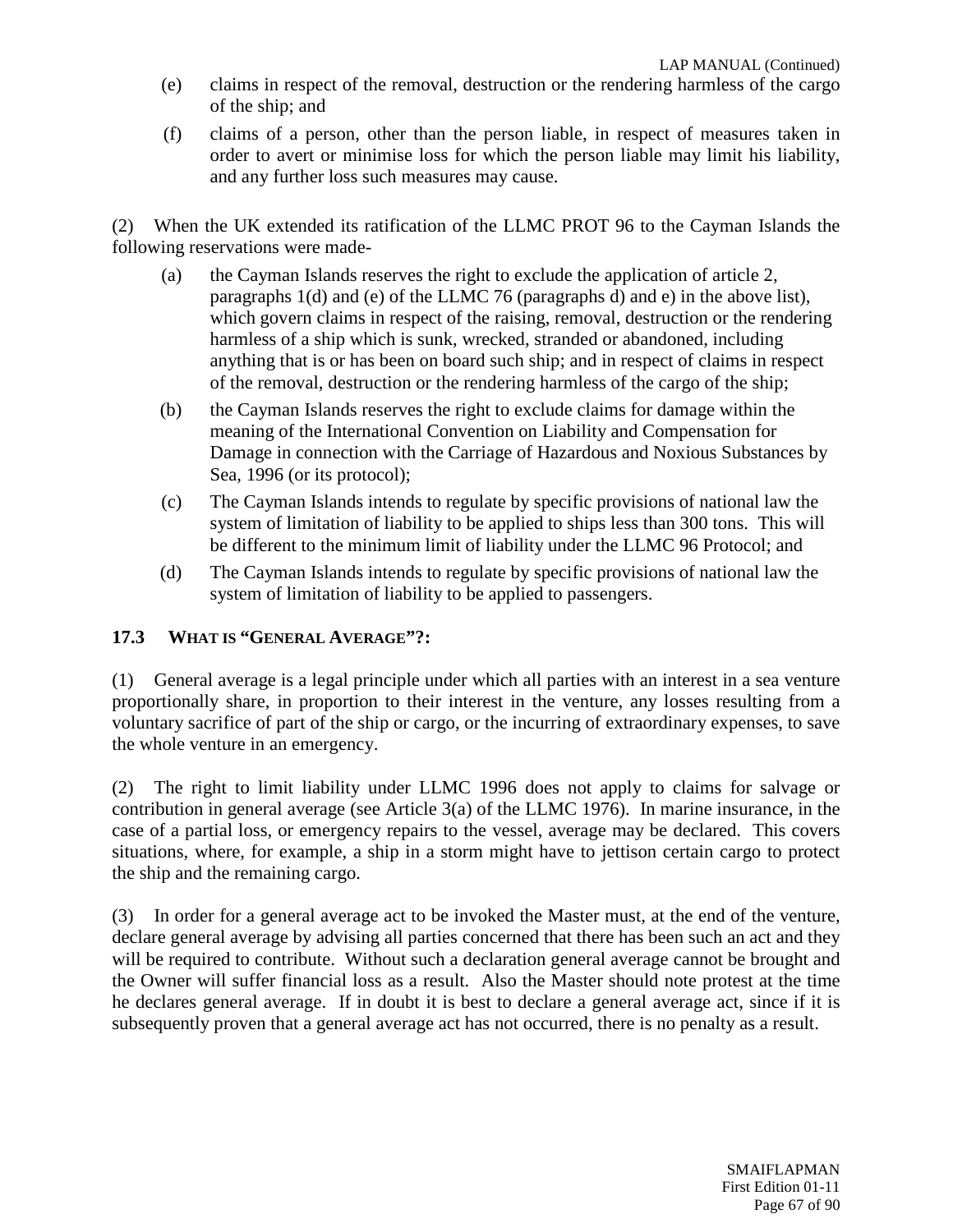- (e) claims in respect of the removal, destruction or the rendering harmless of the cargo of the ship; and
- (f) claims of a person, other than the person liable, in respect of measures taken in order to avert or minimise loss for which the person liable may limit his liability, and any further loss such measures may cause.

(2) When the UK extended its ratification of the LLMC PROT 96 to the Cayman Islands the following reservations were made-

- (a) the Cayman Islands reserves the right to exclude the application of article 2, paragraphs 1(d) and (e) of the LLMC 76 (paragraphs d) and e) in the above list), which govern claims in respect of the raising, removal, destruction or the rendering harmless of a ship which is sunk, wrecked, stranded or abandoned, including anything that is or has been on board such ship; and in respect of claims in respect of the removal, destruction or the rendering harmless of the cargo of the ship;
- (b) the Cayman Islands reserves the right to exclude claims for damage within the meaning of the International Convention on Liability and Compensation for Damage in connection with the Carriage of Hazardous and Noxious Substances by Sea, 1996 (or its protocol);
- (c) The Cayman Islands intends to regulate by specific provisions of national law the system of limitation of liability to be applied to ships less than 300 tons. This will be different to the minimum limit of liability under the LLMC 96 Protocol; and
- (d) The Cayman Islands intends to regulate by specific provisions of national law the system of limitation of liability to be applied to passengers.

## **17.3 WHAT IS "GENERAL AVERAGE"?:**

(1) General average is a legal principle under which all parties with an interest in a sea venture proportionally share, in proportion to their interest in the venture, any losses resulting from a voluntary sacrifice of part of the ship or cargo, or the incurring of extraordinary expenses, to save the whole venture in an emergency.

(2) The right to limit liability under LLMC 1996 does not apply to claims for salvage or contribution in general average (see Article 3(a) of the LLMC 1976). In marine insurance, in the case of a partial loss, or emergency repairs to the vessel, average may be declared. This covers situations, where, for example, a ship in a storm might have to jettison certain cargo to protect the ship and the remaining cargo.

(3) In order for a general average act to be invoked the Master must, at the end of the venture, declare general average by advising all parties concerned that there has been such an act and they will be required to contribute. Without such a declaration general average cannot be brought and the Owner will suffer financial loss as a result. Also the Master should note protest at the time he declares general average. If in doubt it is best to declare a general average act, since if it is subsequently proven that a general average act has not occurred, there is no penalty as a result.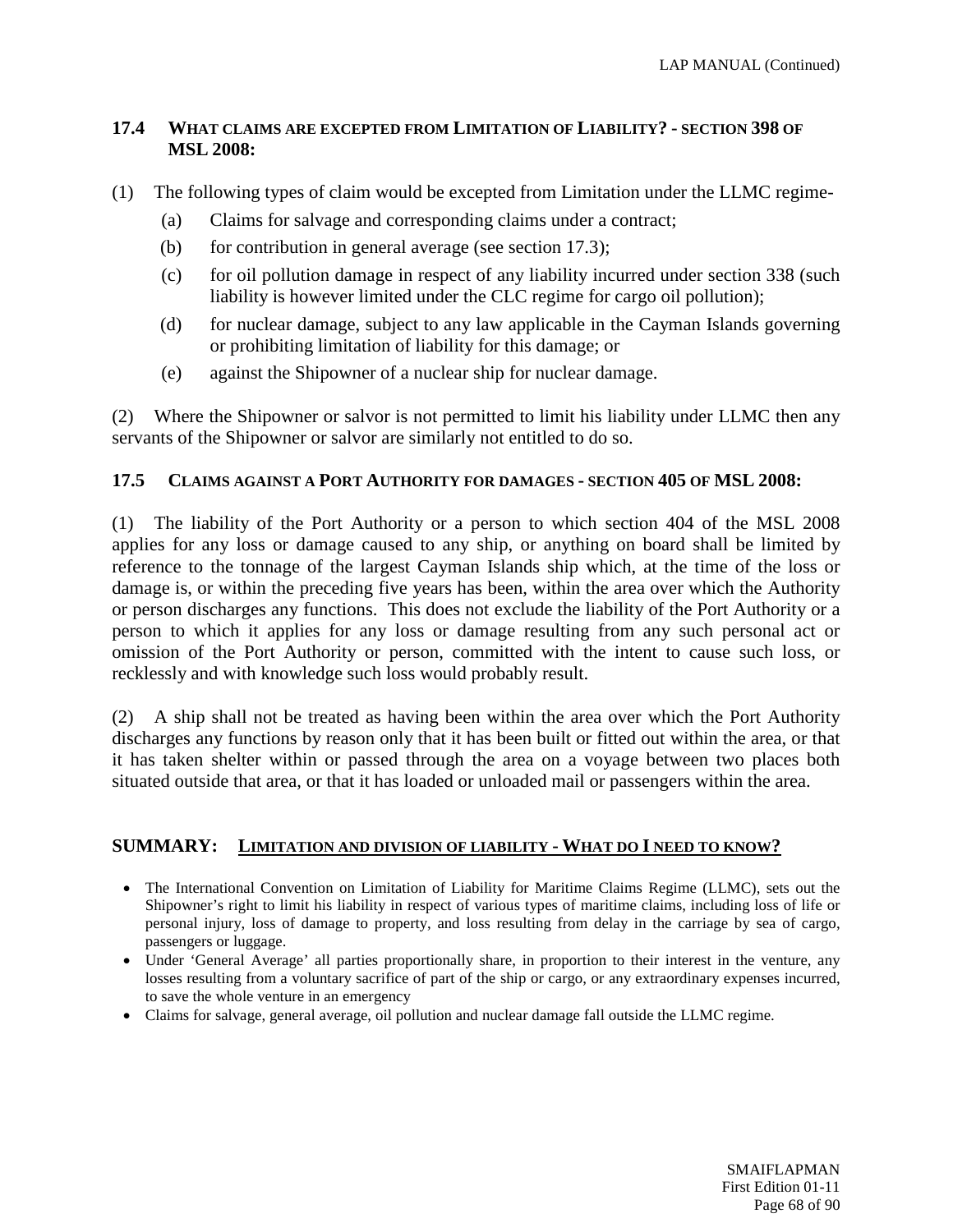## **17.4 WHAT CLAIMS ARE EXCEPTED FROM LIMITATION OF LIABILITY? - SECTION 398 OF MSL 2008:**

- (1) The following types of claim would be excepted from Limitation under the LLMC regime-
	- (a) Claims for salvage and corresponding claims under a contract;
	- (b) for contribution in general average (see section 17.3);
	- (c) for oil pollution damage in respect of any liability incurred under section 338 (such liability is however limited under the CLC regime for cargo oil pollution);
	- (d) for nuclear damage, subject to any law applicable in the Cayman Islands governing or prohibiting limitation of liability for this damage; or
	- (e) against the Shipowner of a nuclear ship for nuclear damage.

(2) Where the Shipowner or salvor is not permitted to limit his liability under LLMC then any servants of the Shipowner or salvor are similarly not entitled to do so.

## **17.5 CLAIMS AGAINST A PORT AUTHORITY FOR DAMAGES - SECTION 405 OF MSL 2008:**

(1) The liability of the Port Authority or a person to which section 404 of the MSL 2008 applies for any loss or damage caused to any ship, or anything on board shall be limited by reference to the tonnage of the largest Cayman Islands ship which, at the time of the loss or damage is, or within the preceding five years has been, within the area over which the Authority or person discharges any functions. This does not exclude the liability of the Port Authority or a person to which it applies for any loss or damage resulting from any such personal act or omission of the Port Authority or person, committed with the intent to cause such loss, or recklessly and with knowledge such loss would probably result.

(2) A ship shall not be treated as having been within the area over which the Port Authority discharges any functions by reason only that it has been built or fitted out within the area, or that it has taken shelter within or passed through the area on a voyage between two places both situated outside that area, or that it has loaded or unloaded mail or passengers within the area.

## **SUMMARY: LIMITATION AND DIVISION OF LIABILITY - WHAT DO I NEED TO KNOW?**

- The International Convention on Limitation of Liability for Maritime Claims Regime (LLMC), sets out the Shipowner's right to limit his liability in respect of various types of maritime claims, including loss of life or personal injury, loss of damage to property, and loss resulting from delay in the carriage by sea of cargo, passengers or luggage.
- Under 'General Average' all parties proportionally share, in proportion to their interest in the venture, any losses resulting from a voluntary sacrifice of part of the ship or cargo, or any extraordinary expenses incurred, to save the whole venture in an emergency
- Claims for salvage, general average, oil pollution and nuclear damage fall outside the LLMC regime.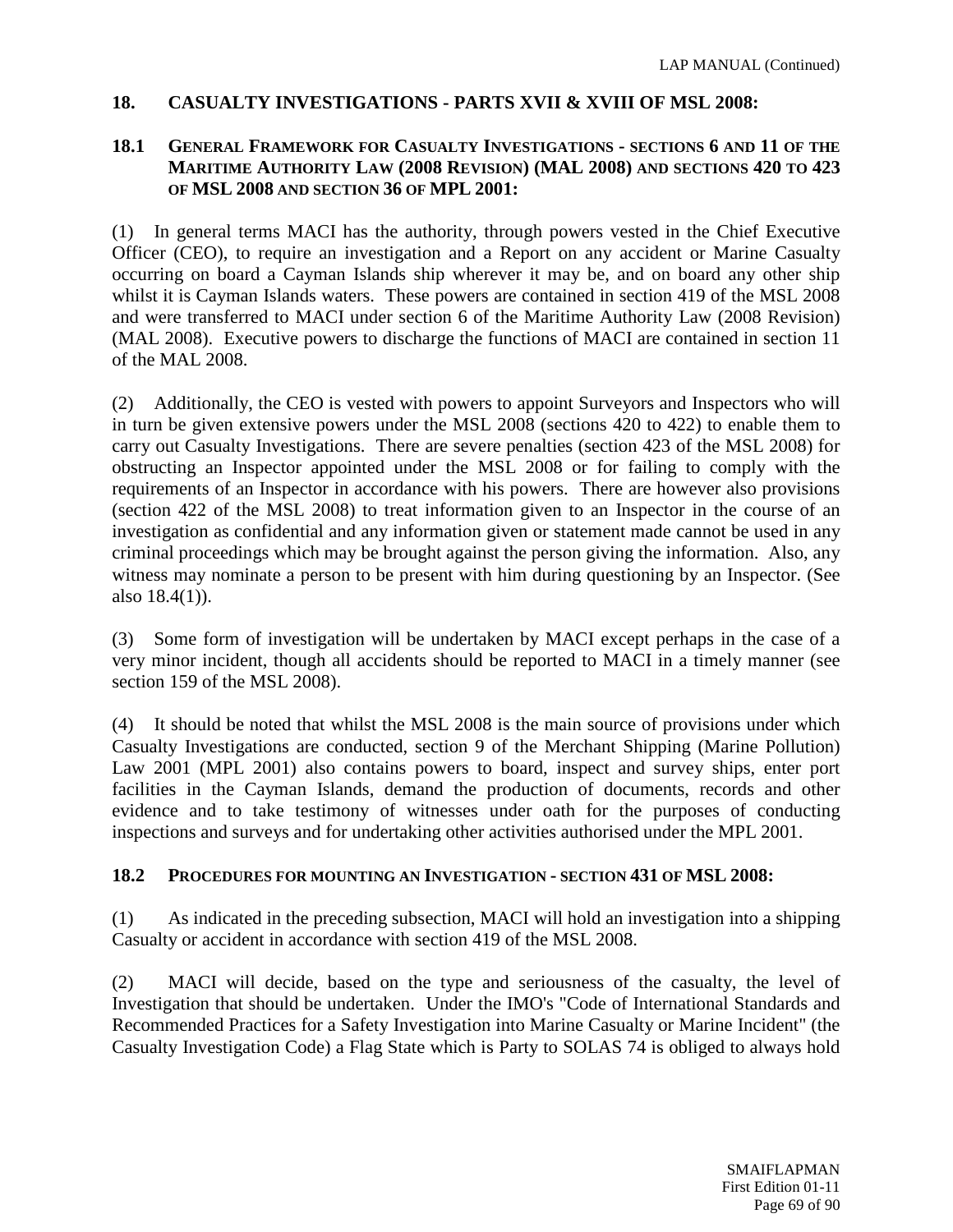## **18. CASUALTY INVESTIGATIONS - PARTS XVII & XVIII OF MSL 2008:**

## **18.1 GENERAL FRAMEWORK FOR CASUALTY INVESTIGATIONS - SECTIONS 6 AND 11 OF THE MARITIME AUTHORITY LAW (2008 REVISION) (MAL 2008) AND SECTIONS 420 TO 423 OF MSL 2008 AND SECTION 36 OF MPL 2001:**

(1) In general terms MACI has the authority, through powers vested in the Chief Executive Officer (CEO), to require an investigation and a Report on any accident or Marine Casualty occurring on board a Cayman Islands ship wherever it may be, and on board any other ship whilst it is Cayman Islands waters. These powers are contained in section 419 of the MSL 2008 and were transferred to MACI under section 6 of the Maritime Authority Law (2008 Revision) (MAL 2008). Executive powers to discharge the functions of MACI are contained in section 11 of the MAL 2008.

(2) Additionally, the CEO is vested with powers to appoint Surveyors and Inspectors who will in turn be given extensive powers under the MSL 2008 (sections 420 to 422) to enable them to carry out Casualty Investigations. There are severe penalties (section 423 of the MSL 2008) for obstructing an Inspector appointed under the MSL 2008 or for failing to comply with the requirements of an Inspector in accordance with his powers. There are however also provisions (section 422 of the MSL 2008) to treat information given to an Inspector in the course of an investigation as confidential and any information given or statement made cannot be used in any criminal proceedings which may be brought against the person giving the information. Also, any witness may nominate a person to be present with him during questioning by an Inspector. (See also 18.4(1)).

(3) Some form of investigation will be undertaken by MACI except perhaps in the case of a very minor incident, though all accidents should be reported to MACI in a timely manner (see section 159 of the MSL 2008).

(4) It should be noted that whilst the MSL 2008 is the main source of provisions under which Casualty Investigations are conducted, section 9 of the Merchant Shipping (Marine Pollution) Law 2001 (MPL 2001) also contains powers to board, inspect and survey ships, enter port facilities in the Cayman Islands, demand the production of documents, records and other evidence and to take testimony of witnesses under oath for the purposes of conducting inspections and surveys and for undertaking other activities authorised under the MPL 2001.

## **18.2 PROCEDURES FOR MOUNTING AN INVESTIGATION - SECTION 431 OF MSL 2008:**

(1) As indicated in the preceding subsection, MACI will hold an investigation into a shipping Casualty or accident in accordance with section 419 of the MSL 2008.

(2) MACI will decide, based on the type and seriousness of the casualty, the level of Investigation that should be undertaken. Under the IMO's "Code of International Standards and Recommended Practices for a Safety Investigation into Marine Casualty or Marine Incident" (the Casualty Investigation Code) a Flag State which is Party to SOLAS 74 is obliged to always hold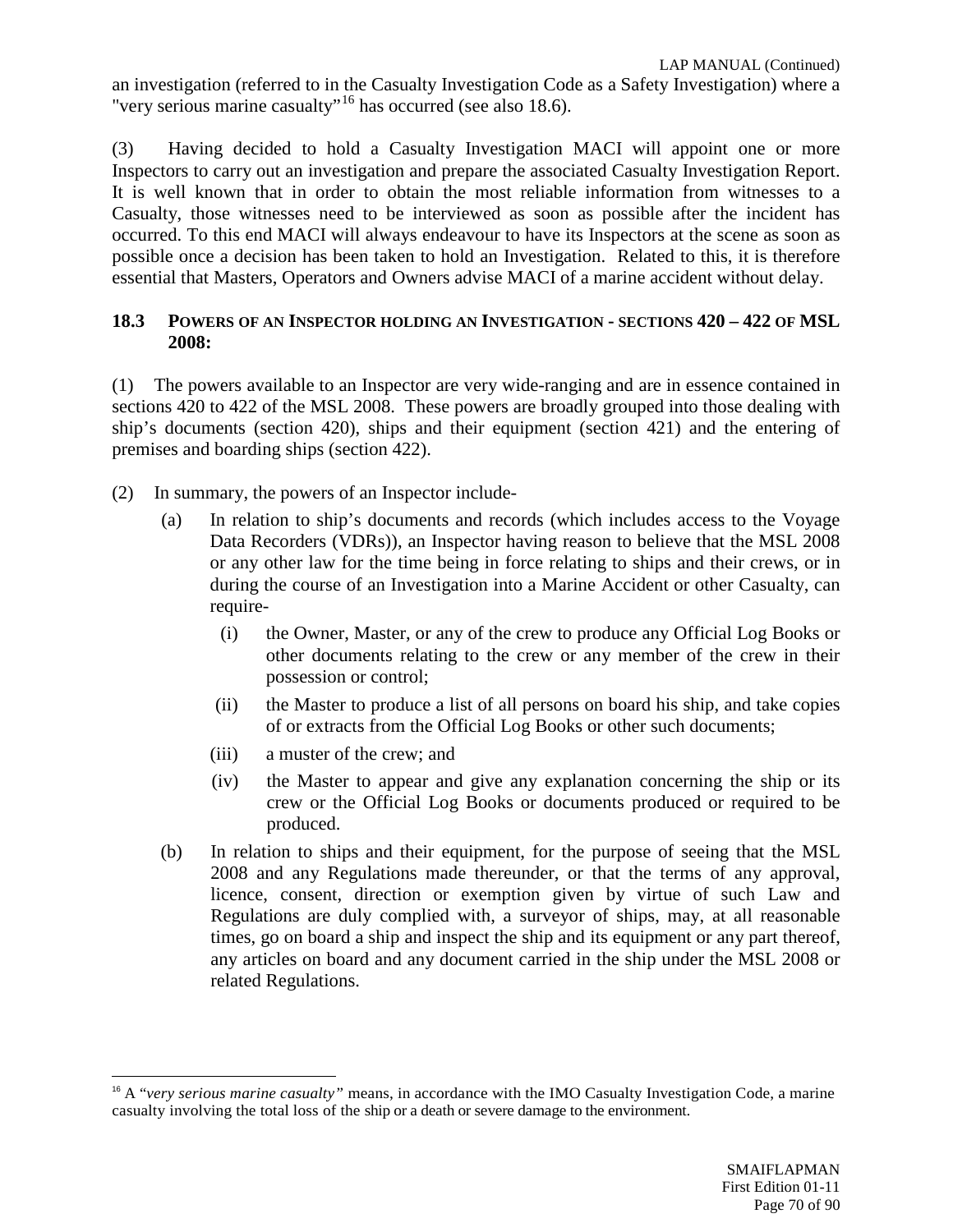an investigation (referred to in the Casualty Investigation Code as a Safety Investigation) where a "very serious marine casualty"[16](#page-69-0) has occurred (see also 18.6).

(3) Having decided to hold a Casualty Investigation MACI will appoint one or more Inspectors to carry out an investigation and prepare the associated Casualty Investigation Report. It is well known that in order to obtain the most reliable information from witnesses to a Casualty, those witnesses need to be interviewed as soon as possible after the incident has occurred. To this end MACI will always endeavour to have its Inspectors at the scene as soon as possible once a decision has been taken to hold an Investigation. Related to this, it is therefore essential that Masters, Operators and Owners advise MACI of a marine accident without delay.

## **18.3 POWERS OF AN INSPECTOR HOLDING AN INVESTIGATION - SECTIONS 420 – 422 OF MSL 2008:**

(1) The powers available to an Inspector are very wide-ranging and are in essence contained in sections 420 to 422 of the MSL 2008. These powers are broadly grouped into those dealing with ship's documents (section 420), ships and their equipment (section 421) and the entering of premises and boarding ships (section 422).

- (2) In summary, the powers of an Inspector include-
	- (a) In relation to ship's documents and records (which includes access to the Voyage Data Recorders (VDRs)), an Inspector having reason to believe that the MSL 2008 or any other law for the time being in force relating to ships and their crews, or in during the course of an Investigation into a Marine Accident or other Casualty, can require-
		- (i) the Owner, Master, or any of the crew to produce any Official Log Books or other documents relating to the crew or any member of the crew in their possession or control;
		- (ii) the Master to produce a list of all persons on board his ship, and take copies of or extracts from the Official Log Books or other such documents;
		- (iii) a muster of the crew; and
		- (iv) the Master to appear and give any explanation concerning the ship or its crew or the Official Log Books or documents produced or required to be produced.
	- (b) In relation to ships and their equipment, for the purpose of seeing that the MSL 2008 and any Regulations made thereunder, or that the terms of any approval, licence, consent, direction or exemption given by virtue of such Law and Regulations are duly complied with, a surveyor of ships, may, at all reasonable times, go on board a ship and inspect the ship and its equipment or any part thereof, any articles on board and any document carried in the ship under the MSL 2008 or related Regulations.

<span id="page-69-0"></span> <sup>16</sup> A "*very serious marine casualty"* means, in accordance with the IMO Casualty Investigation Code, a marine casualty involving the total loss of the ship or a death or severe damage to the environment.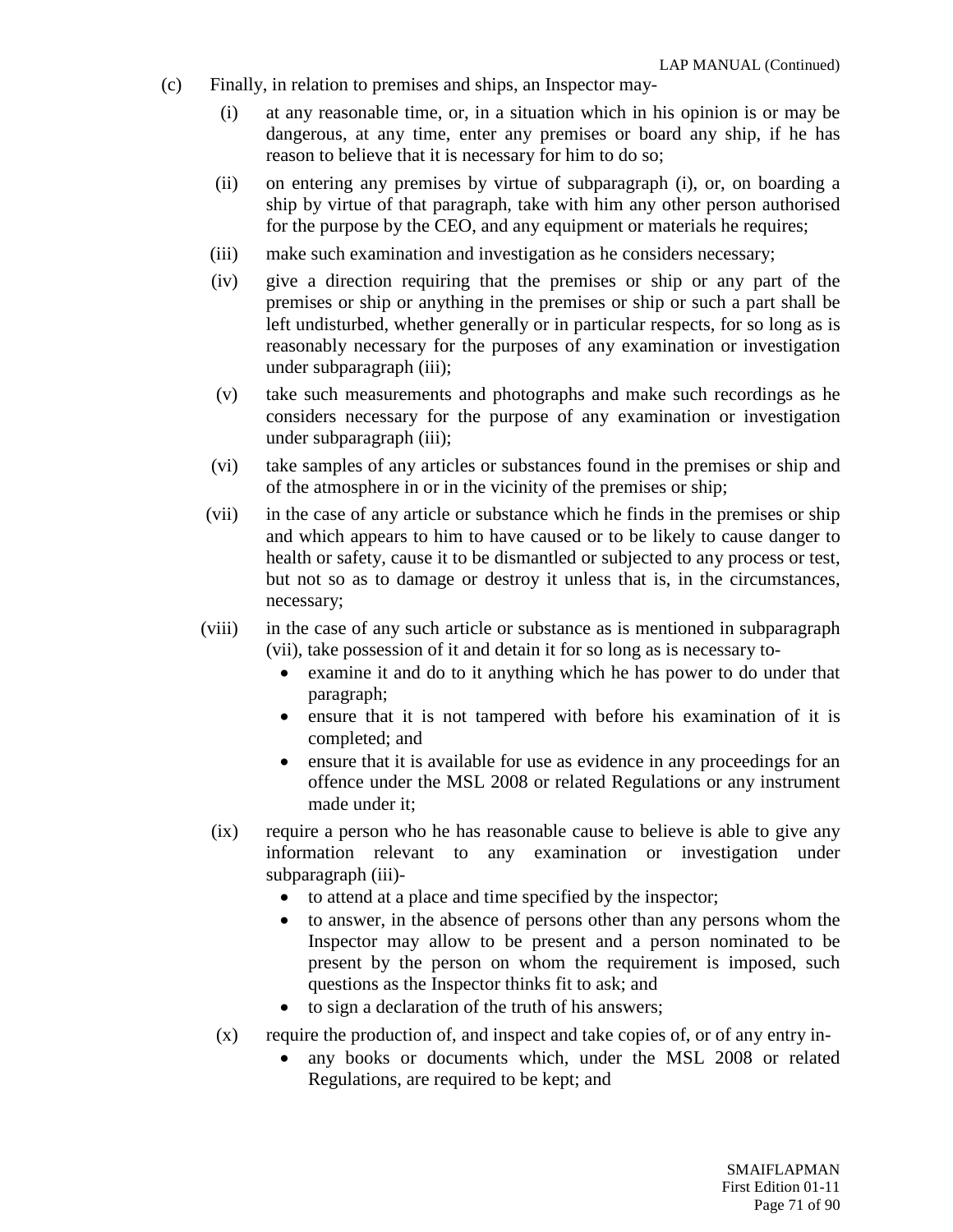- (c) Finally, in relation to premises and ships, an Inspector may-
	- (i) at any reasonable time, or, in a situation which in his opinion is or may be dangerous, at any time, enter any premises or board any ship, if he has reason to believe that it is necessary for him to do so;
	- (ii) on entering any premises by virtue of subparagraph (i), or, on boarding a ship by virtue of that paragraph, take with him any other person authorised for the purpose by the CEO, and any equipment or materials he requires;
	- (iii) make such examination and investigation as he considers necessary;
	- (iv) give a direction requiring that the premises or ship or any part of the premises or ship or anything in the premises or ship or such a part shall be left undisturbed, whether generally or in particular respects, for so long as is reasonably necessary for the purposes of any examination or investigation under subparagraph (iii);
	- (v) take such measurements and photographs and make such recordings as he considers necessary for the purpose of any examination or investigation under subparagraph (iii);
	- (vi) take samples of any articles or substances found in the premises or ship and of the atmosphere in or in the vicinity of the premises or ship;
	- (vii) in the case of any article or substance which he finds in the premises or ship and which appears to him to have caused or to be likely to cause danger to health or safety, cause it to be dismantled or subjected to any process or test, but not so as to damage or destroy it unless that is, in the circumstances, necessary;
	- (viii) in the case of any such article or substance as is mentioned in subparagraph (vii), take possession of it and detain it for so long as is necessary to-
		- examine it and do to it anything which he has power to do under that paragraph;
		- ensure that it is not tampered with before his examination of it is completed; and
		- ensure that it is available for use as evidence in any proceedings for an offence under the MSL 2008 or related Regulations or any instrument made under it;
	- (ix) require a person who he has reasonable cause to believe is able to give any information relevant to any examination or investigation under subparagraph (iii)-
		- to attend at a place and time specified by the inspector;
		- to answer, in the absence of persons other than any persons whom the Inspector may allow to be present and a person nominated to be present by the person on whom the requirement is imposed, such questions as the Inspector thinks fit to ask; and
		- to sign a declaration of the truth of his answers;
	- (x) require the production of, and inspect and take copies of, or of any entry in-
		- any books or documents which, under the MSL 2008 or related Regulations, are required to be kept; and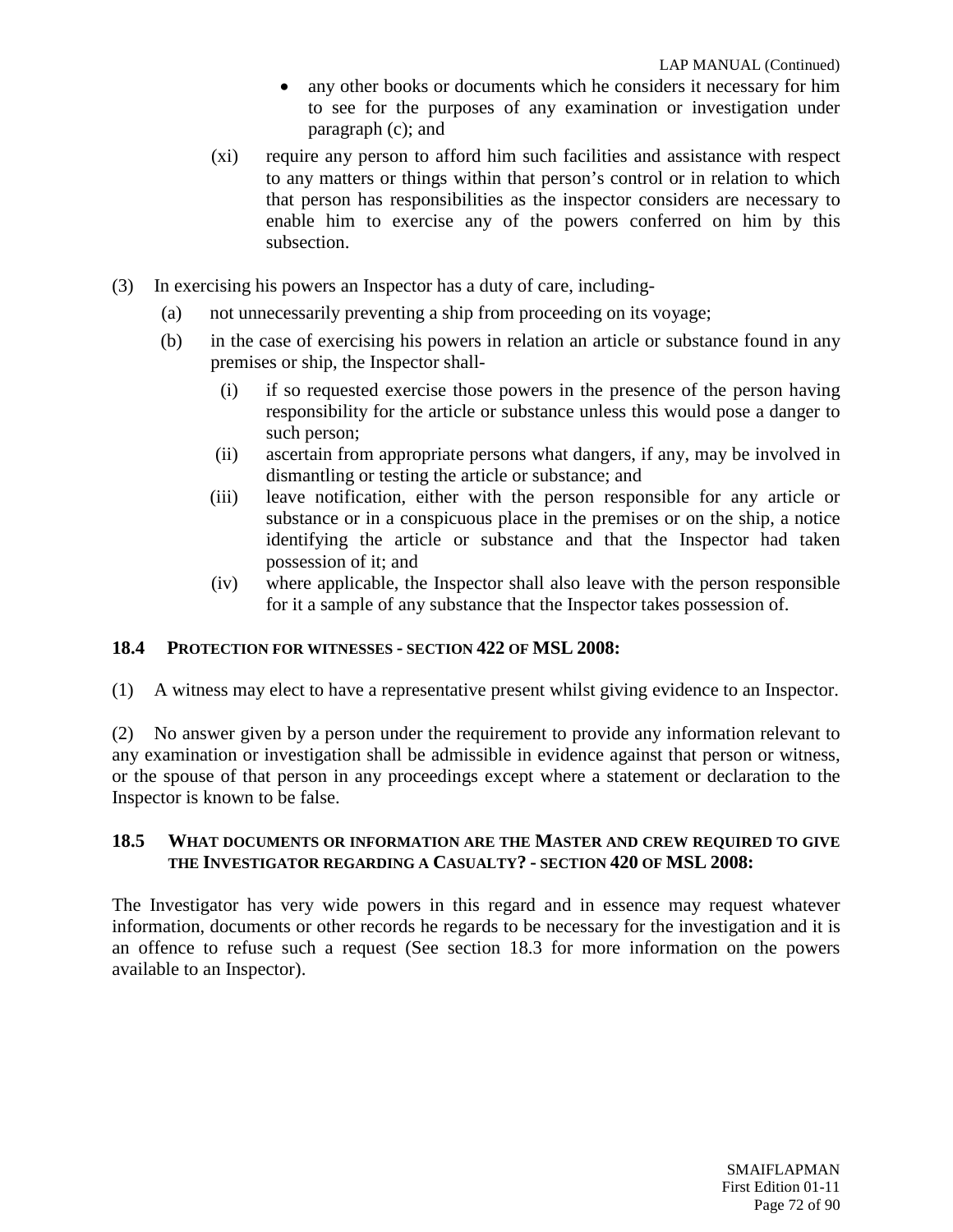- any other books or documents which he considers it necessary for him to see for the purposes of any examination or investigation under paragraph (c); and
- (xi) require any person to afford him such facilities and assistance with respect to any matters or things within that person's control or in relation to which that person has responsibilities as the inspector considers are necessary to enable him to exercise any of the powers conferred on him by this subsection.
- (3) In exercising his powers an Inspector has a duty of care, including-
	- (a) not unnecessarily preventing a ship from proceeding on its voyage;
	- (b) in the case of exercising his powers in relation an article or substance found in any premises or ship, the Inspector shall-
		- (i) if so requested exercise those powers in the presence of the person having responsibility for the article or substance unless this would pose a danger to such person;
		- (ii) ascertain from appropriate persons what dangers, if any, may be involved in dismantling or testing the article or substance; and
		- (iii) leave notification, either with the person responsible for any article or substance or in a conspicuous place in the premises or on the ship, a notice identifying the article or substance and that the Inspector had taken possession of it; and
		- (iv) where applicable, the Inspector shall also leave with the person responsible for it a sample of any substance that the Inspector takes possession of.

## **18.4 PROTECTION FOR WITNESSES - SECTION 422 OF MSL 2008:**

(1) A witness may elect to have a representative present whilst giving evidence to an Inspector.

(2) No answer given by a person under the requirement to provide any information relevant to any examination or investigation shall be admissible in evidence against that person or witness, or the spouse of that person in any proceedings except where a statement or declaration to the Inspector is known to be false.

## **18.5 WHAT DOCUMENTS OR INFORMATION ARE THE MASTER AND CREW REQUIRED TO GIVE THE INVESTIGATOR REGARDING A CASUALTY? - SECTION 420 OF MSL 2008:**

The Investigator has very wide powers in this regard and in essence may request whatever information, documents or other records he regards to be necessary for the investigation and it is an offence to refuse such a request (See section 18.3 for more information on the powers available to an Inspector).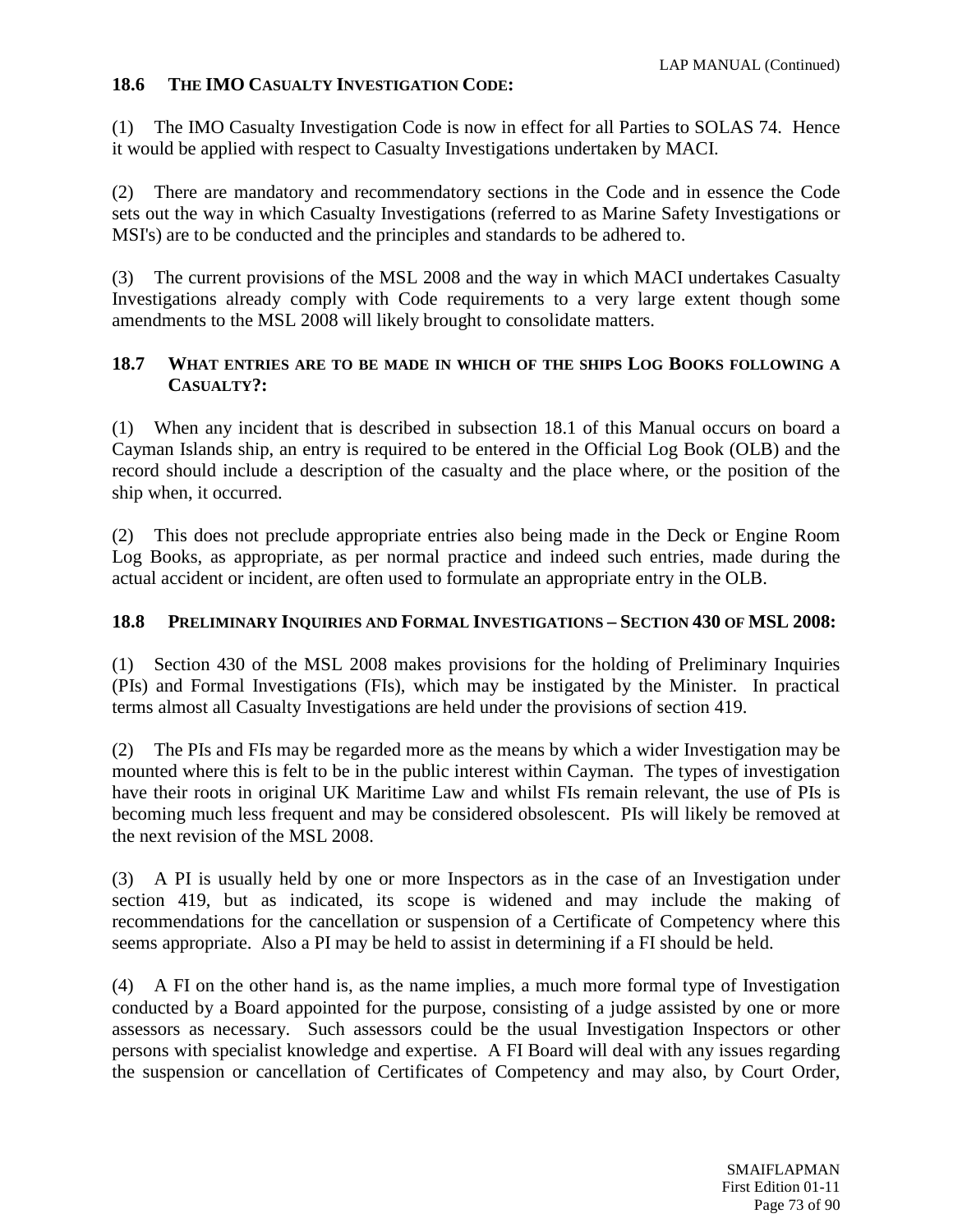## **18.6 THE IMO CASUALTY INVESTIGATION CODE:**

(1) The IMO Casualty Investigation Code is now in effect for all Parties to SOLAS 74. Hence it would be applied with respect to Casualty Investigations undertaken by MACI.

(2) There are mandatory and recommendatory sections in the Code and in essence the Code sets out the way in which Casualty Investigations (referred to as Marine Safety Investigations or MSI's) are to be conducted and the principles and standards to be adhered to.

(3) The current provisions of the MSL 2008 and the way in which MACI undertakes Casualty Investigations already comply with Code requirements to a very large extent though some amendments to the MSL 2008 will likely brought to consolidate matters.

#### **18.7 WHAT ENTRIES ARE TO BE MADE IN WHICH OF THE SHIPS LOG BOOKS FOLLOWING A CASUALTY?:**

(1) When any incident that is described in subsection 18.1 of this Manual occurs on board a Cayman Islands ship, an entry is required to be entered in the Official Log Book (OLB) and the record should include a description of the casualty and the place where, or the position of the ship when, it occurred.

(2) This does not preclude appropriate entries also being made in the Deck or Engine Room Log Books, as appropriate, as per normal practice and indeed such entries, made during the actual accident or incident, are often used to formulate an appropriate entry in the OLB.

#### **18.8 PRELIMINARY INQUIRIES AND FORMAL INVESTIGATIONS – SECTION 430 OF MSL 2008:**

(1) Section 430 of the MSL 2008 makes provisions for the holding of Preliminary Inquiries (PIs) and Formal Investigations (FIs), which may be instigated by the Minister. In practical terms almost all Casualty Investigations are held under the provisions of section 419.

(2) The PIs and FIs may be regarded more as the means by which a wider Investigation may be mounted where this is felt to be in the public interest within Cayman. The types of investigation have their roots in original UK Maritime Law and whilst FIs remain relevant, the use of PIs is becoming much less frequent and may be considered obsolescent. PIs will likely be removed at the next revision of the MSL 2008.

(3) A PI is usually held by one or more Inspectors as in the case of an Investigation under section 419, but as indicated, its scope is widened and may include the making of recommendations for the cancellation or suspension of a Certificate of Competency where this seems appropriate. Also a PI may be held to assist in determining if a FI should be held.

(4) A FI on the other hand is, as the name implies, a much more formal type of Investigation conducted by a Board appointed for the purpose, consisting of a judge assisted by one or more assessors as necessary. Such assessors could be the usual Investigation Inspectors or other persons with specialist knowledge and expertise. A FI Board will deal with any issues regarding the suspension or cancellation of Certificates of Competency and may also, by Court Order,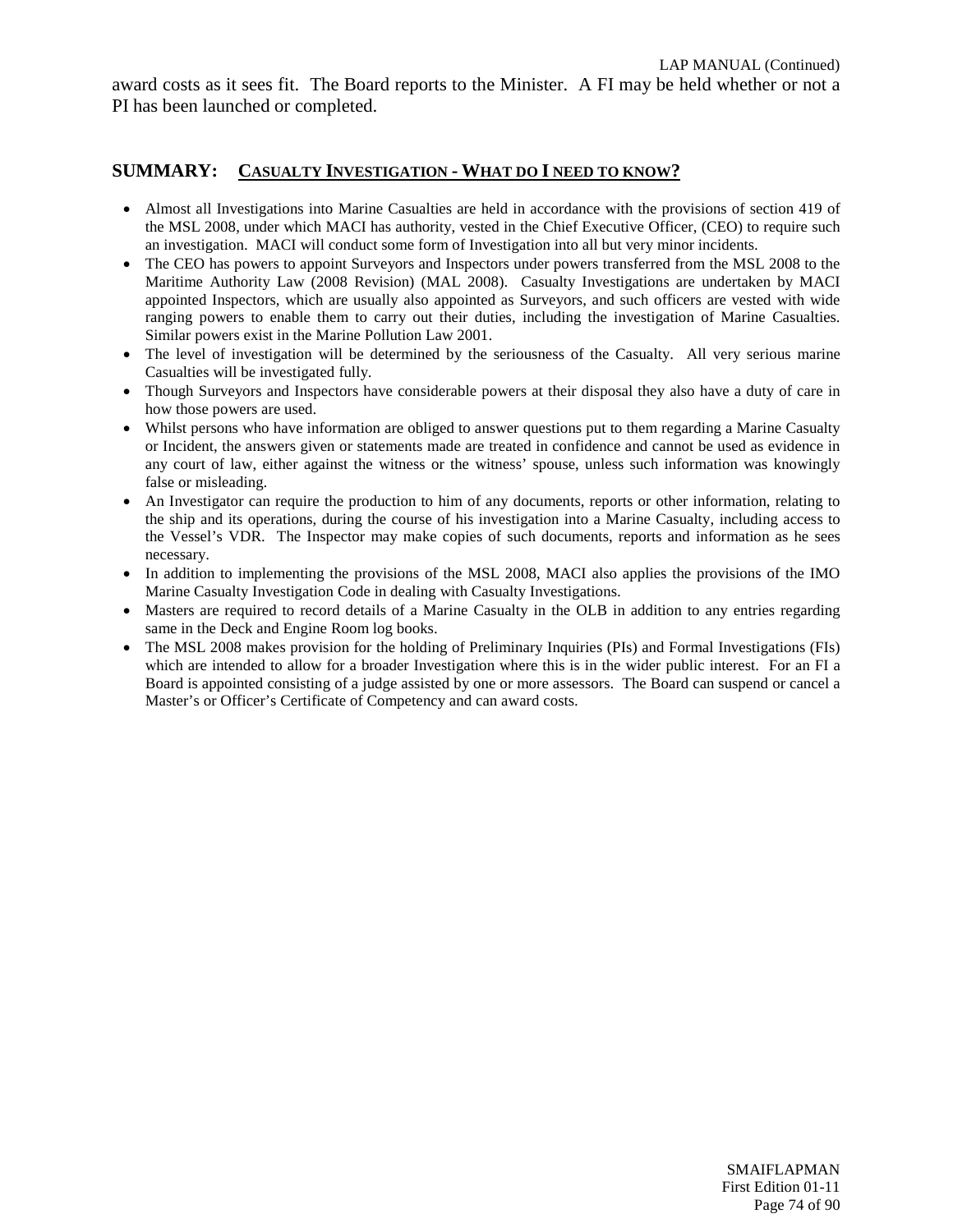award costs as it sees fit. The Board reports to the Minister. A FI may be held whether or not a PI has been launched or completed.

#### **SUMMARY: CASUALTY INVESTIGATION - WHAT DO I NEED TO KNOW?**

- Almost all Investigations into Marine Casualties are held in accordance with the provisions of section 419 of the MSL 2008, under which MACI has authority, vested in the Chief Executive Officer, (CEO) to require such an investigation. MACI will conduct some form of Investigation into all but very minor incidents.
- The CEO has powers to appoint Surveyors and Inspectors under powers transferred from the MSL 2008 to the Maritime Authority Law (2008 Revision) (MAL 2008). Casualty Investigations are undertaken by MACI appointed Inspectors, which are usually also appointed as Surveyors, and such officers are vested with wide ranging powers to enable them to carry out their duties, including the investigation of Marine Casualties. Similar powers exist in the Marine Pollution Law 2001.
- The level of investigation will be determined by the seriousness of the Casualty. All very serious marine Casualties will be investigated fully.
- Though Surveyors and Inspectors have considerable powers at their disposal they also have a duty of care in how those powers are used.
- Whilst persons who have information are obliged to answer questions put to them regarding a Marine Casualty or Incident, the answers given or statements made are treated in confidence and cannot be used as evidence in any court of law, either against the witness or the witness' spouse, unless such information was knowingly false or misleading.
- An Investigator can require the production to him of any documents, reports or other information, relating to the ship and its operations, during the course of his investigation into a Marine Casualty, including access to the Vessel's VDR. The Inspector may make copies of such documents, reports and information as he sees necessary.
- In addition to implementing the provisions of the MSL 2008, MACI also applies the provisions of the IMO Marine Casualty Investigation Code in dealing with Casualty Investigations.
- Masters are required to record details of a Marine Casualty in the OLB in addition to any entries regarding same in the Deck and Engine Room log books.
- The MSL 2008 makes provision for the holding of Preliminary Inquiries (PIs) and Formal Investigations (FIs) which are intended to allow for a broader Investigation where this is in the wider public interest. For an FI a Board is appointed consisting of a judge assisted by one or more assessors. The Board can suspend or cancel a Master's or Officer's Certificate of Competency and can award costs.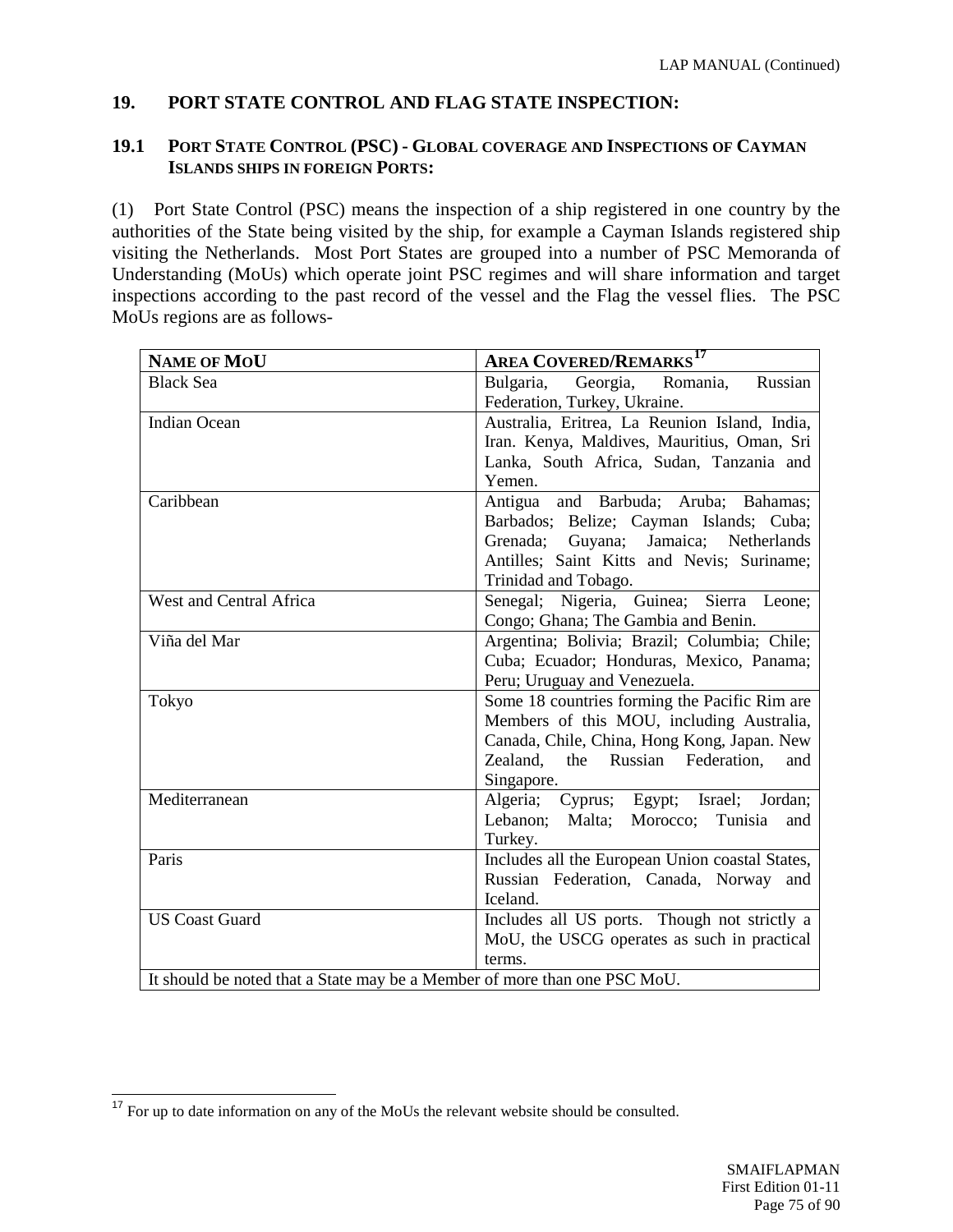# **19. PORT STATE CONTROL AND FLAG STATE INSPECTION:**

#### **19.1 PORT STATE CONTROL (PSC) - GLOBAL COVERAGE AND INSPECTIONS OF CAYMAN ISLANDS SHIPS IN FOREIGN PORTS:**

(1) Port State Control (PSC) means the inspection of a ship registered in one country by the authorities of the State being visited by the ship, for example a Cayman Islands registered ship visiting the Netherlands. Most Port States are grouped into a number of PSC Memoranda of Understanding (MoUs) which operate joint PSC regimes and will share information and target inspections according to the past record of the vessel and the Flag the vessel flies. The PSC MoUs regions are as follows-

| <b>NAME OF MOU</b>                                                        | <b>AREA COVERED/REMARKS<sup>17</sup></b>        |
|---------------------------------------------------------------------------|-------------------------------------------------|
| <b>Black Sea</b>                                                          | Bulgaria,<br>Romania,<br>Russian<br>Georgia,    |
|                                                                           | Federation, Turkey, Ukraine.                    |
| <b>Indian Ocean</b>                                                       | Australia, Eritrea, La Reunion Island, India,   |
|                                                                           | Iran. Kenya, Maldives, Mauritius, Oman, Sri     |
|                                                                           | Lanka, South Africa, Sudan, Tanzania and        |
|                                                                           | Yemen.                                          |
| Caribbean                                                                 | and Barbuda; Aruba; Bahamas;<br>Antigua         |
|                                                                           | Barbados; Belize; Cayman Islands; Cuba;         |
|                                                                           | Grenada; Guyana; Jamaica; Netherlands           |
|                                                                           | Antilles; Saint Kitts and Nevis; Suriname;      |
|                                                                           | Trinidad and Tobago.                            |
| West and Central Africa                                                   | Senegal; Nigeria, Guinea; Sierra Leone;         |
|                                                                           | Congo; Ghana; The Gambia and Benin.             |
| Viña del Mar                                                              | Argentina; Bolivia; Brazil; Columbia; Chile;    |
|                                                                           | Cuba; Ecuador; Honduras, Mexico, Panama;        |
|                                                                           | Peru; Uruguay and Venezuela.                    |
| Tokyo                                                                     | Some 18 countries forming the Pacific Rim are   |
|                                                                           | Members of this MOU, including Australia,       |
|                                                                           | Canada, Chile, China, Hong Kong, Japan. New     |
|                                                                           | Russian Federation,<br>Zealand,<br>the<br>and   |
|                                                                           | Singapore.                                      |
| Mediterranean                                                             | Algeria; Cyprus; Egypt; Israel; Jordan;         |
|                                                                           | Lebanon;<br>Malta;<br>Morocco; Tunisia<br>and   |
|                                                                           | Turkey.                                         |
| Paris                                                                     | Includes all the European Union coastal States, |
|                                                                           | Russian Federation, Canada, Norway and          |
|                                                                           | Iceland.                                        |
| <b>US Coast Guard</b>                                                     | Includes all US ports. Though not strictly a    |
|                                                                           | MoU, the USCG operates as such in practical     |
|                                                                           | terms.                                          |
| It should be noted that a State may be a Member of more than one PSC MoU. |                                                 |

<span id="page-74-0"></span><sup>&</sup>lt;sup>17</sup> For up to date information on any of the MoUs the relevant website should be consulted.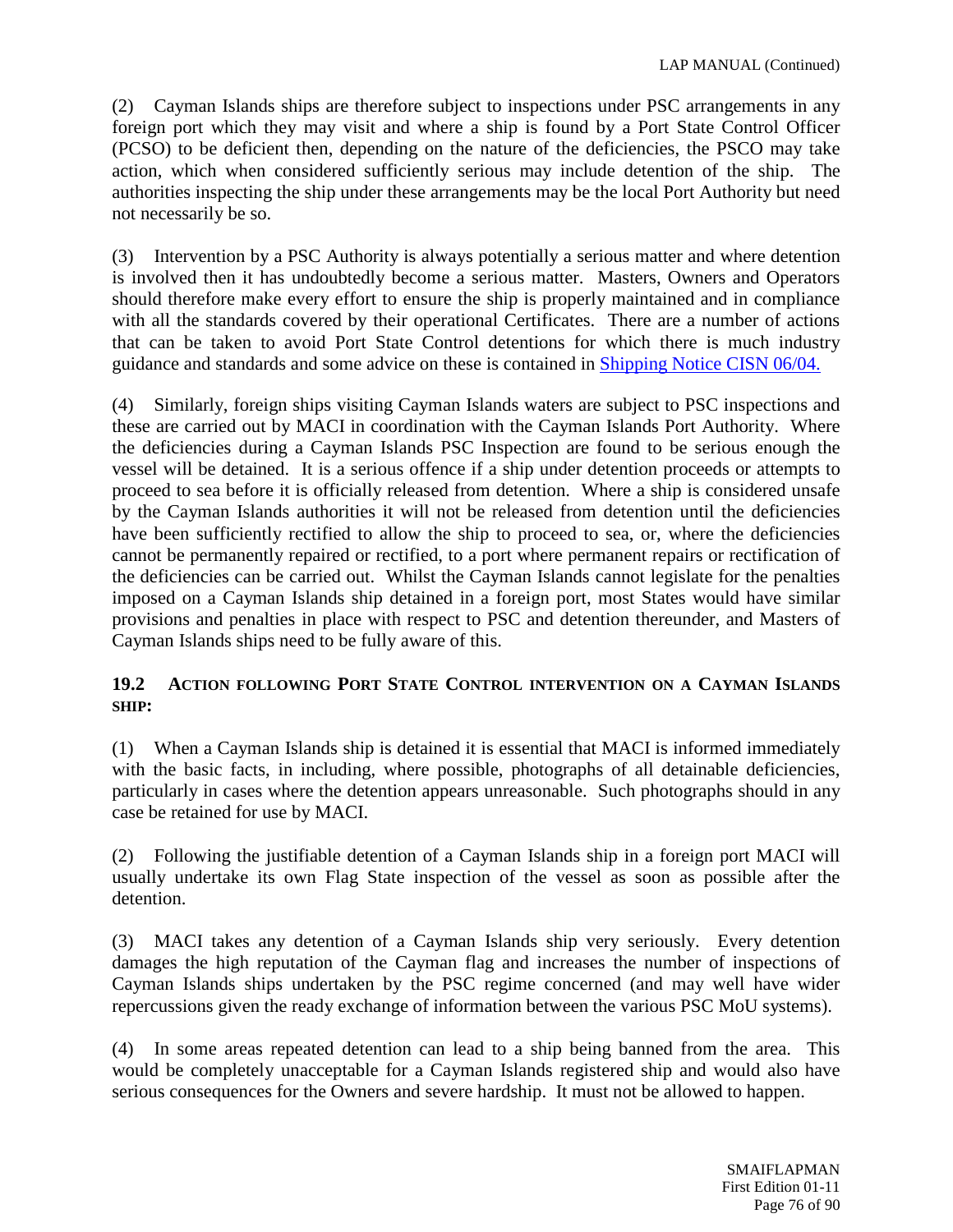(2) Cayman Islands ships are therefore subject to inspections under PSC arrangements in any foreign port which they may visit and where a ship is found by a Port State Control Officer (PCSO) to be deficient then, depending on the nature of the deficiencies, the PSCO may take action, which when considered sufficiently serious may include detention of the ship. The authorities inspecting the ship under these arrangements may be the local Port Authority but need not necessarily be so.

(3) Intervention by a PSC Authority is always potentially a serious matter and where detention is involved then it has undoubtedly become a serious matter. Masters, Owners and Operators should therefore make every effort to ensure the ship is properly maintained and in compliance with all the standards covered by their operational Certificates. There are a number of actions that can be taken to avoid Port State Control detentions for which there is much industry guidance and standards and some advice on these is contained in [Shipping Notice CISN 06/04.](http://www.cishipping.com/portal/page?_pageid=1307,1691453&_dad=portal&_schema=PORTAL)

(4) Similarly, foreign ships visiting Cayman Islands waters are subject to PSC inspections and these are carried out by MACI in coordination with the Cayman Islands Port Authority. Where the deficiencies during a Cayman Islands PSC Inspection are found to be serious enough the vessel will be detained. It is a serious offence if a ship under detention proceeds or attempts to proceed to sea before it is officially released from detention. Where a ship is considered unsafe by the Cayman Islands authorities it will not be released from detention until the deficiencies have been sufficiently rectified to allow the ship to proceed to sea, or, where the deficiencies cannot be permanently repaired or rectified, to a port where permanent repairs or rectification of the deficiencies can be carried out. Whilst the Cayman Islands cannot legislate for the penalties imposed on a Cayman Islands ship detained in a foreign port, most States would have similar provisions and penalties in place with respect to PSC and detention thereunder, and Masters of Cayman Islands ships need to be fully aware of this.

## **19.2 ACTION FOLLOWING PORT STATE CONTROL INTERVENTION ON A CAYMAN ISLANDS SHIP:**

(1) When a Cayman Islands ship is detained it is essential that MACI is informed immediately with the basic facts, in including, where possible, photographs of all detainable deficiencies, particularly in cases where the detention appears unreasonable. Such photographs should in any case be retained for use by MACI.

(2) Following the justifiable detention of a Cayman Islands ship in a foreign port MACI will usually undertake its own Flag State inspection of the vessel as soon as possible after the detention.

(3) MACI takes any detention of a Cayman Islands ship very seriously. Every detention damages the high reputation of the Cayman flag and increases the number of inspections of Cayman Islands ships undertaken by the PSC regime concerned (and may well have wider repercussions given the ready exchange of information between the various PSC MoU systems).

(4) In some areas repeated detention can lead to a ship being banned from the area. This would be completely unacceptable for a Cayman Islands registered ship and would also have serious consequences for the Owners and severe hardship. It must not be allowed to happen.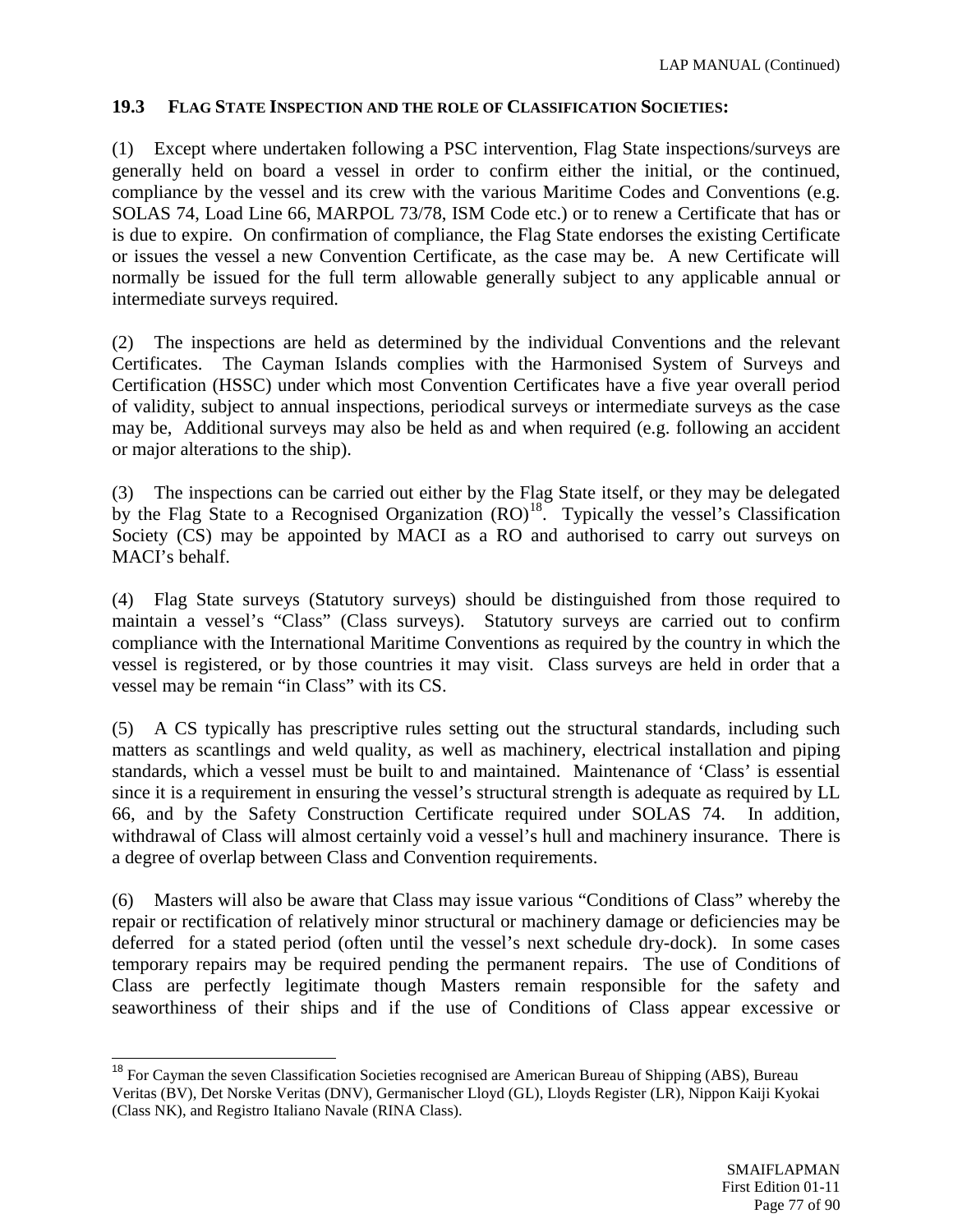#### **19.3 FLAG STATE INSPECTION AND THE ROLE OF CLASSIFICATION SOCIETIES:**

(1) Except where undertaken following a PSC intervention, Flag State inspections/surveys are generally held on board a vessel in order to confirm either the initial, or the continued, compliance by the vessel and its crew with the various Maritime Codes and Conventions (e.g. SOLAS 74, Load Line 66, MARPOL 73/78, ISM Code etc.) or to renew a Certificate that has or is due to expire. On confirmation of compliance, the Flag State endorses the existing Certificate or issues the vessel a new Convention Certificate, as the case may be. A new Certificate will normally be issued for the full term allowable generally subject to any applicable annual or intermediate surveys required.

(2) The inspections are held as determined by the individual Conventions and the relevant Certificates. The Cayman Islands complies with the Harmonised System of Surveys and Certification (HSSC) under which most Convention Certificates have a five year overall period of validity, subject to annual inspections, periodical surveys or intermediate surveys as the case may be, Additional surveys may also be held as and when required (e.g. following an accident or major alterations to the ship).

(3) The inspections can be carried out either by the Flag State itself, or they may be delegated by the Flag State to a Recognised Organization  $(RO)^{18}$ . Typically the vessel's Classification Society (CS) may be appointed by MACI as a RO and authorised to carry out surveys on MACI's behalf.

(4) Flag State surveys (Statutory surveys) should be distinguished from those required to maintain a vessel's "Class" (Class surveys). Statutory surveys are carried out to confirm compliance with the International Maritime Conventions as required by the country in which the vessel is registered, or by those countries it may visit. Class surveys are held in order that a vessel may be remain "in Class" with its CS.

(5) A CS typically has prescriptive rules setting out the structural standards, including such matters as scantlings and weld quality, as well as machinery, electrical installation and piping standards, which a vessel must be built to and maintained. Maintenance of 'Class' is essential since it is a requirement in ensuring the vessel's structural strength is adequate as required by LL 66, and by the Safety Construction Certificate required under SOLAS 74. In addition, withdrawal of Class will almost certainly void a vessel's hull and machinery insurance. There is a degree of overlap between Class and Convention requirements.

(6) Masters will also be aware that Class may issue various "Conditions of Class" whereby the repair or rectification of relatively minor structural or machinery damage or deficiencies may be deferred for a stated period (often until the vessel's next schedule dry-dock). In some cases temporary repairs may be required pending the permanent repairs. The use of Conditions of Class are perfectly legitimate though Masters remain responsible for the safety and seaworthiness of their ships and if the use of Conditions of Class appear excessive or

<span id="page-76-0"></span><sup>&</sup>lt;sup>18</sup> For Cayman the seven Classification Societies recognised are American Bureau of Shipping (ABS), Bureau Veritas (BV), Det Norske Veritas (DNV), Germanischer Lloyd (GL), Lloyds Register (LR), Nippon Kaiji Kyokai (Class NK), and Registro Italiano Navale (RINA Class).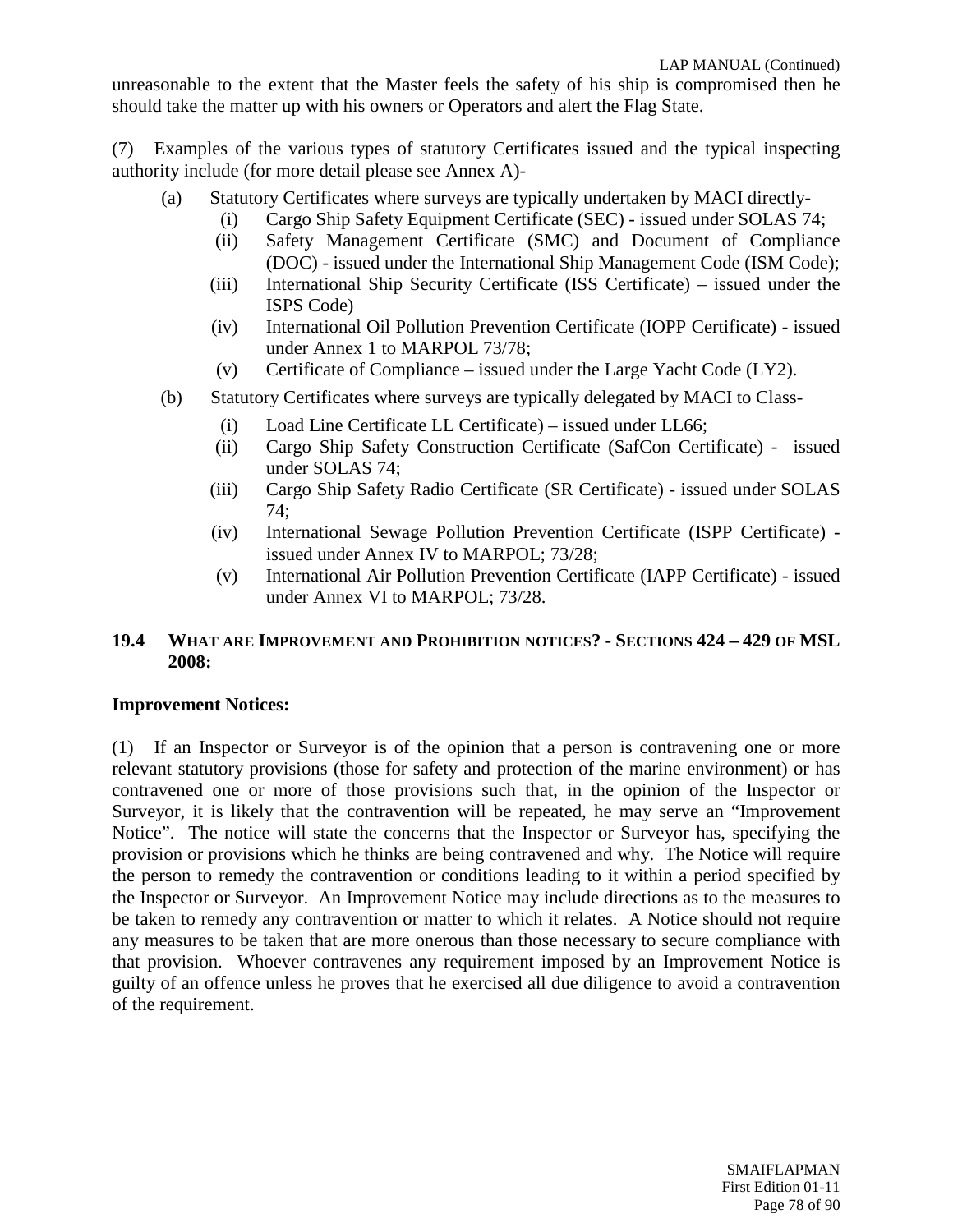unreasonable to the extent that the Master feels the safety of his ship is compromised then he should take the matter up with his owners or Operators and alert the Flag State.

(7) Examples of the various types of statutory Certificates issued and the typical inspecting authority include (for more detail please see Annex A)-

- (a) Statutory Certificates where surveys are typically undertaken by MACI directly-
	- (i) Cargo Ship Safety Equipment Certificate (SEC) issued under SOLAS 74;
	- (ii) Safety Management Certificate (SMC) and Document of Compliance (DOC) - issued under the International Ship Management Code (ISM Code);
	- (iii) International Ship Security Certificate (ISS Certificate) issued under the ISPS Code)
	- (iv) International Oil Pollution Prevention Certificate (IOPP Certificate) issued under Annex 1 to MARPOL 73/78;
	- (v) Certificate of Compliance issued under the Large Yacht Code  $(LY2)$ .
- (b) Statutory Certificates where surveys are typically delegated by MACI to Class-
	- (i) Load Line Certificate LL Certificate) issued under LL66;
	- (ii) Cargo Ship Safety Construction Certificate (SafCon Certificate) issued under SOLAS 74;
	- (iii) Cargo Ship Safety Radio Certificate (SR Certificate) issued under SOLAS 74;
	- (iv) International Sewage Pollution Prevention Certificate (ISPP Certificate) issued under Annex IV to MARPOL; 73/28;
	- (v) International Air Pollution Prevention Certificate (IAPP Certificate) issued under Annex VI to MARPOL; 73/28.

#### **19.4 WHAT ARE IMPROVEMENT AND PROHIBITION NOTICES? - SECTIONS 424 – 429 OF MSL 2008:**

#### **Improvement Notices:**

(1) If an Inspector or Surveyor is of the opinion that a person is contravening one or more relevant statutory provisions (those for safety and protection of the marine environment) or has contravened one or more of those provisions such that, in the opinion of the Inspector or Surveyor, it is likely that the contravention will be repeated, he may serve an "Improvement Notice". The notice will state the concerns that the Inspector or Surveyor has, specifying the provision or provisions which he thinks are being contravened and why. The Notice will require the person to remedy the contravention or conditions leading to it within a period specified by the Inspector or Surveyor. An Improvement Notice may include directions as to the measures to be taken to remedy any contravention or matter to which it relates. A Notice should not require any measures to be taken that are more onerous than those necessary to secure compliance with that provision. Whoever contravenes any requirement imposed by an Improvement Notice is guilty of an offence unless he proves that he exercised all due diligence to avoid a contravention of the requirement.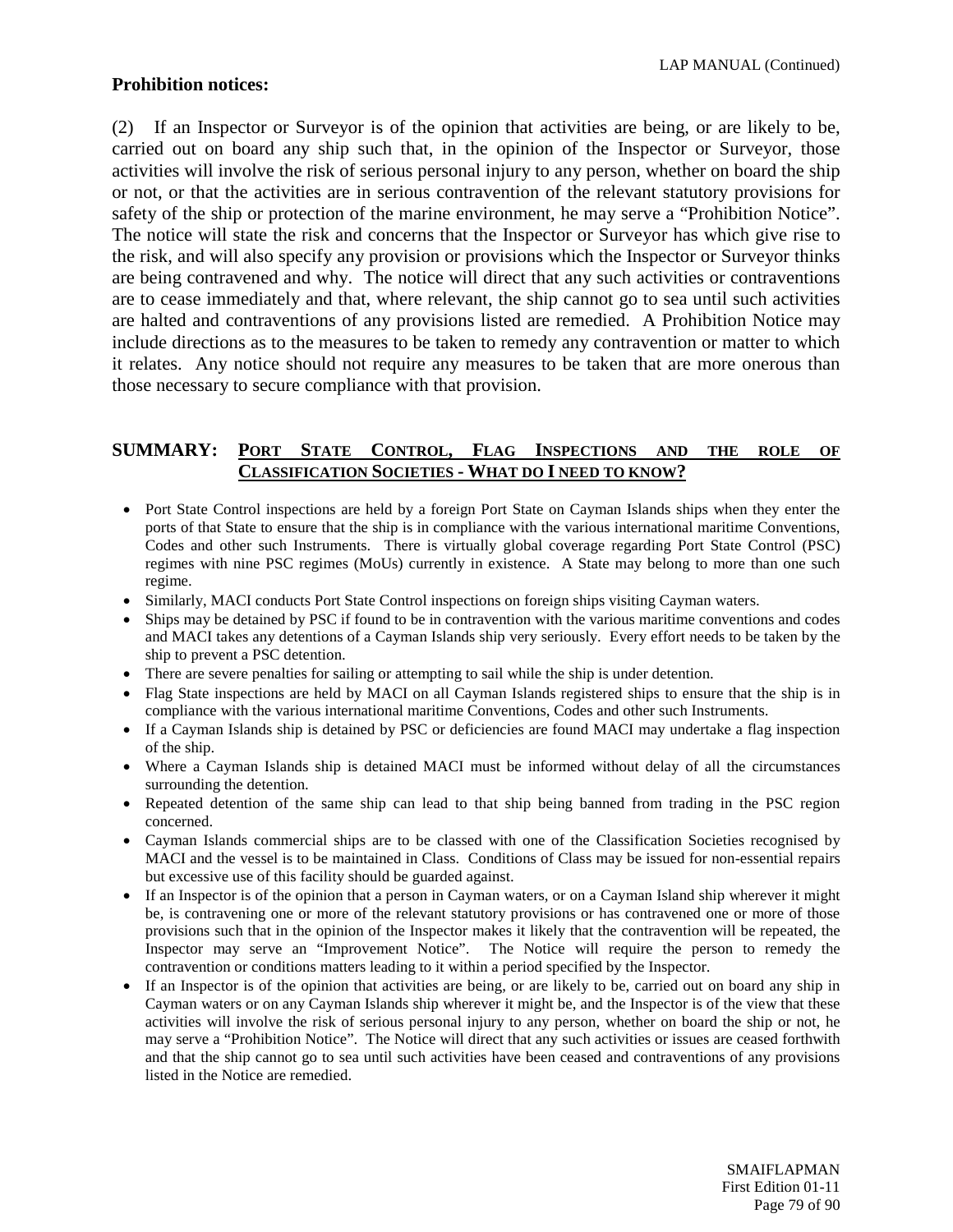#### **Prohibition notices:**

(2) If an Inspector or Surveyor is of the opinion that activities are being, or are likely to be, carried out on board any ship such that, in the opinion of the Inspector or Surveyor, those activities will involve the risk of serious personal injury to any person, whether on board the ship or not, or that the activities are in serious contravention of the relevant statutory provisions for safety of the ship or protection of the marine environment, he may serve a "Prohibition Notice". The notice will state the risk and concerns that the Inspector or Surveyor has which give rise to the risk, and will also specify any provision or provisions which the Inspector or Surveyor thinks are being contravened and why. The notice will direct that any such activities or contraventions are to cease immediately and that, where relevant, the ship cannot go to sea until such activities are halted and contraventions of any provisions listed are remedied. A Prohibition Notice may include directions as to the measures to be taken to remedy any contravention or matter to which it relates. Any notice should not require any measures to be taken that are more onerous than those necessary to secure compliance with that provision.

#### **SUMMARY: PORT STATE CONTROL, FLAG INSPECTIONS AND THE ROLE OF CLASSIFICATION SOCIETIES - WHAT DO I NEED TO KNOW?**

- Port State Control inspections are held by a foreign Port State on Cayman Islands ships when they enter the ports of that State to ensure that the ship is in compliance with the various international maritime Conventions, Codes and other such Instruments. There is virtually global coverage regarding Port State Control (PSC) regimes with nine PSC regimes (MoUs) currently in existence. A State may belong to more than one such regime.
- Similarly, MACI conducts Port State Control inspections on foreign ships visiting Cayman waters.
- Ships may be detained by PSC if found to be in contravention with the various maritime conventions and codes and MACI takes any detentions of a Cayman Islands ship very seriously. Every effort needs to be taken by the ship to prevent a PSC detention.
- There are severe penalties for sailing or attempting to sail while the ship is under detention.
- Flag State inspections are held by MACI on all Cayman Islands registered ships to ensure that the ship is in compliance with the various international maritime Conventions, Codes and other such Instruments.
- If a Cayman Islands ship is detained by PSC or deficiencies are found MACI may undertake a flag inspection of the ship.
- Where a Cayman Islands ship is detained MACI must be informed without delay of all the circumstances surrounding the detention.
- Repeated detention of the same ship can lead to that ship being banned from trading in the PSC region concerned.
- Cayman Islands commercial ships are to be classed with one of the Classification Societies recognised by MACI and the vessel is to be maintained in Class. Conditions of Class may be issued for non-essential repairs but excessive use of this facility should be guarded against.
- If an Inspector is of the opinion that a person in Cayman waters, or on a Cayman Island ship wherever it might be, is contravening one or more of the relevant statutory provisions or has contravened one or more of those provisions such that in the opinion of the Inspector makes it likely that the contravention will be repeated, the Inspector may serve an "Improvement Notice". The Notice will require the person to remedy the contravention or conditions matters leading to it within a period specified by the Inspector.
- If an Inspector is of the opinion that activities are being, or are likely to be, carried out on board any ship in Cayman waters or on any Cayman Islands ship wherever it might be, and the Inspector is of the view that these activities will involve the risk of serious personal injury to any person, whether on board the ship or not, he may serve a "Prohibition Notice". The Notice will direct that any such activities or issues are ceased forthwith and that the ship cannot go to sea until such activities have been ceased and contraventions of any provisions listed in the Notice are remedied.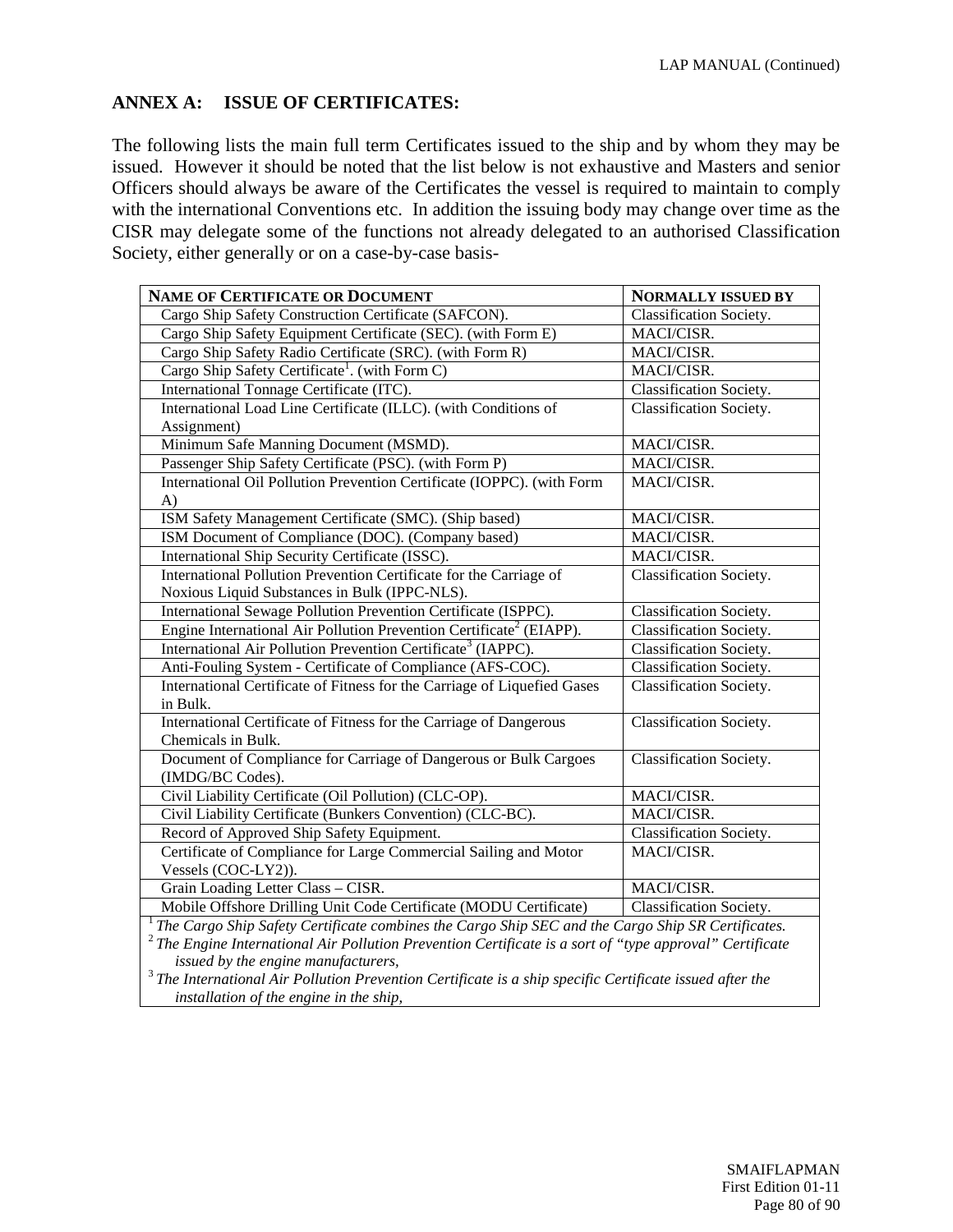# **ANNEX A: ISSUE OF CERTIFICATES:**

The following lists the main full term Certificates issued to the ship and by whom they may be issued. However it should be noted that the list below is not exhaustive and Masters and senior Officers should always be aware of the Certificates the vessel is required to maintain to comply with the international Conventions etc. In addition the issuing body may change over time as the CISR may delegate some of the functions not already delegated to an authorised Classification Society, either generally or on a case-by-case basis-

| NAME OF CERTIFICATE OR DOCUMENT                                                                       | <b>NORMALLY ISSUED BY</b> |
|-------------------------------------------------------------------------------------------------------|---------------------------|
| Cargo Ship Safety Construction Certificate (SAFCON).                                                  | Classification Society.   |
| Cargo Ship Safety Equipment Certificate (SEC). (with Form E)                                          | MACI/CISR.                |
| Cargo Ship Safety Radio Certificate (SRC). (with Form R)                                              | MACI/CISR.                |
| Cargo Ship Safety Certificate <sup>1</sup> . (with Form C)                                            | MACI/CISR.                |
| International Tonnage Certificate (ITC).                                                              | Classification Society.   |
| International Load Line Certificate (ILLC). (with Conditions of                                       | Classification Society.   |
| Assignment)                                                                                           |                           |
| Minimum Safe Manning Document (MSMD).                                                                 | MACI/CISR.                |
| Passenger Ship Safety Certificate (PSC). (with Form P)                                                | MACI/CISR.                |
| International Oil Pollution Prevention Certificate (IOPPC). (with Form                                | MACI/CISR.                |
| A)                                                                                                    |                           |
| ISM Safety Management Certificate (SMC). (Ship based)                                                 | MACI/CISR.                |
| ISM Document of Compliance (DOC). (Company based)                                                     | MACI/CISR.                |
| International Ship Security Certificate (ISSC).                                                       | MACI/CISR.                |
| International Pollution Prevention Certificate for the Carriage of                                    | Classification Society.   |
| Noxious Liquid Substances in Bulk (IPPC-NLS).                                                         |                           |
| International Sewage Pollution Prevention Certificate (ISPPC).                                        | Classification Society.   |
| Engine International Air Pollution Prevention Certificate <sup>2</sup> (EIAPP).                       | Classification Society.   |
| International Air Pollution Prevention Certificate <sup>3</sup> (IAPPC).                              | Classification Society.   |
| Anti-Fouling System - Certificate of Compliance (AFS-COC).                                            | Classification Society.   |
| International Certificate of Fitness for the Carriage of Liquefied Gases                              | Classification Society.   |
| in Bulk.                                                                                              |                           |
| International Certificate of Fitness for the Carriage of Dangerous                                    | Classification Society.   |
| Chemicals in Bulk.                                                                                    |                           |
| Document of Compliance for Carriage of Dangerous or Bulk Cargoes                                      | Classification Society.   |
| (IMDG/BC Codes).                                                                                      |                           |
| Civil Liability Certificate (Oil Pollution) (CLC-OP).                                                 | MACI/CISR.                |
| Civil Liability Certificate (Bunkers Convention) (CLC-BC).                                            | MACI/CISR.                |
| Record of Approved Ship Safety Equipment.                                                             | Classification Society.   |
| Certificate of Compliance for Large Commercial Sailing and Motor                                      | MACI/CISR.                |
| Vessels (COC-LY2)).                                                                                   |                           |
| Grain Loading Letter Class - CISR.                                                                    | MACI/CISR.                |
| Mobile Offshore Drilling Unit Code Certificate (MODU Certificate)                                     | Classification Society.   |
| $1$ The Cargo Ship Safety Certificate combines the Cargo Ship SEC and the Cargo Ship SR Certificates. |                           |

<sup>2</sup> *The Engine International Air Pollution Prevention Certificate is a sort of "type approval" Certificate* 

<sup>3</sup> The International Air Pollution Prevention Certificate is a ship specific Certificate issued after the *installation of the engine in the ship,*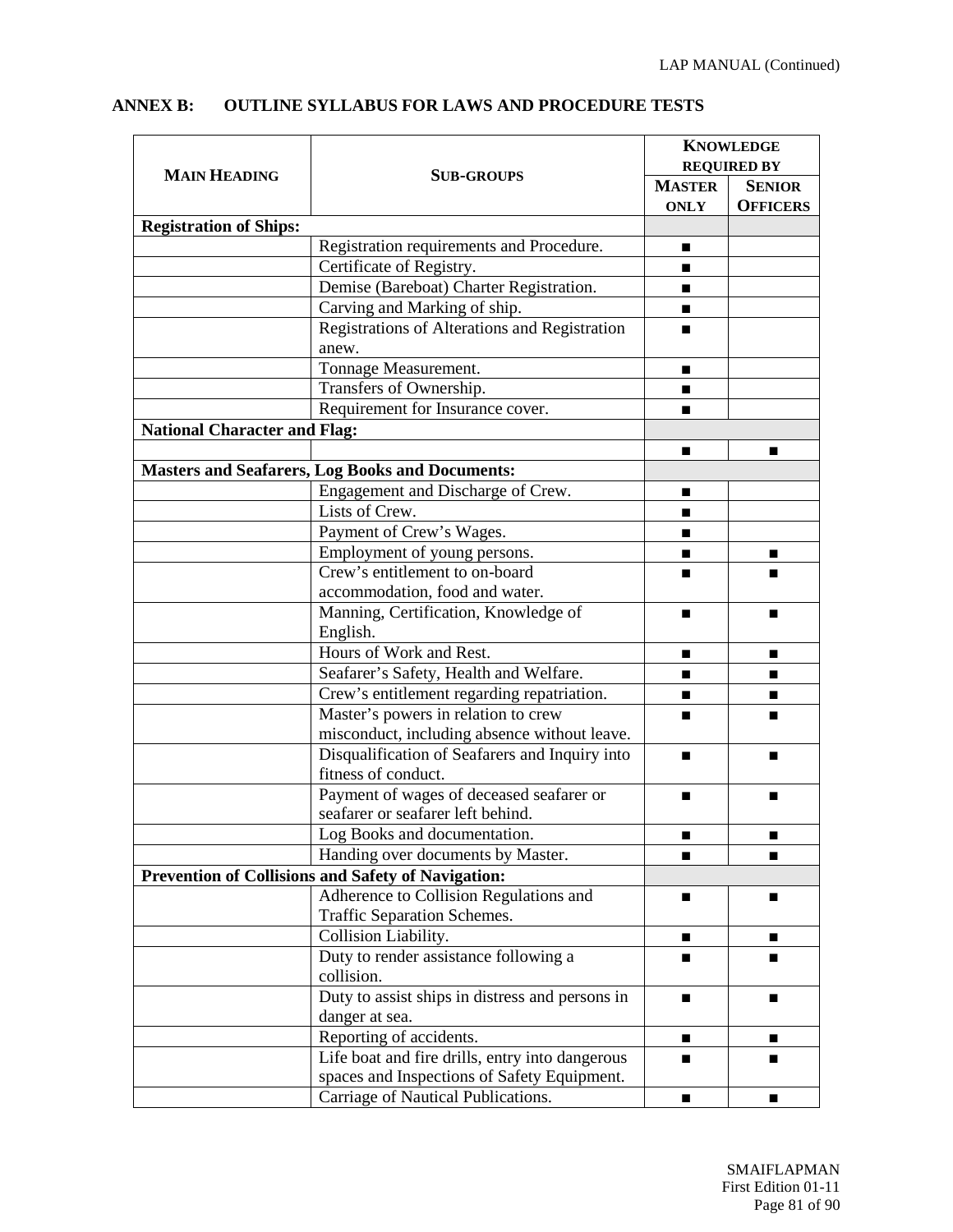|                                     |                                                        | <b>KNOWLEDGE</b> |                    |
|-------------------------------------|--------------------------------------------------------|------------------|--------------------|
| <b>MAIN HEADING</b>                 | <b>SUB-GROUPS</b>                                      |                  | <b>REQUIRED BY</b> |
|                                     |                                                        | <b>MASTER</b>    | <b>SENIOR</b>      |
|                                     |                                                        | <b>ONLY</b>      | <b>OFFICERS</b>    |
| <b>Registration of Ships:</b>       |                                                        |                  |                    |
|                                     | Registration requirements and Procedure.               | ■                |                    |
|                                     | Certificate of Registry.                               | ■                |                    |
|                                     | Demise (Bareboat) Charter Registration.                |                  |                    |
|                                     | Carving and Marking of ship.                           | ■                |                    |
|                                     | Registrations of Alterations and Registration          | ▬                |                    |
|                                     | anew.                                                  |                  |                    |
|                                     | Tonnage Measurement.                                   | ■                |                    |
|                                     | Transfers of Ownership.                                |                  |                    |
|                                     | Requirement for Insurance cover.                       | ■                |                    |
| <b>National Character and Flag:</b> |                                                        |                  |                    |
|                                     |                                                        |                  | ▬                  |
|                                     | <b>Masters and Seafarers, Log Books and Documents:</b> |                  |                    |
|                                     | Engagement and Discharge of Crew.                      |                  |                    |
|                                     | Lists of Crew.                                         |                  |                    |
|                                     | Payment of Crew's Wages.                               | ▬                |                    |
|                                     | Employment of young persons.                           |                  |                    |
|                                     | Crew's entitlement to on-board                         |                  |                    |
|                                     | accommodation, food and water.                         |                  |                    |
|                                     | Manning, Certification, Knowledge of                   |                  |                    |
| English.                            |                                                        |                  |                    |
|                                     | Hours of Work and Rest.                                | ■                | ■                  |
|                                     | Seafarer's Safety, Health and Welfare.                 |                  |                    |
|                                     | Crew's entitlement regarding repatriation.             | ■                |                    |
|                                     | Master's powers in relation to crew                    | ш                |                    |
|                                     | misconduct, including absence without leave.           |                  |                    |
|                                     | Disqualification of Seafarers and Inquiry into         | ■                |                    |
|                                     | fitness of conduct.                                    |                  |                    |
|                                     | Payment of wages of deceased seafarer or               | ▬                |                    |
|                                     | seafarer or seafarer left behind.                      |                  |                    |
|                                     | Log Books and documentation.                           |                  |                    |
|                                     | Handing over documents by Master.                      | ■                | ■                  |
|                                     | Prevention of Collisions and Safety of Navigation:     |                  |                    |
|                                     | Adherence to Collision Regulations and                 |                  |                    |
|                                     | Traffic Separation Schemes.                            |                  |                    |
|                                     | Collision Liability.                                   |                  |                    |
|                                     | Duty to render assistance following a                  |                  |                    |
|                                     | collision.                                             |                  |                    |
|                                     | Duty to assist ships in distress and persons in        | п                |                    |
|                                     | danger at sea.                                         |                  |                    |
|                                     | Reporting of accidents.                                |                  |                    |
|                                     | Life boat and fire drills, entry into dangerous        |                  |                    |
|                                     | spaces and Inspections of Safety Equipment.            |                  |                    |
|                                     | Carriage of Nautical Publications.                     | ■                |                    |

#### **ANNEX B: OUTLINE SYLLABUS FOR LAWS AND PROCEDURE TESTS**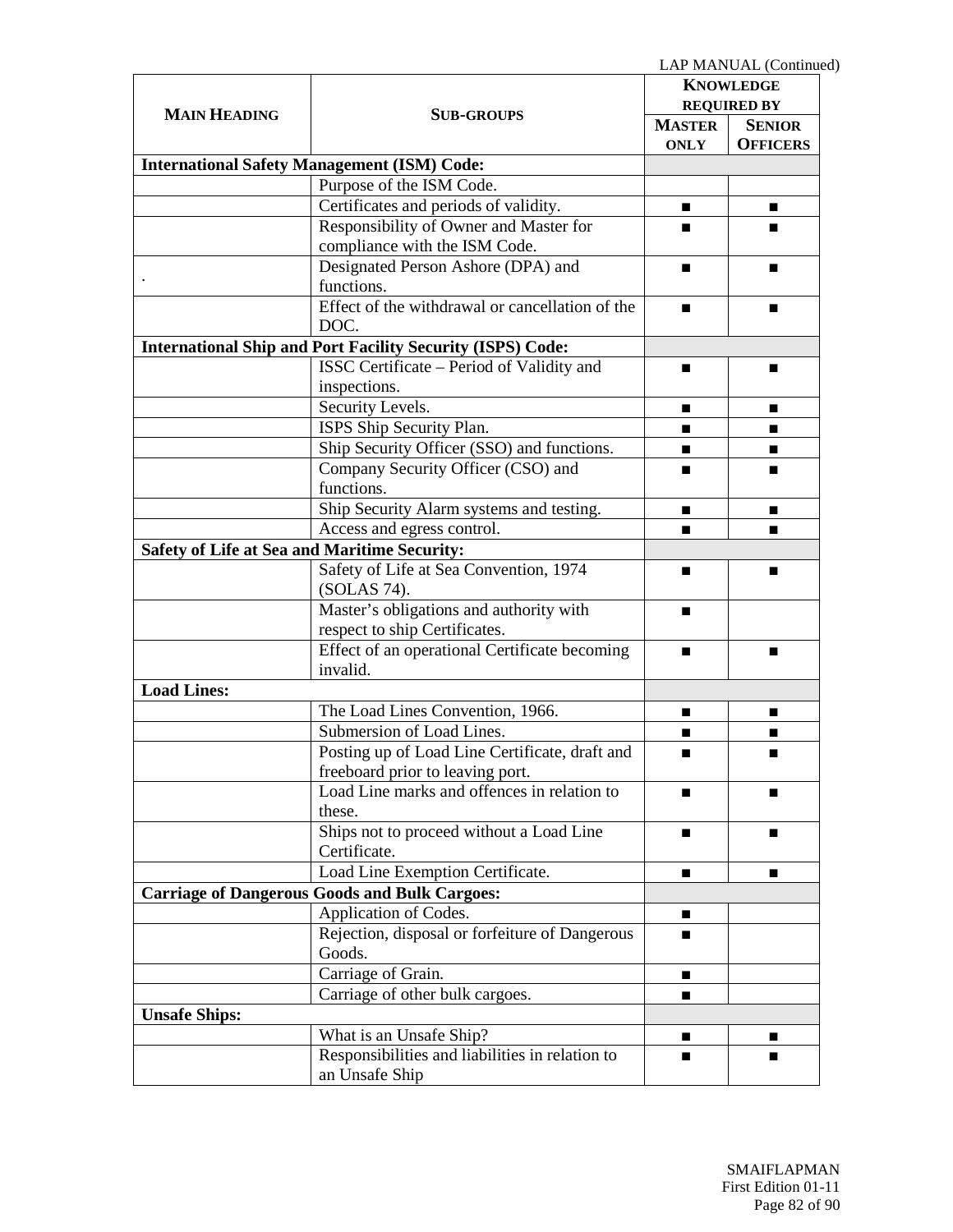|                      |                                                                   |                    | LAP MANUAL (Continued) |
|----------------------|-------------------------------------------------------------------|--------------------|------------------------|
|                      |                                                                   |                    | <b>KNOWLEDGE</b>       |
|                      |                                                                   | <b>REQUIRED BY</b> |                        |
| <b>MAIN HEADING</b>  | <b>SUB-GROUPS</b>                                                 | <b>MASTER</b>      | <b>SENIOR</b>          |
|                      |                                                                   | <b>ONLY</b>        | <b>OFFICERS</b>        |
|                      | <b>International Safety Management (ISM) Code:</b>                |                    |                        |
|                      | Purpose of the ISM Code.                                          |                    |                        |
|                      | Certificates and periods of validity.                             | п                  |                        |
|                      | Responsibility of Owner and Master for                            | ■                  |                        |
|                      | compliance with the ISM Code.                                     |                    |                        |
|                      | Designated Person Ashore (DPA) and                                | ■                  | ■                      |
|                      | functions.                                                        |                    |                        |
|                      | Effect of the withdrawal or cancellation of the                   |                    |                        |
|                      | DOC.                                                              |                    |                        |
|                      | <b>International Ship and Port Facility Security (ISPS) Code:</b> |                    |                        |
|                      | ISSC Certificate - Period of Validity and                         | ▬                  |                        |
|                      | inspections.                                                      |                    |                        |
|                      | Security Levels.                                                  |                    |                        |
|                      | ISPS Ship Security Plan.                                          |                    |                        |
|                      | Ship Security Officer (SSO) and functions.                        |                    |                        |
|                      | Company Security Officer (CSO) and                                | ▬                  |                        |
|                      | functions.                                                        |                    |                        |
|                      | Ship Security Alarm systems and testing.                          | ■                  | ■                      |
|                      | Access and egress control.                                        | ■                  |                        |
|                      | <b>Safety of Life at Sea and Maritime Security:</b>               |                    |                        |
|                      | Safety of Life at Sea Convention, 1974                            |                    | ■                      |
|                      | (SOLAS 74).                                                       |                    |                        |
|                      | Master's obligations and authority with                           | ■                  |                        |
|                      | respect to ship Certificates.                                     |                    |                        |
|                      | Effect of an operational Certificate becoming                     | п                  |                        |
|                      | invalid.                                                          |                    |                        |
| <b>Load Lines:</b>   |                                                                   |                    |                        |
|                      | The Load Lines Convention, 1966.                                  |                    | ■                      |
|                      | Submersion of Load Lines.                                         | ■                  | ■                      |
|                      | Posting up of Load Line Certificate, draft and                    |                    |                        |
|                      | freeboard prior to leaving port.                                  |                    |                        |
|                      | Load Line marks and offences in relation to                       | п                  |                        |
|                      | these.                                                            |                    |                        |
|                      | Ships not to proceed without a Load Line                          | п                  |                        |
|                      | Certificate.                                                      |                    |                        |
|                      | Load Line Exemption Certificate.                                  |                    |                        |
|                      | <b>Carriage of Dangerous Goods and Bulk Cargoes:</b>              |                    |                        |
|                      | Application of Codes.                                             |                    |                        |
|                      | Rejection, disposal or forfeiture of Dangerous                    |                    |                        |
|                      | Goods.                                                            |                    |                        |
|                      | Carriage of Grain.                                                | ■                  |                        |
|                      | Carriage of other bulk cargoes.                                   | ■                  |                        |
| <b>Unsafe Ships:</b> |                                                                   |                    |                        |
|                      | What is an Unsafe Ship?                                           | п                  |                        |
|                      | Responsibilities and liabilities in relation to                   | ■                  |                        |
|                      | an Unsafe Ship                                                    |                    |                        |
|                      |                                                                   |                    |                        |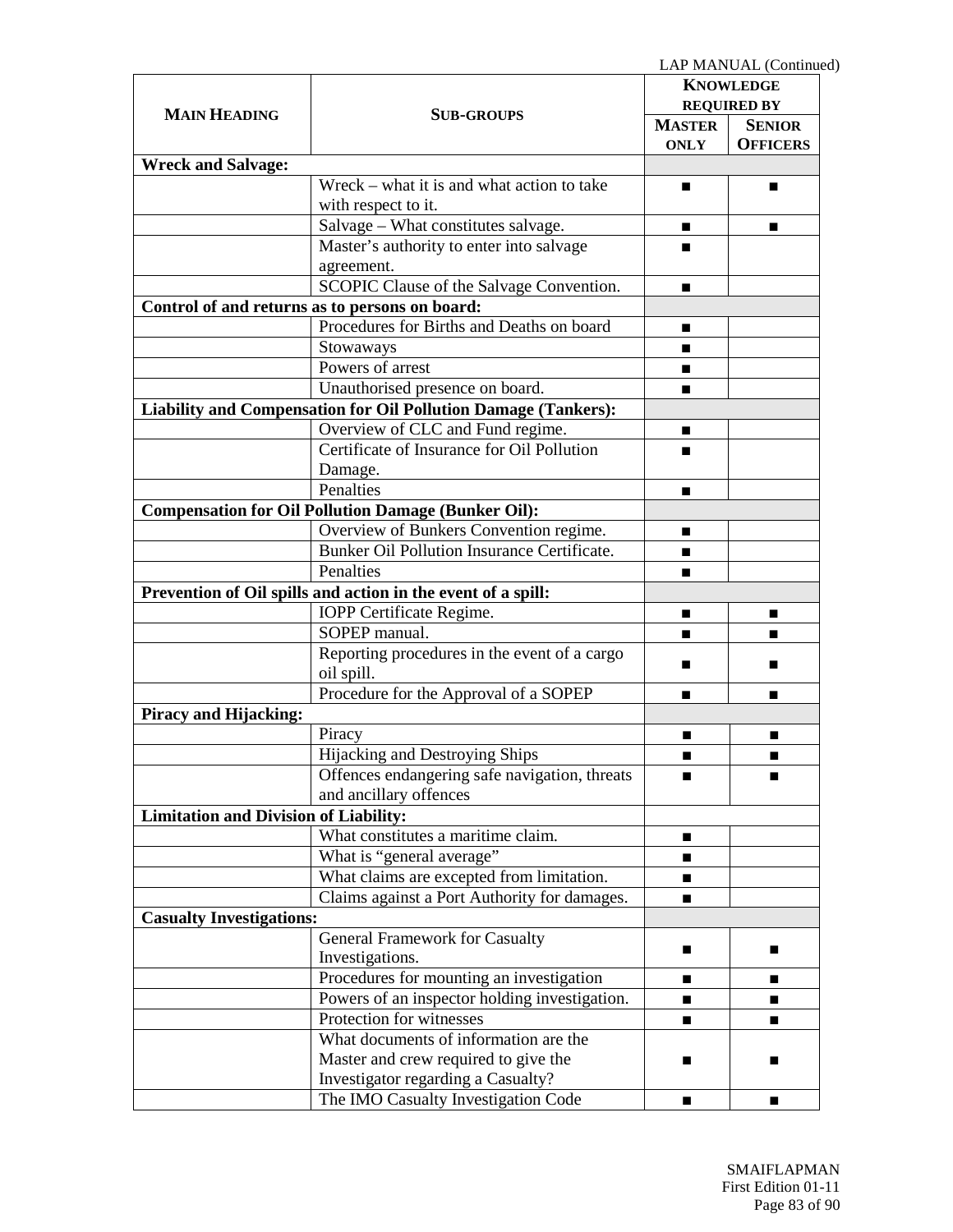LAP MANUAL (Continued)

|                                              |                                                                |                                        | LAI MARUAL (COMMI |
|----------------------------------------------|----------------------------------------------------------------|----------------------------------------|-------------------|
|                                              |                                                                | <b>KNOWLEDGE</b><br><b>REQUIRED BY</b> |                   |
| <b>MAIN HEADING</b>                          | <b>SUB-GROUPS</b>                                              |                                        |                   |
|                                              |                                                                | <b>MASTER</b>                          | <b>SENIOR</b>     |
|                                              |                                                                | <b>ONLY</b>                            | <b>OFFICERS</b>   |
| <b>Wreck and Salvage:</b>                    |                                                                |                                        |                   |
|                                              | $Wreck - what it is and what action to take$                   | ■                                      |                   |
|                                              | with respect to it.                                            |                                        |                   |
|                                              | Salvage - What constitutes salvage.                            | ■                                      | ■                 |
|                                              | Master's authority to enter into salvage                       |                                        |                   |
|                                              | agreement.                                                     |                                        |                   |
|                                              | SCOPIC Clause of the Salvage Convention.                       |                                        |                   |
|                                              | Control of and returns as to persons on board:                 |                                        |                   |
|                                              | Procedures for Births and Deaths on board                      | ▬                                      |                   |
|                                              | Stowaways                                                      | ■                                      |                   |
|                                              | Powers of arrest                                               | ■                                      |                   |
|                                              | Unauthorised presence on board.                                |                                        |                   |
|                                              | Liability and Compensation for Oil Pollution Damage (Tankers): |                                        |                   |
|                                              | Overview of CLC and Fund regime.                               |                                        |                   |
|                                              | Certificate of Insurance for Oil Pollution                     |                                        |                   |
|                                              | Damage.                                                        |                                        |                   |
|                                              | Penalties                                                      | ■                                      |                   |
|                                              | <b>Compensation for Oil Pollution Damage (Bunker Oil):</b>     |                                        |                   |
|                                              | Overview of Bunkers Convention regime.                         | ■                                      |                   |
|                                              | Bunker Oil Pollution Insurance Certificate.                    | ▬                                      |                   |
|                                              | Penalties                                                      |                                        |                   |
|                                              |                                                                | ■                                      |                   |
|                                              | Prevention of Oil spills and action in the event of a spill:   |                                        |                   |
|                                              | IOPP Certificate Regime.                                       |                                        |                   |
|                                              | SOPEP manual.                                                  | ■                                      |                   |
|                                              | Reporting procedures in the event of a cargo                   | ■                                      |                   |
|                                              | oil spill.                                                     |                                        |                   |
|                                              | Procedure for the Approval of a SOPEP                          | ■                                      | ■                 |
| <b>Piracy and Hijacking:</b>                 |                                                                |                                        |                   |
|                                              | Piracy                                                         | ■                                      | ■                 |
|                                              | Hijacking and Destroying Ships                                 | ■                                      | ■                 |
|                                              | Offences endangering safe navigation, threats                  | ш                                      |                   |
|                                              | and ancillary offences                                         |                                        |                   |
| <b>Limitation and Division of Liability:</b> |                                                                |                                        |                   |
|                                              | What constitutes a maritime claim.                             |                                        |                   |
|                                              | What is "general average"                                      |                                        |                   |
|                                              | What claims are excepted from limitation.                      |                                        |                   |
|                                              | Claims against a Port Authority for damages.                   | ■                                      |                   |
| <b>Casualty Investigations:</b>              |                                                                |                                        |                   |
|                                              | General Framework for Casualty                                 |                                        |                   |
|                                              | Investigations.                                                |                                        |                   |
|                                              | Procedures for mounting an investigation                       |                                        |                   |
|                                              | Powers of an inspector holding investigation.                  |                                        |                   |
|                                              | Protection for witnesses                                       | ■                                      | ■                 |
|                                              | What documents of information are the                          |                                        |                   |
|                                              | Master and crew required to give the                           | ■                                      | ■                 |
|                                              | Investigator regarding a Casualty?                             |                                        |                   |
|                                              | The IMO Casualty Investigation Code                            | ■                                      | ■                 |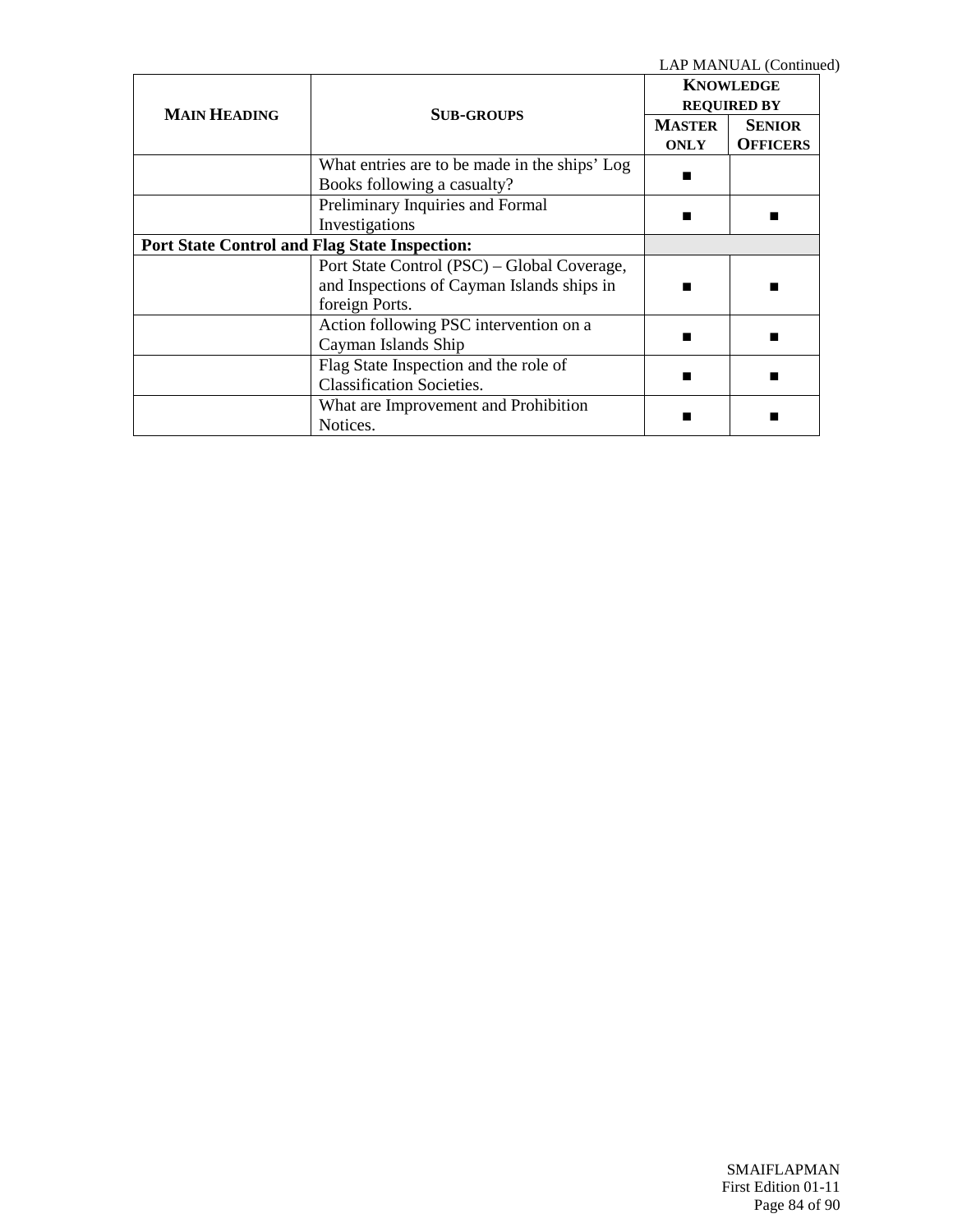LAP MANUAL (Continued)

|                                                      |                                               | <b>KNOWLEDGE</b>   |                 |
|------------------------------------------------------|-----------------------------------------------|--------------------|-----------------|
| <b>MAIN HEADING</b>                                  | <b>SUB-GROUPS</b>                             | <b>REQUIRED BY</b> |                 |
|                                                      |                                               | <b>MASTER</b>      | <b>SENIOR</b>   |
|                                                      |                                               | <b>ONLY</b>        | <b>OFFICERS</b> |
|                                                      | What entries are to be made in the ships' Log |                    |                 |
|                                                      | Books following a casualty?                   |                    |                 |
|                                                      | Preliminary Inquiries and Formal              |                    |                 |
|                                                      | Investigations                                |                    |                 |
| <b>Port State Control and Flag State Inspection:</b> |                                               |                    |                 |
|                                                      | Port State Control (PSC) – Global Coverage,   |                    |                 |
|                                                      | and Inspections of Cayman Islands ships in    |                    |                 |
|                                                      | foreign Ports.                                |                    |                 |
|                                                      | Action following PSC intervention on a        |                    |                 |
|                                                      | Cayman Islands Ship                           |                    |                 |
|                                                      | Flag State Inspection and the role of         |                    |                 |
|                                                      | <b>Classification Societies.</b>              |                    |                 |
|                                                      | What are Improvement and Prohibition          |                    |                 |
|                                                      | Notices.                                      |                    |                 |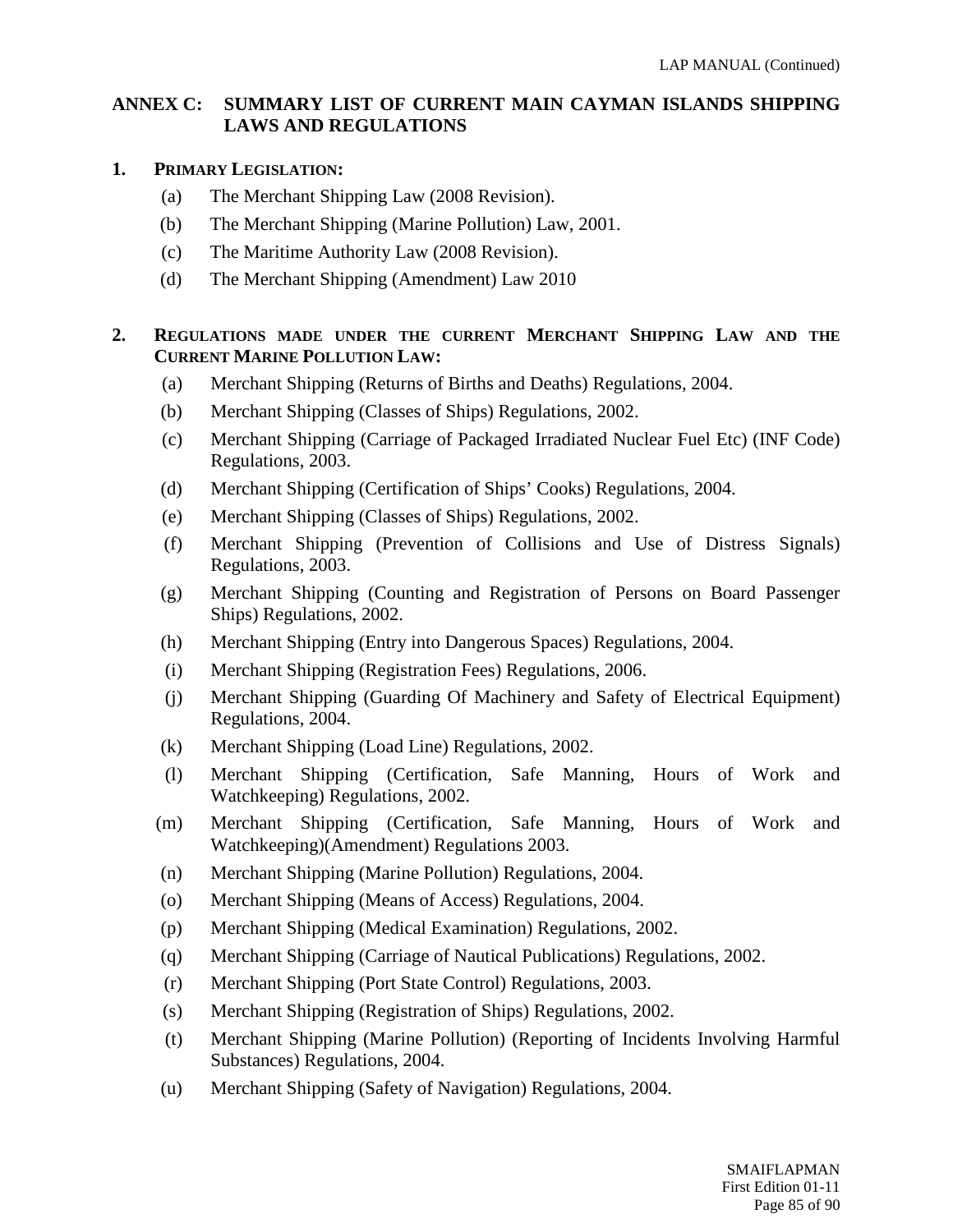## **ANNEX C: SUMMARY LIST OF CURRENT MAIN CAYMAN ISLANDS SHIPPING LAWS AND REGULATIONS**

#### **1. PRIMARY LEGISLATION:**

- (a) The Merchant Shipping Law (2008 Revision).
- (b) The Merchant Shipping (Marine Pollution) Law, 2001.
- (c) The Maritime Authority Law (2008 Revision).
- (d) The Merchant Shipping (Amendment) Law 2010

## **2. REGULATIONS MADE UNDER THE CURRENT MERCHANT SHIPPING LAW AND THE CURRENT MARINE POLLUTION LAW:**

- (a) Merchant Shipping (Returns of Births and Deaths) Regulations, 2004.
- (b) Merchant Shipping (Classes of Ships) Regulations, 2002.
- (c) Merchant Shipping (Carriage of Packaged Irradiated Nuclear Fuel Etc) (INF Code) Regulations, 2003.
- (d) Merchant Shipping (Certification of Ships' Cooks) Regulations, 2004.
- (e) Merchant Shipping (Classes of Ships) Regulations, 2002.
- (f) Merchant Shipping (Prevention of Collisions and Use of Distress Signals) Regulations, 2003.
- (g) Merchant Shipping (Counting and Registration of Persons on Board Passenger Ships) Regulations, 2002.
- (h) Merchant Shipping (Entry into Dangerous Spaces) Regulations, 2004.
- (i) Merchant Shipping (Registration Fees) Regulations, 2006.
- (j) Merchant Shipping (Guarding Of Machinery and Safety of Electrical Equipment) Regulations, 2004.
- (k) Merchant Shipping (Load Line) Regulations, 2002.
- (l) Merchant Shipping (Certification, Safe Manning, Hours of Work and Watchkeeping) Regulations, 2002.
- (m) Merchant Shipping (Certification, Safe Manning, Hours of Work and Watchkeeping)(Amendment) Regulations 2003.
- (n) Merchant Shipping (Marine Pollution) Regulations, 2004.
- (o) Merchant Shipping (Means of Access) Regulations, 2004.
- (p) Merchant Shipping (Medical Examination) Regulations, 2002.
- (q) Merchant Shipping (Carriage of Nautical Publications) Regulations, 2002.
- (r) Merchant Shipping (Port State Control) Regulations, 2003.
- (s) Merchant Shipping (Registration of Ships) Regulations, 2002.
- (t) Merchant Shipping (Marine Pollution) (Reporting of Incidents Involving Harmful Substances) Regulations, 2004.
- (u) Merchant Shipping (Safety of Navigation) Regulations, 2004.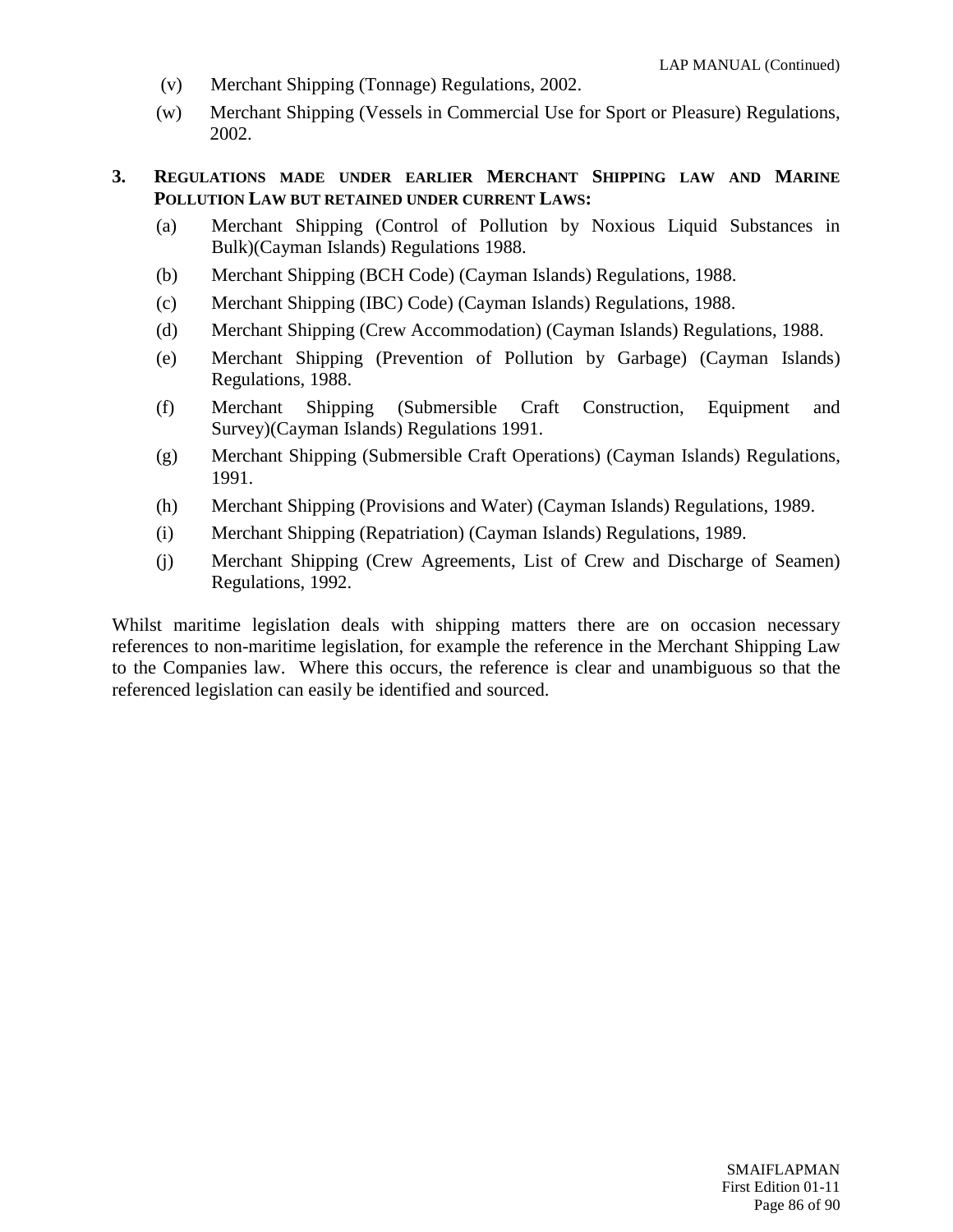- (v) Merchant Shipping (Tonnage) Regulations, 2002.
- (w) Merchant Shipping (Vessels in Commercial Use for Sport or Pleasure) Regulations, 2002.

#### **3. REGULATIONS MADE UNDER EARLIER MERCHANT SHIPPING LAW AND MARINE POLLUTION LAW BUT RETAINED UNDER CURRENT LAWS:**

- (a) Merchant Shipping (Control of Pollution by Noxious Liquid Substances in Bulk)(Cayman Islands) Regulations 1988.
- (b) Merchant Shipping (BCH Code) (Cayman Islands) Regulations, 1988.
- (c) Merchant Shipping (IBC) Code) (Cayman Islands) Regulations, 1988.
- (d) Merchant Shipping (Crew Accommodation) (Cayman Islands) Regulations, 1988.
- (e) Merchant Shipping (Prevention of Pollution by Garbage) (Cayman Islands) Regulations, 1988.
- (f) Merchant Shipping (Submersible Craft Construction, Equipment and Survey)(Cayman Islands) Regulations 1991.
- (g) Merchant Shipping (Submersible Craft Operations) (Cayman Islands) Regulations, 1991.
- (h) Merchant Shipping (Provisions and Water) (Cayman Islands) Regulations, 1989.
- (i) Merchant Shipping (Repatriation) (Cayman Islands) Regulations, 1989.
- (j) Merchant Shipping (Crew Agreements, List of Crew and Discharge of Seamen) Regulations, 1992.

Whilst maritime legislation deals with shipping matters there are on occasion necessary references to non-maritime legislation, for example the reference in the Merchant Shipping Law to the Companies law. Where this occurs, the reference is clear and unambiguous so that the referenced legislation can easily be identified and sourced.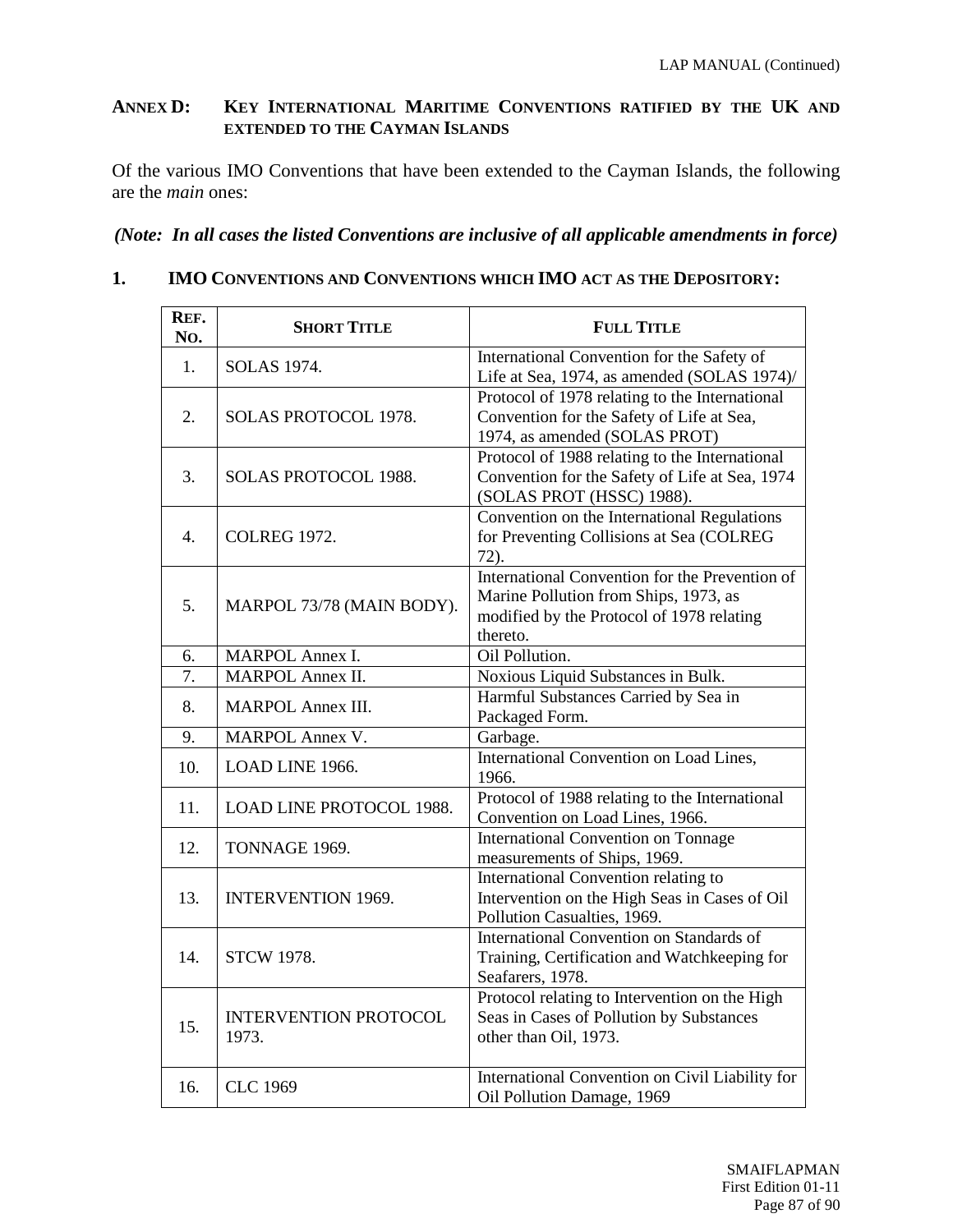#### **ANNEX D: KEY INTERNATIONAL MARITIME CONVENTIONS RATIFIED BY THE UK AND EXTENDED TO THE CAYMAN ISLANDS**

Of the various IMO Conventions that have been extended to the Cayman Islands, the following are the *main* ones:

# *(Note: In all cases the listed Conventions are inclusive of all applicable amendments in force)*

#### **1. IMO CONVENTIONS AND CONVENTIONS WHICH IMO ACT AS THE DEPOSITORY:**

| REF.<br>No.      | <b>SHORT TITLE</b>                    | <b>FULL TITLE</b>                                                                                                                                |
|------------------|---------------------------------------|--------------------------------------------------------------------------------------------------------------------------------------------------|
| 1.               | <b>SOLAS 1974.</b>                    | International Convention for the Safety of<br>Life at Sea, 1974, as amended (SOLAS 1974)/                                                        |
| 2.               | SOLAS PROTOCOL 1978.                  | Protocol of 1978 relating to the International<br>Convention for the Safety of Life at Sea,<br>1974, as amended (SOLAS PROT)                     |
| 3.               | SOLAS PROTOCOL 1988.                  | Protocol of 1988 relating to the International<br>Convention for the Safety of Life at Sea, 1974<br>(SOLAS PROT (HSSC) 1988).                    |
| $\overline{4}$ . | <b>COLREG 1972.</b>                   | Convention on the International Regulations<br>for Preventing Collisions at Sea (COLREG<br>$72)$ .                                               |
| 5.               | MARPOL 73/78 (MAIN BODY).             | International Convention for the Prevention of<br>Marine Pollution from Ships, 1973, as<br>modified by the Protocol of 1978 relating<br>thereto. |
| 6.               | MARPOL Annex I.                       | Oil Pollution.                                                                                                                                   |
| 7.               | <b>MARPOL Annex II.</b>               | Noxious Liquid Substances in Bulk.                                                                                                               |
| 8.               | <b>MARPOL Annex III.</b>              | Harmful Substances Carried by Sea in<br>Packaged Form.                                                                                           |
| 9.               | <b>MARPOL Annex V.</b>                | Garbage.                                                                                                                                         |
| 10.              | LOAD LINE 1966.                       | International Convention on Load Lines,<br>1966.                                                                                                 |
| 11.              | <b>LOAD LINE PROTOCOL 1988.</b>       | Protocol of 1988 relating to the International<br>Convention on Load Lines, 1966.                                                                |
| 12.              | TONNAGE 1969.                         | <b>International Convention on Tonnage</b><br>measurements of Ships, 1969.                                                                       |
| 13.              | <b>INTERVENTION 1969.</b>             | International Convention relating to<br>Intervention on the High Seas in Cases of Oil<br>Pollution Casualties, 1969.                             |
| 14.              | <b>STCW 1978.</b>                     | International Convention on Standards of<br>Training, Certification and Watchkeeping for<br>Seafarers, 1978.                                     |
| 15.              | <b>INTERVENTION PROTOCOL</b><br>1973. | Protocol relating to Intervention on the High<br>Seas in Cases of Pollution by Substances<br>other than Oil, 1973.                               |
| 16.              | <b>CLC 1969</b>                       | International Convention on Civil Liability for<br>Oil Pollution Damage, 1969                                                                    |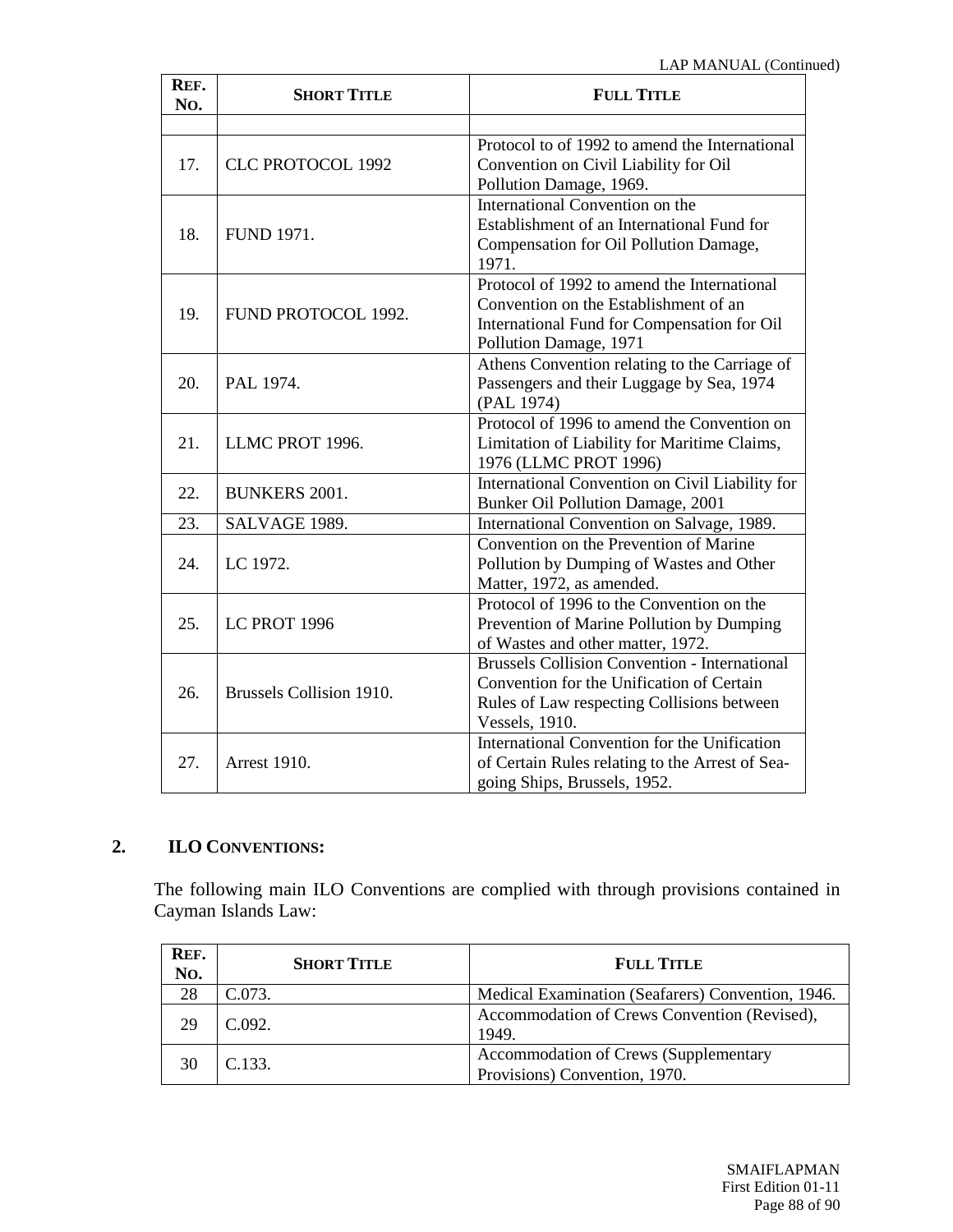| REF.<br>No. | <b>SHORT TITLE</b>       | <b>FULL TITLE</b>                                                                                                                                                 |
|-------------|--------------------------|-------------------------------------------------------------------------------------------------------------------------------------------------------------------|
|             |                          |                                                                                                                                                                   |
| 17.         | <b>CLC PROTOCOL 1992</b> | Protocol to of 1992 to amend the International<br>Convention on Civil Liability for Oil<br>Pollution Damage, 1969.                                                |
| 18.         | <b>FUND 1971.</b>        | International Convention on the<br>Establishment of an International Fund for<br>Compensation for Oil Pollution Damage,<br>1971.                                  |
| 19.         | FUND PROTOCOL 1992.      | Protocol of 1992 to amend the International<br>Convention on the Establishment of an<br>International Fund for Compensation for Oil<br>Pollution Damage, 1971     |
| 20.         | PAL 1974.                | Athens Convention relating to the Carriage of<br>Passengers and their Luggage by Sea, 1974<br>(PAL 1974)                                                          |
| 21.         | LLMC PROT 1996.          | Protocol of 1996 to amend the Convention on<br>Limitation of Liability for Maritime Claims,<br>1976 (LLMC PROT 1996)                                              |
| 22.         | <b>BUNKERS 2001.</b>     | International Convention on Civil Liability for<br>Bunker Oil Pollution Damage, 2001                                                                              |
| 23.         | SALVAGE 1989.            | International Convention on Salvage, 1989.                                                                                                                        |
| 24.         | LC 1972.                 | Convention on the Prevention of Marine<br>Pollution by Dumping of Wastes and Other<br>Matter, 1972, as amended.                                                   |
| 25.         | LC PROT 1996             | Protocol of 1996 to the Convention on the<br>Prevention of Marine Pollution by Dumping<br>of Wastes and other matter, 1972.                                       |
| 26.         | Brussels Collision 1910. | <b>Brussels Collision Convention - International</b><br>Convention for the Unification of Certain<br>Rules of Law respecting Collisions between<br>Vessels, 1910. |
| 27.         | <b>Arrest 1910.</b>      | International Convention for the Unification<br>of Certain Rules relating to the Arrest of Sea-<br>going Ships, Brussels, 1952.                                   |

# **2. ILO CONVENTIONS:**

The following main ILO Conventions are complied with through provisions contained in Cayman Islands Law:

| REF.<br>No. | <b>SHORT TITLE</b> | <b>FULL TITLE</b>                                                      |
|-------------|--------------------|------------------------------------------------------------------------|
| 28          | C.073.             | Medical Examination (Seafarers) Convention, 1946.                      |
| 29          | C.092.             | Accommodation of Crews Convention (Revised),<br>1949.                  |
|             | C.133.             | Accommodation of Crews (Supplementary<br>Provisions) Convention, 1970. |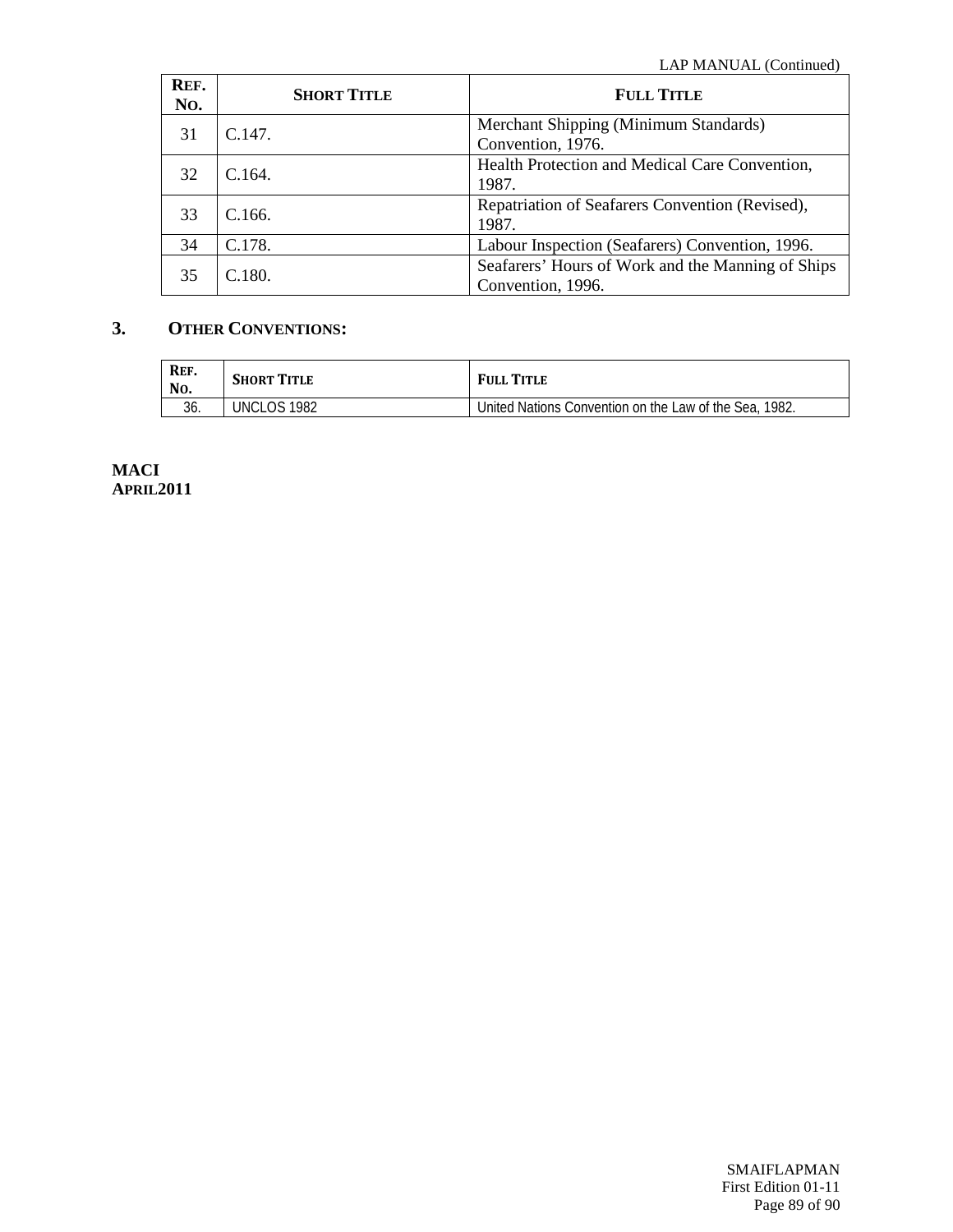| REF.<br>No. | <b>SHORT TITLE</b> | <b>FULL TITLE</b>                                                      |
|-------------|--------------------|------------------------------------------------------------------------|
| 31          | C.147.             | Merchant Shipping (Minimum Standards)<br>Convention, 1976.             |
| 32          | C.164.             | Health Protection and Medical Care Convention,<br>1987.                |
| 33          | C.166.             | Repatriation of Seafarers Convention (Revised),<br>1987.               |
| 34          | C.178.             | Labour Inspection (Seafarers) Convention, 1996.                        |
| 35          | C.180.             | Seafarers' Hours of Work and the Manning of Ships<br>Convention, 1996. |

# **3. OTHER CONVENTIONS:**

| REF.<br>No. | <b>SHORT TITLE</b> | <b>FULL TITLE</b>                                      |
|-------------|--------------------|--------------------------------------------------------|
| 36.         | UNCLOS 1982        | United Nations Convention on the Law of the Sea, 1982. |

**MACI APRIL2011**